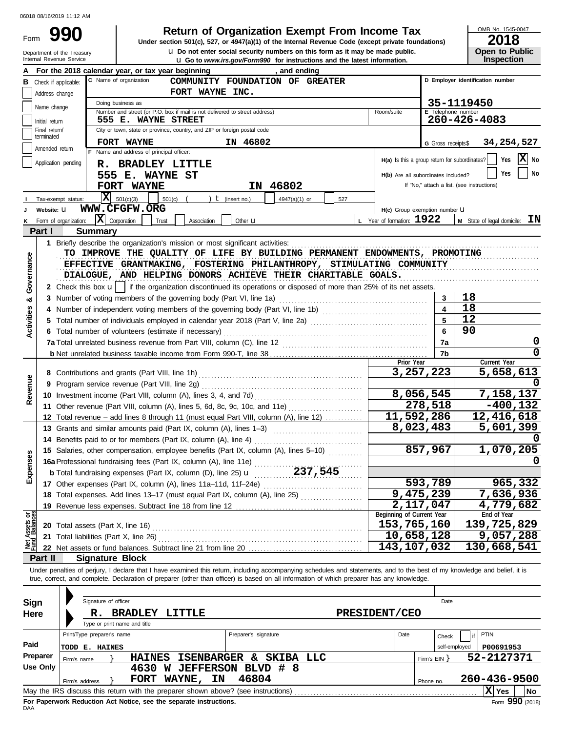Form

Department of the Treasury<br>Internal Revenue Service

# **990 2018 Return of Organization Exempt From Income Tax**

**u** Go to *www.irs.gov/Form990* for instructions and the latest information. **u** Do not enter social security numbers on this form as it may be made public. **Under section 501(c), 527, or 4947(a)(1) of the Internal Revenue Code (except private foundations)** OMB No. 1545-0047

|                       | ---        |  |
|-----------------------|------------|--|
|                       |            |  |
| <b>Open to Public</b> |            |  |
|                       | Inspection |  |

|                                |                                                                                             | For the 2018 calendar year, or tax year beginning<br>, and ending                                                                                                                                                                                                                                                        |                                               |                    |                                  |  |  |  |  |  |  |  |  |  |
|--------------------------------|---------------------------------------------------------------------------------------------|--------------------------------------------------------------------------------------------------------------------------------------------------------------------------------------------------------------------------------------------------------------------------------------------------------------------------|-----------------------------------------------|--------------------|----------------------------------|--|--|--|--|--|--|--|--|--|
|                                | Check if applicable:                                                                        | C Name of organization<br>COMMUNITY FOUNDATION OF GREATER                                                                                                                                                                                                                                                                |                                               |                    | D Employer identification number |  |  |  |  |  |  |  |  |  |
|                                | Address change                                                                              | FORT WAYNE INC.                                                                                                                                                                                                                                                                                                          |                                               |                    |                                  |  |  |  |  |  |  |  |  |  |
|                                | Name change                                                                                 | Doing business as                                                                                                                                                                                                                                                                                                        |                                               |                    | 35-1119450                       |  |  |  |  |  |  |  |  |  |
|                                | Initial return                                                                              | Number and street (or P.O. box if mail is not delivered to street address)<br><b>555 E. WAYNE STREET</b>                                                                                                                                                                                                                 | Room/suite                                    | E Telephone number | 260-426-4083                     |  |  |  |  |  |  |  |  |  |
|                                | Final return/                                                                               | City or town, state or province, country, and ZIP or foreign postal code                                                                                                                                                                                                                                                 |                                               |                    |                                  |  |  |  |  |  |  |  |  |  |
|                                | terminated<br>IN 46802<br>FORT WAYNE<br>34,254,527<br>G Gross receipts \$                   |                                                                                                                                                                                                                                                                                                                          |                                               |                    |                                  |  |  |  |  |  |  |  |  |  |
|                                | Amended return<br>F Name and address of principal officer:                                  |                                                                                                                                                                                                                                                                                                                          |                                               |                    |                                  |  |  |  |  |  |  |  |  |  |
|                                | Application pending                                                                         | R. BRADLEY LITTLE                                                                                                                                                                                                                                                                                                        | H(a) Is this a group return for subordinates? |                    | $\mathbf{X}$ No<br>Yes           |  |  |  |  |  |  |  |  |  |
|                                |                                                                                             | H(b) Are all subordinates included?                                                                                                                                                                                                                                                                                      | No<br>Yes                                     |                    |                                  |  |  |  |  |  |  |  |  |  |
|                                | If "No," attach a list. (see instructions)<br>IN 46802<br>FORT WAYNE                        |                                                                                                                                                                                                                                                                                                                          |                                               |                    |                                  |  |  |  |  |  |  |  |  |  |
|                                | X <br>501(c)(3)<br>$t$ (insert no.)<br>4947(a)(1) or<br>Tax-exempt status:<br>501(c)<br>527 |                                                                                                                                                                                                                                                                                                                          |                                               |                    |                                  |  |  |  |  |  |  |  |  |  |
|                                | Website: U                                                                                  | WWW.CFGFW.ORG                                                                                                                                                                                                                                                                                                            | H(c) Group exemption number LI                |                    |                                  |  |  |  |  |  |  |  |  |  |
|                                | K Form of organization:                                                                     | $\mathbf{X}$ Corporation<br>Association<br>Trust<br>Other <b>u</b>                                                                                                                                                                                                                                                       | L Year of formation: 1922                     |                    | ΙN<br>M State of legal domicile: |  |  |  |  |  |  |  |  |  |
|                                | Part I                                                                                      | <b>Summary</b>                                                                                                                                                                                                                                                                                                           |                                               |                    |                                  |  |  |  |  |  |  |  |  |  |
|                                |                                                                                             |                                                                                                                                                                                                                                                                                                                          |                                               |                    |                                  |  |  |  |  |  |  |  |  |  |
|                                |                                                                                             | TO IMPROVE THE QUALITY OF LIFE BY BUILDING PERMANENT ENDOWMENTS, PROMOTING                                                                                                                                                                                                                                               |                                               |                    |                                  |  |  |  |  |  |  |  |  |  |
|                                |                                                                                             | EFFECTIVE GRANTMAKING, FOSTERING PHILANTHROPY, STIMULATING COMMUNITY                                                                                                                                                                                                                                                     |                                               |                    |                                  |  |  |  |  |  |  |  |  |  |
| Governance                     |                                                                                             | DIALOGUE, AND HELPING DONORS ACHIEVE THEIR CHARITABLE GOALS.                                                                                                                                                                                                                                                             |                                               |                    |                                  |  |  |  |  |  |  |  |  |  |
|                                |                                                                                             | 2 Check this box $\mathbf{u}$   if the organization discontinued its operations or disposed of more than 25% of its net assets.                                                                                                                                                                                          |                                               |                    |                                  |  |  |  |  |  |  |  |  |  |
| œ                              |                                                                                             | 3 Number of voting members of the governing body (Part VI, line 1a)                                                                                                                                                                                                                                                      |                                               | 3                  | 18                               |  |  |  |  |  |  |  |  |  |
|                                |                                                                                             |                                                                                                                                                                                                                                                                                                                          |                                               | 4                  | 18                               |  |  |  |  |  |  |  |  |  |
| Activities                     |                                                                                             |                                                                                                                                                                                                                                                                                                                          |                                               |                    | 12                               |  |  |  |  |  |  |  |  |  |
|                                |                                                                                             | 6 Total number of volunteers (estimate if necessary)                                                                                                                                                                                                                                                                     |                                               | 6                  | 90                               |  |  |  |  |  |  |  |  |  |
|                                |                                                                                             |                                                                                                                                                                                                                                                                                                                          |                                               | 7a                 | 0                                |  |  |  |  |  |  |  |  |  |
|                                |                                                                                             |                                                                                                                                                                                                                                                                                                                          |                                               | 7b                 | 0                                |  |  |  |  |  |  |  |  |  |
|                                |                                                                                             |                                                                                                                                                                                                                                                                                                                          | Prior Year<br>3,257,223                       |                    | Current Year<br>5,658,613        |  |  |  |  |  |  |  |  |  |
|                                |                                                                                             | 9 Program service revenue (Part VIII, line 2g)                                                                                                                                                                                                                                                                           |                                               |                    |                                  |  |  |  |  |  |  |  |  |  |
| Revenue                        |                                                                                             |                                                                                                                                                                                                                                                                                                                          |                                               |                    | 7,158,137                        |  |  |  |  |  |  |  |  |  |
|                                |                                                                                             | 8,056,545<br>10 Investment income (Part VIII, column (A), lines 3, 4, and 7d)<br>278,518<br>11 Other revenue (Part VIII, column (A), lines 5, 6d, 8c, 9c, 10c, and 11e)                                                                                                                                                  |                                               |                    |                                  |  |  |  |  |  |  |  |  |  |
|                                |                                                                                             | 12 Total revenue - add lines 8 through 11 (must equal Part VIII, column (A), line 12)                                                                                                                                                                                                                                    | 11,592,286                                    |                    | $-400, 132$<br>12,416,618        |  |  |  |  |  |  |  |  |  |
|                                |                                                                                             | 13 Grants and similar amounts paid (Part IX, column (A), lines 1-3)                                                                                                                                                                                                                                                      | 8,023,483                                     |                    | 5,601,399                        |  |  |  |  |  |  |  |  |  |
|                                |                                                                                             | 14 Benefits paid to or for members (Part IX, column (A), line 4)                                                                                                                                                                                                                                                         |                                               |                    |                                  |  |  |  |  |  |  |  |  |  |
|                                |                                                                                             | 15 Salaries, other compensation, employee benefits (Part IX, column (A), lines 5-10)                                                                                                                                                                                                                                     |                                               | 857,967            | 1,070,205                        |  |  |  |  |  |  |  |  |  |
| xpenses                        |                                                                                             | 15 Salaries, other components, and the California (A), line 11e)<br>16a Professional fundraising fees (Part IX, column (A), line 25) <b>u</b> 237, 545                                                                                                                                                                   |                                               |                    |                                  |  |  |  |  |  |  |  |  |  |
|                                |                                                                                             |                                                                                                                                                                                                                                                                                                                          |                                               |                    |                                  |  |  |  |  |  |  |  |  |  |
| ш                              |                                                                                             |                                                                                                                                                                                                                                                                                                                          |                                               | 593,789            | 965,332                          |  |  |  |  |  |  |  |  |  |
|                                |                                                                                             | 18 Total expenses. Add lines 13-17 (must equal Part IX, column (A), line 25)                                                                                                                                                                                                                                             | 9,475,239                                     |                    | 7,636,936                        |  |  |  |  |  |  |  |  |  |
|                                |                                                                                             | 19 Revenue less expenses. Subtract line 18 from line 12                                                                                                                                                                                                                                                                  | 2,117,047                                     |                    | 4,779,682                        |  |  |  |  |  |  |  |  |  |
| Net Assets or<br>Fund Balances |                                                                                             |                                                                                                                                                                                                                                                                                                                          | Beginning of Current Year                     |                    | End of Year                      |  |  |  |  |  |  |  |  |  |
|                                |                                                                                             |                                                                                                                                                                                                                                                                                                                          | 153,765,160                                   |                    | 139,725,829                      |  |  |  |  |  |  |  |  |  |
|                                |                                                                                             |                                                                                                                                                                                                                                                                                                                          | 10,658,128                                    |                    | 9,057,288                        |  |  |  |  |  |  |  |  |  |
|                                |                                                                                             | 22 Net assets or fund balances. Subtract line 21 from line 20                                                                                                                                                                                                                                                            | 143,107,032                                   |                    | 130,668,541                      |  |  |  |  |  |  |  |  |  |
|                                | Part II                                                                                     | <b>Signature Block</b>                                                                                                                                                                                                                                                                                                   |                                               |                    |                                  |  |  |  |  |  |  |  |  |  |
|                                |                                                                                             | Under penalties of perjury, I declare that I have examined this return, including accompanying schedules and statements, and to the best of my knowledge and belief, it is<br>true, correct, and complete. Declaration of preparer (other than officer) is based on all information of which preparer has any knowledge. |                                               |                    |                                  |  |  |  |  |  |  |  |  |  |
|                                |                                                                                             |                                                                                                                                                                                                                                                                                                                          |                                               |                    |                                  |  |  |  |  |  |  |  |  |  |
| Sign                           |                                                                                             | Signature of officer                                                                                                                                                                                                                                                                                                     |                                               | Date               |                                  |  |  |  |  |  |  |  |  |  |
| Here                           |                                                                                             | LITTLE<br>R.<br><b>BRADLEY</b>                                                                                                                                                                                                                                                                                           | <b>PRESIDENT/CEO</b>                          |                    |                                  |  |  |  |  |  |  |  |  |  |
|                                |                                                                                             | Type or print name and title                                                                                                                                                                                                                                                                                             |                                               |                    |                                  |  |  |  |  |  |  |  |  |  |
|                                |                                                                                             | Print/Type preparer's name<br>Preparer's signature                                                                                                                                                                                                                                                                       | Date                                          | Check              | <b>PTIN</b>                      |  |  |  |  |  |  |  |  |  |
| Paid                           |                                                                                             | TODD E. HAINES                                                                                                                                                                                                                                                                                                           |                                               | self-employed      | P00691953                        |  |  |  |  |  |  |  |  |  |
|                                | Preparer<br>Firm's name                                                                     | HAINES ISENBARGER & SKIBA LLC                                                                                                                                                                                                                                                                                            |                                               | Firm's $EIN$ }     | 52-2127371                       |  |  |  |  |  |  |  |  |  |
|                                | <b>Use Only</b>                                                                             | 4630 W JEFFERSON BLVD # 8                                                                                                                                                                                                                                                                                                |                                               |                    |                                  |  |  |  |  |  |  |  |  |  |
|                                | Firm's address                                                                              | 46804<br>FORT WAYNE,<br>IN                                                                                                                                                                                                                                                                                               |                                               | Phone no.          | 260-436-9500                     |  |  |  |  |  |  |  |  |  |
|                                |                                                                                             | May the IRS discuss this return with the preparer shown above? (see instructions)                                                                                                                                                                                                                                        |                                               |                    | $ X $ Yes<br>No                  |  |  |  |  |  |  |  |  |  |

| Sign       | Signature of officer                                                                  | Date                         |  |  |  |  |  |  |  |  |  |  |  |
|------------|---------------------------------------------------------------------------------------|------------------------------|--|--|--|--|--|--|--|--|--|--|--|
| Here       | <b>BRADLEY</b><br>LITTLE<br>R.                                                        | <b>PRESIDENT/CEO</b>         |  |  |  |  |  |  |  |  |  |  |  |
|            | Type or print name and title                                                          |                              |  |  |  |  |  |  |  |  |  |  |  |
|            | Preparer's signature<br>Print/Type preparer's name                                    | Date<br><b>PTIN</b><br>Check |  |  |  |  |  |  |  |  |  |  |  |
| Paid       | TODD E. HAINES                                                                        | P00691953<br>self-employed   |  |  |  |  |  |  |  |  |  |  |  |
| Preparer   | <b>ISENBARGER</b><br><b>SKIBA</b><br><b>HAINES</b><br>LLC<br>&.<br>Firm's name        | 52-2127371<br>Firm's $EIN$   |  |  |  |  |  |  |  |  |  |  |  |
| Use Only   | <b>JEFFERSON</b><br>#<br>4630<br>8<br><b>BLVD</b><br>w                                |                              |  |  |  |  |  |  |  |  |  |  |  |
|            | 46804<br>WAYNE, IN<br>FORT<br>Firm's address                                          | 260-436-9500<br>Phone no.    |  |  |  |  |  |  |  |  |  |  |  |
|            | May the IRS discuss this return with the preparer shown above? (see instructions)     | x<br>No<br>Yes               |  |  |  |  |  |  |  |  |  |  |  |
| <b>DAA</b> | Form 990 (2018)<br>For Paperwork Reduction Act Notice, see the separate instructions. |                              |  |  |  |  |  |  |  |  |  |  |  |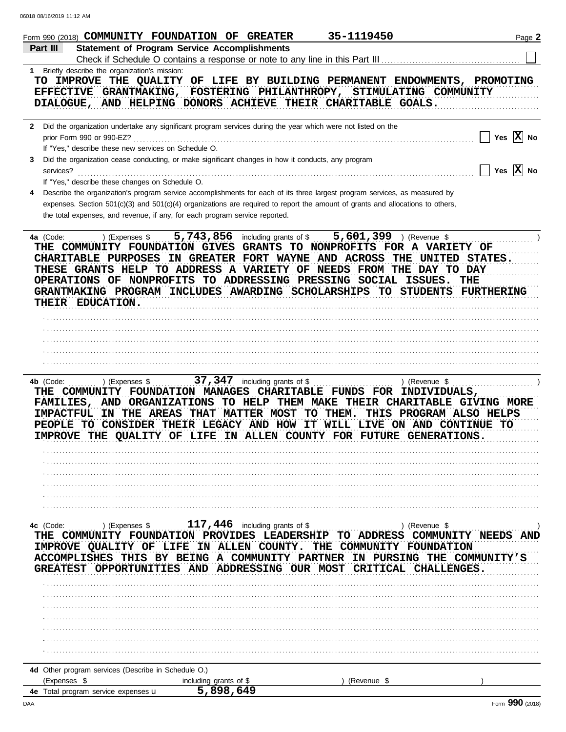| Form 990 (2018) COMMUNITY FOUNDATION OF GREATER                                                                                             |                                                                    | 35-1119450                                                                                                                     | Page 2                        |
|---------------------------------------------------------------------------------------------------------------------------------------------|--------------------------------------------------------------------|--------------------------------------------------------------------------------------------------------------------------------|-------------------------------|
| Part III                                                                                                                                    | <b>Statement of Program Service Accomplishments</b>                |                                                                                                                                |                               |
|                                                                                                                                             |                                                                    | Check if Schedule O contains a response or note to any line in this Part III                                                   |                               |
| 1 Briefly describe the organization's mission:                                                                                              |                                                                    |                                                                                                                                |                               |
|                                                                                                                                             |                                                                    | TO IMPROVE THE QUALITY OF LIFE BY BUILDING PERMANENT ENDOWMENTS, PROMOTING                                                     |                               |
|                                                                                                                                             |                                                                    | EFFECTIVE GRANTMAKING, FOSTERING PHILANTHROPY, STIMULATING COMMUNITY                                                           |                               |
|                                                                                                                                             |                                                                    | DIALOGUE, AND HELPING DONORS ACHIEVE THEIR CHARITABLE GOALS.                                                                   |                               |
|                                                                                                                                             |                                                                    |                                                                                                                                |                               |
| 2 Did the organization undertake any significant program services during the year which were not listed on the<br>prior Form 990 or 990-EZ? |                                                                    |                                                                                                                                | Yes $\overline{X}$ No         |
| If "Yes," describe these new services on Schedule O.                                                                                        |                                                                    |                                                                                                                                |                               |
| Did the organization cease conducting, or make significant changes in how it conducts, any program                                          |                                                                    |                                                                                                                                |                               |
| services?                                                                                                                                   |                                                                    |                                                                                                                                | Yes $\overline{X}$ No         |
| If "Yes," describe these changes on Schedule O.                                                                                             |                                                                    |                                                                                                                                |                               |
| 4                                                                                                                                           |                                                                    | Describe the organization's program service accomplishments for each of its three largest program services, as measured by     |                               |
|                                                                                                                                             |                                                                    | expenses. Section 501(c)(3) and 501(c)(4) organizations are required to report the amount of grants and allocations to others, |                               |
| the total expenses, and revenue, if any, for each program service reported.                                                                 |                                                                    |                                                                                                                                |                               |
|                                                                                                                                             |                                                                    |                                                                                                                                |                               |
| 4a (Code:                                                                                                                                   | ) (Expenses \$ 5,743,856                                           | including grants of \$ $5,601,399$ ) (Revenue \$                                                                               |                               |
|                                                                                                                                             |                                                                    | THE COMMUNITY FOUNDATION GIVES GRANTS TO NONPROFITS FOR A VARIETY OF                                                           |                               |
| CHARITABLE PURPOSES IN GREATER FORT WAYNE AND ACROSS                                                                                        |                                                                    |                                                                                                                                | THE UNITED STATES.            |
|                                                                                                                                             |                                                                    | THESE GRANTS HELP TO ADDRESS A VARIETY OF NEEDS FROM THE DAY TO DAY                                                            |                               |
|                                                                                                                                             |                                                                    | OPERATIONS OF NONPROFITS TO ADDRESSING PRESSING SOCIAL ISSUES.                                                                 | THE                           |
|                                                                                                                                             |                                                                    | GRANTMAKING PROGRAM INCLUDES AWARDING SCHOLARSHIPS TO STUDENTS FURTHERING                                                      |                               |
| THEIR EDUCATION.                                                                                                                            |                                                                    |                                                                                                                                |                               |
|                                                                                                                                             |                                                                    |                                                                                                                                |                               |
|                                                                                                                                             |                                                                    |                                                                                                                                |                               |
|                                                                                                                                             |                                                                    |                                                                                                                                |                               |
|                                                                                                                                             |                                                                    |                                                                                                                                |                               |
|                                                                                                                                             |                                                                    |                                                                                                                                |                               |
|                                                                                                                                             |                                                                    |                                                                                                                                |                               |
| 4b (Code:                                                                                                                                   | ) (Expenses $\frac{1}{2}$ $\frac{37}{1347}$ including grants of \$ | ) (Revenue \$                                                                                                                  |                               |
|                                                                                                                                             |                                                                    | THE COMMUNITY FOUNDATION MANAGES CHARITABLE FUNDS FOR INDIVIDUALS,                                                             |                               |
| IMPACTFUL IN THE AREAS THAT MATTER MOST TO THEM.                                                                                            |                                                                    | FAMILIES, AND ORGANIZATIONS TO HELP THEM MAKE THEIR CHARITABLE GIVING MORE                                                     | THIS PROGRAM ALSO HELPS       |
|                                                                                                                                             |                                                                    | PEOPLE TO CONSIDER THEIR LEGACY AND HOW IT WILL LIVE ON AND CONTINUE TO                                                        |                               |
|                                                                                                                                             |                                                                    | IMPROVE THE QUALITY OF LIFE IN ALLEN COUNTY FOR FUTURE GENERATIONS.                                                            |                               |
|                                                                                                                                             |                                                                    |                                                                                                                                |                               |
|                                                                                                                                             |                                                                    |                                                                                                                                |                               |
|                                                                                                                                             |                                                                    |                                                                                                                                |                               |
|                                                                                                                                             |                                                                    |                                                                                                                                |                               |
|                                                                                                                                             |                                                                    |                                                                                                                                |                               |
|                                                                                                                                             |                                                                    |                                                                                                                                |                               |
|                                                                                                                                             |                                                                    |                                                                                                                                |                               |
| 4c (Code:<br>) (Expenses \$                                                                                                                 | 117, 446 including grants of \$                                    | ) (Revenue \$                                                                                                                  |                               |
| THE                                                                                                                                         | COMMUNITY FOUNDATION PROVIDES LEADERSHIP                           | TO ADDRESS                                                                                                                     | <b>COMMUNITY NEEDS</b><br>AND |
| IMPROVE QUALITY OF LIFE IN ALLEN COUNTY.                                                                                                    |                                                                    | <b>COMMUNITY FOUNDATION</b><br>THE                                                                                             |                               |
| <b>ACCOMPLISHES</b><br><b>THIS BY BEING</b>                                                                                                 | A COMMUNITY PARTNER                                                | IN PURSING                                                                                                                     | THE COMMUNITY'S               |
| <b>GREATEST</b><br>OPPORTUNITIES AND                                                                                                        | ADDRESSING OUR MOST                                                | CRITICAL CHALLENGES.                                                                                                           |                               |
|                                                                                                                                             |                                                                    |                                                                                                                                |                               |
|                                                                                                                                             |                                                                    |                                                                                                                                |                               |
|                                                                                                                                             |                                                                    |                                                                                                                                |                               |
|                                                                                                                                             |                                                                    |                                                                                                                                |                               |
|                                                                                                                                             |                                                                    |                                                                                                                                |                               |
|                                                                                                                                             |                                                                    |                                                                                                                                |                               |
|                                                                                                                                             |                                                                    |                                                                                                                                |                               |
|                                                                                                                                             |                                                                    |                                                                                                                                |                               |
| 4d Other program services (Describe in Schedule O.)                                                                                         |                                                                    |                                                                                                                                |                               |
| (Expenses \$<br>4e Total program service expenses u                                                                                         | including grants of \$<br>5,898,649                                | (Revenue \$                                                                                                                    |                               |
|                                                                                                                                             |                                                                    |                                                                                                                                |                               |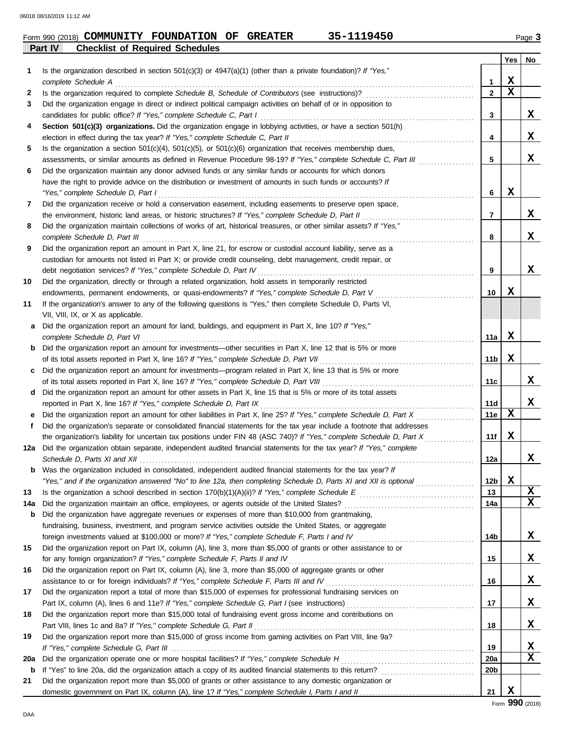| Form 990 (2018) | COMMUNITY FOUNDATION OF                | <b>GREATER</b> | 35-1119450 | $P$ aqe $\sim$ |
|-----------------|----------------------------------------|----------------|------------|----------------|
| Part IV         | <b>Checklist of Required Schedules</b> |                |            |                |

| 1   | Is the organization described in section $501(c)(3)$ or $4947(a)(1)$ (other than a private foundation)? If "Yes,"                                                                                            |                 | Yes         | No          |
|-----|--------------------------------------------------------------------------------------------------------------------------------------------------------------------------------------------------------------|-----------------|-------------|-------------|
|     | complete Schedule A                                                                                                                                                                                          | 1               | X           |             |
| 2   | Is the organization required to complete Schedule B, Schedule of Contributors (see instructions)?                                                                                                            | $\mathbf{2}$    | $\mathbf x$ |             |
| 3   | Did the organization engage in direct or indirect political campaign activities on behalf of or in opposition to<br>candidates for public office? If "Yes," complete Schedule C, Part I                      | 3               |             | X.          |
| 4   | Section 501(c)(3) organizations. Did the organization engage in lobbying activities, or have a section 501(h)                                                                                                |                 |             |             |
|     | election in effect during the tax year? If "Yes," complete Schedule C, Part II                                                                                                                               | 4               |             | X.          |
| 5   | Is the organization a section $501(c)(4)$ , $501(c)(5)$ , or $501(c)(6)$ organization that receives membership dues,                                                                                         |                 |             |             |
|     | assessments, or similar amounts as defined in Revenue Procedure 98-19? If "Yes," complete Schedule C, Part III                                                                                               | 5               |             | x           |
| 6   | Did the organization maintain any donor advised funds or any similar funds or accounts for which donors                                                                                                      |                 |             |             |
|     | have the right to provide advice on the distribution or investment of amounts in such funds or accounts? If                                                                                                  |                 |             |             |
|     | "Yes," complete Schedule D, Part I                                                                                                                                                                           | 6               | X           |             |
| 7   | Did the organization receive or hold a conservation easement, including easements to preserve open space,                                                                                                    |                 |             |             |
|     | the environment, historic land areas, or historic structures? If "Yes," complete Schedule D, Part II                                                                                                         | 7               |             | X.          |
| 8   | Did the organization maintain collections of works of art, historical treasures, or other similar assets? If "Yes,"<br>complete Schedule D, Part III                                                         | 8               |             | x           |
| 9   | Did the organization report an amount in Part X, line 21, for escrow or custodial account liability, serve as a                                                                                              |                 |             |             |
|     | custodian for amounts not listed in Part X; or provide credit counseling, debt management, credit repair, or                                                                                                 |                 |             |             |
|     | debt negotiation services? If "Yes," complete Schedule D, Part IV                                                                                                                                            | 9               |             | x           |
| 10  | Did the organization, directly or through a related organization, hold assets in temporarily restricted                                                                                                      |                 | X           |             |
| 11  | endowments, permanent endowments, or quasi-endowments? If "Yes," complete Schedule D, Part V<br>If the organization's answer to any of the following questions is "Yes," then complete Schedule D, Parts VI, | 10              |             |             |
|     | VII, VIII, IX, or X as applicable.                                                                                                                                                                           |                 |             |             |
| a   | Did the organization report an amount for land, buildings, and equipment in Part X, line 10? If "Yes,"                                                                                                       |                 |             |             |
|     | complete Schedule D, Part VI                                                                                                                                                                                 | 11a             | x           |             |
| b   | Did the organization report an amount for investments-other securities in Part X, line 12 that is 5% or more                                                                                                 |                 |             |             |
|     | of its total assets reported in Part X, line 16? If "Yes," complete Schedule D, Part VII<br>.                                                                                                                | 11b             | X           |             |
| c   | Did the organization report an amount for investments—program related in Part X, line 13 that is 5% or more                                                                                                  |                 |             |             |
|     | of its total assets reported in Part X, line 16? If "Yes," complete Schedule D, Part VIII                                                                                                                    | 11c             |             | X.          |
| d   | Did the organization report an amount for other assets in Part X, line 15 that is 5% or more of its total assets                                                                                             |                 |             |             |
|     | reported in Part X, line 16? If "Yes," complete Schedule D, Part IX                                                                                                                                          | 11d             |             | x           |
| е   | Did the organization report an amount for other liabilities in Part X, line 25? If "Yes," complete Schedule D, Part X                                                                                        | 11e             | $\mathbf x$ |             |
| f   | Did the organization's separate or consolidated financial statements for the tax year include a footnote that addresses                                                                                      |                 |             |             |
|     | the organization's liability for uncertain tax positions under FIN 48 (ASC 740)? If "Yes," complete Schedule D, Part X                                                                                       | 11f             | x           |             |
| 12a | Did the organization obtain separate, independent audited financial statements for the tax year? If "Yes," complete                                                                                          | 12a             |             | x           |
| b   | Was the organization included in consolidated, independent audited financial statements for the tax year? If                                                                                                 |                 |             |             |
|     | "Yes," and if the organization answered "No" to line 12a, then completing Schedule D, Parts XI and XII is optional                                                                                           | 12 <sub>b</sub> | X           |             |
| 13  |                                                                                                                                                                                                              | 13              |             | x           |
| 14a | Did the organization maintain an office, employees, or agents outside of the United States?                                                                                                                  | 14a             |             | $\mathbf x$ |
| b   | Did the organization have aggregate revenues or expenses of more than \$10,000 from grantmaking,                                                                                                             |                 |             |             |
|     | fundraising, business, investment, and program service activities outside the United States, or aggregate                                                                                                    |                 |             |             |
|     | foreign investments valued at \$100,000 or more? If "Yes," complete Schedule F, Parts I and IV [[[[[[[[[[[[[[[[                                                                                              | 14b             |             | X,          |
| 15  | Did the organization report on Part IX, column (A), line 3, more than \$5,000 of grants or other assistance to or                                                                                            |                 |             |             |
|     | for any foreign organization? If "Yes," complete Schedule F, Parts II and IV                                                                                                                                 | 15              |             | X.          |
| 16  | Did the organization report on Part IX, column (A), line 3, more than \$5,000 of aggregate grants or other                                                                                                   |                 |             |             |
| 17  | assistance to or for foreign individuals? If "Yes," complete Schedule F, Parts III and IV<br>Did the organization report a total of more than \$15,000 of expenses for professional fundraising services on  | 16              |             | X,          |
|     |                                                                                                                                                                                                              | 17              |             | X,          |
| 18  | Did the organization report more than \$15,000 total of fundraising event gross income and contributions on                                                                                                  |                 |             |             |
|     | Part VIII, lines 1c and 8a? If "Yes," complete Schedule G, Part II                                                                                                                                           | 18              |             | X,          |
| 19  | Did the organization report more than \$15,000 of gross income from gaming activities on Part VIII, line 9a?                                                                                                 |                 |             |             |
|     |                                                                                                                                                                                                              | 19              |             | X           |
| 20a |                                                                                                                                                                                                              | 20a             |             | X           |
| b   |                                                                                                                                                                                                              | 20b             |             |             |
| 21  | Did the organization report more than \$5,000 of grants or other assistance to any domestic organization or                                                                                                  |                 |             |             |
|     |                                                                                                                                                                                                              | 21              | X           |             |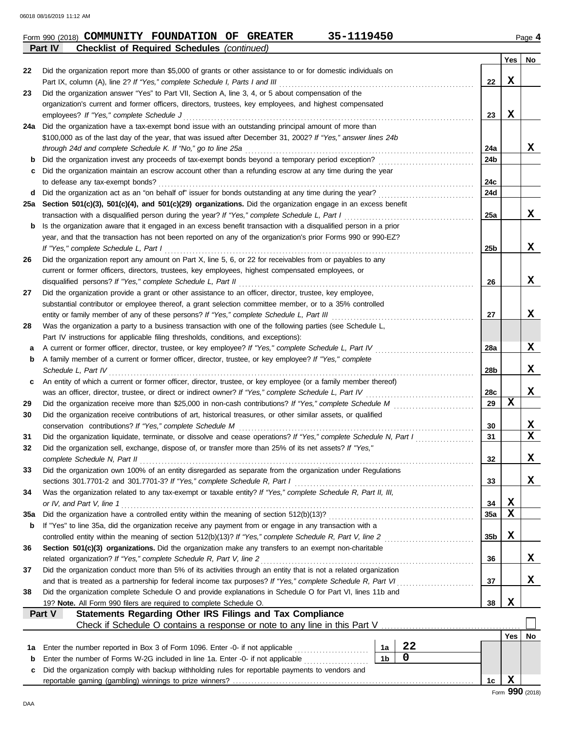|     | Part IV<br><b>Checklist of Required Schedules (continued)</b>                                                                                                                           |                 |             |                         |
|-----|-----------------------------------------------------------------------------------------------------------------------------------------------------------------------------------------|-----------------|-------------|-------------------------|
|     |                                                                                                                                                                                         |                 | Yes         | No                      |
| 22  | Did the organization report more than \$5,000 of grants or other assistance to or for domestic individuals on                                                                           |                 |             |                         |
|     | Part IX, column (A), line 2? If "Yes," complete Schedule I, Parts I and III                                                                                                             | 22              | x           |                         |
| 23  | Did the organization answer "Yes" to Part VII, Section A, line 3, 4, or 5 about compensation of the                                                                                     |                 |             |                         |
|     | organization's current and former officers, directors, trustees, key employees, and highest compensated                                                                                 |                 |             |                         |
|     | employees? If "Yes," complete Schedule J                                                                                                                                                | 23              | x           |                         |
| 24a | Did the organization have a tax-exempt bond issue with an outstanding principal amount of more than                                                                                     |                 |             |                         |
|     | \$100,000 as of the last day of the year, that was issued after December 31, 2002? If "Yes," answer lines 24b                                                                           |                 |             | x                       |
|     | through 24d and complete Schedule K. If "No," go to line 25a<br>Did the organization invest any proceeds of tax-exempt bonds beyond a temporary period exception?                       | 24a             |             |                         |
| b   | Did the organization maintain an escrow account other than a refunding escrow at any time during the year                                                                               | 24b             |             |                         |
| c   | to defease any tax-exempt bonds?                                                                                                                                                        | 24c             |             |                         |
| d   | Did the organization act as an "on behalf of" issuer for bonds outstanding at any time during the year?                                                                                 | 24d             |             |                         |
| 25a | Section 501(c)(3), 501(c)(4), and 501(c)(29) organizations. Did the organization engage in an excess benefit                                                                            |                 |             |                         |
|     | transaction with a disqualified person during the year? If "Yes," complete Schedule L, Part I                                                                                           | 25a             |             | x                       |
| b   | Is the organization aware that it engaged in an excess benefit transaction with a disqualified person in a prior                                                                        |                 |             |                         |
|     | year, and that the transaction has not been reported on any of the organization's prior Forms 990 or 990-EZ?                                                                            |                 |             |                         |
|     | If "Yes," complete Schedule L, Part I                                                                                                                                                   | 25 <sub>b</sub> |             | X                       |
| 26  | Did the organization report any amount on Part X, line 5, 6, or 22 for receivables from or payables to any                                                                              |                 |             |                         |
|     | current or former officers, directors, trustees, key employees, highest compensated employees, or                                                                                       |                 |             |                         |
|     | disqualified persons? If "Yes," complete Schedule L, Part II                                                                                                                            | 26              |             | x                       |
| 27  | Did the organization provide a grant or other assistance to an officer, director, trustee, key employee,                                                                                |                 |             |                         |
|     | substantial contributor or employee thereof, a grant selection committee member, or to a 35% controlled                                                                                 |                 |             |                         |
|     | entity or family member of any of these persons? If "Yes," complete Schedule L, Part III                                                                                                | 27              |             | x                       |
| 28  | Was the organization a party to a business transaction with one of the following parties (see Schedule L,                                                                               |                 |             |                         |
|     | Part IV instructions for applicable filing thresholds, conditions, and exceptions):                                                                                                     |                 |             |                         |
| а   | A current or former officer, director, trustee, or key employee? If "Yes," complete Schedule L, Part IV                                                                                 | 28a             |             | X                       |
| b   | A family member of a current or former officer, director, trustee, or key employee? If "Yes," complete                                                                                  |                 |             |                         |
|     | Schedule L, Part IV                                                                                                                                                                     | 28b             |             | x                       |
| c   | An entity of which a current or former officer, director, trustee, or key employee (or a family member thereof)                                                                         |                 |             |                         |
|     | was an officer, director, trustee, or direct or indirect owner? If "Yes," complete Schedule L, Part IV                                                                                  | 28c             |             | x                       |
| 29  | Did the organization receive more than \$25,000 in non-cash contributions? If "Yes," complete Schedule M                                                                                | 29              | X           |                         |
| 30  | Did the organization receive contributions of art, historical treasures, or other similar assets, or qualified                                                                          |                 |             |                         |
|     | conservation contributions? If "Yes," complete Schedule M                                                                                                                               | 30              |             | x                       |
| 31  | Did the organization liquidate, terminate, or dissolve and cease operations? If "Yes," complete Schedule N, Part I                                                                      | 31              |             | $\overline{\mathbf{x}}$ |
| 32  | Did the organization sell, exchange, dispose of, or transfer more than 25% of its net assets? If "Yes,"                                                                                 |                 |             |                         |
|     | complete Schedule N, Part II                                                                                                                                                            | 32              |             | х                       |
| 33  | Did the organization own 100% of an entity disregarded as separate from the organization under Regulations                                                                              |                 |             |                         |
|     | sections 301.7701-2 and 301.7701-3? If "Yes," complete Schedule R, Part I                                                                                                               | 33              |             | X                       |
| 34  | Was the organization related to any tax-exempt or taxable entity? If "Yes," complete Schedule R, Part II, III,                                                                          |                 |             |                         |
|     | or IV, and Part V, line 1                                                                                                                                                               | 34              | X           |                         |
| 35a |                                                                                                                                                                                         | <b>35a</b>      | $\mathbf x$ |                         |
| b   | If "Yes" to line 35a, did the organization receive any payment from or engage in any transaction with a                                                                                 |                 |             |                         |
|     | controlled entity within the meaning of section 512(b)(13)? If "Yes," complete Schedule R, Part V, line 2<br><u> 1986 - Johann Stoff, deur de Fran</u> tist                             | 35b             | х           |                         |
| 36  | Section 501(c)(3) organizations. Did the organization make any transfers to an exempt non-charitable                                                                                    |                 |             | X.                      |
|     | related organization? If "Yes," complete Schedule R, Part V, line 2<br>Did the organization conduct more than 5% of its activities through an entity that is not a related organization | 36              |             |                         |
| 37  | and that is treated as a partnership for federal income tax purposes? If "Yes," complete Schedule R, Part VI                                                                            | 37              |             | X                       |
| 38  | Did the organization complete Schedule O and provide explanations in Schedule O for Part VI, lines 11b and                                                                              |                 |             |                         |
|     | 19? Note. All Form 990 filers are required to complete Schedule O.                                                                                                                      | 38              | X           |                         |
|     | Statements Regarding Other IRS Filings and Tax Compliance<br>Part V                                                                                                                     |                 |             |                         |
|     |                                                                                                                                                                                         |                 |             |                         |
|     |                                                                                                                                                                                         |                 | Yes         | No                      |
| 1а  | 22<br>Enter the number reported in Box 3 of Form 1096. Enter -0- if not applicable<br>1a                                                                                                |                 |             |                         |
| b   | $\mathbf 0$<br>1 <sub>b</sub><br>Enter the number of Forms W-2G included in line 1a. Enter -0- if not applicable                                                                        |                 |             |                         |
| с   | Did the organization comply with backup withholding rules for reportable payments to vendors and                                                                                        |                 |             |                         |
|     |                                                                                                                                                                                         | 1c              | х           |                         |
|     |                                                                                                                                                                                         |                 | ററ          |                         |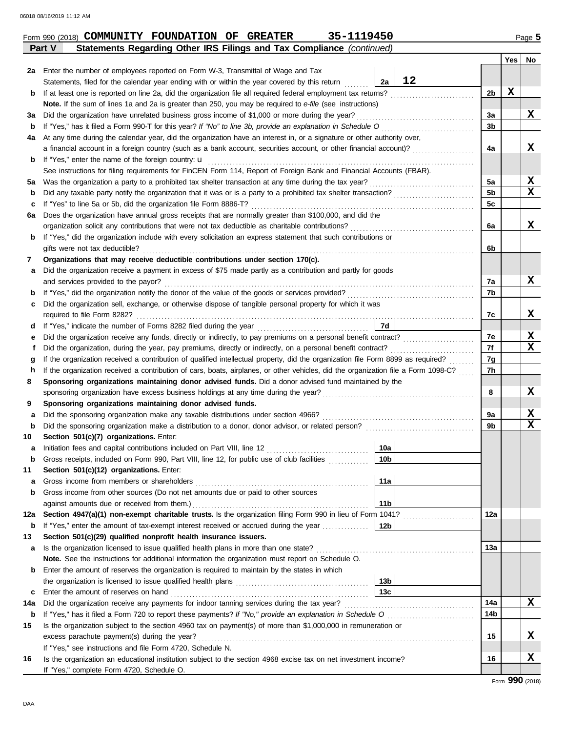|        |                                                                                                                                    |                 |    |     |     | $Yes \mid No$ |  |  |  |  |  |  |  |
|--------|------------------------------------------------------------------------------------------------------------------------------------|-----------------|----|-----|-----|---------------|--|--|--|--|--|--|--|
|        | 2a Enter the number of employees reported on Form W-3, Transmittal of Wage and Tax                                                 |                 |    |     |     |               |  |  |  |  |  |  |  |
|        | Statements, filed for the calendar year ending with or within the year covered by this return                                      | 2a              | 12 |     |     |               |  |  |  |  |  |  |  |
| b      | If at least one is reported on line 2a, did the organization file all required federal employment tax returns?                     |                 |    | 2b  | X   |               |  |  |  |  |  |  |  |
|        | <b>Note.</b> If the sum of lines 1a and 2a is greater than 250, you may be required to e-file (see instructions)                   |                 |    |     |     |               |  |  |  |  |  |  |  |
| за     | Did the organization have unrelated business gross income of \$1,000 or more during the year?                                      |                 |    | 3a  |     | x             |  |  |  |  |  |  |  |
| b      | If "Yes," has it filed a Form 990-T for this year? If "No" to line 3b, provide an explanation in Schedule O                        |                 |    | 3b  |     |               |  |  |  |  |  |  |  |
| 4a     | At any time during the calendar year, did the organization have an interest in, or a signature or other authority over,            |                 |    |     |     |               |  |  |  |  |  |  |  |
|        | a financial account in a foreign country (such as a bank account, securities account, or other financial account)?                 |                 |    | 4a  |     | x             |  |  |  |  |  |  |  |
| b      | If "Yes," enter the name of the foreign country: <b>u</b>                                                                          |                 |    |     |     |               |  |  |  |  |  |  |  |
|        | See instructions for filing requirements for FinCEN Form 114, Report of Foreign Bank and Financial Accounts (FBAR).                |                 |    |     |     |               |  |  |  |  |  |  |  |
| 5a     | Was the organization a party to a prohibited tax shelter transaction at any time during the tax year?                              |                 |    |     |     |               |  |  |  |  |  |  |  |
| b      | Did any taxable party notify the organization that it was or is a party to a prohibited tax shelter transaction?                   |                 |    |     |     |               |  |  |  |  |  |  |  |
| c      | If "Yes" to line 5a or 5b, did the organization file Form 8886-T?                                                                  |                 |    | 5c  |     |               |  |  |  |  |  |  |  |
| 6a     | Does the organization have annual gross receipts that are normally greater than \$100,000, and did the                             |                 |    |     |     |               |  |  |  |  |  |  |  |
|        | organization solicit any contributions that were not tax deductible as charitable contributions?                                   |                 |    | 6a  |     | x             |  |  |  |  |  |  |  |
| b      | If "Yes," did the organization include with every solicitation an express statement that such contributions or                     |                 |    |     |     |               |  |  |  |  |  |  |  |
|        | gifts were not tax deductible?                                                                                                     |                 |    | 6b  |     |               |  |  |  |  |  |  |  |
| 7      | Organizations that may receive deductible contributions under section 170(c).                                                      |                 |    |     |     |               |  |  |  |  |  |  |  |
| а      | Did the organization receive a payment in excess of \$75 made partly as a contribution and partly for goods                        |                 |    |     |     |               |  |  |  |  |  |  |  |
|        | and services provided to the payor?                                                                                                |                 |    | 7a  |     | x             |  |  |  |  |  |  |  |
| b      |                                                                                                                                    |                 |    | 7b  |     |               |  |  |  |  |  |  |  |
| c      | Did the organization sell, exchange, or otherwise dispose of tangible personal property for which it was                           |                 |    |     |     |               |  |  |  |  |  |  |  |
|        |                                                                                                                                    |                 |    | 7c  |     | x             |  |  |  |  |  |  |  |
| d      |                                                                                                                                    | 7d              |    |     |     |               |  |  |  |  |  |  |  |
| е      |                                                                                                                                    |                 |    | 7e  |     | X             |  |  |  |  |  |  |  |
| f      | Did the organization, during the year, pay premiums, directly or indirectly, on a personal benefit contract?                       |                 |    | 7f  |     | X             |  |  |  |  |  |  |  |
| g      | If the organization received a contribution of qualified intellectual property, did the organization file Form 8899 as required?   |                 |    | 7g  |     |               |  |  |  |  |  |  |  |
| h      | If the organization received a contribution of cars, boats, airplanes, or other vehicles, did the organization file a Form 1098-C? |                 |    | 7h  |     |               |  |  |  |  |  |  |  |
| 8      | Sponsoring organizations maintaining donor advised funds. Did a donor advised fund maintained by the                               |                 |    |     |     |               |  |  |  |  |  |  |  |
|        | sponsoring organization have excess business holdings at any time during the year?                                                 |                 |    | 8   |     | X             |  |  |  |  |  |  |  |
| 9      | Sponsoring organizations maintaining donor advised funds.                                                                          |                 |    |     |     |               |  |  |  |  |  |  |  |
| а      | Did the sponsoring organization make any taxable distributions under section 4966?                                                 |                 |    | 9a  |     | X<br>X        |  |  |  |  |  |  |  |
| b      |                                                                                                                                    |                 |    | 9b  |     |               |  |  |  |  |  |  |  |
| 10     | Section 501(c)(7) organizations. Enter:                                                                                            |                 |    |     |     |               |  |  |  |  |  |  |  |
| а      | Initiation fees and capital contributions included on Part VIII, line 12                                                           | 10a             |    |     |     |               |  |  |  |  |  |  |  |
| b      | Gross receipts, included on Form 990, Part VIII, line 12, for public use of club facilities                                        | 10 <sub>b</sub> |    |     |     |               |  |  |  |  |  |  |  |
|        | Section 501(c)(12) organizations. Enter:                                                                                           |                 |    |     |     |               |  |  |  |  |  |  |  |
| a<br>b | Gross income from members or shareholders<br>Gross income from other sources (Do not net amounts due or paid to other sources      | 11a             |    |     |     |               |  |  |  |  |  |  |  |
|        | against amounts due or received from them.)                                                                                        | 11 <sub>b</sub> |    |     |     |               |  |  |  |  |  |  |  |
| 12a    | Section 4947(a)(1) non-exempt charitable trusts. Is the organization filing Form 990 in lieu of Form 1041?                         |                 |    | 12a |     |               |  |  |  |  |  |  |  |
| b      | If "Yes," enter the amount of tax-exempt interest received or accrued during the year                                              | 12b             |    |     |     |               |  |  |  |  |  |  |  |
| 13     | Section 501(c)(29) qualified nonprofit health insurance issuers.                                                                   |                 |    |     |     |               |  |  |  |  |  |  |  |
| a      | Is the organization licensed to issue qualified health plans in more than one state?                                               |                 |    | 13а |     |               |  |  |  |  |  |  |  |
|        | Note. See the instructions for additional information the organization must report on Schedule O.                                  |                 |    |     |     |               |  |  |  |  |  |  |  |
| b      | Enter the amount of reserves the organization is required to maintain by the states in which                                       |                 |    |     |     |               |  |  |  |  |  |  |  |
|        |                                                                                                                                    | 13 <sub>b</sub> |    |     |     |               |  |  |  |  |  |  |  |
| c      | Enter the amount of reserves on hand                                                                                               | 13 <sub>c</sub> |    |     |     |               |  |  |  |  |  |  |  |
| 14a    | Did the organization receive any payments for indoor tanning services during the tax year?                                         |                 |    | 14a |     | x             |  |  |  |  |  |  |  |
| b      | If "Yes," has it filed a Form 720 to report these payments? If "No," provide an explanation in Schedule O                          |                 |    | 14b |     |               |  |  |  |  |  |  |  |
| 15     | Is the organization subject to the section 4960 tax on payment(s) of more than \$1,000,000 in remuneration or                      |                 |    |     |     |               |  |  |  |  |  |  |  |
|        | excess parachute payment(s) during the year?                                                                                       |                 |    | 15  |     | x             |  |  |  |  |  |  |  |
|        | If "Yes," see instructions and file Form 4720, Schedule N.                                                                         |                 |    |     |     |               |  |  |  |  |  |  |  |
| 16     | Is the organization an educational institution subject to the section 4968 excise tax on net investment income?                    |                 |    | 16  |     | x             |  |  |  |  |  |  |  |
|        | If "Yes," complete Form 4720, Schedule O.                                                                                          |                 |    |     |     |               |  |  |  |  |  |  |  |
|        |                                                                                                                                    |                 |    |     | ההה |               |  |  |  |  |  |  |  |

**Part V Statements Regarding Other IRS Filings and Tax Compliance** *(continued)*

Form **990** (2018)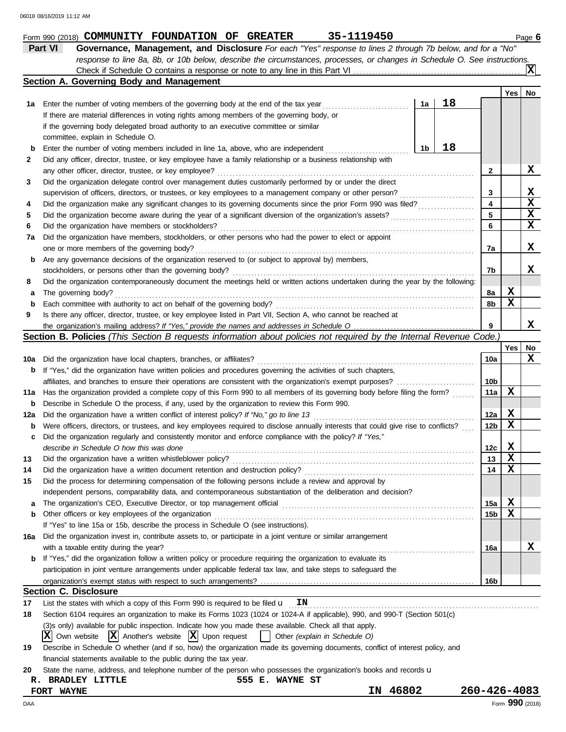|     | 35-1119450<br>Form 990 (2018) COMMUNITY FOUNDATION OF GREATER                                                                       |                 |             | Page $6$ |
|-----|-------------------------------------------------------------------------------------------------------------------------------------|-----------------|-------------|----------|
|     | Governance, Management, and Disclosure For each "Yes" response to lines 2 through 7b below, and for a "No"<br>Part VI               |                 |             |          |
|     | response to line 8a, 8b, or 10b below, describe the circumstances, processes, or changes in Schedule O. See instructions.           |                 |             |          |
|     |                                                                                                                                     |                 |             | Ixl      |
|     | Section A. Governing Body and Management                                                                                            |                 |             |          |
|     |                                                                                                                                     |                 | Yes         | No       |
| 1а  | 18<br>1a<br>Enter the number of voting members of the governing body at the end of the tax year                                     |                 |             |          |
|     | If there are material differences in voting rights among members of the governing body, or                                          |                 |             |          |
|     | if the governing body delegated broad authority to an executive committee or similar                                                |                 |             |          |
|     | committee, explain in Schedule O.                                                                                                   |                 |             |          |
| b   | 18<br>1b<br>Enter the number of voting members included in line 1a, above, who are independent                                      |                 |             |          |
| 2   | Did any officer, director, trustee, or key employee have a family relationship or a business relationship with                      |                 |             |          |
|     | any other officer, director, trustee, or key employee?                                                                              | $\mathbf 2$     |             | x        |
| 3   | Did the organization delegate control over management duties customarily performed by or under the direct                           |                 |             |          |
|     | supervision of officers, directors, or trustees, or key employees to a management company or other person?                          | 3               |             | x        |
| 4   | .<br>Did the organization make any significant changes to its governing documents since the prior Form 990 was filed?               | 4               |             | X        |
| 5   | Did the organization become aware during the year of a significant diversion of the organization's assets?                          | 5               |             | X        |
| 6   | Did the organization have members or stockholders?                                                                                  | 6               |             | X        |
| 7a  | Did the organization have members, stockholders, or other persons who had the power to elect or appoint                             |                 |             |          |
|     | one or more members of the governing body?                                                                                          | 7a              |             | x        |
|     | Are any governance decisions of the organization reserved to (or subject to approval by) members,                                   |                 |             |          |
| b   |                                                                                                                                     | 7b              |             | X        |
|     | stockholders, or persons other than the governing body?                                                                             |                 |             |          |
| 8   | Did the organization contemporaneously document the meetings held or written actions undertaken during the year by the following:   |                 | X           |          |
| a   | The governing body?                                                                                                                 | 8а              | x           |          |
| b   | Each committee with authority to act on behalf of the governing body?                                                               | 8b              |             |          |
| 9   | Is there any officer, director, trustee, or key employee listed in Part VII, Section A, who cannot be reached at                    |                 |             |          |
|     |                                                                                                                                     | 9               |             | х        |
|     | <b>Section B. Policies</b> (This Section B requests information about policies not required by the Internal Revenue Code.)          |                 |             |          |
|     |                                                                                                                                     |                 | Yes         | No<br>x  |
| 10a | Did the organization have local chapters, branches, or affiliates?                                                                  | 10a             |             |          |
| b   | If "Yes," did the organization have written policies and procedures governing the activities of such chapters,                      |                 |             |          |
|     | affiliates, and branches to ensure their operations are consistent with the organization's exempt purposes?                         | 10 <sub>b</sub> |             |          |
| 11a | Has the organization provided a complete copy of this Form 990 to all members of its governing body before filing the form?         | 11a             | x           |          |
| b   | Describe in Schedule O the process, if any, used by the organization to review this Form 990.                                       |                 |             |          |
| 12a | Did the organization have a written conflict of interest policy? If "No," go to line 13                                             | 12a             | X           |          |
| b   | Were officers, directors, or trustees, and key employees required to disclose annually interests that could give rise to conflicts? | 12 <sub>b</sub> | x           |          |
| c   | Did the organization regularly and consistently monitor and enforce compliance with the policy? If "Yes,"                           |                 |             |          |
|     | describe in Schedule O how this was done                                                                                            | 12c             | $\mathbf x$ |          |
| 13  | Did the organization have a written whistleblower policy?                                                                           | 13              | х           |          |
| 14  | Did the organization have a written document retention and destruction policy?                                                      | 14              | x           |          |
| 15  | Did the process for determining compensation of the following persons include a review and approval by                              |                 |             |          |
|     | independent persons, comparability data, and contemporaneous substantiation of the deliberation and decision?                       |                 |             |          |
| a   |                                                                                                                                     | 15a             | X           |          |
| b   | Other officers or key employees of the organization                                                                                 | 15b             | x           |          |
|     | If "Yes" to line 15a or 15b, describe the process in Schedule O (see instructions).                                                 |                 |             |          |
| 16a | Did the organization invest in, contribute assets to, or participate in a joint venture or similar arrangement                      |                 |             |          |
|     | with a taxable entity during the year?                                                                                              | 16a             |             | x        |
| b   | If "Yes," did the organization follow a written policy or procedure requiring the organization to evaluate its                      |                 |             |          |
|     | participation in joint venture arrangements under applicable federal tax law, and take steps to safeguard the                       |                 |             |          |
|     |                                                                                                                                     | 16b             |             |          |
|     | <b>Section C. Disclosure</b>                                                                                                        |                 |             |          |
| 17  | List the states with which a copy of this Form 990 is required to be filed $\mathbf{u}$ $\mathbf{I}$ N                              |                 |             |          |
| 18  | Section 6104 requires an organization to make its Forms 1023 (1024 or 1024-A if applicable), 990, and 990-T (Section 501(c)         |                 |             |          |
|     | (3)s only) available for public inspection. Indicate how you made these available. Check all that apply.                            |                 |             |          |
|     | $ \mathbf{X} $ Own website $ \mathbf{X} $ Another's website $ \mathbf{X} $ Upon request<br>Other (explain in Schedule O)            |                 |             |          |
| 19  | Describe in Schedule O whether (and if so, how) the organization made its governing documents, conflict of interest policy, and     |                 |             |          |
|     | financial statements available to the public during the tax year.                                                                   |                 |             |          |
| 20  | State the name, address, and telephone number of the person who possesses the organization's books and records u                    |                 |             |          |
|     | 555 E. WAYNE ST<br>R. BRADLEY LITTLE                                                                                                |                 |             |          |
|     | IN 46802<br>FORT WAYNE                                                                                                              | 260-426-4083    |             |          |
|     |                                                                                                                                     |                 |             |          |

DAA Form **990** (2018)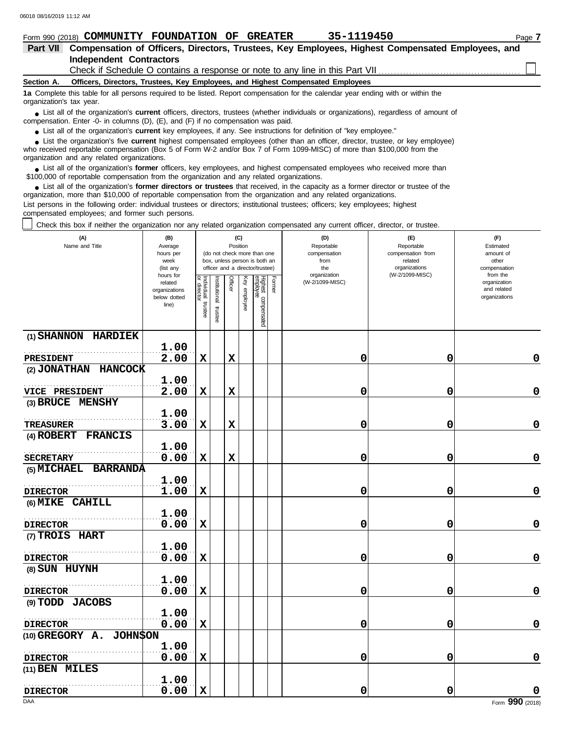|                          | 35-1119450<br>Form 990 (2018) COMMUNITY FOUNDATION OF<br><b>GREATER</b>                                                                                                                                                             | Page 7 |  |  |  |  |  |  |  |
|--------------------------|-------------------------------------------------------------------------------------------------------------------------------------------------------------------------------------------------------------------------------------|--------|--|--|--|--|--|--|--|
| <b>Part VII</b>          | Compensation of Officers, Directors, Trustees, Key Employees, Highest Compensated Employees, and                                                                                                                                    |        |  |  |  |  |  |  |  |
|                          | Independent Contractors                                                                                                                                                                                                             |        |  |  |  |  |  |  |  |
|                          |                                                                                                                                                                                                                                     |        |  |  |  |  |  |  |  |
| Section A.               | Officers, Directors, Trustees, Key Employees, and Highest Compensated Employees                                                                                                                                                     |        |  |  |  |  |  |  |  |
| organization's tax year. | 1a Complete this table for all persons required to be listed. Report compensation for the calendar year ending with or within the                                                                                                   |        |  |  |  |  |  |  |  |
|                          | • List all of the organization's current officers, directors, trustees (whether individuals or organizations), regardless of amount of<br>compensation. Enter -0- in columns $(D)$ , $(E)$ , and $(F)$ if no compensation was paid. |        |  |  |  |  |  |  |  |
|                          | • List all of the organization's current key employees, if any. See instructions for definition of "key employee."                                                                                                                  |        |  |  |  |  |  |  |  |
|                          | • List the organization's five current highest compensated employees (other than an officer, director, trustee, or key employee)                                                                                                    |        |  |  |  |  |  |  |  |

who received reportable compensation (Box 5 of Form W-2 and/or Box 7 of Form 1099-MISC) of more than \$100,000 from the organization and any related organizations. **•**

■ List all of the organization's **former** officers, key employees, and highest compensated employees who received more than<br> **•** 00,000 of reportable compensation from the cranization and any related erganizations \$100,000 of reportable compensation from the organization and any related organizations.

■ List all of the organization's **former directors or trustees** that received, in the capacity as a former director or trustee of the property is a former director or trustee of the property is a former stream and any rel organization, more than \$10,000 of reportable compensation from the organization and any related organizations. List persons in the following order: individual trustees or directors; institutional trustees; officers; key employees; highest compensated employees; and former such persons.

Check this box if neither the organization nor any related organization compensated any current officer, director, or trustee.

| (A)<br>Name and Title        | (B)<br>Average<br>hours per<br>week<br>(list any<br>hours for |                                      |                          |             | (C)<br>Position | (do not check more than one<br>box, unless person is both an<br>officer and a director/trustee) |        | (D)<br>Reportable<br>compensation<br>from<br>the<br>organization | (E)<br>Reportable<br>compensation from<br>related<br>organizations<br>(W-2/1099-MISC) | (F)<br>Estimated<br>amount of<br>other<br>compensation<br>from the |
|------------------------------|---------------------------------------------------------------|--------------------------------------|--------------------------|-------------|-----------------|-------------------------------------------------------------------------------------------------|--------|------------------------------------------------------------------|---------------------------------------------------------------------------------------|--------------------------------------------------------------------|
|                              | related<br>organizations<br>below dotted<br>line)             | Individual<br>or director<br>trustee | Institutional<br>trustee | Officer     | Key employee    | Highest compensated<br>employee                                                                 | Former | (W-2/1099-MISC)                                                  |                                                                                       | organization<br>and related<br>organizations                       |
| (1) SHANNON HARDIEK          | 1.00                                                          |                                      |                          |             |                 |                                                                                                 |        |                                                                  |                                                                                       |                                                                    |
| PRESIDENT                    | 2.00                                                          | $\mathbf x$                          |                          | $\mathbf x$ |                 |                                                                                                 |        | 0                                                                | 0                                                                                     | 0                                                                  |
| (2) JONATHAN HANCOCK         |                                                               |                                      |                          |             |                 |                                                                                                 |        |                                                                  |                                                                                       |                                                                    |
|                              | 1.00                                                          |                                      |                          |             |                 |                                                                                                 |        |                                                                  |                                                                                       |                                                                    |
| VICE PRESIDENT               | 2.00                                                          | $\mathbf x$                          |                          | $\mathbf x$ |                 |                                                                                                 |        | 0                                                                | 0                                                                                     | 0                                                                  |
| (3) BRUCE MENSHY             |                                                               |                                      |                          |             |                 |                                                                                                 |        |                                                                  |                                                                                       |                                                                    |
|                              | 1.00                                                          |                                      |                          |             |                 |                                                                                                 |        |                                                                  |                                                                                       |                                                                    |
| TREASURER                    | 3.00                                                          | $\mathbf x$                          |                          | $\mathbf x$ |                 |                                                                                                 |        | 0                                                                | 0                                                                                     | 0                                                                  |
| (4) ROBERT<br><b>FRANCIS</b> |                                                               |                                      |                          |             |                 |                                                                                                 |        |                                                                  |                                                                                       |                                                                    |
|                              | 1.00                                                          |                                      |                          |             |                 |                                                                                                 |        |                                                                  |                                                                                       |                                                                    |
| <b>SECRETARY</b>             | 0.00                                                          | $\mathbf x$                          |                          | $\mathbf x$ |                 |                                                                                                 |        | 0                                                                | 0                                                                                     | $\mathbf 0$                                                        |
| (5) MICHAEL BARRANDA         |                                                               |                                      |                          |             |                 |                                                                                                 |        |                                                                  |                                                                                       |                                                                    |
|                              | 1.00                                                          |                                      |                          |             |                 |                                                                                                 |        |                                                                  |                                                                                       |                                                                    |
| <b>DIRECTOR</b>              | 1.00                                                          | $\mathbf x$                          |                          |             |                 |                                                                                                 |        | 0                                                                | 0                                                                                     | 0                                                                  |
| (6) MIKE CAHILL              |                                                               |                                      |                          |             |                 |                                                                                                 |        |                                                                  |                                                                                       |                                                                    |
|                              | 1.00                                                          |                                      |                          |             |                 |                                                                                                 |        |                                                                  |                                                                                       |                                                                    |
| <b>DIRECTOR</b>              | 0.00                                                          | $\mathbf x$                          |                          |             |                 |                                                                                                 |        | 0                                                                | 0                                                                                     | 0                                                                  |
| (7) TROIS HART               |                                                               |                                      |                          |             |                 |                                                                                                 |        |                                                                  |                                                                                       |                                                                    |
|                              | 1.00                                                          |                                      |                          |             |                 |                                                                                                 |        |                                                                  |                                                                                       |                                                                    |
| <b>DIRECTOR</b>              | 0.00                                                          | $\mathbf x$                          |                          |             |                 |                                                                                                 |        | 0                                                                | 0                                                                                     | 0                                                                  |
| (8) SUN HUYNH                |                                                               |                                      |                          |             |                 |                                                                                                 |        |                                                                  |                                                                                       |                                                                    |
|                              | 1.00                                                          |                                      |                          |             |                 |                                                                                                 |        |                                                                  |                                                                                       |                                                                    |
| <b>DIRECTOR</b>              | 0.00                                                          | $\mathbf x$                          |                          |             |                 |                                                                                                 |        | 0                                                                | 0                                                                                     | 0                                                                  |
| (9) TODD JACOBS              |                                                               |                                      |                          |             |                 |                                                                                                 |        |                                                                  |                                                                                       |                                                                    |
|                              | 1.00                                                          |                                      |                          |             |                 |                                                                                                 |        |                                                                  |                                                                                       |                                                                    |
| <b>DIRECTOR</b>              | 0.00                                                          | $\mathbf x$                          |                          |             |                 |                                                                                                 |        | 0                                                                | 0                                                                                     | 0                                                                  |
| (10) GREGORY A. JOHN\$ON     |                                                               |                                      |                          |             |                 |                                                                                                 |        |                                                                  |                                                                                       |                                                                    |
|                              | 1.00                                                          |                                      |                          |             |                 |                                                                                                 |        |                                                                  |                                                                                       |                                                                    |
| <b>DIRECTOR</b>              | 0.00                                                          | $\mathbf x$                          |                          |             |                 |                                                                                                 |        | 0                                                                | 0                                                                                     | 0                                                                  |
| (11) BEN MILES               |                                                               |                                      |                          |             |                 |                                                                                                 |        |                                                                  |                                                                                       |                                                                    |
|                              | 1.00                                                          |                                      |                          |             |                 |                                                                                                 |        |                                                                  |                                                                                       |                                                                    |
| <b>DIRECTOR</b>              | 0.00                                                          | $\mathbf x$                          |                          |             |                 |                                                                                                 |        | 0                                                                | 0                                                                                     | $\mathbf 0$                                                        |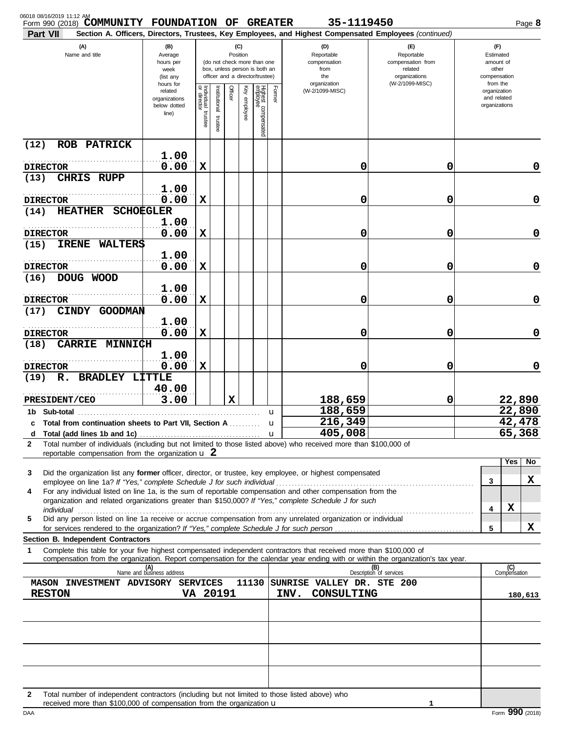| 06018 08/16/2019 11:12 AM<br>Form 990 (2018) COMMUNITY FOUNDATION OF GREATER<br>Part VII                                                                                                                                                                                                                                                             |                                                                |                                                                                                                    |                       |         |              |                                 |        | 35-1119450<br>Section A. Officers, Directors, Trustees, Key Employees, and Highest Compensated Employees (continued) |                                                                    |                                                          |                     | Page 8      |
|------------------------------------------------------------------------------------------------------------------------------------------------------------------------------------------------------------------------------------------------------------------------------------------------------------------------------------------------------|----------------------------------------------------------------|--------------------------------------------------------------------------------------------------------------------|-----------------------|---------|--------------|---------------------------------|--------|----------------------------------------------------------------------------------------------------------------------|--------------------------------------------------------------------|----------------------------------------------------------|---------------------|-------------|
| (A)<br>Name and title                                                                                                                                                                                                                                                                                                                                | (B)<br>Average<br>hours per<br>week<br>(list any               | (C)<br>Position<br>(do not check more than one<br>box, unless person is both an<br>officer and a director/trustee) |                       |         |              |                                 |        | (D)<br>Reportable<br>compensation<br>from<br>the                                                                     | (E)<br>Reportable<br>compensation from<br>related<br>organizations | (F)<br>Estimated<br>amount of<br>other<br>compensation   |                     |             |
|                                                                                                                                                                                                                                                                                                                                                      | hours for<br>related<br>organizations<br>below dotted<br>line) | Individual<br>or director<br>trustee                                                                               | Institutional trustee | Officer | Key employee | Highest compensated<br>employee | Former | organization<br>(W-2/1099-MISC)                                                                                      | (W-2/1099-MISC)                                                    | from the<br>organization<br>and related<br>organizations |                     |             |
| (12)<br><b>ROB PATRICK</b>                                                                                                                                                                                                                                                                                                                           |                                                                |                                                                                                                    |                       |         |              |                                 |        |                                                                                                                      |                                                                    |                                                          |                     |             |
| <b>DIRECTOR</b>                                                                                                                                                                                                                                                                                                                                      | 1.00<br>0.00                                                   | X                                                                                                                  |                       |         |              |                                 |        | 0                                                                                                                    | 0                                                                  |                                                          |                     | 0           |
| <b>CHRIS RUPP</b><br>(13)                                                                                                                                                                                                                                                                                                                            | 1.00<br>0.00                                                   | X                                                                                                                  |                       |         |              |                                 |        | 0                                                                                                                    | 0                                                                  |                                                          |                     | $\mathbf 0$ |
| <b>DIRECTOR</b><br>(14)<br><b>HEATHER</b>                                                                                                                                                                                                                                                                                                            | <b>SCHOEGLER</b>                                               |                                                                                                                    |                       |         |              |                                 |        |                                                                                                                      |                                                                    |                                                          |                     |             |
| <b>DIRECTOR</b>                                                                                                                                                                                                                                                                                                                                      | 1.00<br>0.00                                                   | X                                                                                                                  |                       |         |              |                                 |        | 0                                                                                                                    | 0                                                                  |                                                          |                     | $\mathbf 0$ |
| (15)<br>IRENE WALTERS                                                                                                                                                                                                                                                                                                                                | 1.00                                                           |                                                                                                                    |                       |         |              |                                 |        |                                                                                                                      |                                                                    |                                                          |                     |             |
| <b>DIRECTOR</b><br>DOUG WOOD<br>(16)                                                                                                                                                                                                                                                                                                                 | 0.00                                                           | X                                                                                                                  |                       |         |              |                                 |        | 0                                                                                                                    | 0                                                                  |                                                          |                     | $\mathbf 0$ |
| <b>DIRECTOR</b>                                                                                                                                                                                                                                                                                                                                      | 1.00<br>0.00                                                   | X                                                                                                                  |                       |         |              |                                 |        | 0                                                                                                                    | 0                                                                  |                                                          |                     | $\mathbf 0$ |
| CINDY GOODMAN<br>(17)                                                                                                                                                                                                                                                                                                                                | 1.00                                                           |                                                                                                                    |                       |         |              |                                 |        |                                                                                                                      |                                                                    |                                                          |                     |             |
| <b>DIRECTOR</b><br><b>CARRIE MINNICH</b><br>(18)                                                                                                                                                                                                                                                                                                     | 0.00                                                           | X                                                                                                                  |                       |         |              |                                 |        | 0                                                                                                                    | 0                                                                  |                                                          |                     | $\mathbf 0$ |
| <b>DIRECTOR</b>                                                                                                                                                                                                                                                                                                                                      | 1.00<br>0.00                                                   | X                                                                                                                  |                       |         |              |                                 |        | 0                                                                                                                    | 0                                                                  |                                                          |                     | 0           |
| <b>BRADLEY LİTTLE</b><br>$\mathbf R$ .<br>(19)                                                                                                                                                                                                                                                                                                       |                                                                |                                                                                                                    |                       |         |              |                                 |        |                                                                                                                      |                                                                    |                                                          |                     |             |
| <b>PRESIDENT/CEO</b>                                                                                                                                                                                                                                                                                                                                 | 40.00<br>3.00                                                  |                                                                                                                    |                       | X       |              |                                 |        | 188,659                                                                                                              | 0                                                                  |                                                          | 22,890              |             |
| 1b Sub-total<br>c Total from continuation sheets to Part VII, Section A.                                                                                                                                                                                                                                                                             |                                                                |                                                                                                                    |                       |         |              |                                 | u<br>u | 188,659<br>216,349                                                                                                   |                                                                    |                                                          | 22,890<br>42,478    |             |
| Total (add lines 1b and 1c)<br>d                                                                                                                                                                                                                                                                                                                     |                                                                |                                                                                                                    |                       |         |              |                                 | u      | 405,008                                                                                                              |                                                                    |                                                          | 65,368              |             |
| Total number of individuals (including but not limited to those listed above) who received more than \$100,000 of<br>$\mathbf{2}$<br>reportable compensation from the organization $\bf{u}$ 2                                                                                                                                                        |                                                                |                                                                                                                    |                       |         |              |                                 |        |                                                                                                                      |                                                                    |                                                          |                     |             |
| Did the organization list any former officer, director, or trustee, key employee, or highest compensated<br>3                                                                                                                                                                                                                                        |                                                                |                                                                                                                    |                       |         |              |                                 |        |                                                                                                                      |                                                                    |                                                          | Yes                 | No          |
| For any individual listed on line 1a, is the sum of reportable compensation and other compensation from the                                                                                                                                                                                                                                          |                                                                |                                                                                                                    |                       |         |              |                                 |        |                                                                                                                      |                                                                    | 3                                                        |                     | X           |
| 4<br>organization and related organizations greater than \$150,000? If "Yes," complete Schedule J for such                                                                                                                                                                                                                                           |                                                                |                                                                                                                    |                       |         |              |                                 |        |                                                                                                                      |                                                                    |                                                          |                     |             |
| individual with a construction of the construction of the construction of the construction of the construction of the construction of the construction of the construction of the construction of the construction of the cons<br>Did any person listed on line 1a receive or accrue compensation from any unrelated organization or individual<br>5 |                                                                |                                                                                                                    |                       |         |              |                                 |        |                                                                                                                      |                                                                    | 4                                                        | X                   |             |
| for services rendered to the organization? If "Yes," complete Schedule J for such person<br>Section B. Independent Contractors                                                                                                                                                                                                                       |                                                                |                                                                                                                    |                       |         |              |                                 |        |                                                                                                                      |                                                                    | 5                                                        |                     | x           |
| Complete this table for your five highest compensated independent contractors that received more than \$100,000 of<br>1<br>compensation from the organization. Report compensation for the calendar year ending with or within the organization's tax year.                                                                                          |                                                                |                                                                                                                    |                       |         |              |                                 |        |                                                                                                                      |                                                                    |                                                          |                     |             |
|                                                                                                                                                                                                                                                                                                                                                      | (A)<br>Name and business address                               |                                                                                                                    |                       |         |              |                                 |        |                                                                                                                      | (B)<br>Description of services                                     |                                                          | (C)<br>Compensation |             |
| MASON INVESTMENT ADVISORY SERVICES<br><b>RESTON</b>                                                                                                                                                                                                                                                                                                  |                                                                |                                                                                                                    | VA 20191              |         |              | 11130                           |        | SUNRISE VALLEY DR. STE 200<br>INV.<br>CONSULTING                                                                     |                                                                    |                                                          | 180,613             |             |
|                                                                                                                                                                                                                                                                                                                                                      |                                                                |                                                                                                                    |                       |         |              |                                 |        |                                                                                                                      |                                                                    |                                                          |                     |             |
|                                                                                                                                                                                                                                                                                                                                                      |                                                                |                                                                                                                    |                       |         |              |                                 |        |                                                                                                                      |                                                                    |                                                          |                     |             |
|                                                                                                                                                                                                                                                                                                                                                      |                                                                |                                                                                                                    |                       |         |              |                                 |        |                                                                                                                      |                                                                    |                                                          |                     |             |
| Total number of independent contractors (including but not limited to those listed above) who<br>2                                                                                                                                                                                                                                                   |                                                                |                                                                                                                    |                       |         |              |                                 |        |                                                                                                                      |                                                                    |                                                          |                     |             |
| received more than \$100,000 of compensation from the organization $\mathbf u$                                                                                                                                                                                                                                                                       |                                                                |                                                                                                                    |                       |         |              |                                 |        |                                                                                                                      | 1                                                                  |                                                          |                     |             |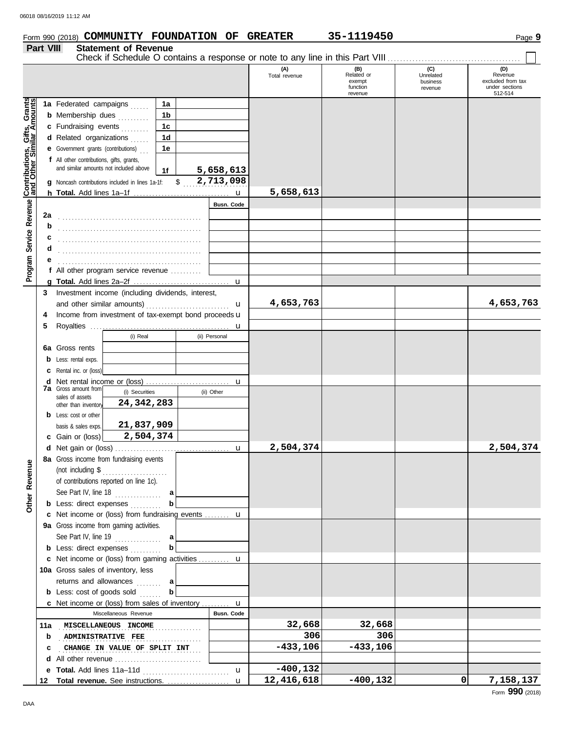# **Form 990 (2018) COMMUNITY FOUNDATION OF GREATER** 35-1119450 **1201 1111111111**

### **Part VIII Statement of Revenue**

| <b>Statement of Revenue</b><br>Check if Schedule O contains a response or note to any line in this Part VIII |                      |                                                    |                                         |                                                             |  |  |  |  |  |  |
|--------------------------------------------------------------------------------------------------------------|----------------------|----------------------------------------------------|-----------------------------------------|-------------------------------------------------------------|--|--|--|--|--|--|
|                                                                                                              | (A)<br>Total revenue | (B)<br>Related or<br>exempt<br>function<br>revenue | (C)<br>Unrelated<br>business<br>revenue | (D)<br>Revenue<br>excluded from<br>under section<br>512-514 |  |  |  |  |  |  |

|                                                             | <b>Fail VIII</b> | <b>PROPERTION NEVERTIGE</b>                                                         |                |               |               |                      |                                         |                                         |                                                       |
|-------------------------------------------------------------|------------------|-------------------------------------------------------------------------------------|----------------|---------------|---------------|----------------------|-----------------------------------------|-----------------------------------------|-------------------------------------------------------|
|                                                             |                  |                                                                                     |                |               |               | (A)<br>Total revenue | (B)<br>Related or<br>exempt<br>function | (C)<br>Unrelated<br>business<br>revenue | (D)<br>Revenue<br>excluded from tax<br>under sections |
|                                                             |                  | 1a Federated campaigns                                                              | 1a             |               |               |                      | revenue                                 |                                         | 512-514                                               |
| Program Service Revenue <b>Contributions, Gifts, Grants</b> |                  | <b>b</b> Membership dues                                                            | 1 <sub>b</sub> |               |               |                      |                                         |                                         |                                                       |
|                                                             |                  | c Fundraising events                                                                | 1 <sub>c</sub> |               |               |                      |                                         |                                         |                                                       |
|                                                             |                  |                                                                                     | 1 <sub>d</sub> |               |               |                      |                                         |                                         |                                                       |
|                                                             |                  | d Related organizations                                                             |                |               |               |                      |                                         |                                         |                                                       |
|                                                             |                  | e Government grants (contributions)                                                 | 1e             |               |               |                      |                                         |                                         |                                                       |
|                                                             |                  | f All other contributions, gifts, grants,<br>and similar amounts not included above |                |               |               |                      |                                         |                                         |                                                       |
|                                                             |                  |                                                                                     | 1f             |               | 5,658,613     |                      |                                         |                                         |                                                       |
|                                                             |                  | g Noncash contributions included in lines 1a-1f:                                    |                | $\mathsf{\$}$ | 2,713,098     |                      |                                         |                                         |                                                       |
|                                                             |                  |                                                                                     |                |               |               | 5,658,613            |                                         |                                         |                                                       |
|                                                             |                  |                                                                                     |                |               | Busn. Code    |                      |                                         |                                         |                                                       |
|                                                             | 2a               |                                                                                     |                |               |               |                      |                                         |                                         |                                                       |
|                                                             | b                |                                                                                     |                |               |               |                      |                                         |                                         |                                                       |
|                                                             | c                |                                                                                     |                |               |               |                      |                                         |                                         |                                                       |
|                                                             | d                |                                                                                     |                |               |               |                      |                                         |                                         |                                                       |
|                                                             |                  |                                                                                     |                |               |               |                      |                                         |                                         |                                                       |
|                                                             |                  | f All other program service revenue                                                 |                |               |               |                      |                                         |                                         |                                                       |
|                                                             |                  |                                                                                     |                |               |               |                      |                                         |                                         |                                                       |
|                                                             |                  | 3 Investment income (including dividends, interest,                                 |                |               |               |                      |                                         |                                         |                                                       |
|                                                             |                  |                                                                                     |                |               | $\mathbf u$   | 4,653,763            |                                         |                                         | 4,653,763                                             |
|                                                             | 4                | Income from investment of tax-exempt bond proceeds u                                |                |               |               |                      |                                         |                                         |                                                       |
|                                                             | 5                |                                                                                     |                |               |               |                      |                                         |                                         |                                                       |
|                                                             |                  | (i) Real                                                                            |                |               | (ii) Personal |                      |                                         |                                         |                                                       |
|                                                             |                  | <b>6a</b> Gross rents                                                               |                |               |               |                      |                                         |                                         |                                                       |
|                                                             |                  | <b>b</b> Less: rental exps.                                                         |                |               |               |                      |                                         |                                         |                                                       |
|                                                             |                  | <b>c</b> Rental inc. or (loss)                                                      |                |               |               |                      |                                         |                                         |                                                       |
|                                                             |                  |                                                                                     |                |               |               |                      |                                         |                                         |                                                       |
|                                                             |                  | <b>7a</b> Gross amount from<br>(i) Securities<br>sales of assets                    |                |               | (ii) Other    |                      |                                         |                                         |                                                       |
|                                                             |                  | 24, 342, 283<br>other than inventory                                                |                |               |               |                      |                                         |                                         |                                                       |
|                                                             |                  | <b>b</b> Less: cost or other                                                        |                |               |               |                      |                                         |                                         |                                                       |
|                                                             |                  | 21,837,909<br>basis & sales exps.                                                   |                |               |               |                      |                                         |                                         |                                                       |
|                                                             |                  | 2,504,374<br>c Gain or (loss)                                                       |                |               |               |                      |                                         |                                         |                                                       |
|                                                             |                  |                                                                                     |                |               |               | 2,504,374            |                                         |                                         | 2,504,374                                             |
| Ф                                                           |                  | 8a Gross income from fundraising events                                             |                |               |               |                      |                                         |                                         |                                                       |
|                                                             |                  | (not including \$<br>.                                                              |                |               |               |                      |                                         |                                         |                                                       |
|                                                             |                  | of contributions reported on line 1c).                                              |                |               |               |                      |                                         |                                         |                                                       |
|                                                             |                  | See Part IV, line 18 $\ldots$                                                       | a              |               |               |                      |                                         |                                         |                                                       |
| Other Revenu                                                |                  | <b>b</b> Less: direct expenses                                                      |                |               |               |                      |                                         |                                         |                                                       |
|                                                             |                  | c Net income or (loss) from fundraising events  u                                   |                |               |               |                      |                                         |                                         |                                                       |
|                                                             |                  | 9a Gross income from gaming activities.                                             |                |               |               |                      |                                         |                                         |                                                       |
|                                                             |                  | See Part IV, line $19$                                                              | a              |               |               |                      |                                         |                                         |                                                       |
|                                                             |                  | <b>b</b> Less: direct expenses                                                      | b              |               |               |                      |                                         |                                         |                                                       |
|                                                             |                  | c Net income or (loss) from gaming activities  u                                    |                |               |               |                      |                                         |                                         |                                                       |
|                                                             |                  | 10a Gross sales of inventory, less                                                  |                |               |               |                      |                                         |                                         |                                                       |
|                                                             |                  | returns and allowances<br>.                                                         | a              |               |               |                      |                                         |                                         |                                                       |
|                                                             |                  | <b>b</b> Less: cost of goods sold                                                   | b              |               |               |                      |                                         |                                         |                                                       |
|                                                             |                  | c Net income or (loss) from sales of inventory  u                                   |                |               |               |                      |                                         |                                         |                                                       |
|                                                             |                  | Miscellaneous Revenue                                                               |                |               | Busn. Code    |                      |                                         |                                         |                                                       |
|                                                             |                  | 11a MISCELLANEOUS INCOME                                                            |                |               |               | 32,668               | 32,668                                  |                                         |                                                       |
|                                                             | b                | ADMINISTRATIVE FEE                                                                  |                |               |               | 306                  | 306                                     |                                         |                                                       |
|                                                             | c                | CHANGE IN VALUE OF SPLIT INT                                                        |                |               |               | $-433,106$           | $-433,106$                              |                                         |                                                       |
|                                                             |                  | d All other revenue                                                                 |                |               |               |                      |                                         |                                         |                                                       |
|                                                             |                  |                                                                                     |                |               | u             | $-400, 132$          |                                         |                                         |                                                       |

u **12,416,618 -400,132 0 7,158,137**

**Total revenue.** See instructions. . . . . . . . . . . . . . . . . . . . . **12**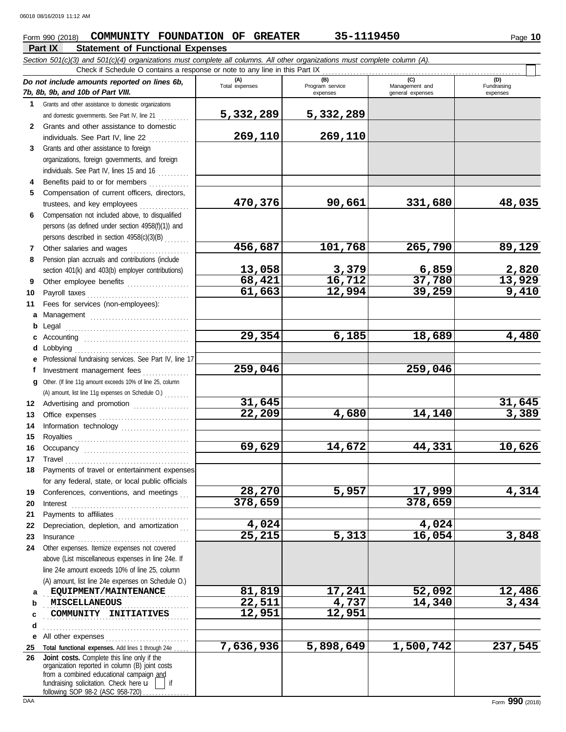### **Form 990 (2018) COMMUNITY FOUNDATION OF GREATER** 35-1119450 **10** Page 10

### **Part IX Statement of Functional Expenses**

*Section 501(c)(3) and 501(c)(4) organizations must complete all columns. All other organizations must complete column (A). Do not include amounts reported on lines 6b, 7b, 8b, 9b, and 10b of Part VIII.* **1 2 3 4 5 6 7 8 9 10 11 a** Management ................................ **b** Legal . . . . . . . . . . . . . . . . . . . . . . . . . . . . . . . . . . . . . . . . **c** Accounting . . . . . . . . . . . . . . . . . . . . . . . . . . . . . . . . . . **d** Lobbying . . . . . . . . . . . . . . . . . . . . . . . . . . . . . . . . . . . . . **e** Professional fundraising services. See Part IV, line 17 **f g** Other. (If line 11g amount exceeds 10% of line 25, column **12** Advertising and promotion .................. Grants and other assistance to domestic organizations and domestic governments. See Part IV, line 21 .......... Grants and other assistance to domestic individuals. See Part IV, line 22 .............. Grants and other assistance to foreign organizations, foreign governments, and foreign individuals. See Part IV, lines 15 and 16 Benefits paid to or for members . . . . . . . . . . . . . Compensation of current officers, directors, trustees, and key employees . . . . . . . . . . . . . . Compensation not included above, to disqualified persons (as defined under section 4958(f)(1)) and persons described in section 4958(c)(3)(B) . . . . . . . . Other salaries and wages ................... Pension plan accruals and contributions (include section 401(k) and 403(b) employer contributions) Other employee benefits .................... Payroll taxes . . . . . . . . . . . . . . . . . . . . . . . . . . . . . . . . . Fees for services (non-employees): Investment management fees ................ **(A) (B) (C) (D)** Total expenses Program service Management and expenses expenses general expenses (D)<br>Fundraising expenses Check if Schedule O contains a response or note to any line in this Part IX (A) amount, list line 11g expenses on Schedule O.) . . . . . . . . **5,332,289 5,332,289 269,110 269,110 470,376 90,661 331,680 48,035 456,687 101,768 265,790 89,129 13,058 3,379 6,859 2,820 68,421 16,712 37,780 13,929 61,663 12,994 39,259 9,410 29,354 6,185 18,689 4,480 259,046 259,046 31,645 31,645**

**22,209 4,680 14,140 3,389**

**14 15 16 17 18 19 20 21 22** Depreciation, depletion, and amortization **... 23 24 a b c d e** All other expenses . . . . . . . . . . . . . . . . . . . . . . . . . . . **25 Total functional expenses.** Add lines 1 through 24e . . . . . **26** Information technology ...................... Royalties . . . . . . . . . . . . . . . . . . . . . . . . . . . . . . . . . . . . . Occupancy . . . . . . . . . . . . . . . . . . . . . . . . . . . . . . . . . . Travel . . . . . . . . . . . . . . . . . . . . . . . . . . . . . . . . . . . . . . . . Payments of travel or entertainment expenses for any federal, state, or local public officials Conferences, conventions, and meetings Interest . . . . . . . . . . . . . . . . . . . . . . . . . . . . . . . . . . . . . . Payments to affiliates . . . . . . . . . . . . . . . . . . . . . . . . Insurance . . . . . . . . . . . . . . . . . . . . . . . . . . . . . . . . . . . . Other expenses. Itemize expenses not covered above (List miscellaneous expenses in line 24e. If line 24e amount exceeds 10% of line 25, column (A) amount, list line 24e expenses on Schedule O.) fundraising solicitation. Check here  $\mathbf u$ organization reported in column (B) joint costs from a combined educational campaign and . . . . . . . . . . . . . . . . . . . . . . . . . . . . . . . . . . . . . . . . . . . . . . . **EQUIPMENT/MAINTENANCE 81,819 17,241 52,092 12,486 MISCELLANEOUS** . . . . . . . . . . . . . . . . . . . . . . . . . . . . . . . . . . . . . . . . . . . . . . . **COMMUNITY INITIATIVES 12,951 12,951** . . . . . . . . . . . . . . . . . . . . . . . . . . . . . . . . . . . . . . . . . . . . . . . **Joint costs.** Complete this line only if the **69,629 14,672 44,331 10,626 28,270 5,957 17,999 4,314 378,659 378,659 4,024 4,024 25,215 5,313 16,054 3,848 MISCELLANEOUS 22,511 4,737 14,340 3,434 7,636,936 5,898,649 1,500,742 237,545**

following SOP 98-2 (ASC 958-720)

**13**

Office expenses .................................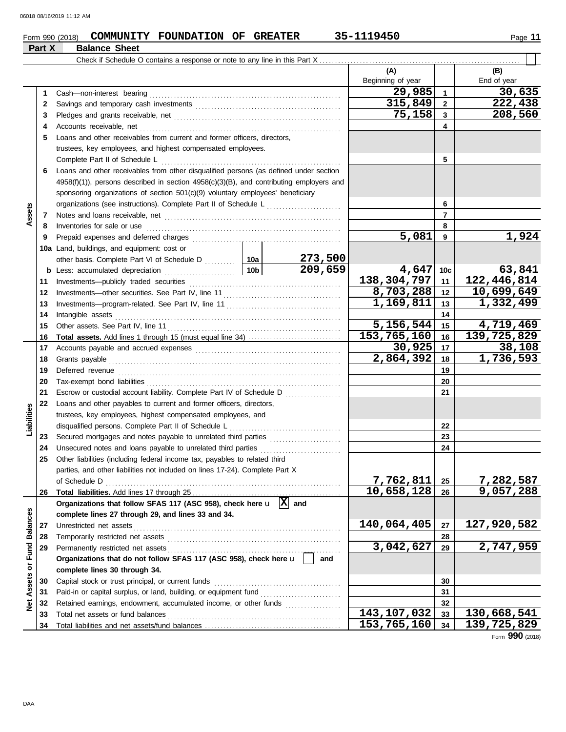**Part X Balance Sheet**

### **Form 990 (2018) COMMUNITY FOUNDATION OF GREATER** 35-1119450 **11** Page 11

|                 | Check if Schedule O contains a response or note to any line in this Part X |                                                                                               |           |         |                         |                 |               |  |  |
|-----------------|----------------------------------------------------------------------------|-----------------------------------------------------------------------------------------------|-----------|---------|-------------------------|-----------------|---------------|--|--|
|                 |                                                                            |                                                                                               |           |         | (A)                     |                 | (B)           |  |  |
|                 |                                                                            |                                                                                               |           |         | Beginning of year       |                 | End of year   |  |  |
|                 | 1                                                                          | Cash-non-interest bearing                                                                     |           |         | 29,985                  | $\mathbf{1}$    | 30,635        |  |  |
|                 | 2                                                                          |                                                                                               |           |         | 315,849                 | $\mathbf{2}$    | 222,438       |  |  |
|                 | 3                                                                          |                                                                                               |           |         | 75,158                  | 3               | 208,560       |  |  |
|                 | 4                                                                          | Accounts receivable, net                                                                      |           |         |                         | 4               |               |  |  |
|                 | 5                                                                          | Loans and other receivables from current and former officers, directors,                      |           |         |                         |                 |               |  |  |
|                 |                                                                            | trustees, key employees, and highest compensated employees.                                   |           |         |                         |                 |               |  |  |
|                 |                                                                            | Complete Part II of Schedule L                                                                |           |         |                         | 5               |               |  |  |
|                 | 6                                                                          | Loans and other receivables from other disqualified persons (as defined under section         |           |         |                         |                 |               |  |  |
|                 |                                                                            | $4958(f)(1)$ ), persons described in section $4958(c)(3)(B)$ , and contributing employers and |           |         |                         |                 |               |  |  |
|                 |                                                                            | sponsoring organizations of section 501(c)(9) voluntary employees' beneficiary                |           |         |                         |                 |               |  |  |
|                 |                                                                            |                                                                                               |           |         |                         | 6               |               |  |  |
| Assets          | 7                                                                          |                                                                                               |           |         |                         | $\overline{7}$  |               |  |  |
|                 | 8                                                                          | Inventories for sale or use                                                                   |           |         |                         | 8               |               |  |  |
|                 | 9                                                                          |                                                                                               |           |         | 5,081                   | 9               | 1,924         |  |  |
|                 |                                                                            | 10a Land, buildings, and equipment: cost or                                                   |           |         |                         |                 |               |  |  |
|                 |                                                                            |                                                                                               |           | 273,500 |                         |                 |               |  |  |
|                 |                                                                            | <b>b</b> Less: accumulated depreciation                                                       |           | 209,659 | 4,647                   | 10 <sub>c</sub> | 63,841        |  |  |
|                 | 11                                                                         | $\frac{10b}{2}$                                                                               |           |         | 138,304,797             | 11              | 122, 446, 814 |  |  |
|                 | 12                                                                         |                                                                                               |           |         | 8,703,288               | 12              | 10,699,649    |  |  |
|                 | 13                                                                         |                                                                                               | 1,169,811 | 13      | 1,332,499               |                 |               |  |  |
|                 | 14                                                                         | Intangible assets                                                                             |           | 14      |                         |                 |               |  |  |
|                 | 15                                                                         |                                                                                               |           |         | 5,156,544               | 15              | 4,719,469     |  |  |
|                 | 16                                                                         |                                                                                               |           |         | 153,765,160             | 16              | 139,725,829   |  |  |
|                 | 17                                                                         |                                                                                               |           |         | 30,925                  | 17              | 38,108        |  |  |
|                 | 18                                                                         | Grants payable                                                                                |           |         | 2,864,392               | 18              | 1,736,593     |  |  |
|                 | 19                                                                         | Deferred revenue                                                                              |           |         |                         | 19              |               |  |  |
|                 | 20                                                                         |                                                                                               |           |         |                         | 20              |               |  |  |
|                 | 21                                                                         | Escrow or custodial account liability. Complete Part IV of Schedule D                         |           |         |                         | 21              |               |  |  |
|                 | 22                                                                         | Loans and other payables to current and former officers, directors,                           |           |         |                         |                 |               |  |  |
| Liabilities     |                                                                            | trustees, key employees, highest compensated employees, and                                   |           |         |                         |                 |               |  |  |
|                 |                                                                            | disqualified persons. Complete Part II of Schedule L                                          |           |         |                         | 22              |               |  |  |
|                 | 23                                                                         |                                                                                               |           |         |                         | 23              |               |  |  |
|                 | 24                                                                         | Unsecured notes and loans payable to unrelated third parties                                  |           |         |                         | 24              |               |  |  |
|                 | 25                                                                         | Other liabilities (including federal income tax, payables to related third                    |           |         |                         |                 |               |  |  |
|                 |                                                                            | parties, and other liabilities not included on lines 17-24). Complete Part X                  |           |         |                         |                 |               |  |  |
|                 |                                                                            | of Schedule D                                                                                 |           |         | 7,762,811               | 25              | 7,282,587     |  |  |
|                 | 26                                                                         |                                                                                               |           |         | $\overline{10,658,128}$ | 26              | 9,057,288     |  |  |
|                 |                                                                            | Organizations that follow SFAS 117 (ASC 958), check here $\mathbf{u}$ $\overline{X}$ and      |           |         |                         |                 |               |  |  |
|                 |                                                                            | complete lines 27 through 29, and lines 33 and 34.                                            |           |         |                         |                 |               |  |  |
|                 | 27                                                                         | Unrestricted net assets                                                                       |           |         | 140,064,405             | 27              | 127,920,582   |  |  |
| <b>Balances</b> | 28                                                                         | Temporarily restricted net assets                                                             |           |         |                         | 28              |               |  |  |
|                 | 29                                                                         | Permanently restricted net assets                                                             |           |         | 3,042,627               | 29              | 2,747,959     |  |  |
| or Fund         |                                                                            | Organizations that do not follow SFAS 117 (ASC 958), check here u                             |           | and     |                         |                 |               |  |  |
|                 |                                                                            | complete lines 30 through 34.                                                                 |           |         |                         |                 |               |  |  |
| Assets          | 30                                                                         | Capital stock or trust principal, or current funds                                            |           |         |                         | 30              |               |  |  |
|                 | 31                                                                         | Paid-in or capital surplus, or land, building, or equipment fund                              |           |         | 31                      |                 |               |  |  |
| ğ               | 32                                                                         | Retained earnings, endowment, accumulated income, or other funds                              |           |         | 32                      |                 |               |  |  |
|                 | 33                                                                         | Total net assets or fund balances                                                             |           |         | 143, 107, 032           | 33              | 130,668,541   |  |  |
|                 | 34                                                                         |                                                                                               |           |         | 153,765,160             | 34              | 139,725,829   |  |  |

Form **990** (2018)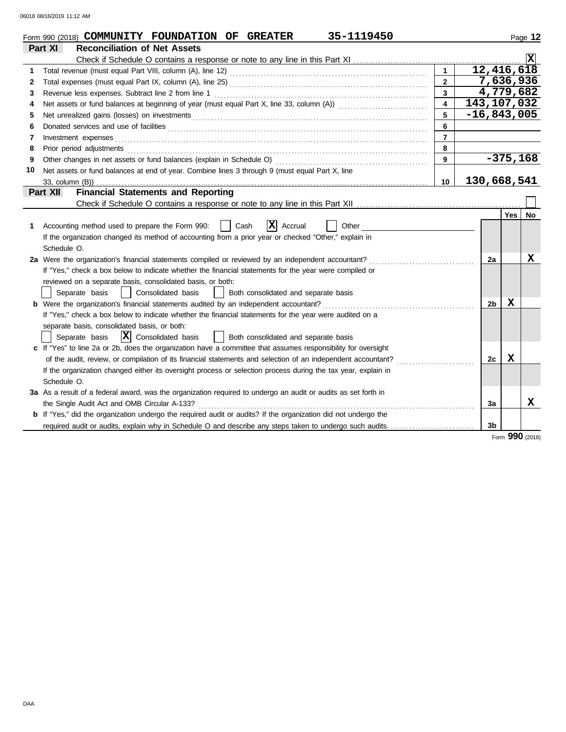06018 08/16/2019 11:12 AM

|              | 35-1119450<br>Form 990 (2018) COMMUNITY FOUNDATION OF GREATER                                                         |                         |                        |            | Page 12         |
|--------------|-----------------------------------------------------------------------------------------------------------------------|-------------------------|------------------------|------------|-----------------|
|              | <b>Reconciliation of Net Assets</b><br>Part XI                                                                        |                         |                        |            |                 |
|              | Check if Schedule O contains a response or note to any line in this Part XI                                           |                         |                        |            |                 |
| 1            |                                                                                                                       | $\mathbf{1}$            | 12,416,618             |            |                 |
| $\mathbf{2}$ |                                                                                                                       | $\overline{2}$          | 7,636,936              |            |                 |
| 3            | Revenue less expenses. Subtract line 2 from line 1                                                                    | $\overline{3}$          | $\overline{4,779,682}$ |            |                 |
| 4            |                                                                                                                       | $\overline{\mathbf{4}}$ | 143, 107, 032          |            |                 |
| 5            | Net unrealized gains (losses) on investments                                                                          | 5                       | $-16,843,005$          |            |                 |
| 6            |                                                                                                                       | 6                       |                        |            |                 |
| 7            | Investment expenses                                                                                                   | $\overline{7}$          |                        |            |                 |
| 8            | Prior period adjustments                                                                                              | 8                       |                        |            |                 |
| 9            | Other changes in net assets or fund balances (explain in Schedule O)                                                  | 9                       |                        | $-375,168$ |                 |
| 10           | Net assets or fund balances at end of year. Combine lines 3 through 9 (must equal Part X, line                        |                         |                        |            |                 |
|              | 33, column (B))                                                                                                       | 10                      | 130,668,541            |            |                 |
|              | <b>Financial Statements and Reporting</b><br>Part XII                                                                 |                         |                        |            |                 |
|              |                                                                                                                       |                         |                        |            |                 |
|              |                                                                                                                       |                         |                        | <b>Yes</b> | <b>No</b>       |
| 1            | X <br>Cash<br>Accounting method used to prepare the Form 990:<br>Accrual<br>Other                                     |                         |                        |            |                 |
|              | If the organization changed its method of accounting from a prior year or checked "Other," explain in                 |                         |                        |            |                 |
|              | Schedule O.                                                                                                           |                         |                        |            |                 |
|              | 2a Were the organization's financial statements compiled or reviewed by an independent accountant?                    |                         | 2a                     |            | x               |
|              | If "Yes," check a box below to indicate whether the financial statements for the year were compiled or                |                         |                        |            |                 |
|              | reviewed on a separate basis, consolidated basis, or both:                                                            |                         |                        |            |                 |
|              | Separate basis<br>Consolidated basis<br>Both consolidated and separate basis                                          |                         |                        |            |                 |
|              | <b>b</b> Were the organization's financial statements audited by an independent accountant?                           |                         | 2 <sub>b</sub>         | x          |                 |
|              | If "Yes," check a box below to indicate whether the financial statements for the year were audited on a               |                         |                        |            |                 |
|              | separate basis, consolidated basis, or both:                                                                          |                         |                        |            |                 |
|              | X <br>Consolidated basis<br>Both consolidated and separate basis<br>Separate basis                                    |                         |                        |            |                 |
|              | c If "Yes" to line 2a or 2b, does the organization have a committee that assumes responsibility for oversight         |                         |                        |            |                 |
|              | of the audit, review, or compilation of its financial statements and selection of an independent accountant?          |                         | 2c                     | x          |                 |
|              | If the organization changed either its oversight process or selection process during the tax year, explain in         |                         |                        |            |                 |
|              | Schedule O.                                                                                                           |                         |                        |            |                 |
|              | 3a As a result of a federal award, was the organization required to undergo an audit or audits as set forth in        |                         |                        |            |                 |
|              | the Single Audit Act and OMB Circular A-133?                                                                          |                         | 3a                     |            | x               |
|              | <b>b</b> If "Yes," did the organization undergo the required audit or audits? If the organization did not undergo the |                         |                        |            |                 |
|              | required audit or audits, explain why in Schedule O and describe any steps taken to undergo such audits.              |                         | 3b                     |            |                 |
|              |                                                                                                                       |                         |                        |            | Form 990 (2018) |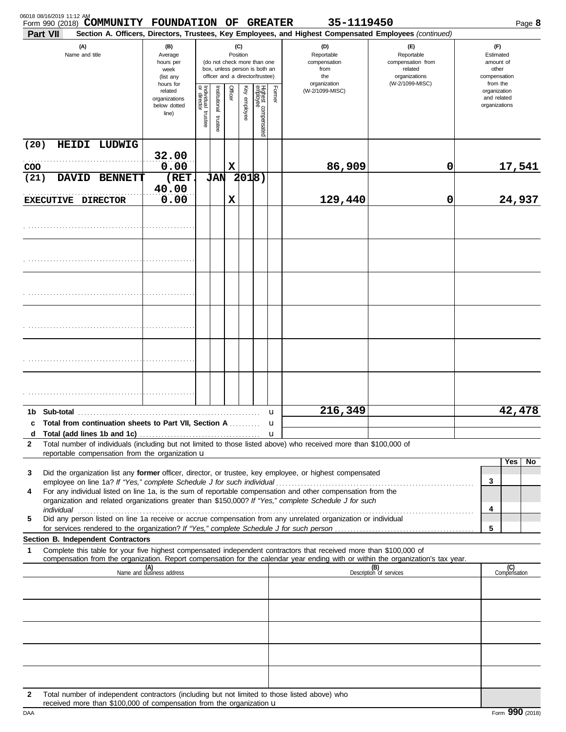| Part VII          | Form 990 (2018) COMMUNITY FOUNDATION OF GREATER                                                                                                                       |                                                               |                         |                       |             |                 |                                                                                                 |              | 35-1119450<br>Section A. Officers, Directors, Trustees, Key Employees, and Highest Compensated Employees (continued)                                                                                                                                   |                                                                                       |                                                       | Page 8    |
|-------------------|-----------------------------------------------------------------------------------------------------------------------------------------------------------------------|---------------------------------------------------------------|-------------------------|-----------------------|-------------|-----------------|-------------------------------------------------------------------------------------------------|--------------|--------------------------------------------------------------------------------------------------------------------------------------------------------------------------------------------------------------------------------------------------------|---------------------------------------------------------------------------------------|-------------------------------------------------------|-----------|
|                   | (A)<br>Name and title                                                                                                                                                 | (B)<br>Average<br>hours per<br>week<br>(list any<br>hours for |                         |                       |             | (C)<br>Position | (do not check more than one<br>box, unless person is both an<br>officer and a director/trustee) |              | (D)<br>Reportable<br>compensation<br>from<br>the<br>organization                                                                                                                                                                                       | (E)<br>Reportable<br>compensation from<br>related<br>organizations<br>(W-2/1099-MISC) | (F)<br>Estimated<br>other<br>compensation<br>from the | amount of |
|                   |                                                                                                                                                                       | related<br>organizations<br>below dotted<br>line)             | Individual 1<br>trustee | Institutional trustee | Officer     | Key employee    | Highest compensated<br>employee                                                                 | Former       | (W-2/1099-MISC)                                                                                                                                                                                                                                        |                                                                                       | organization<br>and related<br>organizations          |           |
| (20)              | HEIDI LUDWIG                                                                                                                                                          |                                                               |                         |                       |             |                 |                                                                                                 |              |                                                                                                                                                                                                                                                        |                                                                                       |                                                       |           |
| COO               |                                                                                                                                                                       | 32.00<br>0.00                                                 |                         |                       | $\mathbf x$ |                 |                                                                                                 |              | 86,909                                                                                                                                                                                                                                                 | 0                                                                                     |                                                       | 17,541    |
| (21)              | <b>DAVID</b><br><b>BENNETT</b><br>EXECUTIVE DIRECTOR                                                                                                                  | (RET<br>40.00<br>0.00                                         |                         | <b>JAN</b>            | X           | 2018)           |                                                                                                 |              | 129,440                                                                                                                                                                                                                                                | 0                                                                                     |                                                       | 24,937    |
|                   |                                                                                                                                                                       |                                                               |                         |                       |             |                 |                                                                                                 |              |                                                                                                                                                                                                                                                        |                                                                                       |                                                       |           |
|                   |                                                                                                                                                                       |                                                               |                         |                       |             |                 |                                                                                                 |              |                                                                                                                                                                                                                                                        |                                                                                       |                                                       |           |
|                   |                                                                                                                                                                       |                                                               |                         |                       |             |                 |                                                                                                 |              |                                                                                                                                                                                                                                                        |                                                                                       |                                                       |           |
|                   |                                                                                                                                                                       |                                                               |                         |                       |             |                 |                                                                                                 |              |                                                                                                                                                                                                                                                        |                                                                                       |                                                       |           |
|                   |                                                                                                                                                                       |                                                               |                         |                       |             |                 |                                                                                                 |              |                                                                                                                                                                                                                                                        |                                                                                       |                                                       |           |
|                   |                                                                                                                                                                       |                                                               |                         |                       |             |                 |                                                                                                 |              |                                                                                                                                                                                                                                                        |                                                                                       |                                                       |           |
|                   |                                                                                                                                                                       |                                                               |                         |                       |             |                 |                                                                                                 |              |                                                                                                                                                                                                                                                        |                                                                                       |                                                       |           |
|                   |                                                                                                                                                                       |                                                               |                         |                       |             |                 |                                                                                                 | u            | 216,349                                                                                                                                                                                                                                                |                                                                                       |                                                       | 42,478    |
|                   | c Total from continuation sheets to Part VII. Section A                                                                                                               |                                                               |                         |                       |             |                 |                                                                                                 | u            |                                                                                                                                                                                                                                                        |                                                                                       |                                                       |           |
| d<br>$\mathbf{2}$ |                                                                                                                                                                       |                                                               |                         |                       |             |                 |                                                                                                 | $\mathbf{u}$ | Total number of individuals (including but not limited to those listed above) who received more than \$100,000 of                                                                                                                                      |                                                                                       |                                                       |           |
|                   | reportable compensation from the organization u                                                                                                                       |                                                               |                         |                       |             |                 |                                                                                                 |              |                                                                                                                                                                                                                                                        |                                                                                       |                                                       | Yes<br>No |
| 3                 |                                                                                                                                                                       |                                                               |                         |                       |             |                 |                                                                                                 |              | Did the organization list any former officer, director, or trustee, key employee, or highest compensated                                                                                                                                               |                                                                                       | 3                                                     |           |
| 4<br>individual   |                                                                                                                                                                       |                                                               |                         |                       |             |                 |                                                                                                 |              | For any individual listed on line 1a, is the sum of reportable compensation and other compensation from the<br>organization and related organizations greater than \$150,000? If "Yes," complete Schedule J for such                                   |                                                                                       | 4                                                     |           |
| 5                 |                                                                                                                                                                       |                                                               |                         |                       |             |                 |                                                                                                 |              | Did any person listed on line 1a receive or accrue compensation from any unrelated organization or individual                                                                                                                                          |                                                                                       | 5                                                     |           |
|                   | Section B. Independent Contractors                                                                                                                                    |                                                               |                         |                       |             |                 |                                                                                                 |              |                                                                                                                                                                                                                                                        |                                                                                       |                                                       |           |
| 1                 |                                                                                                                                                                       |                                                               |                         |                       |             |                 |                                                                                                 |              | Complete this table for your five highest compensated independent contractors that received more than \$100,000 of<br>compensation from the organization. Report compensation for the calendar year ending with or within the organization's tax year. |                                                                                       |                                                       |           |
|                   | (A)<br>Name and business address<br>(B)<br>Description of services                                                                                                    |                                                               |                         |                       |             |                 |                                                                                                 |              | (C)<br>Compensation                                                                                                                                                                                                                                    |                                                                                       |                                                       |           |
|                   |                                                                                                                                                                       |                                                               |                         |                       |             |                 |                                                                                                 |              |                                                                                                                                                                                                                                                        |                                                                                       |                                                       |           |
|                   |                                                                                                                                                                       |                                                               |                         |                       |             |                 |                                                                                                 |              |                                                                                                                                                                                                                                                        |                                                                                       |                                                       |           |
|                   |                                                                                                                                                                       |                                                               |                         |                       |             |                 |                                                                                                 |              |                                                                                                                                                                                                                                                        |                                                                                       |                                                       |           |
|                   |                                                                                                                                                                       |                                                               |                         |                       |             |                 |                                                                                                 |              |                                                                                                                                                                                                                                                        |                                                                                       |                                                       |           |
| $\mathbf{2}$      | Total number of independent contractors (including but not limited to those listed above) who<br>received more than \$100,000 of compensation from the organization u |                                                               |                         |                       |             |                 |                                                                                                 |              |                                                                                                                                                                                                                                                        |                                                                                       |                                                       |           |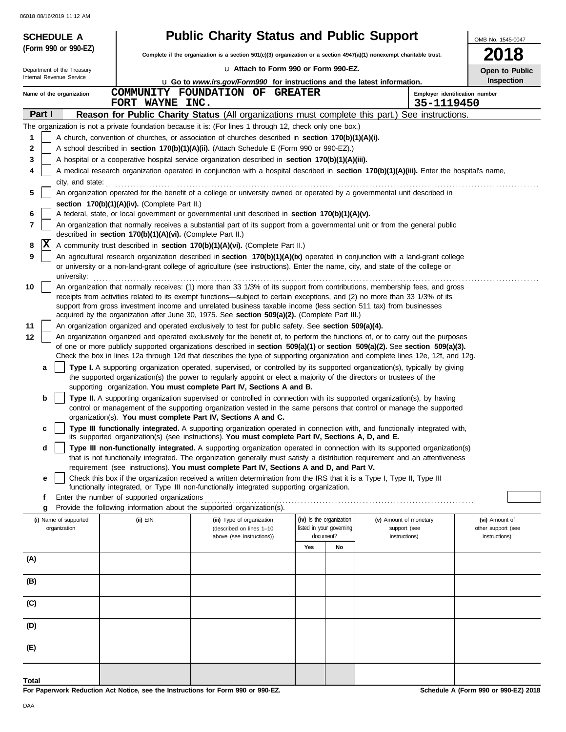06018 08/16/2019 11:12 AM

| <b>SCHEDULE A</b>          |                                                                                                                                               | <b>Public Charity Status and Public Support</b>                                                                                                                                                                                                                |                                       |  |                               | OMB No. 1545-0047                   |  |  |  |  |  |
|----------------------------|-----------------------------------------------------------------------------------------------------------------------------------------------|----------------------------------------------------------------------------------------------------------------------------------------------------------------------------------------------------------------------------------------------------------------|---------------------------------------|--|-------------------------------|-------------------------------------|--|--|--|--|--|
| (Form 990 or 990-EZ)       |                                                                                                                                               | Complete if the organization is a section $501(c)(3)$ organization or a section $4947(a)(1)$ nonexempt charitable trust.                                                                                                                                       |                                       |  |                               | 2018                                |  |  |  |  |  |
| Department of the Treasury |                                                                                                                                               | u Attach to Form 990 or Form 990-EZ.                                                                                                                                                                                                                           |                                       |  |                               | Open to Public                      |  |  |  |  |  |
| Internal Revenue Service   |                                                                                                                                               | <b>u</b> Go to www.irs.gov/Form990 for instructions and the latest information.                                                                                                                                                                                |                                       |  |                               | Inspection                          |  |  |  |  |  |
| Name of the organization   |                                                                                                                                               | COMMUNITY FOUNDATION OF                                                                                                                                                                                                                                        | <b>GREATER</b>                        |  |                               | Employer identification number      |  |  |  |  |  |
| Part I                     | FORT WAYNE INC.                                                                                                                               | Reason for Public Charity Status (All organizations must complete this part.) See instructions.                                                                                                                                                                |                                       |  | 35-1119450                    |                                     |  |  |  |  |  |
|                            |                                                                                                                                               | The organization is not a private foundation because it is: (For lines 1 through 12, check only one box.)                                                                                                                                                      |                                       |  |                               |                                     |  |  |  |  |  |
| 1                          |                                                                                                                                               | A church, convention of churches, or association of churches described in section 170(b)(1)(A)(i).                                                                                                                                                             |                                       |  |                               |                                     |  |  |  |  |  |
| 2                          |                                                                                                                                               | A school described in section 170(b)(1)(A)(ii). (Attach Schedule E (Form 990 or 990-EZ).)                                                                                                                                                                      |                                       |  |                               |                                     |  |  |  |  |  |
| 3                          |                                                                                                                                               | A hospital or a cooperative hospital service organization described in section 170(b)(1)(A)(iii).                                                                                                                                                              |                                       |  |                               |                                     |  |  |  |  |  |
| 4                          | A medical research organization operated in conjunction with a hospital described in section 170(b)(1)(A)(iii). Enter the hospital's name,    |                                                                                                                                                                                                                                                                |                                       |  |                               |                                     |  |  |  |  |  |
| 5                          | city, and state:<br>An organization operated for the benefit of a college or university owned or operated by a governmental unit described in |                                                                                                                                                                                                                                                                |                                       |  |                               |                                     |  |  |  |  |  |
|                            | section 170(b)(1)(A)(iv). (Complete Part II.)                                                                                                 |                                                                                                                                                                                                                                                                |                                       |  |                               |                                     |  |  |  |  |  |
| 6                          |                                                                                                                                               | A federal, state, or local government or governmental unit described in section 170(b)(1)(A)(v).                                                                                                                                                               |                                       |  |                               |                                     |  |  |  |  |  |
| 7                          | described in section 170(b)(1)(A)(vi). (Complete Part II.)                                                                                    | An organization that normally receives a substantial part of its support from a governmental unit or from the general public                                                                                                                                   |                                       |  |                               |                                     |  |  |  |  |  |
| ΙX<br>8                    |                                                                                                                                               | A community trust described in section 170(b)(1)(A)(vi). (Complete Part II.)                                                                                                                                                                                   |                                       |  |                               |                                     |  |  |  |  |  |
| 9                          |                                                                                                                                               | An agricultural research organization described in section 170(b)(1)(A)(ix) operated in conjunction with a land-grant college                                                                                                                                  |                                       |  |                               |                                     |  |  |  |  |  |
| university:                |                                                                                                                                               | or university or a non-land-grant college of agriculture (see instructions). Enter the name, city, and state of the college or                                                                                                                                 |                                       |  |                               |                                     |  |  |  |  |  |
| 10                         |                                                                                                                                               | An organization that normally receives: (1) more than 33 1/3% of its support from contributions, membership fees, and gross                                                                                                                                    |                                       |  |                               |                                     |  |  |  |  |  |
|                            |                                                                                                                                               | receipts from activities related to its exempt functions—subject to certain exceptions, and (2) no more than 33 1/3% of its                                                                                                                                    |                                       |  |                               |                                     |  |  |  |  |  |
|                            |                                                                                                                                               | support from gross investment income and unrelated business taxable income (less section 511 tax) from businesses<br>acquired by the organization after June 30, 1975. See section 509(a)(2). (Complete Part III.)                                             |                                       |  |                               |                                     |  |  |  |  |  |
| 11                         |                                                                                                                                               | An organization organized and operated exclusively to test for public safety. See section 509(a)(4).                                                                                                                                                           |                                       |  |                               |                                     |  |  |  |  |  |
| 12                         |                                                                                                                                               | An organization organized and operated exclusively for the benefit of, to perform the functions of, or to carry out the purposes                                                                                                                               |                                       |  |                               |                                     |  |  |  |  |  |
|                            |                                                                                                                                               | of one or more publicly supported organizations described in section 509(a)(1) or section 509(a)(2). See section 509(a)(3).<br>Check the box in lines 12a through 12d that describes the type of supporting organization and complete lines 12e, 12f, and 12g. |                                       |  |                               |                                     |  |  |  |  |  |
| a                          |                                                                                                                                               | Type I. A supporting organization operated, supervised, or controlled by its supported organization(s), typically by giving                                                                                                                                    |                                       |  |                               |                                     |  |  |  |  |  |
|                            |                                                                                                                                               | the supported organization(s) the power to regularly appoint or elect a majority of the directors or trustees of the                                                                                                                                           |                                       |  |                               |                                     |  |  |  |  |  |
| b                          |                                                                                                                                               | supporting organization. You must complete Part IV, Sections A and B.<br>Type II. A supporting organization supervised or controlled in connection with its supported organization(s), by having                                                               |                                       |  |                               |                                     |  |  |  |  |  |
|                            |                                                                                                                                               | control or management of the supporting organization vested in the same persons that control or manage the supported                                                                                                                                           |                                       |  |                               |                                     |  |  |  |  |  |
|                            |                                                                                                                                               | organization(s). You must complete Part IV, Sections A and C.                                                                                                                                                                                                  |                                       |  |                               |                                     |  |  |  |  |  |
| c                          |                                                                                                                                               | Type III functionally integrated. A supporting organization operated in connection with, and functionally integrated with,<br>its supported organization(s) (see instructions). You must complete Part IV, Sections A, D, and E.                               |                                       |  |                               |                                     |  |  |  |  |  |
| d                          |                                                                                                                                               | Type III non-functionally integrated. A supporting organization operated in connection with its supported organization(s)                                                                                                                                      |                                       |  |                               |                                     |  |  |  |  |  |
|                            |                                                                                                                                               | that is not functionally integrated. The organization generally must satisfy a distribution requirement and an attentiveness<br>requirement (see instructions). You must complete Part IV, Sections A and D, and Part V.                                       |                                       |  |                               |                                     |  |  |  |  |  |
| е                          |                                                                                                                                               | Check this box if the organization received a written determination from the IRS that it is a Type I, Type II, Type III                                                                                                                                        |                                       |  |                               |                                     |  |  |  |  |  |
|                            |                                                                                                                                               | functionally integrated, or Type III non-functionally integrated supporting organization.                                                                                                                                                                      |                                       |  |                               |                                     |  |  |  |  |  |
| f<br>g                     | Enter the number of supported organizations                                                                                                   | Provide the following information about the supported organization(s).                                                                                                                                                                                         |                                       |  |                               |                                     |  |  |  |  |  |
| (i) Name of supported      | (ii) EIN                                                                                                                                      | (iii) Type of organization                                                                                                                                                                                                                                     | (iv) Is the organization              |  | (v) Amount of monetary        | (vi) Amount of                      |  |  |  |  |  |
| organization               |                                                                                                                                               | (described on lines 1-10<br>above (see instructions))                                                                                                                                                                                                          | listed in your governing<br>document? |  | support (see<br>instructions) | other support (see<br>instructions) |  |  |  |  |  |
|                            |                                                                                                                                               |                                                                                                                                                                                                                                                                | Yes<br>No                             |  |                               |                                     |  |  |  |  |  |
| (A)                        |                                                                                                                                               |                                                                                                                                                                                                                                                                |                                       |  |                               |                                     |  |  |  |  |  |
|                            |                                                                                                                                               |                                                                                                                                                                                                                                                                |                                       |  |                               |                                     |  |  |  |  |  |
| (B)                        |                                                                                                                                               |                                                                                                                                                                                                                                                                |                                       |  |                               |                                     |  |  |  |  |  |
| (C)                        |                                                                                                                                               |                                                                                                                                                                                                                                                                |                                       |  |                               |                                     |  |  |  |  |  |
| (D)                        |                                                                                                                                               |                                                                                                                                                                                                                                                                |                                       |  |                               |                                     |  |  |  |  |  |
| (E)                        |                                                                                                                                               |                                                                                                                                                                                                                                                                |                                       |  |                               |                                     |  |  |  |  |  |
| Total                      |                                                                                                                                               |                                                                                                                                                                                                                                                                |                                       |  |                               |                                     |  |  |  |  |  |

**For Paperwork Reduction Act Notice, see the Instructions for Form 990 or 990-EZ.**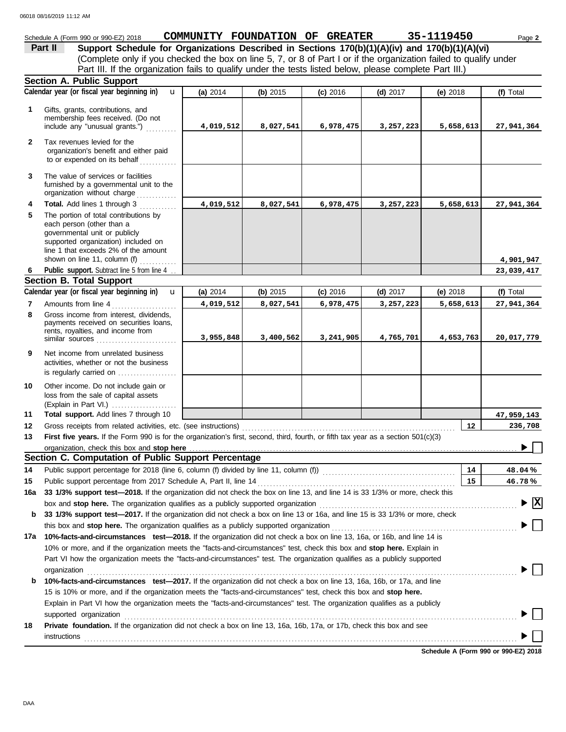### Schedule A (Form 990 or 990-EZ) 2018 **COMMUNITY FOUNDATION OF GREATER** 35-1119450 Page 2 (Complete only if you checked the box on line 5, 7, or 8 of Part I or if the organization failed to qualify under Part II Support Schedule for Organizations Described in Sections 170(b)(1)(A)(iv) and 170(b)(1)(A)(vi)

Part III. If the organization fails to qualify under the tests listed below, please complete Part III.)

|              | <b>Section A. Public Support</b>                                                                                                                                                   |           |            |            |            |            |                                          |
|--------------|------------------------------------------------------------------------------------------------------------------------------------------------------------------------------------|-----------|------------|------------|------------|------------|------------------------------------------|
|              | Calendar year (or fiscal year beginning in)<br>$\mathbf{u}$                                                                                                                        | (a) 2014  | $(b)$ 2015 | $(c)$ 2016 | $(d)$ 2017 | (e) 2018   | (f) Total                                |
| 1            | Gifts, grants, contributions, and<br>membership fees received. (Do not<br>include any "unusual grants.")                                                                           | 4,019,512 | 8,027,541  | 6,978,475  | 3,257,223  | 5,658,613  | 27,941,364                               |
| $\mathbf{2}$ | Tax revenues levied for the<br>organization's benefit and either paid<br>to or expended on its behalf                                                                              |           |            |            |            |            |                                          |
| 3            | The value of services or facilities<br>furnished by a governmental unit to the<br>organization without charge<br>.                                                                 |           |            |            |            |            |                                          |
| 4            | Total. Add lines 1 through 3                                                                                                                                                       | 4,019,512 | 8,027,541  | 6,978,475  | 3,257,223  | 5,658,613  | 27,941,364                               |
| 5            | The portion of total contributions by<br>each person (other than a<br>governmental unit or publicly<br>supported organization) included on<br>line 1 that exceeds 2% of the amount |           |            |            |            |            |                                          |
|              | shown on line 11, column (f)                                                                                                                                                       |           |            |            |            |            | 4,901,947                                |
| 6            | Public support. Subtract line 5 from line 4<br><b>Section B. Total Support</b>                                                                                                     |           |            |            |            |            | 23,039,417                               |
|              | Calendar year (or fiscal year beginning in)<br>$\mathbf{u}$                                                                                                                        | (a) 2014  | (b) $2015$ | $(c)$ 2016 | $(d)$ 2017 | (e) $2018$ | (f) Total                                |
| 7            | Amounts from line 4                                                                                                                                                                | 4,019,512 | 8,027,541  | 6,978,475  | 3,257,223  | 5,658,613  | 27,941,364                               |
| 8            | Gross income from interest, dividends,<br>payments received on securities loans.<br>rents, royalties, and income from                                                              | 3,955,848 | 3,400,562  | 3,241,905  | 4,765,701  | 4,653,763  | 20,017,779                               |
| 9            | Net income from unrelated business<br>activities, whether or not the business<br>is regularly carried on                                                                           |           |            |            |            |            |                                          |
| 10           | Other income. Do not include gain or<br>loss from the sale of capital assets<br>(Explain in Part VI.)                                                                              |           |            |            |            |            |                                          |
| 11           | Total support. Add lines 7 through 10                                                                                                                                              |           |            |            |            |            | 47,959,143                               |
| 12           | Gross receipts from related activities, etc. (see instructions)                                                                                                                    |           |            |            |            | 12         | 236,708                                  |
| 13           | First five years. If the Form 990 is for the organization's first, second, third, fourth, or fifth tax year as a section 501(c)(3)                                                 |           |            |            |            |            |                                          |
|              | organization, check this box and stop here                                                                                                                                         |           |            |            |            |            |                                          |
|              | Section C. Computation of Public Support Percentage                                                                                                                                |           |            |            |            |            |                                          |
| 14           | Public support percentage for 2018 (line 6, column (f) divided by line 11, column (f) [[[[[[[[[[[[[[[[[[[[[[[                                                                      |           |            |            |            | 14         | 48.04%                                   |
| 15           | Public support percentage from 2017 Schedule A, Part II, line 14                                                                                                                   |           |            |            |            | 15         | 46.78%                                   |
|              | 16a 33 1/3% support test-2018. If the organization did not check the box on line 13, and line 14 is 33 1/3% or more, check this                                                    |           |            |            |            |            |                                          |
|              | box and stop here. The organization qualifies as a publicly supported organization                                                                                                 |           |            |            |            |            | $\blacktriangleright$ $\boxed{\text{X}}$ |
| b            | 33 1/3% support test-2017. If the organization did not check a box on line 13 or 16a, and line 15 is 33 1/3% or more, check                                                        |           |            |            |            |            |                                          |
|              |                                                                                                                                                                                    |           |            |            |            |            |                                          |
|              | 17a 10%-facts-and-circumstances test-2018. If the organization did not check a box on line 13, 16a, or 16b, and line 14 is                                                         |           |            |            |            |            |                                          |
|              | 10% or more, and if the organization meets the "facts-and-circumstances" test, check this box and stop here. Explain in                                                            |           |            |            |            |            |                                          |
|              | Part VI how the organization meets the "facts-and-circumstances" test. The organization qualifies as a publicly supported                                                          |           |            |            |            |            |                                          |
|              | organization                                                                                                                                                                       |           |            |            |            |            |                                          |
| b            | 10%-facts-and-circumstances test-2017. If the organization did not check a box on line 13, 16a, 16b, or 17a, and line                                                              |           |            |            |            |            |                                          |
|              | 15 is 10% or more, and if the organization meets the "facts-and-circumstances" test, check this box and stop here.                                                                 |           |            |            |            |            |                                          |
|              | Explain in Part VI how the organization meets the "facts-and-circumstances" test. The organization qualifies as a publicly                                                         |           |            |            |            |            |                                          |
|              | supported organization                                                                                                                                                             |           |            |            |            |            |                                          |
| 18           | Private foundation. If the organization did not check a box on line 13, 16a, 16b, 17a, or 17b, check this box and see                                                              |           |            |            |            |            |                                          |
|              | instructions                                                                                                                                                                       |           |            |            |            |            |                                          |
|              |                                                                                                                                                                                    |           |            |            |            |            |                                          |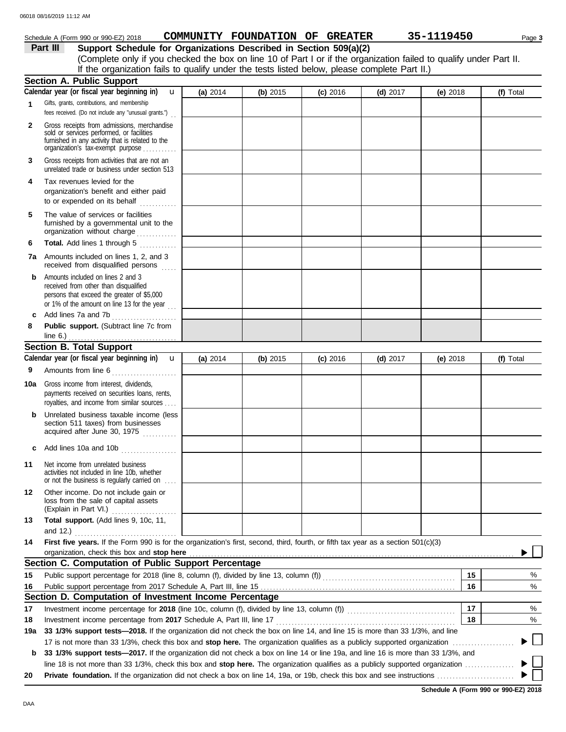### **Part III** Support Schedule for Organizations Described in Section 509(a)(2) Schedule A (Form 990 or 990-EZ) 2018 **COMMUNITY FOUNDATION OF GREATER** 35-1119450 Page 3

(Complete only if you checked the box on line 10 of Part I or if the organization failed to qualify under Part II. If the organization fails to qualify under the tests listed below, please complete Part II.)

|          | <b>Section A. Public Support</b>                                                                                                                                                  |            |            |            |            |            |           |  |  |  |
|----------|-----------------------------------------------------------------------------------------------------------------------------------------------------------------------------------|------------|------------|------------|------------|------------|-----------|--|--|--|
|          | Calendar year (or fiscal year beginning in)<br>$\mathbf{u}$                                                                                                                       | (a) $2014$ | (b) $2015$ | $(c)$ 2016 | (d) $2017$ | (e) $2018$ | (f) Total |  |  |  |
| 1        | Gifts, grants, contributions, and membership<br>fees received. (Do not include any "unusual grants.")                                                                             |            |            |            |            |            |           |  |  |  |
| 2        | Gross receipts from admissions, merchandise<br>sold or services performed, or facilities<br>furnished in any activity that is related to the<br>organization's tax-exempt purpose |            |            |            |            |            |           |  |  |  |
| 3        | Gross receipts from activities that are not an<br>unrelated trade or business under section 513                                                                                   |            |            |            |            |            |           |  |  |  |
| 4        | Tax revenues levied for the<br>organization's benefit and either paid<br>to or expended on its behalf                                                                             |            |            |            |            |            |           |  |  |  |
| 5        | The value of services or facilities<br>furnished by a governmental unit to the<br>organization without charge                                                                     |            |            |            |            |            |           |  |  |  |
| 6        | Total. Add lines 1 through 5                                                                                                                                                      |            |            |            |            |            |           |  |  |  |
| 7а       | Amounts included on lines 1, 2, and 3<br>received from disqualified persons                                                                                                       |            |            |            |            |            |           |  |  |  |
| b        | Amounts included on lines 2 and 3<br>received from other than disqualified<br>persons that exceed the greater of \$5,000<br>or 1% of the amount on line 13 for the year $\ldots$  |            |            |            |            |            |           |  |  |  |
| c        | Add lines 7a and 7b<br>.                                                                                                                                                          |            |            |            |            |            |           |  |  |  |
| 8        | Public support. (Subtract line 7c from<br>line $6.$ )                                                                                                                             |            |            |            |            |            |           |  |  |  |
|          | <b>Section B. Total Support</b>                                                                                                                                                   |            |            |            |            |            |           |  |  |  |
|          | Calendar year (or fiscal year beginning in)<br>$\mathbf{u}$                                                                                                                       | (a) $2014$ | (b) $2015$ | $(c)$ 2016 | (d) $2017$ | (e) $2018$ | (f) Total |  |  |  |
| 9        | Amounts from line 6                                                                                                                                                               |            |            |            |            |            |           |  |  |  |
| 10a      | Gross income from interest, dividends,<br>payments received on securities loans, rents,<br>royalties, and income from similar sources                                             |            |            |            |            |            |           |  |  |  |
| b        | Unrelated business taxable income (less<br>section 511 taxes) from businesses<br>acquired after June 30, 1975                                                                     |            |            |            |            |            |           |  |  |  |
| C        | Add lines 10a and 10b                                                                                                                                                             |            |            |            |            |            |           |  |  |  |
| 11       | Net income from unrelated business<br>activities not included in line 10b, whether<br>or not the business is regularly carried on                                                 |            |            |            |            |            |           |  |  |  |
| 12       | Other income. Do not include gain or<br>loss from the sale of capital assets<br>(Explain in Part VI.)                                                                             |            |            |            |            |            |           |  |  |  |
| 13       | Total support. (Add lines 9, 10c, 11,<br>and 12.)                                                                                                                                 |            |            |            |            |            |           |  |  |  |
| 14       | First five years. If the Form 990 is for the organization's first, second, third, fourth, or fifth tax year as a section 501(c)(3)<br>organization, check this box and stop here  |            |            |            |            |            |           |  |  |  |
|          | Section C. Computation of Public Support Percentage                                                                                                                               |            |            |            |            |            |           |  |  |  |
| 15       |                                                                                                                                                                                   |            |            |            |            | 15         | %         |  |  |  |
| 16       | Public support percentage for 2018 (line 8, column (f), divided by line 13, column (f)) [[[[[[[[[[[[[[[[[[[[[<br>16                                                               |            |            |            |            |            |           |  |  |  |
|          | Section D. Computation of Investment Income Percentage                                                                                                                            |            |            |            |            |            |           |  |  |  |
| 17<br>17 |                                                                                                                                                                                   |            |            |            |            |            |           |  |  |  |
| 18       | Investment income percentage from 2017 Schedule A, Part III, line 17                                                                                                              |            |            |            |            | 18         | %         |  |  |  |
| 19a      | 33 1/3% support tests-2018. If the organization did not check the box on line 14, and line 15 is more than 33 1/3%, and line                                                      |            |            |            |            |            |           |  |  |  |
|          |                                                                                                                                                                                   |            |            |            |            |            |           |  |  |  |
| b        | 33 1/3% support tests-2017. If the organization did not check a box on line 14 or line 19a, and line 16 is more than 33 1/3%, and                                                 |            |            |            |            |            |           |  |  |  |
|          | line 18 is not more than 33 1/3%, check this box and stop here. The organization qualifies as a publicly supported organization                                                   |            |            |            |            |            |           |  |  |  |
| 20       |                                                                                                                                                                                   |            |            |            |            |            |           |  |  |  |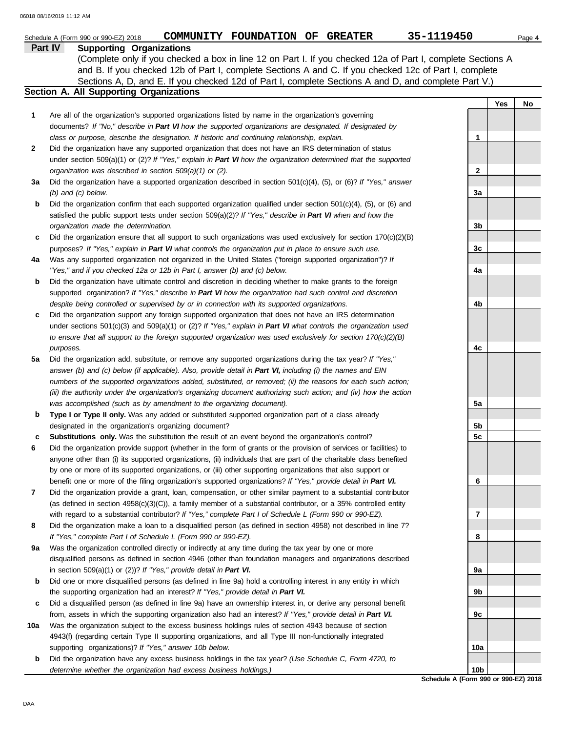|              | 35-1119450<br>COMMUNITY FOUNDATION OF GREATER<br>Schedule A (Form 990 or 990-EZ) 2018                                                                                                                            |                 |     | Page 4 |
|--------------|------------------------------------------------------------------------------------------------------------------------------------------------------------------------------------------------------------------|-----------------|-----|--------|
|              | Part IV<br><b>Supporting Organizations</b>                                                                                                                                                                       |                 |     |        |
|              | (Complete only if you checked a box in line 12 on Part I. If you checked 12a of Part I, complete Sections A                                                                                                      |                 |     |        |
|              | and B. If you checked 12b of Part I, complete Sections A and C. If you checked 12c of Part I, complete                                                                                                           |                 |     |        |
|              | Sections A, D, and E. If you checked 12d of Part I, complete Sections A and D, and complete Part V.)                                                                                                             |                 |     |        |
|              | Section A. All Supporting Organizations                                                                                                                                                                          |                 |     |        |
|              |                                                                                                                                                                                                                  |                 | Yes | No     |
| 1            | Are all of the organization's supported organizations listed by name in the organization's governing<br>documents? If "No," describe in Part VI how the supported organizations are designated. If designated by |                 |     |        |
|              | class or purpose, describe the designation. If historic and continuing relationship, explain.                                                                                                                    | $\mathbf 1$     |     |        |
| $\mathbf{2}$ | Did the organization have any supported organization that does not have an IRS determination of status                                                                                                           |                 |     |        |
|              | under section 509(a)(1) or (2)? If "Yes," explain in Part VI how the organization determined that the supported                                                                                                  |                 |     |        |
|              | organization was described in section 509(a)(1) or (2).                                                                                                                                                          | $\mathbf{2}$    |     |        |
| За           | Did the organization have a supported organization described in section $501(c)(4)$ , (5), or (6)? If "Yes," answer                                                                                              |                 |     |        |
|              | $(b)$ and $(c)$ below.                                                                                                                                                                                           | За              |     |        |
| b            | Did the organization confirm that each supported organization qualified under section $501(c)(4)$ , $(5)$ , or $(6)$ and                                                                                         |                 |     |        |
|              | satisfied the public support tests under section 509(a)(2)? If "Yes," describe in Part VI when and how the                                                                                                       |                 |     |        |
|              | organization made the determination.                                                                                                                                                                             | 3b              |     |        |
| c            | Did the organization ensure that all support to such organizations was used exclusively for section $170(c)(2)(B)$                                                                                               |                 |     |        |
|              | purposes? If "Yes," explain in Part VI what controls the organization put in place to ensure such use.                                                                                                           | 3c              |     |        |
| 4a           | Was any supported organization not organized in the United States ("foreign supported organization")? If                                                                                                         |                 |     |        |
|              | "Yes," and if you checked 12a or 12b in Part I, answer (b) and (c) below.                                                                                                                                        | 4a              |     |        |
| b            | Did the organization have ultimate control and discretion in deciding whether to make grants to the foreign                                                                                                      |                 |     |        |
|              | supported organization? If "Yes," describe in Part VI how the organization had such control and discretion                                                                                                       |                 |     |        |
|              | despite being controlled or supervised by or in connection with its supported organizations.                                                                                                                     | 4b              |     |        |
| c            | Did the organization support any foreign supported organization that does not have an IRS determination                                                                                                          |                 |     |        |
|              | under sections $501(c)(3)$ and $509(a)(1)$ or (2)? If "Yes," explain in Part VI what controls the organization used                                                                                              |                 |     |        |
|              | to ensure that all support to the foreign supported organization was used exclusively for section $170(c)(2)(B)$                                                                                                 |                 |     |        |
|              | purposes.                                                                                                                                                                                                        | 4c              |     |        |
| 5a           | Did the organization add, substitute, or remove any supported organizations during the tax year? If "Yes,"                                                                                                       |                 |     |        |
|              | answer (b) and (c) below (if applicable). Also, provide detail in Part VI, including (i) the names and EIN                                                                                                       |                 |     |        |
|              | numbers of the supported organizations added, substituted, or removed; (ii) the reasons for each such action;                                                                                                    |                 |     |        |
|              | (iii) the authority under the organization's organizing document authorizing such action; and (iv) how the action                                                                                                |                 |     |        |
| b            | was accomplished (such as by amendment to the organizing document).<br>Type I or Type II only. Was any added or substituted supported organization part of a class already                                       | 5a              |     |        |
|              | designated in the organization's organizing document?                                                                                                                                                            | 5b              |     |        |
| с            | Substitutions only. Was the substitution the result of an event beyond the organization's control?                                                                                                               | 5c              |     |        |
| 6            | Did the organization provide support (whether in the form of grants or the provision of services or facilities) to                                                                                               |                 |     |        |
|              | anyone other than (i) its supported organizations, (ii) individuals that are part of the charitable class benefited                                                                                              |                 |     |        |
|              | by one or more of its supported organizations, or (iii) other supporting organizations that also support or                                                                                                      |                 |     |        |
|              | benefit one or more of the filing organization's supported organizations? If "Yes," provide detail in Part VI.                                                                                                   | 6               |     |        |
| 7            | Did the organization provide a grant, loan, compensation, or other similar payment to a substantial contributor                                                                                                  |                 |     |        |
|              | (as defined in section $4958(c)(3)(C)$ ), a family member of a substantial contributor, or a 35% controlled entity                                                                                               |                 |     |        |
|              | with regard to a substantial contributor? If "Yes," complete Part I of Schedule L (Form 990 or 990-EZ).                                                                                                          | 7               |     |        |
| 8            | Did the organization make a loan to a disqualified person (as defined in section 4958) not described in line 7?                                                                                                  |                 |     |        |
|              | If "Yes," complete Part I of Schedule L (Form 990 or 990-EZ).                                                                                                                                                    | 8               |     |        |
| 9а           | Was the organization controlled directly or indirectly at any time during the tax year by one or more                                                                                                            |                 |     |        |
|              | disqualified persons as defined in section 4946 (other than foundation managers and organizations described                                                                                                      |                 |     |        |
|              | in section $509(a)(1)$ or (2))? If "Yes," provide detail in Part VI.                                                                                                                                             | 9а              |     |        |
| b            | Did one or more disqualified persons (as defined in line 9a) hold a controlling interest in any entity in which                                                                                                  |                 |     |        |
|              | the supporting organization had an interest? If "Yes," provide detail in Part VI.                                                                                                                                | 9b              |     |        |
| c            | Did a disqualified person (as defined in line 9a) have an ownership interest in, or derive any personal benefit                                                                                                  |                 |     |        |
|              | from, assets in which the supporting organization also had an interest? If "Yes," provide detail in Part VI.                                                                                                     | 9c              |     |        |
| 10a          | Was the organization subject to the excess business holdings rules of section 4943 because of section                                                                                                            |                 |     |        |
|              | 4943(f) (regarding certain Type II supporting organizations, and all Type III non-functionally integrated                                                                                                        |                 |     |        |
|              | supporting organizations)? If "Yes," answer 10b below.                                                                                                                                                           | 10a             |     |        |
| b            | Did the organization have any excess business holdings in the tax year? (Use Schedule C, Form 4720, to<br>determine whether the organization had excess business holdings.)                                      | 10 <sub>b</sub> |     |        |
|              |                                                                                                                                                                                                                  |                 |     |        |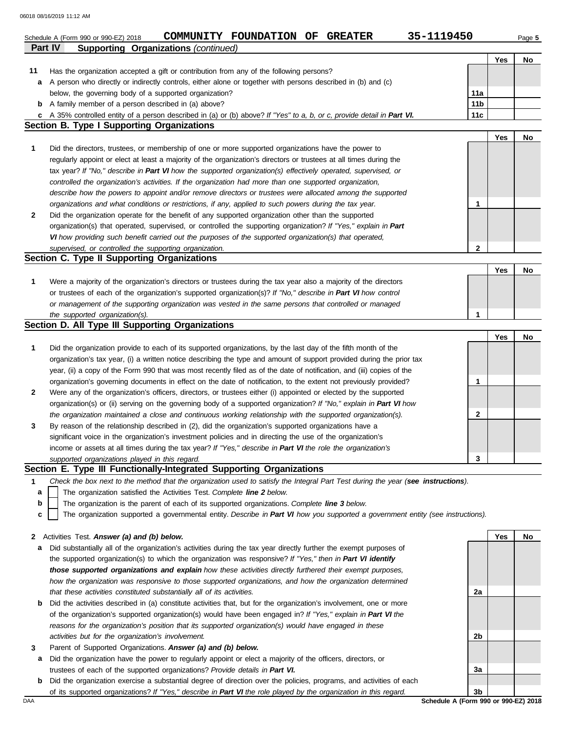06018 08/16/2019 11:12 AM

|         | 35-1119450<br>COMMUNITY FOUNDATION OF GREATER<br>Schedule A (Form 990 or 990-EZ) 2018                                                                                                                                             |              |     | Page 5 |
|---------|-----------------------------------------------------------------------------------------------------------------------------------------------------------------------------------------------------------------------------------|--------------|-----|--------|
| Part IV | <b>Supporting Organizations (continued)</b>                                                                                                                                                                                       |              |     |        |
|         |                                                                                                                                                                                                                                   |              | Yes | No     |
| 11      | Has the organization accepted a gift or contribution from any of the following persons?                                                                                                                                           |              |     |        |
| a       | A person who directly or indirectly controls, either alone or together with persons described in (b) and (c)                                                                                                                      | 11a          |     |        |
| b       | below, the governing body of a supported organization?<br>A family member of a person described in (a) above?                                                                                                                     | 11b          |     |        |
|         | c A 35% controlled entity of a person described in (a) or (b) above? If "Yes" to a, b, or c, provide detail in Part VI.                                                                                                           | 11c          |     |        |
|         | Section B. Type I Supporting Organizations                                                                                                                                                                                        |              |     |        |
|         |                                                                                                                                                                                                                                   |              | Yes | No     |
| 1       | Did the directors, trustees, or membership of one or more supported organizations have the power to                                                                                                                               |              |     |        |
|         | regularly appoint or elect at least a majority of the organization's directors or trustees at all times during the                                                                                                                |              |     |        |
|         | tax year? If "No," describe in Part VI how the supported organization(s) effectively operated, supervised, or                                                                                                                     |              |     |        |
|         | controlled the organization's activities. If the organization had more than one supported organization,                                                                                                                           |              |     |        |
|         | describe how the powers to appoint and/or remove directors or trustees were allocated among the supported                                                                                                                         |              |     |        |
|         | organizations and what conditions or restrictions, if any, applied to such powers during the tax year.                                                                                                                            | 1            |     |        |
| 2       | Did the organization operate for the benefit of any supported organization other than the supported                                                                                                                               |              |     |        |
|         | organization(s) that operated, supervised, or controlled the supporting organization? If "Yes," explain in Part                                                                                                                   |              |     |        |
|         | VI how providing such benefit carried out the purposes of the supported organization(s) that operated,                                                                                                                            |              |     |        |
|         | supervised, or controlled the supporting organization.                                                                                                                                                                            | $\mathbf{2}$ |     |        |
|         | Section C. Type II Supporting Organizations                                                                                                                                                                                       |              |     |        |
|         |                                                                                                                                                                                                                                   |              | Yes | No     |
| 1       | Were a majority of the organization's directors or trustees during the tax year also a majority of the directors<br>or trustees of each of the organization's supported organization(s)? If "No," describe in Part VI how control |              |     |        |
|         | or management of the supporting organization was vested in the same persons that controlled or managed                                                                                                                            |              |     |        |
|         | the supported organization(s).                                                                                                                                                                                                    | 1            |     |        |
|         | Section D. All Type III Supporting Organizations                                                                                                                                                                                  |              |     |        |
|         |                                                                                                                                                                                                                                   |              | Yes | No     |
| 1       | Did the organization provide to each of its supported organizations, by the last day of the fifth month of the                                                                                                                    |              |     |        |
|         | organization's tax year, (i) a written notice describing the type and amount of support provided during the prior tax                                                                                                             |              |     |        |
|         | year, (ii) a copy of the Form 990 that was most recently filed as of the date of notification, and (iii) copies of the                                                                                                            |              |     |        |
|         | organization's governing documents in effect on the date of notification, to the extent not previously provided?                                                                                                                  | 1            |     |        |
| 2       | Were any of the organization's officers, directors, or trustees either (i) appointed or elected by the supported                                                                                                                  |              |     |        |
|         | organization(s) or (ii) serving on the governing body of a supported organization? If "No," explain in Part VI how                                                                                                                |              |     |        |
|         | the organization maintained a close and continuous working relationship with the supported organization(s).                                                                                                                       | 2            |     |        |
| 3       | By reason of the relationship described in (2), did the organization's supported organizations have a                                                                                                                             |              |     |        |
|         | significant voice in the organization's investment policies and in directing the use of the organization's                                                                                                                        |              |     |        |
|         | income or assets at all times during the tax year? If "Yes," describe in Part VI the role the organization's                                                                                                                      |              |     |        |
|         | supported organizations played in this regard.                                                                                                                                                                                    | 3            |     |        |
|         | Section E. Type III Functionally-Integrated Supporting Organizations                                                                                                                                                              |              |     |        |
| 1       | Check the box next to the method that the organization used to satisfy the Integral Part Test during the year (see instructions).<br>The organization satisfied the Activities Test. Complete line 2 below.                       |              |     |        |
| a<br>b  | The organization is the parent of each of its supported organizations. Complete line 3 below.                                                                                                                                     |              |     |        |
| C       | The organization supported a governmental entity. Describe in Part VI how you supported a government entity (see instructions).                                                                                                   |              |     |        |
|         |                                                                                                                                                                                                                                   |              |     |        |
| 2       | Activities Test. Answer (a) and (b) below.                                                                                                                                                                                        |              | Yes | No     |
| а       | Did substantially all of the organization's activities during the tax year directly further the exempt purposes of                                                                                                                |              |     |        |
|         | the supported organization(s) to which the organization was responsive? If "Yes," then in Part VI identify                                                                                                                        |              |     |        |
|         | those supported organizations and explain how these activities directly furthered their exempt purposes,                                                                                                                          |              |     |        |
|         | how the organization was responsive to those supported organizations, and how the organization determined                                                                                                                         |              |     |        |
|         | that these activities constituted substantially all of its activities.                                                                                                                                                            | 2a           |     |        |
| b       | Did the activities described in (a) constitute activities that, but for the organization's involvement, one or more                                                                                                               |              |     |        |
|         | of the organization's supported organization(s) would have been engaged in? If "Yes," explain in Part VI the                                                                                                                      |              |     |        |
|         | reasons for the organization's position that its supported organization(s) would have engaged in these                                                                                                                            |              |     |        |
|         | activities but for the organization's involvement.                                                                                                                                                                                | 2b           |     |        |
| 3       | Parent of Supported Organizations. Answer (a) and (b) below.                                                                                                                                                                      |              |     |        |
| a       | Did the organization have the power to regularly appoint or elect a majority of the officers, directors, or                                                                                                                       |              |     |        |
|         | trustees of each of the supported organizations? Provide details in Part VI.                                                                                                                                                      | 3a           |     |        |

DAA **Schedule A (Form 990 or 990-EZ) 2018 3b**

**b** Did the organization exercise a substantial degree of direction over the policies, programs, and activities of each of its supported organizations? *If "Yes," describe in Part VI the role played by the organization in this regard.*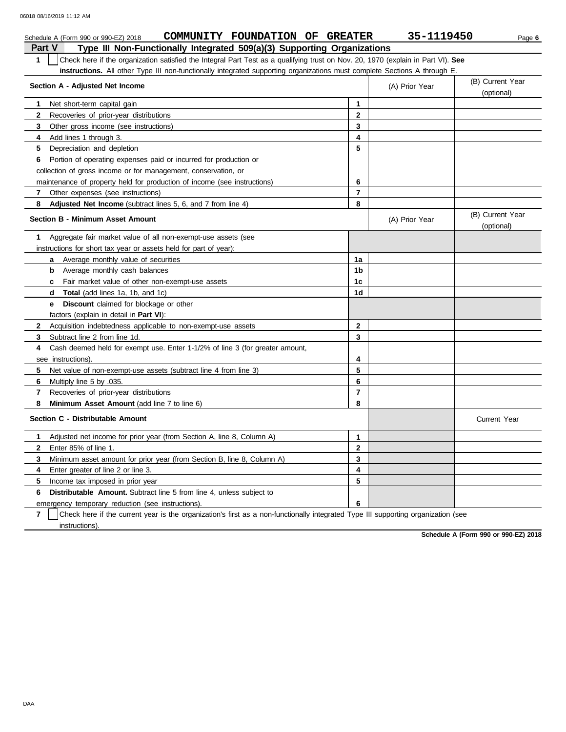|               | COMMUNITY FOUNDATION OF GREATER<br>Schedule A (Form 990 or 990-EZ) 2018                                                          |                | 35-1119450     | Page 6                         |
|---------------|----------------------------------------------------------------------------------------------------------------------------------|----------------|----------------|--------------------------------|
| <b>Part V</b> | Type III Non-Functionally Integrated 509(a)(3) Supporting Organizations                                                          |                |                |                                |
| $\mathbf{1}$  | Check here if the organization satisfied the Integral Part Test as a qualifying trust on Nov. 20, 1970 (explain in Part VI). See |                |                |                                |
|               | <b>instructions.</b> All other Type III non-functionally integrated supporting organizations must complete Sections A through E. |                |                |                                |
|               | Section A - Adjusted Net Income                                                                                                  |                | (A) Prior Year | (B) Current Year               |
|               |                                                                                                                                  |                |                | (optional)                     |
| 1             | Net short-term capital gain                                                                                                      | 1              |                |                                |
| $\mathbf{2}$  | Recoveries of prior-year distributions                                                                                           | $\mathbf{2}$   |                |                                |
| 3             | Other gross income (see instructions)                                                                                            | 3              |                |                                |
| 4             | Add lines 1 through 3.                                                                                                           | 4              |                |                                |
| 5             | Depreciation and depletion                                                                                                       | 5              |                |                                |
| 6             | Portion of operating expenses paid or incurred for production or                                                                 |                |                |                                |
|               | collection of gross income or for management, conservation, or                                                                   |                |                |                                |
|               | maintenance of property held for production of income (see instructions)                                                         | 6              |                |                                |
| $\mathbf{7}$  | Other expenses (see instructions)                                                                                                | $\overline{7}$ |                |                                |
| 8             | <b>Adjusted Net Income</b> (subtract lines 5, 6, and 7 from line 4)                                                              | 8              |                |                                |
|               | <b>Section B - Minimum Asset Amount</b>                                                                                          |                | (A) Prior Year | (B) Current Year<br>(optional) |
| 1             | Aggregate fair market value of all non-exempt-use assets (see                                                                    |                |                |                                |
|               | instructions for short tax year or assets held for part of year):                                                                |                |                |                                |
|               | <b>a</b> Average monthly value of securities                                                                                     | 1a             |                |                                |
|               | <b>b</b> Average monthly cash balances                                                                                           | 1b             |                |                                |
|               | Fair market value of other non-exempt-use assets<br>C                                                                            | 1c             |                |                                |
|               | <b>Total</b> (add lines 1a, 1b, and 1c)<br>d                                                                                     | 1d             |                |                                |
|               | Discount claimed for blockage or other<br>е                                                                                      |                |                |                                |
|               | factors (explain in detail in Part VI):                                                                                          |                |                |                                |
| $\mathbf{2}$  | Acquisition indebtedness applicable to non-exempt-use assets                                                                     | $\mathbf{2}$   |                |                                |
| 3             | Subtract line 2 from line 1d.                                                                                                    | 3              |                |                                |
| 4             | Cash deemed held for exempt use. Enter 1-1/2% of line 3 (for greater amount,                                                     |                |                |                                |
|               | see instructions).                                                                                                               | 4              |                |                                |
| 5             | Net value of non-exempt-use assets (subtract line 4 from line 3)                                                                 | 5              |                |                                |
| 6             | Multiply line 5 by .035.                                                                                                         | 6              |                |                                |
| 7             | Recoveries of prior-year distributions                                                                                           | $\overline{7}$ |                |                                |
| 8             | Minimum Asset Amount (add line 7 to line 6)                                                                                      | 8              |                |                                |
|               | Section C - Distributable Amount                                                                                                 |                |                | <b>Current Year</b>            |
| 1             | Adjusted net income for prior year (from Section A, line 8, Column A)                                                            | $\mathbf{1}$   |                |                                |
| $\mathbf{2}$  | Enter 85% of line 1.                                                                                                             | $\mathbf{2}$   |                |                                |
| 3             | Minimum asset amount for prior year (from Section B, line 8, Column A)                                                           | 3              |                |                                |
| 4             | Enter greater of line 2 or line 3.                                                                                               | 4              |                |                                |
| 5             | Income tax imposed in prior year                                                                                                 | 5              |                |                                |
| 6             | <b>Distributable Amount.</b> Subtract line 5 from line 4, unless subject to                                                      |                |                |                                |
|               | emergency temporary reduction (see instructions).                                                                                | 6              |                |                                |

**7** instructions). Check here if the current year is the organization's first as a non-functionally integrated Type III supporting organization (see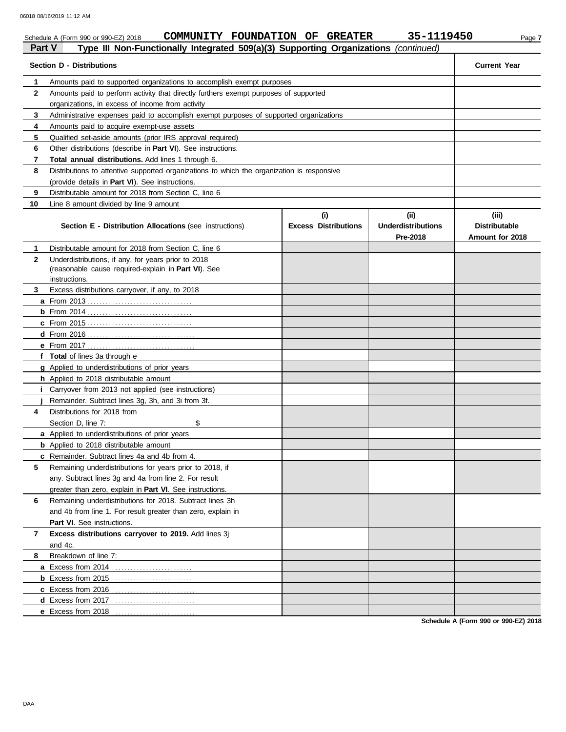|              | COMMUNITY FOUNDATION OF GREATER<br>Schedule A (Form 990 or 990-EZ) 2018                                    |                                    | 35-1119450                                    | Page 7                                           |
|--------------|------------------------------------------------------------------------------------------------------------|------------------------------------|-----------------------------------------------|--------------------------------------------------|
|              | <b>Part V</b><br>Type III Non-Functionally Integrated 509(a)(3) Supporting Organizations (continued)       |                                    |                                               |                                                  |
|              | <b>Section D - Distributions</b>                                                                           |                                    |                                               | <b>Current Year</b>                              |
| 1            | Amounts paid to supported organizations to accomplish exempt purposes                                      |                                    |                                               |                                                  |
| $\mathbf{2}$ | Amounts paid to perform activity that directly furthers exempt purposes of supported                       |                                    |                                               |                                                  |
|              | organizations, in excess of income from activity                                                           |                                    |                                               |                                                  |
| 3            | Administrative expenses paid to accomplish exempt purposes of supported organizations                      |                                    |                                               |                                                  |
| 4            | Amounts paid to acquire exempt-use assets                                                                  |                                    |                                               |                                                  |
| 5            | Qualified set-aside amounts (prior IRS approval required)                                                  |                                    |                                               |                                                  |
| 6            | Other distributions (describe in Part VI). See instructions.                                               |                                    |                                               |                                                  |
| 7            | Total annual distributions. Add lines 1 through 6.                                                         |                                    |                                               |                                                  |
| 8            | Distributions to attentive supported organizations to which the organization is responsive                 |                                    |                                               |                                                  |
|              | (provide details in Part VI). See instructions.                                                            |                                    |                                               |                                                  |
| 9            | Distributable amount for 2018 from Section C, line 6                                                       |                                    |                                               |                                                  |
| 10           | Line 8 amount divided by line 9 amount                                                                     |                                    |                                               |                                                  |
|              | <b>Section E - Distribution Allocations (see instructions)</b>                                             | (i)<br><b>Excess Distributions</b> | (ii)<br><b>Underdistributions</b><br>Pre-2018 | (iii)<br><b>Distributable</b><br>Amount for 2018 |
| 1            | Distributable amount for 2018 from Section C, line 6                                                       |                                    |                                               |                                                  |
| $\mathbf{2}$ | Underdistributions, if any, for years prior to 2018<br>(reasonable cause required-explain in Part VI). See |                                    |                                               |                                                  |
|              | instructions.                                                                                              |                                    |                                               |                                                  |
| 3            | Excess distributions carryover, if any, to 2018                                                            |                                    |                                               |                                                  |
|              |                                                                                                            |                                    |                                               |                                                  |
|              |                                                                                                            |                                    |                                               |                                                  |
|              |                                                                                                            |                                    |                                               |                                                  |
|              |                                                                                                            |                                    |                                               |                                                  |
|              |                                                                                                            |                                    |                                               |                                                  |
|              | f Total of lines 3a through e                                                                              |                                    |                                               |                                                  |
|              | g Applied to underdistributions of prior years                                                             |                                    |                                               |                                                  |
|              | h Applied to 2018 distributable amount                                                                     |                                    |                                               |                                                  |
|              | <i>i</i> Carryover from 2013 not applied (see instructions)                                                |                                    |                                               |                                                  |
|              | Remainder. Subtract lines 3g, 3h, and 3i from 3f.                                                          |                                    |                                               |                                                  |
| 4            | Distributions for 2018 from                                                                                |                                    |                                               |                                                  |
|              | Section D, line 7:<br>\$                                                                                   |                                    |                                               |                                                  |
|              | a Applied to underdistributions of prior years                                                             |                                    |                                               |                                                  |
|              | <b>b</b> Applied to 2018 distributable amount                                                              |                                    |                                               |                                                  |
|              | c Remainder. Subtract lines 4a and 4b from 4.                                                              |                                    |                                               |                                                  |
| 5            | Remaining underdistributions for years prior to 2018, if                                                   |                                    |                                               |                                                  |
|              | any. Subtract lines 3g and 4a from line 2. For result                                                      |                                    |                                               |                                                  |
|              | greater than zero, explain in Part VI. See instructions.                                                   |                                    |                                               |                                                  |
| 6            | Remaining underdistributions for 2018. Subtract lines 3h                                                   |                                    |                                               |                                                  |
|              | and 4b from line 1. For result greater than zero, explain in                                               |                                    |                                               |                                                  |
|              | Part VI. See instructions.                                                                                 |                                    |                                               |                                                  |
| 7            | Excess distributions carryover to 2019. Add lines 3j                                                       |                                    |                                               |                                                  |
|              | and 4c.                                                                                                    |                                    |                                               |                                                  |
| 8            | Breakdown of line 7:                                                                                       |                                    |                                               |                                                  |
|              | a Excess from 2014                                                                                         |                                    |                                               |                                                  |
|              |                                                                                                            |                                    |                                               |                                                  |
|              |                                                                                                            |                                    |                                               |                                                  |
|              | e Excess from 2018                                                                                         |                                    |                                               |                                                  |
|              |                                                                                                            |                                    |                                               |                                                  |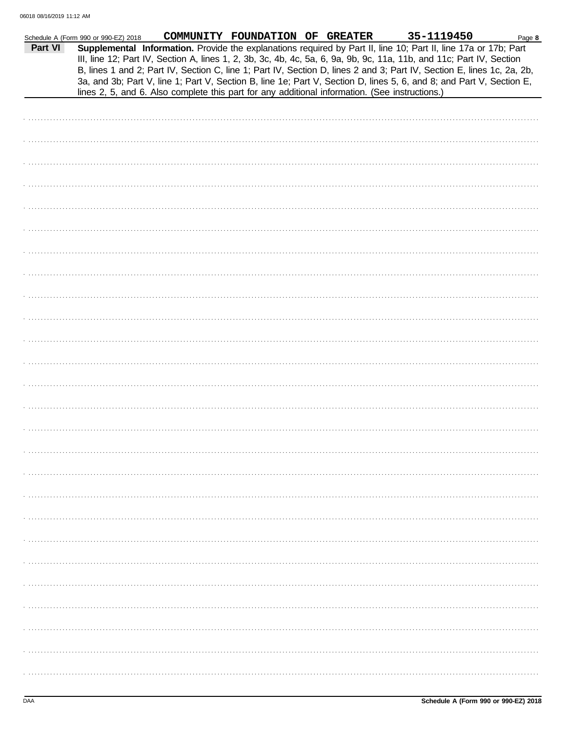|         | Schedule A (Form 990 or 990-EZ) 2018 |                                                                                                | COMMUNITY FOUNDATION OF GREATER | 35-1119450                                                                                                                                                                                                                                                                                                                                                                                                                                                                                | Page 8 |
|---------|--------------------------------------|------------------------------------------------------------------------------------------------|---------------------------------|-------------------------------------------------------------------------------------------------------------------------------------------------------------------------------------------------------------------------------------------------------------------------------------------------------------------------------------------------------------------------------------------------------------------------------------------------------------------------------------------|--------|
| Part VI |                                      |                                                                                                |                                 | Supplemental Information. Provide the explanations required by Part II, line 10; Part II, line 17a or 17b; Part<br>III, line 12; Part IV, Section A, lines 1, 2, 3b, 3c, 4b, 4c, 5a, 6, 9a, 9b, 9c, 11a, 11b, and 11c; Part IV, Section<br>B, lines 1 and 2; Part IV, Section C, line 1; Part IV, Section D, lines 2 and 3; Part IV, Section E, lines 1c, 2a, 2b,<br>3a, and 3b; Part V, line 1; Part V, Section B, line 1e; Part V, Section D, lines 5, 6, and 8; and Part V, Section E, |        |
|         |                                      | lines 2, 5, and 6. Also complete this part for any additional information. (See instructions.) |                                 |                                                                                                                                                                                                                                                                                                                                                                                                                                                                                           |        |
|         |                                      |                                                                                                |                                 |                                                                                                                                                                                                                                                                                                                                                                                                                                                                                           |        |
|         |                                      |                                                                                                |                                 |                                                                                                                                                                                                                                                                                                                                                                                                                                                                                           |        |
|         |                                      |                                                                                                |                                 |                                                                                                                                                                                                                                                                                                                                                                                                                                                                                           |        |
|         |                                      |                                                                                                |                                 |                                                                                                                                                                                                                                                                                                                                                                                                                                                                                           |        |
|         |                                      |                                                                                                |                                 |                                                                                                                                                                                                                                                                                                                                                                                                                                                                                           |        |
|         |                                      |                                                                                                |                                 |                                                                                                                                                                                                                                                                                                                                                                                                                                                                                           |        |
|         |                                      |                                                                                                |                                 |                                                                                                                                                                                                                                                                                                                                                                                                                                                                                           |        |
|         |                                      |                                                                                                |                                 |                                                                                                                                                                                                                                                                                                                                                                                                                                                                                           |        |
|         |                                      |                                                                                                |                                 |                                                                                                                                                                                                                                                                                                                                                                                                                                                                                           |        |
|         |                                      |                                                                                                |                                 |                                                                                                                                                                                                                                                                                                                                                                                                                                                                                           |        |
|         |                                      |                                                                                                |                                 |                                                                                                                                                                                                                                                                                                                                                                                                                                                                                           |        |
|         |                                      |                                                                                                |                                 |                                                                                                                                                                                                                                                                                                                                                                                                                                                                                           |        |
|         |                                      |                                                                                                |                                 |                                                                                                                                                                                                                                                                                                                                                                                                                                                                                           |        |
|         |                                      |                                                                                                |                                 |                                                                                                                                                                                                                                                                                                                                                                                                                                                                                           |        |
|         |                                      |                                                                                                |                                 |                                                                                                                                                                                                                                                                                                                                                                                                                                                                                           |        |
|         |                                      |                                                                                                |                                 |                                                                                                                                                                                                                                                                                                                                                                                                                                                                                           |        |
|         |                                      |                                                                                                |                                 |                                                                                                                                                                                                                                                                                                                                                                                                                                                                                           |        |
|         |                                      |                                                                                                |                                 |                                                                                                                                                                                                                                                                                                                                                                                                                                                                                           |        |
|         |                                      |                                                                                                |                                 |                                                                                                                                                                                                                                                                                                                                                                                                                                                                                           |        |
|         |                                      |                                                                                                |                                 |                                                                                                                                                                                                                                                                                                                                                                                                                                                                                           |        |
|         |                                      |                                                                                                |                                 |                                                                                                                                                                                                                                                                                                                                                                                                                                                                                           |        |
|         |                                      |                                                                                                |                                 |                                                                                                                                                                                                                                                                                                                                                                                                                                                                                           |        |
|         |                                      |                                                                                                |                                 |                                                                                                                                                                                                                                                                                                                                                                                                                                                                                           |        |
|         |                                      |                                                                                                |                                 |                                                                                                                                                                                                                                                                                                                                                                                                                                                                                           |        |
|         |                                      |                                                                                                |                                 |                                                                                                                                                                                                                                                                                                                                                                                                                                                                                           |        |
|         |                                      |                                                                                                |                                 |                                                                                                                                                                                                                                                                                                                                                                                                                                                                                           |        |
|         |                                      |                                                                                                |                                 |                                                                                                                                                                                                                                                                                                                                                                                                                                                                                           |        |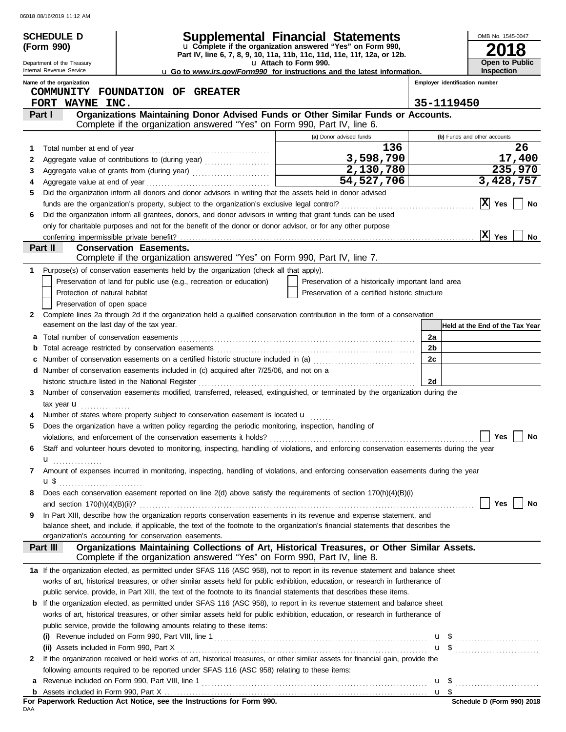06018 08/16/2019 11:12 AM

|   | <b>SCHEDULE D</b>                                           |                                                                                                                                                                                                                                |                                                                                                          |    | OMB No. 1545-0047                          |
|---|-------------------------------------------------------------|--------------------------------------------------------------------------------------------------------------------------------------------------------------------------------------------------------------------------------|----------------------------------------------------------------------------------------------------------|----|--------------------------------------------|
|   | (Form 990)                                                  |                                                                                                                                                                                                                                | <b>Supplemental Financial Statements</b><br>u Complete if the organization answered "Yes" on Form 990,   |    |                                            |
|   |                                                             |                                                                                                                                                                                                                                | Part IV, line 6, 7, 8, 9, 10, 11a, 11b, 11c, 11d, 11e, 11f, 12a, or 12b.                                 |    |                                            |
|   | Department of the Treasury<br>Internal Revenue Service      |                                                                                                                                                                                                                                | u Attach to Form 990.<br><b>u</b> Go to www.irs.gov/Form990 for instructions and the latest information. |    | <b>Open to Public</b><br><b>Inspection</b> |
|   | Name of the organization                                    |                                                                                                                                                                                                                                |                                                                                                          |    | Employer identification number             |
|   |                                                             | COMMUNITY FOUNDATION OF GREATER                                                                                                                                                                                                |                                                                                                          |    |                                            |
|   | FORT WAYNE INC.                                             |                                                                                                                                                                                                                                |                                                                                                          |    | 35-1119450                                 |
|   | Part I                                                      | Organizations Maintaining Donor Advised Funds or Other Similar Funds or Accounts.                                                                                                                                              |                                                                                                          |    |                                            |
|   |                                                             | Complete if the organization answered "Yes" on Form 990, Part IV, line 6.                                                                                                                                                      |                                                                                                          |    |                                            |
|   |                                                             |                                                                                                                                                                                                                                | (a) Donor advised funds                                                                                  |    | (b) Funds and other accounts               |
| 1 |                                                             |                                                                                                                                                                                                                                | 136                                                                                                      |    | 26                                         |
| 2 |                                                             |                                                                                                                                                                                                                                | $\overline{3,598,790}$                                                                                   |    | 17,400                                     |
| 3 |                                                             |                                                                                                                                                                                                                                | $\overline{2,130,780}$                                                                                   |    | 235,970                                    |
| 4 |                                                             |                                                                                                                                                                                                                                | 54,527,706                                                                                               |    | 3,428,757                                  |
| 5 |                                                             | Did the organization inform all donors and donor advisors in writing that the assets held in donor advised                                                                                                                     |                                                                                                          |    |                                            |
|   |                                                             |                                                                                                                                                                                                                                |                                                                                                          |    | $ X $ Yes<br>No                            |
| 6 |                                                             | Did the organization inform all grantees, donors, and donor advisors in writing that grant funds can be used                                                                                                                   |                                                                                                          |    |                                            |
|   |                                                             | only for charitable purposes and not for the benefit of the donor or donor advisor, or for any other purpose                                                                                                                   |                                                                                                          |    |                                            |
|   | conferring impermissible private benefit?                   |                                                                                                                                                                                                                                |                                                                                                          |    | $ \mathbf{X} $ Yes<br>No.                  |
|   | Part II                                                     | <b>Conservation Easements.</b><br>Complete if the organization answered "Yes" on Form 990, Part IV, line 7.                                                                                                                    |                                                                                                          |    |                                            |
|   |                                                             |                                                                                                                                                                                                                                |                                                                                                          |    |                                            |
| 1 |                                                             | Purpose(s) of conservation easements held by the organization (check all that apply).                                                                                                                                          |                                                                                                          |    |                                            |
|   |                                                             | Preservation of land for public use (e.g., recreation or education)                                                                                                                                                            | Preservation of a historically important land area                                                       |    |                                            |
|   | Protection of natural habitat<br>Preservation of open space |                                                                                                                                                                                                                                | Preservation of a certified historic structure                                                           |    |                                            |
| 2 |                                                             | Complete lines 2a through 2d if the organization held a qualified conservation contribution in the form of a conservation                                                                                                      |                                                                                                          |    |                                            |
|   | easement on the last day of the tax year.                   |                                                                                                                                                                                                                                |                                                                                                          |    | Held at the End of the Tax Year            |
| а |                                                             |                                                                                                                                                                                                                                |                                                                                                          | 2a |                                            |
|   |                                                             |                                                                                                                                                                                                                                |                                                                                                          | 2b |                                            |
|   |                                                             | Number of conservation easements on a certified historic structure included in (a) [11] Number of conservation easements on a certified historic structure included in (a)                                                     |                                                                                                          | 2c |                                            |
|   |                                                             | d Number of conservation easements included in (c) acquired after 7/25/06, and not on a                                                                                                                                        |                                                                                                          |    |                                            |
|   |                                                             | historic structure listed in the National Register [111] Allen Contains and Allen Contains and Allen Contains and Allen Contains and Allen Contains and Allen Contains and Allen Contains and Allen Contains and Allen Contain |                                                                                                          | 2d |                                            |
| 3 |                                                             | Number of conservation easements modified, transferred, released, extinguished, or terminated by the organization during the                                                                                                   |                                                                                                          |    |                                            |
|   | tax year $\mathbf u$                                        |                                                                                                                                                                                                                                |                                                                                                          |    |                                            |
|   |                                                             | Number of states where property subject to conservation easement is located $\mathbf{u}$                                                                                                                                       |                                                                                                          |    |                                            |
| 5 |                                                             | Does the organization have a written policy regarding the periodic monitoring, inspection, handling of                                                                                                                         |                                                                                                          |    |                                            |
|   |                                                             |                                                                                                                                                                                                                                |                                                                                                          |    | Yes<br>No                                  |
| 6 |                                                             | Staff and volunteer hours devoted to monitoring, inspecting, handling of violations, and enforcing conservation easements during the year                                                                                      |                                                                                                          |    |                                            |
|   | $\mathbf{u}$                                                |                                                                                                                                                                                                                                |                                                                                                          |    |                                            |
| 7 |                                                             | Amount of expenses incurred in monitoring, inspecting, handling of violations, and enforcing conservation easements during the year                                                                                            |                                                                                                          |    |                                            |
|   | <b>u</b> \$ <u></u>                                         |                                                                                                                                                                                                                                |                                                                                                          |    |                                            |
| 8 |                                                             | Does each conservation easement reported on line 2(d) above satisfy the requirements of section 170(h)(4)(B)(i)                                                                                                                |                                                                                                          |    |                                            |
|   |                                                             |                                                                                                                                                                                                                                |                                                                                                          |    | Yes<br>No                                  |
| 9 |                                                             | In Part XIII, describe how the organization reports conservation easements in its revenue and expense statement, and                                                                                                           |                                                                                                          |    |                                            |
|   |                                                             | balance sheet, and include, if applicable, the text of the footnote to the organization's financial statements that describes the<br>organization's accounting for conservation easements.                                     |                                                                                                          |    |                                            |
|   | Part III                                                    | Organizations Maintaining Collections of Art, Historical Treasures, or Other Similar Assets.                                                                                                                                   |                                                                                                          |    |                                            |
|   |                                                             | Complete if the organization answered "Yes" on Form 990, Part IV, line 8.                                                                                                                                                      |                                                                                                          |    |                                            |
|   |                                                             | 1a If the organization elected, as permitted under SFAS 116 (ASC 958), not to report in its revenue statement and balance sheet                                                                                                |                                                                                                          |    |                                            |
|   |                                                             | works of art, historical treasures, or other similar assets held for public exhibition, education, or research in furtherance of                                                                                               |                                                                                                          |    |                                            |
|   |                                                             | public service, provide, in Part XIII, the text of the footnote to its financial statements that describes these items.                                                                                                        |                                                                                                          |    |                                            |
|   |                                                             | <b>b</b> If the organization elected, as permitted under SFAS 116 (ASC 958), to report in its revenue statement and balance sheet                                                                                              |                                                                                                          |    |                                            |
|   |                                                             | works of art, historical treasures, or other similar assets held for public exhibition, education, or research in furtherance of                                                                                               |                                                                                                          |    |                                            |
|   |                                                             | public service, provide the following amounts relating to these items:                                                                                                                                                         |                                                                                                          |    |                                            |
|   |                                                             |                                                                                                                                                                                                                                |                                                                                                          |    |                                            |
|   |                                                             |                                                                                                                                                                                                                                |                                                                                                          |    | $\mathbf{u}$ \$                            |
| 2 |                                                             | If the organization received or held works of art, historical treasures, or other similar assets for financial gain, provide the                                                                                               |                                                                                                          |    |                                            |
|   |                                                             | following amounts required to be reported under SFAS 116 (ASC 958) relating to these items:                                                                                                                                    |                                                                                                          |    |                                            |
|   |                                                             |                                                                                                                                                                                                                                |                                                                                                          |    |                                            |
|   |                                                             |                                                                                                                                                                                                                                |                                                                                                          |    | $\mathbf{u} \cdot \mathbf{\$}$             |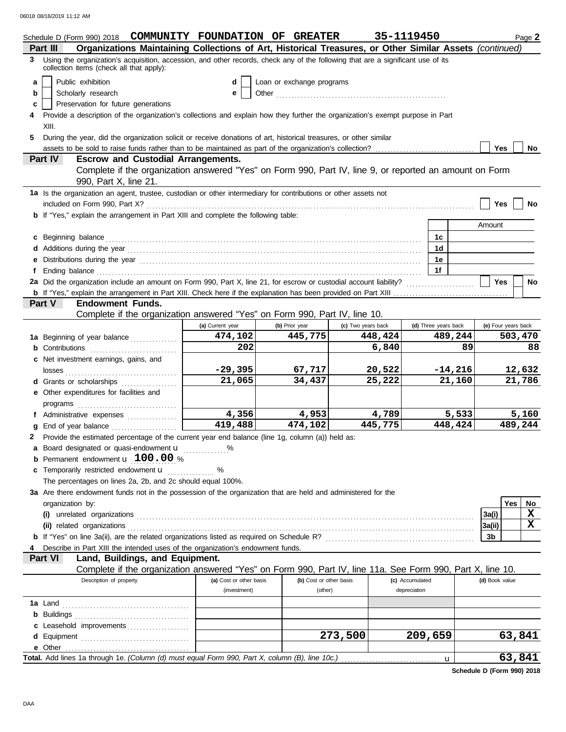|   | Schedule D (Form 990) 2018 COMMUNITY FOUNDATION OF GREATER                                                                                                                                                                           |                         |                           |                         |                    | 35-1119450 |                 |                      |           |                     |     | Page 2    |
|---|--------------------------------------------------------------------------------------------------------------------------------------------------------------------------------------------------------------------------------------|-------------------------|---------------------------|-------------------------|--------------------|------------|-----------------|----------------------|-----------|---------------------|-----|-----------|
|   | Organizations Maintaining Collections of Art, Historical Treasures, or Other Similar Assets (continued)<br>Part III                                                                                                                  |                         |                           |                         |                    |            |                 |                      |           |                     |     |           |
|   | 3 Using the organization's acquisition, accession, and other records, check any of the following that are a significant use of its<br>collection items (check all that apply):                                                       |                         |                           |                         |                    |            |                 |                      |           |                     |     |           |
| a | Public exhibition                                                                                                                                                                                                                    | d                       | Loan or exchange programs |                         |                    |            |                 |                      |           |                     |     |           |
| b | Scholarly research                                                                                                                                                                                                                   | е                       |                           |                         |                    |            |                 |                      |           |                     |     |           |
| c | Preservation for future generations                                                                                                                                                                                                  |                         |                           |                         |                    |            |                 |                      |           |                     |     |           |
|   | Provide a description of the organization's collections and explain how they further the organization's exempt purpose in Part                                                                                                       |                         |                           |                         |                    |            |                 |                      |           |                     |     |           |
|   | XIII.                                                                                                                                                                                                                                |                         |                           |                         |                    |            |                 |                      |           |                     |     |           |
| 5 | During the year, did the organization solicit or receive donations of art, historical treasures, or other similar                                                                                                                    |                         |                           |                         |                    |            |                 |                      |           |                     |     |           |
|   |                                                                                                                                                                                                                                      |                         |                           |                         |                    |            |                 |                      |           | Yes                 |     | No        |
|   | Part IV<br><b>Escrow and Custodial Arrangements.</b>                                                                                                                                                                                 |                         |                           |                         |                    |            |                 |                      |           |                     |     |           |
|   | Complete if the organization answered "Yes" on Form 990, Part IV, line 9, or reported an amount on Form                                                                                                                              |                         |                           |                         |                    |            |                 |                      |           |                     |     |           |
|   | 990, Part X, line 21.                                                                                                                                                                                                                |                         |                           |                         |                    |            |                 |                      |           |                     |     |           |
|   | 1a Is the organization an agent, trustee, custodian or other intermediary for contributions or other assets not                                                                                                                      |                         |                           |                         |                    |            |                 |                      |           |                     |     |           |
|   | included on Form 990, Part X?                                                                                                                                                                                                        |                         |                           |                         |                    |            |                 |                      |           | <b>Yes</b>          |     | No        |
|   | <b>b</b> If "Yes," explain the arrangement in Part XIII and complete the following table:                                                                                                                                            |                         |                           |                         |                    |            |                 |                      |           |                     |     |           |
|   |                                                                                                                                                                                                                                      |                         |                           |                         |                    |            |                 |                      |           | Amount              |     |           |
|   | c Beginning balance <b>contract the contract of the contract of the contract of the contract of the contract of the contract of the contract of the contract of the contract of the contract of the contract of the contract of </b> |                         |                           |                         |                    |            |                 | 1c                   |           |                     |     |           |
|   |                                                                                                                                                                                                                                      |                         |                           |                         |                    |            |                 | 1 <sub>d</sub>       |           |                     |     |           |
|   | Distributions during the year manufactured contains and contained a state of the year manufactured with the state of the state of the state of the state of the state of the state of the state of the state of the state of t       |                         |                           |                         |                    |            |                 | 1e                   |           |                     |     |           |
|   |                                                                                                                                                                                                                                      |                         |                           |                         |                    |            |                 | 1f                   |           |                     |     |           |
|   | 2a Did the organization include an amount on Form 990, Part X, line 21, for escrow or custodial account liability?                                                                                                                   |                         |                           |                         |                    |            |                 |                      |           | Yes                 |     | <b>No</b> |
|   |                                                                                                                                                                                                                                      |                         |                           |                         |                    |            |                 |                      |           |                     |     |           |
|   | <b>Endowment Funds.</b><br>Part V                                                                                                                                                                                                    |                         |                           |                         |                    |            |                 |                      |           |                     |     |           |
|   | Complete if the organization answered "Yes" on Form 990, Part IV, line 10.                                                                                                                                                           |                         |                           |                         |                    |            |                 |                      |           |                     |     |           |
|   |                                                                                                                                                                                                                                      | (a) Current year        | (b) Prior year            |                         | (c) Two years back |            |                 | (d) Three years back |           | (e) Four years back |     |           |
|   | 1a Beginning of year balance                                                                                                                                                                                                         | 474,102                 |                           | 445,775                 |                    | 448,424    |                 |                      | 489,244   |                     |     | 503,470   |
|   | Contributions                                                                                                                                                                                                                        | 202                     |                           |                         |                    | 6,840      |                 |                      | 89        |                     |     | 88        |
|   | c Net investment earnings, gains, and                                                                                                                                                                                                |                         |                           |                         |                    |            |                 |                      |           |                     |     |           |
|   |                                                                                                                                                                                                                                      | $-29,395$               |                           | 67,717                  |                    | 20,522     |                 |                      | $-14,216$ | 12,632              |     |           |
|   | Grants or scholarships                                                                                                                                                                                                               | 21,065                  |                           | 34,437                  |                    | 25,222     |                 |                      | 21,160    |                     |     | 21,786    |
|   | e Other expenditures for facilities and                                                                                                                                                                                              |                         |                           |                         |                    |            |                 |                      |           |                     |     |           |
|   |                                                                                                                                                                                                                                      |                         |                           |                         |                    |            |                 |                      |           |                     |     |           |
|   | Administrative expenses                                                                                                                                                                                                              | 4,356                   |                           | 4,953                   |                    | 4,789      |                 |                      | 5,533     |                     |     | 5,160     |
|   | End of year balance                                                                                                                                                                                                                  | 419,488                 |                           | 474,102                 |                    | 445,775    |                 |                      | 448,424   |                     |     | 489,244   |
|   | Provide the estimated percentage of the current year end balance (line 1g, column (a)) held as:                                                                                                                                      |                         |                           |                         |                    |            |                 |                      |           |                     |     |           |
|   | a Board designated or quasi-endowment u                                                                                                                                                                                              | %                       |                           |                         |                    |            |                 |                      |           |                     |     |           |
|   | <b>b</b> Permanent endowment $\mathbf{u}$ 100.00 %                                                                                                                                                                                   |                         |                           |                         |                    |            |                 |                      |           |                     |     |           |
|   | c Temporarily restricted endowment u                                                                                                                                                                                                 | %                       |                           |                         |                    |            |                 |                      |           |                     |     |           |
|   | The percentages on lines 2a, 2b, and 2c should equal 100%.                                                                                                                                                                           |                         |                           |                         |                    |            |                 |                      |           |                     |     |           |
|   | 3a Are there endowment funds not in the possession of the organization that are held and administered for the                                                                                                                        |                         |                           |                         |                    |            |                 |                      |           |                     |     |           |
|   | organization by:                                                                                                                                                                                                                     |                         |                           |                         |                    |            |                 |                      |           |                     | Yes | No        |
|   |                                                                                                                                                                                                                                      |                         |                           |                         |                    |            |                 |                      |           | 3a(i)               |     | x         |
|   | (ii) related organizations                                                                                                                                                                                                           |                         |                           |                         |                    |            |                 |                      |           | 3a(ii)              |     | x         |
|   |                                                                                                                                                                                                                                      |                         |                           |                         |                    |            |                 |                      |           | 3b                  |     |           |
|   | Describe in Part XIII the intended uses of the organization's endowment funds.                                                                                                                                                       |                         |                           |                         |                    |            |                 |                      |           |                     |     |           |
|   | Land, Buildings, and Equipment.<br>Part VI                                                                                                                                                                                           |                         |                           |                         |                    |            |                 |                      |           |                     |     |           |
|   | Complete if the organization answered "Yes" on Form 990, Part IV, line 11a. See Form 990, Part X, line 10.                                                                                                                           |                         |                           |                         |                    |            |                 |                      |           |                     |     |           |
|   | Description of property                                                                                                                                                                                                              | (a) Cost or other basis |                           | (b) Cost or other basis |                    |            | (c) Accumulated |                      |           | (d) Book value      |     |           |
|   |                                                                                                                                                                                                                                      | (investment)            |                           | (other)                 |                    |            | depreciation    |                      |           |                     |     |           |
|   |                                                                                                                                                                                                                                      |                         |                           |                         |                    |            |                 |                      |           |                     |     |           |
|   | <b>b</b> Buildings                                                                                                                                                                                                                   |                         |                           |                         |                    |            |                 |                      |           |                     |     |           |
|   | c Leasehold improvements                                                                                                                                                                                                             |                         |                           |                         |                    |            |                 |                      |           |                     |     |           |
|   |                                                                                                                                                                                                                                      |                         |                           |                         | 273,500            |            | 209,659         |                      |           |                     |     | 63,841    |
|   | e Other                                                                                                                                                                                                                              |                         |                           |                         |                    |            |                 |                      |           |                     |     |           |
|   | Total. Add lines 1a through 1e. (Column (d) must equal Form 990, Part X, column (B), line 10c.)                                                                                                                                      |                         |                           |                         |                    |            |                 | $\mathbf u$          |           |                     |     | 63,841    |

**Schedule D (Form 990) 2018**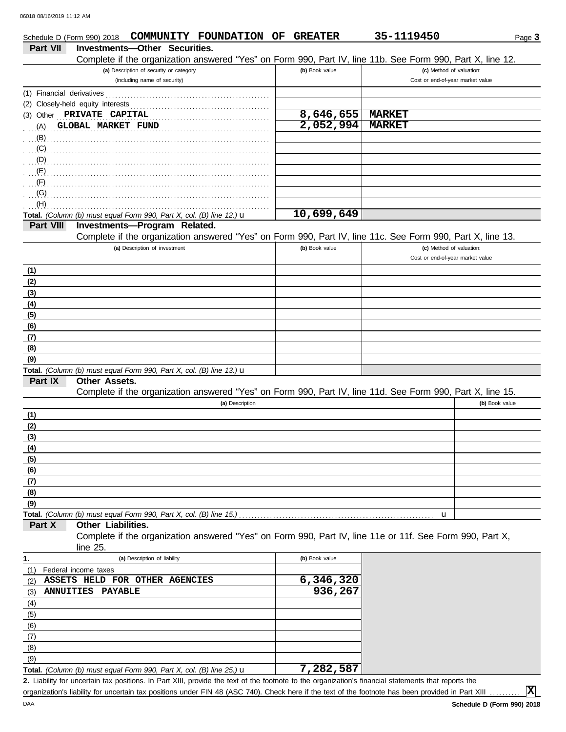|                              | COMMUNITY FOUNDATION OF GREATER<br>Schedule D (Form 990) 2018                                              |                | 35-1119450                       | Page 3         |
|------------------------------|------------------------------------------------------------------------------------------------------------|----------------|----------------------------------|----------------|
| Part VII                     | Investments-Other Securities.                                                                              |                |                                  |                |
|                              | Complete if the organization answered "Yes" on Form 990, Part IV, line 11b. See Form 990, Part X, line 12. |                |                                  |                |
|                              | (a) Description of security or category                                                                    | (b) Book value | (c) Method of valuation:         |                |
|                              | (including name of security)                                                                               |                | Cost or end-of-year market value |                |
| (1) Financial derivatives    |                                                                                                            |                |                                  |                |
| (2)                          | Closely-held equity interests                                                                              |                |                                  |                |
|                              | Other PRIVATE CAPITAL                                                                                      | 8,646,655      | <b>MARKET</b>                    |                |
| (A)                          | GLOBAL MARKET FUND                                                                                         | 2,052,994      | <b>MARKET</b>                    |                |
| $\overline{B}$ .             |                                                                                                            |                |                                  |                |
| $\overline{\mathcal{L}}$ (C) |                                                                                                            |                |                                  |                |
| (D)                          |                                                                                                            |                |                                  |                |
| (E)                          |                                                                                                            |                |                                  |                |
| $\overline{F}$               |                                                                                                            |                |                                  |                |
| (G)                          |                                                                                                            |                |                                  |                |
| (H)                          |                                                                                                            |                |                                  |                |
|                              | Total. (Column (b) must equal Form 990, Part X, col. (B) line 12.) u                                       | 10,699,649     |                                  |                |
| Part VIII                    | Investments-Program Related.                                                                               |                |                                  |                |
|                              | Complete if the organization answered "Yes" on Form 990, Part IV, line 11c. See Form 990, Part X, line 13. |                |                                  |                |
|                              | (a) Description of investment                                                                              | (b) Book value | (c) Method of valuation:         |                |
|                              |                                                                                                            |                | Cost or end-of-year market value |                |
| (1)                          |                                                                                                            |                |                                  |                |
| (2)                          |                                                                                                            |                |                                  |                |
| (3)                          |                                                                                                            |                |                                  |                |
| (4)                          |                                                                                                            |                |                                  |                |
| (5)                          |                                                                                                            |                |                                  |                |
| (6)                          |                                                                                                            |                |                                  |                |
| (7)                          |                                                                                                            |                |                                  |                |
| (8)                          |                                                                                                            |                |                                  |                |
| (9)                          |                                                                                                            |                |                                  |                |
| Part IX                      | Total. (Column (b) must equal Form 990, Part X, col. (B) line 13.) $\mathbf u$<br>Other Assets.            |                |                                  |                |
|                              | Complete if the organization answered "Yes" on Form 990, Part IV, line 11d. See Form 990, Part X, line 15. |                |                                  |                |
|                              | (a) Description                                                                                            |                |                                  | (b) Book value |
| (1)                          |                                                                                                            |                |                                  |                |
| (2)                          |                                                                                                            |                |                                  |                |
| (3)                          |                                                                                                            |                |                                  |                |
| (4)                          |                                                                                                            |                |                                  |                |
| (5)                          |                                                                                                            |                |                                  |                |
| (6)                          |                                                                                                            |                |                                  |                |
| (7)                          |                                                                                                            |                |                                  |                |
| (8)                          |                                                                                                            |                |                                  |                |
| (9)                          |                                                                                                            |                |                                  |                |
|                              | Total. (Column (b) must equal Form 990, Part X, col. (B) line 15.)                                         |                | u                                |                |
| Part X                       | Other Liabilities.                                                                                         |                |                                  |                |
|                              | Complete if the organization answered "Yes" on Form 990, Part IV, line 11e or 11f. See Form 990, Part X,   |                |                                  |                |
|                              | line 25.                                                                                                   |                |                                  |                |
| 1.                           | (a) Description of liability                                                                               | (b) Book value |                                  |                |
| (1)                          | Federal income taxes                                                                                       |                |                                  |                |
| (2)                          | ASSETS HELD FOR OTHER AGENCIES                                                                             | 6,346,320      |                                  |                |
| ANNUITIES<br>(3)             | <b>PAYABLE</b>                                                                                             | 936,267        |                                  |                |
| (4)                          |                                                                                                            |                |                                  |                |
| (5)                          |                                                                                                            |                |                                  |                |
| (6)                          |                                                                                                            |                |                                  |                |
| (7)                          |                                                                                                            |                |                                  |                |
| (8)                          |                                                                                                            |                |                                  |                |

**Total.** *(Column (b) must equal Form 990, Part X, col. (B) line 25.)* u  $(9)$ **7,282,587**

Liability for uncertain tax positions. In Part XIII, provide the text of the footnote to the organization's financial statements that reports the **2.** organization's liability for uncertain tax positions under FIN 48 (ASC 740). Check here if the text of the footnote has been provided in Part XIII

**X**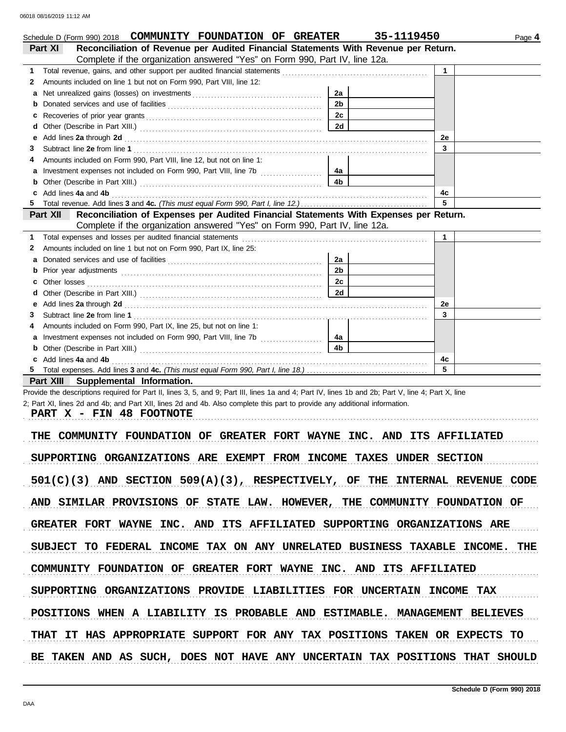| Schedule D (Form 990) 2018 COMMUNITY FOUNDATION OF GREATER                                                                                                                                                                          | 35-1119450     | Page 4       |
|-------------------------------------------------------------------------------------------------------------------------------------------------------------------------------------------------------------------------------------|----------------|--------------|
| Reconciliation of Revenue per Audited Financial Statements With Revenue per Return.<br>Part XI                                                                                                                                      |                |              |
| Complete if the organization answered "Yes" on Form 990, Part IV, line 12a.                                                                                                                                                         |                |              |
| Total revenue, gains, and other support per audited financial statements<br>1                                                                                                                                                       |                | $\mathbf{1}$ |
| Amounts included on line 1 but not on Form 990, Part VIII, line 12:<br>2                                                                                                                                                            |                |              |
| а                                                                                                                                                                                                                                   | 2a             |              |
| b                                                                                                                                                                                                                                   | 2 <sub>b</sub> |              |
| с                                                                                                                                                                                                                                   | 2c             |              |
| d                                                                                                                                                                                                                                   | <b>2d</b>      |              |
| Add lines 2a through 2d [11] Add [12] Add lines 2a through 2d [12] Add lines 2a through 2d [12] Add lines 2a through 2d [12] Add and Add and Addu<br>е                                                                              |                | 2e           |
| З                                                                                                                                                                                                                                   |                | 3            |
| Amounts included on Form 990, Part VIII, line 12, but not on line 1:<br>4                                                                                                                                                           |                |              |
| Investment expenses not included on Form 990, Part VIII, line 7b [<br>а                                                                                                                                                             | 4a             |              |
| b                                                                                                                                                                                                                                   | 4b             |              |
| Add lines 4a and 4b                                                                                                                                                                                                                 |                | 4c<br>5      |
| 5                                                                                                                                                                                                                                   |                |              |
| Reconciliation of Expenses per Audited Financial Statements With Expenses per Return.<br><b>Part XII</b>                                                                                                                            |                |              |
| Complete if the organization answered "Yes" on Form 990, Part IV, line 12a.                                                                                                                                                         |                |              |
| 1                                                                                                                                                                                                                                   |                | $\mathbf{1}$ |
| Amounts included on line 1 but not on Form 990, Part IX, line 25:<br>2                                                                                                                                                              |                |              |
| а                                                                                                                                                                                                                                   | 2a             |              |
| b                                                                                                                                                                                                                                   | 2b             |              |
| с                                                                                                                                                                                                                                   | 2c             |              |
| d                                                                                                                                                                                                                                   | <b>2d</b>      |              |
| Add lines 2a through 2d [11] Additional Property and Table 1 and Table 1 and Table 1 and Table 1 and Table 1 and Table 1 and Table 1 and Table 1 and Table 1 and Table 1 and Table 1 and Table 1 and Table 1 and Table 1 and T<br>е |                | 2e           |
| 3                                                                                                                                                                                                                                   |                | 3            |
| Amounts included on Form 990, Part IX, line 25, but not on line 1:<br>4                                                                                                                                                             |                |              |
| Investment expenses not included on Form 990, Part VIII, line 7b [<br>а                                                                                                                                                             | 4a<br>4b       |              |
| b                                                                                                                                                                                                                                   |                |              |
| Add lines 4a and 4b<br>5.                                                                                                                                                                                                           |                | 4с<br>5      |
| Part XIII Supplemental Information.                                                                                                                                                                                                 |                |              |
| Provide the descriptions required for Part II, lines 3, 5, and 9; Part III, lines 1a and 4; Part IV, lines 1b and 2b; Part V, line 4; Part X, line                                                                                  |                |              |
| 2; Part XI, lines 2d and 4b; and Part XII, lines 2d and 4b. Also complete this part to provide any additional information.                                                                                                          |                |              |
| PART X - FIN 48 FOOTNOTE                                                                                                                                                                                                            |                |              |
|                                                                                                                                                                                                                                     |                |              |
| THE COMMUNITY FOUNDATION OF GREATER FORT WAYNE INC. AND ITS AFFILIATED                                                                                                                                                              |                |              |
|                                                                                                                                                                                                                                     |                |              |
| SUPPORTING ORGANIZATIONS ARE EXEMPT FROM INCOME TAXES UNDER SECTION                                                                                                                                                                 |                |              |
|                                                                                                                                                                                                                                     |                |              |
| $501(C)(3)$ AND SECTION 509(A)(3), RESPECTIVELY, OF THE INTERNAL REVENUE CODE                                                                                                                                                       |                |              |
|                                                                                                                                                                                                                                     |                |              |
| AND SIMILAR PROVISIONS OF STATE LAW. HOWEVER, THE COMMUNITY FOUNDATION OF                                                                                                                                                           |                |              |
|                                                                                                                                                                                                                                     |                |              |
| GREATER FORT WAYNE INC. AND ITS AFFILIATED SUPPORTING ORGANIZATIONS ARE                                                                                                                                                             |                |              |
|                                                                                                                                                                                                                                     |                |              |
| SUBJECT TO FEDERAL INCOME TAX ON ANY UNRELATED BUSINESS TAXABLE INCOME. THE                                                                                                                                                         |                |              |
|                                                                                                                                                                                                                                     |                |              |
| COMMUNITY FOUNDATION OF GREATER FORT WAYNE INC. AND ITS AFFILIATED                                                                                                                                                                  |                |              |
|                                                                                                                                                                                                                                     |                |              |
| SUPPORTING ORGANIZATIONS PROVIDE LIABILITIES FOR UNCERTAIN INCOME TAX                                                                                                                                                               |                |              |
|                                                                                                                                                                                                                                     |                |              |
| POSITIONS WHEN A LIABILITY IS PROBABLE AND ESTIMABLE. MANAGEMENT BELIEVES                                                                                                                                                           |                |              |
|                                                                                                                                                                                                                                     |                |              |
| THAT IT HAS APPROPRIATE SUPPORT FOR ANY TAX POSITIONS TAKEN OR EXPECTS TO                                                                                                                                                           |                |              |
|                                                                                                                                                                                                                                     |                |              |
| BE TAKEN AND AS SUCH, DOES NOT HAVE ANY UNCERTAIN TAX POSITIONS THAT SHOULD                                                                                                                                                         |                |              |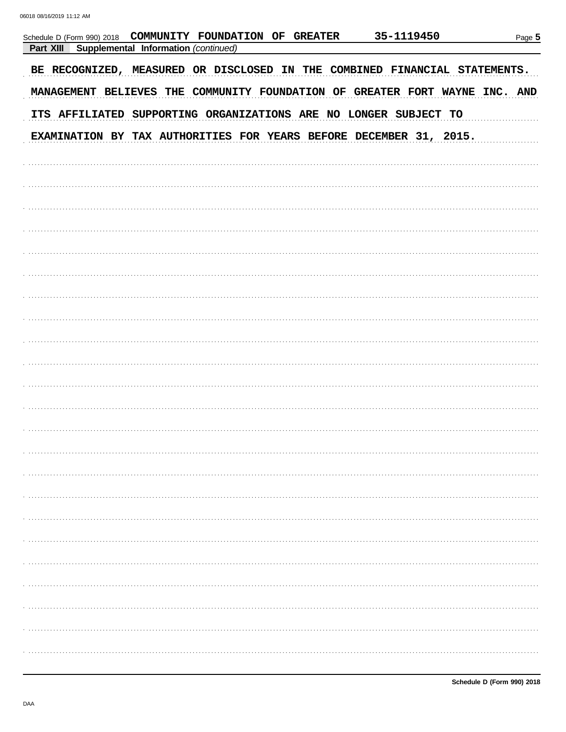| Part XIII | Schedule D (Form 990) 2018 COMMUNITY FOUNDATION OF GREATER<br>Supplemental Information (continued) |  | 35-1119450                                                         |                                                                             | Page 5 |
|-----------|----------------------------------------------------------------------------------------------------|--|--------------------------------------------------------------------|-----------------------------------------------------------------------------|--------|
|           |                                                                                                    |  |                                                                    | BE RECOGNIZED, MEASURED OR DISCLOSED IN THE COMBINED FINANCIAL STATEMENTS.  |        |
|           |                                                                                                    |  |                                                                    | MANAGEMENT BELIEVES THE COMMUNITY FOUNDATION OF GREATER FORT WAYNE INC. AND |        |
|           |                                                                                                    |  | ITS AFFILIATED SUPPORTING ORGANIZATIONS ARE NO LONGER SUBJECT TO   |                                                                             |        |
|           |                                                                                                    |  | EXAMINATION BY TAX AUTHORITIES FOR YEARS BEFORE DECEMBER 31, 2015. |                                                                             |        |
|           |                                                                                                    |  |                                                                    |                                                                             |        |
|           |                                                                                                    |  |                                                                    |                                                                             |        |
|           |                                                                                                    |  |                                                                    |                                                                             |        |
|           |                                                                                                    |  |                                                                    |                                                                             |        |
|           |                                                                                                    |  |                                                                    |                                                                             |        |
|           |                                                                                                    |  |                                                                    |                                                                             |        |
|           |                                                                                                    |  |                                                                    |                                                                             |        |
|           |                                                                                                    |  |                                                                    |                                                                             |        |
|           |                                                                                                    |  |                                                                    |                                                                             |        |
|           |                                                                                                    |  |                                                                    |                                                                             |        |
|           |                                                                                                    |  |                                                                    |                                                                             |        |
|           |                                                                                                    |  |                                                                    |                                                                             |        |
|           |                                                                                                    |  |                                                                    |                                                                             |        |
|           |                                                                                                    |  |                                                                    |                                                                             |        |
|           |                                                                                                    |  |                                                                    |                                                                             |        |
|           |                                                                                                    |  |                                                                    |                                                                             |        |
|           |                                                                                                    |  |                                                                    |                                                                             |        |
|           |                                                                                                    |  |                                                                    |                                                                             |        |
|           |                                                                                                    |  |                                                                    |                                                                             |        |
|           |                                                                                                    |  |                                                                    |                                                                             |        |
|           |                                                                                                    |  |                                                                    |                                                                             |        |
|           |                                                                                                    |  |                                                                    |                                                                             |        |
|           |                                                                                                    |  |                                                                    |                                                                             |        |
|           |                                                                                                    |  |                                                                    |                                                                             |        |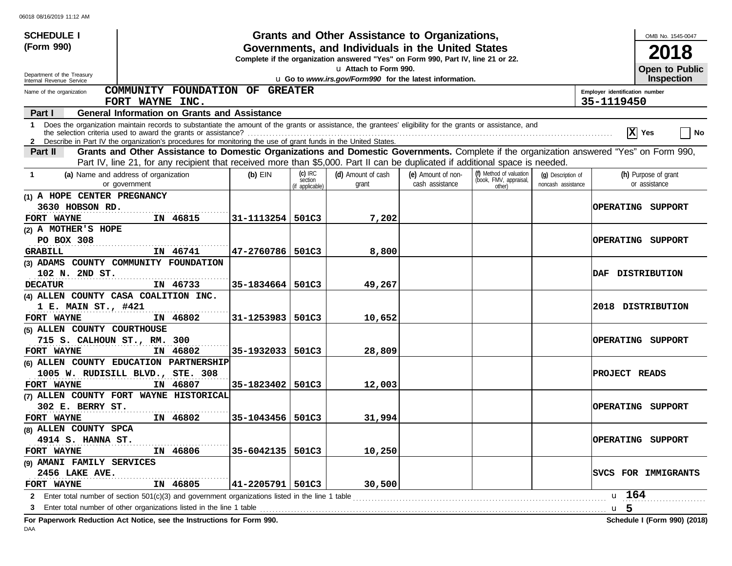| <b>SCHEDULE I</b>                                                                                                                                                                                                                                                               |                                                                                                                                       |                                         | Grants and Other Assistance to Organizations,           |                                       |                                                             |                                          |                                              | OMB No. 1545-0047                     |
|---------------------------------------------------------------------------------------------------------------------------------------------------------------------------------------------------------------------------------------------------------------------------------|---------------------------------------------------------------------------------------------------------------------------------------|-----------------------------------------|---------------------------------------------------------|---------------------------------------|-------------------------------------------------------------|------------------------------------------|----------------------------------------------|---------------------------------------|
| (Form 990)                                                                                                                                                                                                                                                                      | Governments, and Individuals in the United States<br>Complete if the organization answered "Yes" on Form 990, Part IV, line 21 or 22. |                                         |                                                         |                                       |                                                             |                                          |                                              |                                       |
|                                                                                                                                                                                                                                                                                 |                                                                                                                                       |                                         | u Attach to Form 990.                                   |                                       |                                                             |                                          |                                              | Open to Public                        |
| Department of the Treasury<br>Internal Revenue Service                                                                                                                                                                                                                          |                                                                                                                                       |                                         | u Go to www.irs.gov/Form990 for the latest information. |                                       |                                                             |                                          |                                              | <b>Inspection</b>                     |
| COMMUNITY FOUNDATION OF<br>Name of the organization<br>FORT WAYNE INC.                                                                                                                                                                                                          |                                                                                                                                       | <b>GREATER</b>                          |                                                         |                                       |                                                             |                                          | Employer identification number<br>35-1119450 |                                       |
| <b>General Information on Grants and Assistance</b><br>Part I                                                                                                                                                                                                                   |                                                                                                                                       |                                         |                                                         |                                       |                                                             |                                          |                                              |                                       |
| 1 Does the organization maintain records to substantiate the amount of the grants or assistance, the grantees' eligibility for the grants or assistance, and<br>2 Describe in Part IV the organization's procedures for monitoring the use of grant funds in the United States. |                                                                                                                                       |                                         |                                                         |                                       |                                                             |                                          |                                              | $ X $ Yes<br>  No                     |
| Grants and Other Assistance to Domestic Organizations and Domestic Governments. Complete if the organization answered "Yes" on Form 990,<br>Part II                                                                                                                             |                                                                                                                                       |                                         |                                                         |                                       |                                                             |                                          |                                              |                                       |
| Part IV, line 21, for any recipient that received more than \$5,000. Part II can be duplicated if additional space is needed.                                                                                                                                                   |                                                                                                                                       |                                         |                                                         |                                       |                                                             |                                          |                                              |                                       |
| (a) Name and address of organization<br>$\mathbf 1$<br>or government                                                                                                                                                                                                            | $(b)$ EIN                                                                                                                             | $(c)$ IRC<br>section<br>(if applicable) | (d) Amount of cash<br>grant                             | (e) Amount of non-<br>cash assistance | (f) Method of valuation<br>(book, FMV, appraisal,<br>other) | (g) Description of<br>noncash assistance |                                              | (h) Purpose of grant<br>or assistance |
| (1) A HOPE CENTER PREGNANCY                                                                                                                                                                                                                                                     |                                                                                                                                       |                                         |                                                         |                                       |                                                             |                                          |                                              |                                       |
| 3630 HOBSON RD.<br>FORT WAYNE<br>IN 46815                                                                                                                                                                                                                                       | 31-1113254   501C3                                                                                                                    |                                         | 7,202                                                   |                                       |                                                             |                                          |                                              | OPERATING SUPPORT                     |
| (2) A MOTHER'S HOPE                                                                                                                                                                                                                                                             |                                                                                                                                       |                                         |                                                         |                                       |                                                             |                                          |                                              |                                       |
| PO BOX 308                                                                                                                                                                                                                                                                      |                                                                                                                                       |                                         |                                                         |                                       |                                                             |                                          |                                              | OPERATING SUPPORT                     |
| IN 46741<br><b>GRABILL</b>                                                                                                                                                                                                                                                      | 47-2760786   501C3                                                                                                                    |                                         | 8,800                                                   |                                       |                                                             |                                          |                                              |                                       |
| (3) ADAMS COUNTY COMMUNITY FOUNDATION                                                                                                                                                                                                                                           |                                                                                                                                       |                                         |                                                         |                                       |                                                             |                                          |                                              |                                       |
| 102 N. 2ND ST.                                                                                                                                                                                                                                                                  |                                                                                                                                       |                                         |                                                         |                                       |                                                             |                                          | DAF DISTRIBUTION                             |                                       |
| IN 46733<br><b>DECATUR</b>                                                                                                                                                                                                                                                      | 35-1834664   501C3                                                                                                                    |                                         | 49,267                                                  |                                       |                                                             |                                          |                                              |                                       |
| (4) ALLEN COUNTY CASA COALITION INC.                                                                                                                                                                                                                                            |                                                                                                                                       |                                         |                                                         |                                       |                                                             |                                          |                                              |                                       |
| 1 E. MAIN ST., #421                                                                                                                                                                                                                                                             |                                                                                                                                       |                                         |                                                         |                                       |                                                             |                                          |                                              | 2018 DISTRIBUTION                     |
| IN 46802<br>FORT WAYNE                                                                                                                                                                                                                                                          | 31-1253983   501C3                                                                                                                    |                                         | 10,652                                                  |                                       |                                                             |                                          |                                              |                                       |
| (5) ALLEN COUNTY COURTHOUSE                                                                                                                                                                                                                                                     |                                                                                                                                       |                                         |                                                         |                                       |                                                             |                                          |                                              |                                       |
| 715 S. CALHOUN ST., RM. 300                                                                                                                                                                                                                                                     |                                                                                                                                       |                                         |                                                         |                                       |                                                             |                                          |                                              | OPERATING SUPPORT                     |
| FORT WAYNE<br>IN 46802                                                                                                                                                                                                                                                          | 35-1932033   501C3                                                                                                                    |                                         | 28,809                                                  |                                       |                                                             |                                          |                                              |                                       |
| (6) ALLEN COUNTY EDUCATION PARTNERSHIP                                                                                                                                                                                                                                          |                                                                                                                                       |                                         |                                                         |                                       |                                                             |                                          |                                              |                                       |
| 1005 W. RUDISILL BLVD., STE. 308                                                                                                                                                                                                                                                |                                                                                                                                       |                                         |                                                         |                                       |                                                             |                                          | PROJECT READS                                |                                       |
| IN 46807<br>FORT WAYNE                                                                                                                                                                                                                                                          | 35-1823402   501C3                                                                                                                    |                                         | 12,003                                                  |                                       |                                                             |                                          |                                              |                                       |
| (7) ALLEN COUNTY FORT WAYNE HISTORICAL                                                                                                                                                                                                                                          |                                                                                                                                       |                                         |                                                         |                                       |                                                             |                                          |                                              |                                       |
| 302 E. BERRY ST.                                                                                                                                                                                                                                                                |                                                                                                                                       |                                         |                                                         |                                       |                                                             |                                          |                                              | OPERATING SUPPORT                     |
| FORT WAYNE<br>IN 46802                                                                                                                                                                                                                                                          | 35-1043456 501C3                                                                                                                      |                                         | 31,994                                                  |                                       |                                                             |                                          |                                              |                                       |
| (8) ALLEN COUNTY SPCA                                                                                                                                                                                                                                                           |                                                                                                                                       |                                         |                                                         |                                       |                                                             |                                          |                                              |                                       |
| 4914 S. HANNA ST.<br>IN 46806<br>FORT WAYNE                                                                                                                                                                                                                                     | 35-6042135   501C3                                                                                                                    |                                         | 10,250                                                  |                                       |                                                             |                                          |                                              | OPERATING SUPPORT                     |
| (9) AMANI FAMILY SERVICES                                                                                                                                                                                                                                                       |                                                                                                                                       |                                         |                                                         |                                       |                                                             |                                          |                                              |                                       |
| 2456 LAKE AVE.                                                                                                                                                                                                                                                                  |                                                                                                                                       |                                         |                                                         |                                       |                                                             |                                          |                                              | <b>SVCS FOR IMMIGRANTS</b>            |
| IN 46805<br>FORT WAYNE                                                                                                                                                                                                                                                          | 41-2205791   501C3                                                                                                                    |                                         | 30,500                                                  |                                       |                                                             |                                          |                                              |                                       |
| 2 Enter total number of section 501(c)(3) and government organizations listed in the line 1 table <i>component component</i> or                                                                                                                                                 |                                                                                                                                       |                                         |                                                         |                                       |                                                             |                                          | u 164                                        |                                       |
| 3                                                                                                                                                                                                                                                                               |                                                                                                                                       |                                         |                                                         |                                       |                                                             |                                          | u 5                                          |                                       |
| For Paperwork Reduction Act Notice, see the Instructions for Form 990.                                                                                                                                                                                                          |                                                                                                                                       |                                         |                                                         |                                       |                                                             |                                          |                                              | Schedule I (Form 990) (2018)          |

DAA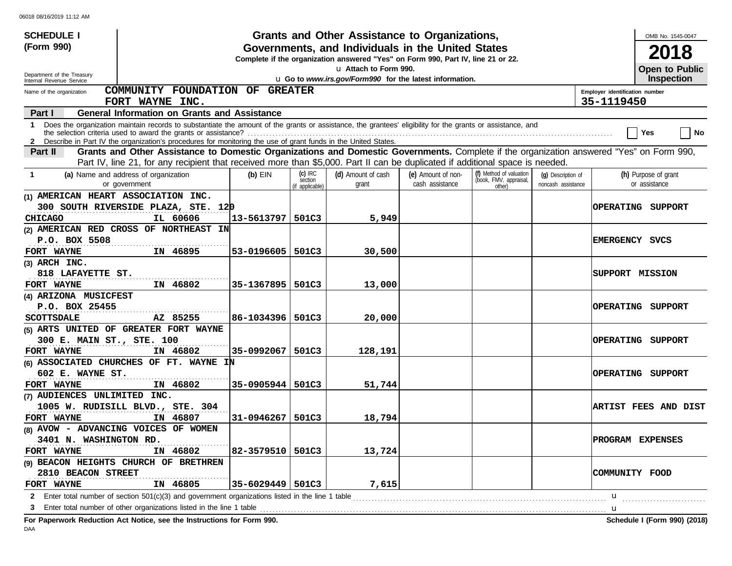| <b>SCHEDULE I</b>                                      |                                                                                                                                                                                                                                                                           |                                                                                                                                       |                            | Grants and Other Assistance to Organizations,           |                    |                                  |                    |                                | OMB No. 1545-0047            |
|--------------------------------------------------------|---------------------------------------------------------------------------------------------------------------------------------------------------------------------------------------------------------------------------------------------------------------------------|---------------------------------------------------------------------------------------------------------------------------------------|----------------------------|---------------------------------------------------------|--------------------|----------------------------------|--------------------|--------------------------------|------------------------------|
| (Form 990)                                             |                                                                                                                                                                                                                                                                           | Governments, and Individuals in the United States<br>Complete if the organization answered "Yes" on Form 990, Part IV, line 21 or 22. |                            |                                                         |                    |                                  |                    |                                | 2018                         |
|                                                        |                                                                                                                                                                                                                                                                           |                                                                                                                                       |                            | u Attach to Form 990.                                   |                    |                                  |                    |                                | <b>Open to Public</b>        |
| Department of the Treasury<br>Internal Revenue Service |                                                                                                                                                                                                                                                                           |                                                                                                                                       |                            | u Go to www.irs.gov/Form990 for the latest information. |                    |                                  |                    |                                | <b>Inspection</b>            |
| Name of the organization                               | COMMUNITY FOUNDATION OF                                                                                                                                                                                                                                                   |                                                                                                                                       | <b>GREATER</b>             |                                                         |                    |                                  |                    | Employer identification number |                              |
|                                                        | FORT WAYNE INC.                                                                                                                                                                                                                                                           |                                                                                                                                       |                            |                                                         |                    |                                  |                    | 35-1119450                     |                              |
| Part I                                                 | <b>General Information on Grants and Assistance</b>                                                                                                                                                                                                                       |                                                                                                                                       |                            |                                                         |                    |                                  |                    |                                |                              |
| $\mathbf 1$                                            | Does the organization maintain records to substantiate the amount of the grants or assistance, the grantees' eligibility for the grants or assistance, and                                                                                                                |                                                                                                                                       |                            |                                                         |                    |                                  |                    |                                | <b>No</b><br>Yes             |
| Part II                                                | 2 Describe in Part IV the organization's procedures for monitoring the use of grant funds in the United States.                                                                                                                                                           |                                                                                                                                       |                            |                                                         |                    |                                  |                    |                                |                              |
|                                                        | Grants and Other Assistance to Domestic Organizations and Domestic Governments. Complete if the organization answered "Yes" on Form 990,<br>Part IV, line 21, for any recipient that received more than \$5,000. Part II can be duplicated if additional space is needed. |                                                                                                                                       |                            |                                                         |                    |                                  |                    |                                |                              |
| -1                                                     | (a) Name and address of organization                                                                                                                                                                                                                                      | $(b)$ EIN                                                                                                                             | $(c)$ IRC                  | (d) Amount of cash                                      | (e) Amount of non- | (f) Method of valuation          | (q) Description of |                                | (h) Purpose of grant         |
|                                                        | or government                                                                                                                                                                                                                                                             |                                                                                                                                       | section<br>(if applicable) | grant                                                   | cash assistance    | (book, FMV, appraisal,<br>other) | noncash assistance |                                | or assistance                |
| (1) AMERICAN HEART ASSOCIATION INC.                    |                                                                                                                                                                                                                                                                           |                                                                                                                                       |                            |                                                         |                    |                                  |                    |                                |                              |
|                                                        | 300 SOUTH RIVERSIDE PLAZA, STE. 120                                                                                                                                                                                                                                       |                                                                                                                                       |                            |                                                         |                    |                                  |                    |                                | OPERATING SUPPORT            |
| <b>CHICAGO</b>                                         | IL 60606                                                                                                                                                                                                                                                                  | 13-5613797   501C3                                                                                                                    |                            | 5,949                                                   |                    |                                  |                    |                                |                              |
|                                                        | (2) AMERICAN RED CROSS OF NORTHEAST IN                                                                                                                                                                                                                                    |                                                                                                                                       |                            |                                                         |                    |                                  |                    |                                |                              |
| P.O. BOX 5508                                          |                                                                                                                                                                                                                                                                           |                                                                                                                                       |                            |                                                         |                    |                                  |                    | EMERGENCY SVCS                 |                              |
| FORT WAYNE                                             | IN 46895                                                                                                                                                                                                                                                                  | $53 - 0196605$   501C3                                                                                                                |                            | 30,500                                                  |                    |                                  |                    |                                |                              |
| $(3)$ ARCH INC.                                        |                                                                                                                                                                                                                                                                           |                                                                                                                                       |                            |                                                         |                    |                                  |                    |                                |                              |
| 818 LAFAYETTE ST.                                      |                                                                                                                                                                                                                                                                           |                                                                                                                                       |                            |                                                         |                    |                                  |                    | SUPPORT MISSION                |                              |
| FORT WAYNE                                             | IN 46802                                                                                                                                                                                                                                                                  | 35-1367895   501C3                                                                                                                    |                            | 13,000                                                  |                    |                                  |                    |                                |                              |
| (4) ARIZONA MUSICFEST                                  |                                                                                                                                                                                                                                                                           |                                                                                                                                       |                            |                                                         |                    |                                  |                    |                                |                              |
| P.O. BOX 25455                                         | .                                                                                                                                                                                                                                                                         |                                                                                                                                       |                            |                                                         |                    |                                  |                    |                                | OPERATING SUPPORT            |
| <b>SCOTTSDALE</b>                                      | AZ 85255                                                                                                                                                                                                                                                                  | 86-1034396   501C3                                                                                                                    |                            | 20,000                                                  |                    |                                  |                    |                                |                              |
|                                                        | (5) ARTS UNITED OF GREATER FORT WAYNE                                                                                                                                                                                                                                     |                                                                                                                                       |                            |                                                         |                    |                                  |                    |                                |                              |
| 300 E. MAIN ST., STE. 100                              |                                                                                                                                                                                                                                                                           |                                                                                                                                       |                            |                                                         |                    |                                  |                    |                                | OPERATING SUPPORT            |
| FORT WAYNE                                             | IN 46802                                                                                                                                                                                                                                                                  | 35-0992067                                                                                                                            | 501C3                      | 128,191                                                 |                    |                                  |                    |                                |                              |
|                                                        | (6) ASSOCIATED CHURCHES OF FT. WAYNE IN                                                                                                                                                                                                                                   |                                                                                                                                       |                            |                                                         |                    |                                  |                    |                                |                              |
| 602 E. WAYNE ST.                                       |                                                                                                                                                                                                                                                                           |                                                                                                                                       |                            |                                                         |                    |                                  |                    |                                | <b>OPERATING SUPPORT</b>     |
| FORT WAYNE                                             | IN 46802                                                                                                                                                                                                                                                                  | 35-0905944   501C3                                                                                                                    |                            | 51,744                                                  |                    |                                  |                    |                                |                              |
| (7) AUDIENCES UNLIMITED INC.                           |                                                                                                                                                                                                                                                                           |                                                                                                                                       |                            |                                                         |                    |                                  |                    |                                |                              |
|                                                        | 1005 W. RUDISILL BLVD., STE. 304                                                                                                                                                                                                                                          |                                                                                                                                       |                            |                                                         |                    |                                  |                    |                                | <b>ARTIST FEES AND DIST</b>  |
| FORT WAYNE                                             | IN 46807                                                                                                                                                                                                                                                                  | 31-0946267                                                                                                                            | 501C3                      | 18,794                                                  |                    |                                  |                    |                                |                              |
|                                                        | (8) AVOW - ADVANCING VOICES OF WOMEN                                                                                                                                                                                                                                      |                                                                                                                                       |                            |                                                         |                    |                                  |                    |                                |                              |
| 3401 N. WASHINGTON RD.                                 |                                                                                                                                                                                                                                                                           |                                                                                                                                       |                            |                                                         |                    |                                  |                    | <b>PROGRAM EXPENSES</b>        |                              |
| FORT WAYNE                                             | IN 46802                                                                                                                                                                                                                                                                  | 82-3579510   501C3                                                                                                                    |                            | 13,724                                                  |                    |                                  |                    |                                |                              |
|                                                        | (9) BEACON HEIGHTS CHURCH OF BRETHREN                                                                                                                                                                                                                                     |                                                                                                                                       |                            |                                                         |                    |                                  |                    |                                |                              |
| 2810 BEACON STREET<br>FORT WAYNE                       | IN 46805                                                                                                                                                                                                                                                                  | $35 - 6029449$ 501C3                                                                                                                  |                            | 7,615                                                   |                    |                                  |                    | COMMUNITY FOOD                 |                              |
|                                                        |                                                                                                                                                                                                                                                                           |                                                                                                                                       |                            |                                                         |                    |                                  |                    | $\mathbf{u}$                   |                              |
|                                                        |                                                                                                                                                                                                                                                                           |                                                                                                                                       |                            |                                                         |                    |                                  |                    |                                |                              |
|                                                        | For Paperwork Reduction Act Notice, see the Instructions for Form 990.                                                                                                                                                                                                    |                                                                                                                                       |                            |                                                         |                    |                                  |                    | u                              |                              |
|                                                        |                                                                                                                                                                                                                                                                           |                                                                                                                                       |                            |                                                         |                    |                                  |                    |                                | Schedule I (Form 990) (2018) |

DAA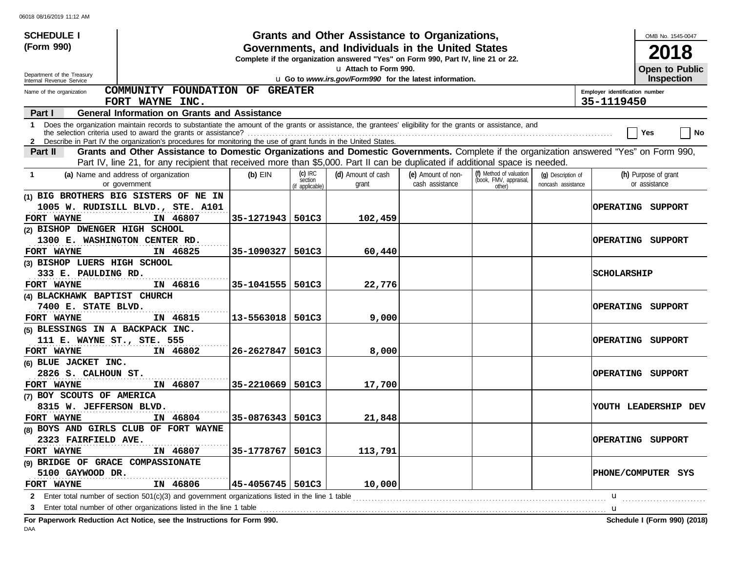| <b>SCHEDULE I</b>                                                                                                                                                                                                                                                                                               |                                                                                                                                       |  | Grants and Other Assistance to Organizations,           |  |  |                                       |                                | OMB No. 1545-0047         |
|-----------------------------------------------------------------------------------------------------------------------------------------------------------------------------------------------------------------------------------------------------------------------------------------------------------------|---------------------------------------------------------------------------------------------------------------------------------------|--|---------------------------------------------------------|--|--|---------------------------------------|--------------------------------|---------------------------|
| (Form 990)                                                                                                                                                                                                                                                                                                      | Governments, and Individuals in the United States<br>Complete if the organization answered "Yes" on Form 990, Part IV, line 21 or 22. |  |                                                         |  |  |                                       |                                |                           |
|                                                                                                                                                                                                                                                                                                                 |                                                                                                                                       |  | La Attach to Form 990.                                  |  |  |                                       |                                | Open to Public            |
| Department of the Treasury<br>Internal Revenue Service                                                                                                                                                                                                                                                          |                                                                                                                                       |  | u Go to www.irs.gov/Form990 for the latest information. |  |  |                                       |                                | <b>Inspection</b>         |
| COMMUNITY FOUNDATION OF GREATER<br>Name of the organization                                                                                                                                                                                                                                                     |                                                                                                                                       |  |                                                         |  |  |                                       | Employer identification number |                           |
| FORT WAYNE INC.                                                                                                                                                                                                                                                                                                 |                                                                                                                                       |  |                                                         |  |  |                                       | 35-1119450                     |                           |
| <b>General Information on Grants and Assistance</b><br>Part I                                                                                                                                                                                                                                                   |                                                                                                                                       |  |                                                         |  |  |                                       |                                |                           |
| Does the organization maintain records to substantiate the amount of the grants or assistance, the grantees' eligibility for the grants or assistance, and<br>$\mathbf 1$                                                                                                                                       |                                                                                                                                       |  |                                                         |  |  |                                       |                                | ∣ No<br>Yes               |
| 2 Describe in Part IV the organization's procedures for monitoring the use of grant funds in the United States.<br>Grants and Other Assistance to Domestic Organizations and Domestic Governments. Complete if the organization answered "Yes" on Form 990,<br>Part II                                          |                                                                                                                                       |  |                                                         |  |  |                                       |                                |                           |
| Part IV, line 21, for any recipient that received more than \$5,000. Part II can be duplicated if additional space is needed.                                                                                                                                                                                   |                                                                                                                                       |  |                                                         |  |  |                                       |                                |                           |
| $(c)$ IRC<br>(f) Method of valuation<br>(d) Amount of cash<br>(e) Amount of non-<br>(a) Name and address of organization<br>$(b)$ EIN<br>(q) Description of<br>$\mathbf 1$<br>section<br>(book, FMV, appraisal,<br>cash assistance<br>or government<br>grant<br>noncash assistance<br>other)<br>(if applicable) |                                                                                                                                       |  |                                                         |  |  | (h) Purpose of grant<br>or assistance |                                |                           |
| (1) BIG BROTHERS BIG SISTERS OF NE IN                                                                                                                                                                                                                                                                           |                                                                                                                                       |  |                                                         |  |  |                                       |                                |                           |
| 1005 W. RUDISILL BLVD., STE. A101                                                                                                                                                                                                                                                                               |                                                                                                                                       |  |                                                         |  |  |                                       |                                | <b>OPERATING SUPPORT</b>  |
| IN 46807<br>FORT WAYNE                                                                                                                                                                                                                                                                                          | 35-1271943   501C3                                                                                                                    |  | 102,459                                                 |  |  |                                       |                                |                           |
| (2) BISHOP DWENGER HIGH SCHOOL                                                                                                                                                                                                                                                                                  |                                                                                                                                       |  |                                                         |  |  |                                       |                                |                           |
| 1300 E. WASHINGTON CENTER RD.                                                                                                                                                                                                                                                                                   |                                                                                                                                       |  |                                                         |  |  |                                       |                                | <b>OPERATING SUPPORT</b>  |
| IN 46825<br>FORT WAYNE                                                                                                                                                                                                                                                                                          | 35-1090327   501C3                                                                                                                    |  | 60,440                                                  |  |  |                                       |                                |                           |
| (3) BISHOP LUERS HIGH SCHOOL                                                                                                                                                                                                                                                                                    |                                                                                                                                       |  |                                                         |  |  |                                       |                                |                           |
| 333 E. PAULDING RD.                                                                                                                                                                                                                                                                                             |                                                                                                                                       |  |                                                         |  |  |                                       | <b>SCHOLARSHIP</b>             |                           |
| IN 46816<br>FORT WAYNE                                                                                                                                                                                                                                                                                          | 35-1041555   501C3                                                                                                                    |  | 22,776                                                  |  |  |                                       |                                |                           |
| (4) BLACKHAWK BAPTIST CHURCH                                                                                                                                                                                                                                                                                    |                                                                                                                                       |  |                                                         |  |  |                                       |                                |                           |
| 7400 E. STATE BLVD.                                                                                                                                                                                                                                                                                             |                                                                                                                                       |  |                                                         |  |  |                                       |                                | <b>OPERATING SUPPORT</b>  |
| IN 46815<br>FORT WAYNE                                                                                                                                                                                                                                                                                          | $13 - 5563018$ 501C3                                                                                                                  |  | 9,000                                                   |  |  |                                       |                                |                           |
| (5) BLESSINGS IN A BACKPACK INC.                                                                                                                                                                                                                                                                                |                                                                                                                                       |  |                                                         |  |  |                                       |                                |                           |
| 111 E. WAYNE ST., STE. 555                                                                                                                                                                                                                                                                                      |                                                                                                                                       |  |                                                         |  |  |                                       |                                | <b>OPERATING SUPPORT</b>  |
| FORT WAYNE<br>IN 46802                                                                                                                                                                                                                                                                                          | 26-2627847   501C3                                                                                                                    |  | 8,000                                                   |  |  |                                       |                                |                           |
| (6) BLUE JACKET INC.                                                                                                                                                                                                                                                                                            |                                                                                                                                       |  |                                                         |  |  |                                       |                                |                           |
| 2826 S. CALHOUN ST.                                                                                                                                                                                                                                                                                             |                                                                                                                                       |  |                                                         |  |  |                                       |                                | <b>OPERATING SUPPORT</b>  |
| FORT WAYNE<br>IN 46807                                                                                                                                                                                                                                                                                          | 35-2210669   501C3                                                                                                                    |  | 17,700                                                  |  |  |                                       |                                |                           |
| (7) BOY SCOUTS OF AMERICA                                                                                                                                                                                                                                                                                       |                                                                                                                                       |  |                                                         |  |  |                                       |                                |                           |
| 8315 W. JEFFERSON BLVD.                                                                                                                                                                                                                                                                                         |                                                                                                                                       |  |                                                         |  |  |                                       |                                | YOUTH LEADERSHIP DEV      |
| IN 46804<br>FORT WAYNE                                                                                                                                                                                                                                                                                          | 35-0876343   501C3                                                                                                                    |  | 21,848                                                  |  |  |                                       |                                |                           |
| (8) BOYS AND GIRLS CLUB OF FORT WAYNE                                                                                                                                                                                                                                                                           |                                                                                                                                       |  |                                                         |  |  |                                       |                                |                           |
| 2323 FAIRFIELD AVE.                                                                                                                                                                                                                                                                                             |                                                                                                                                       |  |                                                         |  |  |                                       |                                | <b>OPERATING SUPPORT</b>  |
| IN 46807<br>FORT WAYNE                                                                                                                                                                                                                                                                                          | 35-1778767   501C3                                                                                                                    |  | 113,791                                                 |  |  |                                       |                                |                           |
| (9) BRIDGE OF GRACE COMPASSIONATE                                                                                                                                                                                                                                                                               |                                                                                                                                       |  |                                                         |  |  |                                       |                                |                           |
| 5100 GAYWOOD DR.                                                                                                                                                                                                                                                                                                |                                                                                                                                       |  |                                                         |  |  |                                       |                                | <b>PHONE/COMPUTER SYS</b> |
| IN 46806<br>FORT WAYNE                                                                                                                                                                                                                                                                                          | 45-4056745   501C3                                                                                                                    |  | 10,000                                                  |  |  |                                       |                                |                           |
|                                                                                                                                                                                                                                                                                                                 |                                                                                                                                       |  |                                                         |  |  |                                       |                                |                           |
| Enter total number of other organizations listed in the line 1 table <i>manufacture in the content of the line</i> 1 table manufacture in the line 1 table manufacture in the line 1 table manufacture in the line of the line of t<br>3.                                                                       |                                                                                                                                       |  |                                                         |  |  |                                       |                                |                           |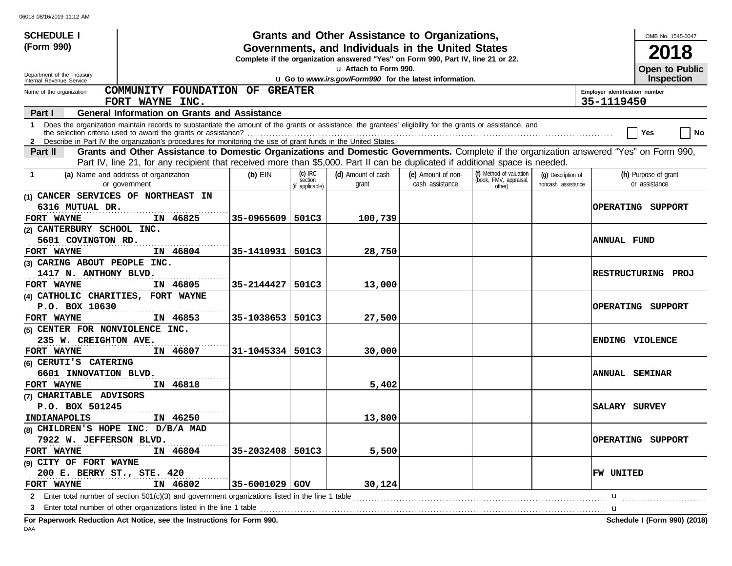| <b>SCHEDULE I</b>                                                                                                                                                                                                                                                                            |                    |                            | Grants and Other Assistance to Organizations,                                     |                    |                                  |                    | OMB No. 1545-0047                   |  |  |
|----------------------------------------------------------------------------------------------------------------------------------------------------------------------------------------------------------------------------------------------------------------------------------------------|--------------------|----------------------------|-----------------------------------------------------------------------------------|--------------------|----------------------------------|--------------------|-------------------------------------|--|--|
| (Form 990)                                                                                                                                                                                                                                                                                   |                    |                            | Governments, and Individuals in the United States                                 |                    |                                  |                    | 2018                                |  |  |
|                                                                                                                                                                                                                                                                                              |                    |                            | Complete if the organization answered "Yes" on Form 990, Part IV, line 21 or 22.  |                    |                                  |                    |                                     |  |  |
| Department of the Treasury<br>Internal Revenue Service                                                                                                                                                                                                                                       |                    |                            | La Attach to Form 990.<br>u Go to www.irs.gov/Form990 for the latest information. |                    |                                  |                    | Open to Public<br><b>Inspection</b> |  |  |
| COMMUNITY FOUNDATION OF GREATER<br>Name of the organization                                                                                                                                                                                                                                  |                    |                            |                                                                                   |                    |                                  |                    | Employer identification number      |  |  |
| FORT WAYNE INC.                                                                                                                                                                                                                                                                              |                    |                            |                                                                                   |                    |                                  |                    | 35-1119450                          |  |  |
| <b>General Information on Grants and Assistance</b><br>Part I                                                                                                                                                                                                                                |                    |                            |                                                                                   |                    |                                  |                    |                                     |  |  |
| Does the organization maintain records to substantiate the amount of the grants or assistance, the grantees' eligibility for the grants or assistance, and<br>$\mathbf 1$<br>2 Describe in Part IV the organization's procedures for monitoring the use of grant funds in the United States. |                    |                            |                                                                                   |                    |                                  |                    | Yes<br>No                           |  |  |
| Grants and Other Assistance to Domestic Organizations and Domestic Governments. Complete if the organization answered "Yes" on Form 990,<br>Part II                                                                                                                                          |                    |                            |                                                                                   |                    |                                  |                    |                                     |  |  |
| Part IV, line 21, for any recipient that received more than \$5,000. Part II can be duplicated if additional space is needed.                                                                                                                                                                |                    |                            |                                                                                   |                    |                                  |                    |                                     |  |  |
| (a) Name and address of organization<br>$\mathbf{1}$                                                                                                                                                                                                                                         | $(b)$ EIN          | $(c)$ IRC                  | (d) Amount of cash                                                                | (e) Amount of non- | (f) Method of valuation          | (g) Description of | (h) Purpose of grant                |  |  |
| or government                                                                                                                                                                                                                                                                                |                    | section<br>(if applicable) | grant                                                                             | cash assistance    | (book, FMV, appraisal,<br>other) | noncash assistance | or assistance                       |  |  |
| (1) CANCER SERVICES OF NORTHEAST IN                                                                                                                                                                                                                                                          |                    |                            |                                                                                   |                    |                                  |                    |                                     |  |  |
| 6316 MUTUAL DR.                                                                                                                                                                                                                                                                              |                    |                            |                                                                                   |                    |                                  |                    | OPERATING SUPPORT                   |  |  |
| FORT WAYNE<br>IN 46825                                                                                                                                                                                                                                                                       | 35-0965609   501C3 |                            | 100,739                                                                           |                    |                                  |                    |                                     |  |  |
| (2) CANTERBURY SCHOOL INC.                                                                                                                                                                                                                                                                   |                    |                            |                                                                                   |                    |                                  |                    |                                     |  |  |
| 5601 COVINGTON RD.                                                                                                                                                                                                                                                                           |                    |                            |                                                                                   |                    |                                  |                    | ANNUAL FUND                         |  |  |
| FORT WAYNE<br>IN 46804                                                                                                                                                                                                                                                                       | 35-1410931   501C3 |                            | 28,750                                                                            |                    |                                  |                    |                                     |  |  |
| (3) CARING ABOUT PEOPLE INC.                                                                                                                                                                                                                                                                 |                    |                            |                                                                                   |                    |                                  |                    |                                     |  |  |
| 1417 N. ANTHONY BLVD.<br>.                                                                                                                                                                                                                                                                   |                    |                            |                                                                                   |                    |                                  |                    | RESTRUCTURING PROJ                  |  |  |
| FORT WAYNE<br>IN 46805                                                                                                                                                                                                                                                                       | 35-2144427   501C3 |                            | 13,000                                                                            |                    |                                  |                    |                                     |  |  |
| (4) CATHOLIC CHARITIES, FORT WAYNE                                                                                                                                                                                                                                                           |                    |                            |                                                                                   |                    |                                  |                    |                                     |  |  |
| P.O. BOX 10630                                                                                                                                                                                                                                                                               |                    |                            |                                                                                   |                    |                                  |                    | OPERATING SUPPORT                   |  |  |
| FORT WAYNE<br>IN 46853                                                                                                                                                                                                                                                                       | 35-1038653   501C3 |                            | 27,500                                                                            |                    |                                  |                    |                                     |  |  |
| (5) CENTER FOR NONVIOLENCE INC.                                                                                                                                                                                                                                                              |                    |                            |                                                                                   |                    |                                  |                    |                                     |  |  |
| 235 W. CREIGHTON AVE.                                                                                                                                                                                                                                                                        |                    |                            |                                                                                   |                    |                                  |                    | ENDING VIOLENCE                     |  |  |
| FORT WAYNE<br>IN 46807                                                                                                                                                                                                                                                                       | 31-1045334   501C3 |                            | 30,000                                                                            |                    |                                  |                    |                                     |  |  |
| (6) CERUTI'S CATERING                                                                                                                                                                                                                                                                        |                    |                            |                                                                                   |                    |                                  |                    |                                     |  |  |
| 6601 INNOVATION BLVD.                                                                                                                                                                                                                                                                        |                    |                            |                                                                                   |                    |                                  |                    | <b>ANNUAL SEMINAR</b>               |  |  |
| FORT WAYNE<br>IN 46818                                                                                                                                                                                                                                                                       |                    |                            | 5,402                                                                             |                    |                                  |                    |                                     |  |  |
| (7) CHARITABLE ADVISORS                                                                                                                                                                                                                                                                      |                    |                            |                                                                                   |                    |                                  |                    |                                     |  |  |
| P.O. BOX 501245                                                                                                                                                                                                                                                                              |                    |                            |                                                                                   |                    |                                  |                    | SALARY SURVEY                       |  |  |
| <b>INDIANAPOLIS</b><br>IN 46250                                                                                                                                                                                                                                                              |                    |                            | 13,800                                                                            |                    |                                  |                    |                                     |  |  |
| (8) CHILDREN'S HOPE INC. D/B/A MAD                                                                                                                                                                                                                                                           |                    |                            |                                                                                   |                    |                                  |                    |                                     |  |  |
| 7922 W. JEFFERSON BLVD.                                                                                                                                                                                                                                                                      |                    |                            |                                                                                   |                    |                                  |                    | OPERATING SUPPORT                   |  |  |
| FORT WAYNE<br>IN 46804                                                                                                                                                                                                                                                                       | 35-2032408   501C3 |                            | 5,500                                                                             |                    |                                  |                    |                                     |  |  |
| (9) CITY OF FORT WAYNE                                                                                                                                                                                                                                                                       |                    |                            |                                                                                   |                    |                                  |                    |                                     |  |  |
| 200 E. BERRY ST., STE. 420                                                                                                                                                                                                                                                                   |                    |                            |                                                                                   |                    |                                  |                    | FW UNITED                           |  |  |
| FORT WAYNE<br>IN 46802                                                                                                                                                                                                                                                                       | 35-6001029   GOV   |                            | 30,124                                                                            |                    |                                  |                    |                                     |  |  |
|                                                                                                                                                                                                                                                                                              |                    |                            |                                                                                   |                    |                                  |                    | u                                   |  |  |
|                                                                                                                                                                                                                                                                                              |                    |                            |                                                                                   |                    |                                  |                    |                                     |  |  |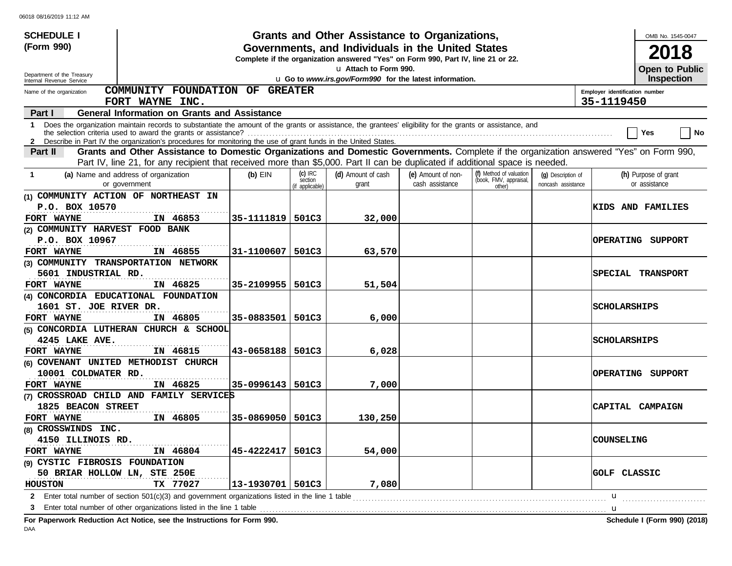| <b>SCHEDULE I</b>                    |                                                                                                                                                                                                                                                                               |                      |                            | Grants and Other Assistance to Organizations,                                    |                    |                                  |                    |                                              | OMB No. 1545-0047        |
|--------------------------------------|-------------------------------------------------------------------------------------------------------------------------------------------------------------------------------------------------------------------------------------------------------------------------------|----------------------|----------------------------|----------------------------------------------------------------------------------|--------------------|----------------------------------|--------------------|----------------------------------------------|--------------------------|
| (Form 990)                           | Governments, and Individuals in the United States                                                                                                                                                                                                                             |                      |                            |                                                                                  |                    |                                  |                    |                                              | 2018                     |
|                                      |                                                                                                                                                                                                                                                                               |                      |                            | Complete if the organization answered "Yes" on Form 990, Part IV, line 21 or 22. |                    |                                  |                    |                                              |                          |
| Department of the Treasury           |                                                                                                                                                                                                                                                                               |                      |                            | La Attach to Form 990.                                                           |                    |                                  |                    |                                              | Open to Public           |
| Internal Revenue Service             |                                                                                                                                                                                                                                                                               |                      |                            | u Go to www.irs.gov/Form990 for the latest information.                          |                    |                                  |                    |                                              | <b>Inspection</b>        |
| Name of the organization             | COMMUNITY FOUNDATION OF<br>FORT WAYNE INC.                                                                                                                                                                                                                                    | <b>GREATER</b>       |                            |                                                                                  |                    |                                  |                    | Employer identification number<br>35-1119450 |                          |
| <b>Part I</b>                        | <b>General Information on Grants and Assistance</b>                                                                                                                                                                                                                           |                      |                            |                                                                                  |                    |                                  |                    |                                              |                          |
| $\mathbf 1$                          | Does the organization maintain records to substantiate the amount of the grants or assistance, the grantees' eligibility for the grants or assistance, and<br>2 Describe in Part IV the organization's procedures for monitoring the use of grant funds in the United States. |                      |                            |                                                                                  |                    |                                  |                    |                                              | No<br>Yes                |
| <b>Part II</b>                       | Grants and Other Assistance to Domestic Organizations and Domestic Governments. Complete if the organization answered "Yes" on Form 990,                                                                                                                                      |                      |                            |                                                                                  |                    |                                  |                    |                                              |                          |
|                                      | Part IV, line 21, for any recipient that received more than \$5,000. Part II can be duplicated if additional space is needed.                                                                                                                                                 |                      |                            |                                                                                  |                    |                                  |                    |                                              |                          |
| $\mathbf{1}$                         | (a) Name and address of organization                                                                                                                                                                                                                                          | $(b)$ EIN            | $(c)$ IRC                  | (d) Amount of cash                                                               | (e) Amount of non- | (f) Method of valuation          | (g) Description of |                                              | (h) Purpose of grant     |
|                                      | or government                                                                                                                                                                                                                                                                 |                      | section<br>(if applicable) | grant                                                                            | cash assistance    | (book, FMV, appraisal,<br>other) | noncash assistance |                                              | or assistance            |
| (1) COMMUNITY ACTION OF NORTHEAST IN |                                                                                                                                                                                                                                                                               |                      |                            |                                                                                  |                    |                                  |                    |                                              |                          |
| P.O. BOX 10570                       |                                                                                                                                                                                                                                                                               |                      |                            |                                                                                  |                    |                                  |                    |                                              | <b>KIDS AND FAMILIES</b> |
| FORT WAYNE                           | IN 46853                                                                                                                                                                                                                                                                      | 35-1111819   501C3   |                            | 32,000                                                                           |                    |                                  |                    |                                              |                          |
| (2) COMMUNITY HARVEST FOOD BANK      |                                                                                                                                                                                                                                                                               |                      |                            |                                                                                  |                    |                                  |                    |                                              |                          |
| P.O. BOX 10967                       |                                                                                                                                                                                                                                                                               |                      |                            |                                                                                  |                    |                                  |                    |                                              | OPERATING SUPPORT        |
| FORT WAYNE                           | IN 46855                                                                                                                                                                                                                                                                      | 31-1100607   501C3   |                            | 63,570                                                                           |                    |                                  |                    |                                              |                          |
| (3) COMMUNITY TRANSPORTATION NETWORK |                                                                                                                                                                                                                                                                               |                      |                            |                                                                                  |                    |                                  |                    |                                              |                          |
| 5601 INDUSTRIAL RD.                  |                                                                                                                                                                                                                                                                               |                      |                            |                                                                                  |                    |                                  |                    |                                              | SPECIAL TRANSPORT        |
| FORT WAYNE                           | IN 46825                                                                                                                                                                                                                                                                      | 35-2109955   501C3   |                            | 51,504                                                                           |                    |                                  |                    |                                              |                          |
| (4) CONCORDIA EDUCATIONAL FOUNDATION |                                                                                                                                                                                                                                                                               |                      |                            |                                                                                  |                    |                                  |                    |                                              |                          |
| 1601 ST. JOE RIVER DR.               |                                                                                                                                                                                                                                                                               |                      |                            |                                                                                  |                    |                                  |                    | <b>SCHOLARSHIPS</b>                          |                          |
| FORT WAYNE                           | IN 46805                                                                                                                                                                                                                                                                      | 35-0883501   501C3   |                            | 6,000                                                                            |                    |                                  |                    |                                              |                          |
|                                      | (5) CONCORDIA LUTHERAN CHURCH & SCHOOL                                                                                                                                                                                                                                        |                      |                            |                                                                                  |                    |                                  |                    |                                              |                          |
| 4245 LAKE AVE.                       |                                                                                                                                                                                                                                                                               |                      |                            |                                                                                  |                    |                                  |                    | <b>SCHOLARSHIPS</b>                          |                          |
| FORT WAYNE                           | IN 46815                                                                                                                                                                                                                                                                      | 43-0658188   501C3   |                            | 6,028                                                                            |                    |                                  |                    |                                              |                          |
| (6) COVENANT UNITED METHODIST CHURCH |                                                                                                                                                                                                                                                                               |                      |                            |                                                                                  |                    |                                  |                    |                                              |                          |
| 10001 COLDWATER RD.                  |                                                                                                                                                                                                                                                                               |                      |                            |                                                                                  |                    |                                  |                    |                                              | OPERATING SUPPORT        |
| FORT WAYNE                           | IN 46825                                                                                                                                                                                                                                                                      | 35-0996143   501C3   |                            | 7,000                                                                            |                    |                                  |                    |                                              |                          |
|                                      | (7) CROSSROAD CHILD AND FAMILY SERVICES                                                                                                                                                                                                                                       |                      |                            |                                                                                  |                    |                                  |                    |                                              |                          |
| <b>1825 BEACON STREET</b>            |                                                                                                                                                                                                                                                                               |                      |                            |                                                                                  |                    |                                  |                    |                                              | CAPITAL CAMPAIGN         |
| FORT WAYNE                           | IN 46805                                                                                                                                                                                                                                                                      | 35-0869050   501C3   |                            | 130,250                                                                          |                    |                                  |                    |                                              |                          |
| (8) CROSSWINDS INC.                  |                                                                                                                                                                                                                                                                               |                      |                            |                                                                                  |                    |                                  |                    |                                              |                          |
| 4150 ILLINOIS RD.                    |                                                                                                                                                                                                                                                                               |                      |                            |                                                                                  |                    |                                  |                    | <b>COUNSELING</b>                            |                          |
| FORT WAYNE                           | IN 46804                                                                                                                                                                                                                                                                      | 45-4222417   501C3   |                            | 54,000                                                                           |                    |                                  |                    |                                              |                          |
| (9) CYSTIC FIBROSIS FOUNDATION       |                                                                                                                                                                                                                                                                               |                      |                            |                                                                                  |                    |                                  |                    |                                              |                          |
| 50 BRIAR HOLLOW LN, STE 250E         |                                                                                                                                                                                                                                                                               |                      |                            |                                                                                  |                    |                                  |                    | <b>GOLF CLASSIC</b>                          |                          |
| <b>HOUSTON</b>                       | TX 77027                                                                                                                                                                                                                                                                      | $13 - 1930701$ 501C3 |                            | 7,080                                                                            |                    |                                  |                    |                                              |                          |
|                                      |                                                                                                                                                                                                                                                                               |                      |                            |                                                                                  |                    |                                  |                    | $\mathbf{u}$                                 |                          |
| 3                                    | Enter total number of other organizations listed in the line 1 table <i>manufacture in the content of the line</i> 1 table manufacture in the line 1 table manufacture in the line 1 table manufacture in the line of the line of t                                           |                      |                            |                                                                                  |                    |                                  |                    |                                              |                          |
|                                      |                                                                                                                                                                                                                                                                               |                      |                            |                                                                                  |                    |                                  |                    |                                              |                          |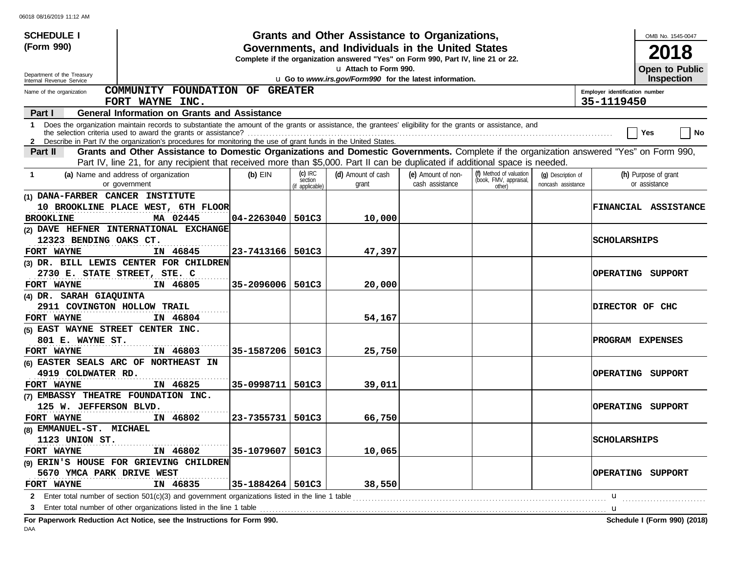| <b>SCHEDULE I</b>                                      |                                                                                                                                                            |                                                                                                                                       |                      | Grants and Other Assistance to Organizations,                                    |                                       |                                                   |                    |                                | OMB No. 1545-0047                     |
|--------------------------------------------------------|------------------------------------------------------------------------------------------------------------------------------------------------------------|---------------------------------------------------------------------------------------------------------------------------------------|----------------------|----------------------------------------------------------------------------------|---------------------------------------|---------------------------------------------------|--------------------|--------------------------------|---------------------------------------|
| (Form 990)                                             |                                                                                                                                                            | Governments, and Individuals in the United States<br>Complete if the organization answered "Yes" on Form 990, Part IV, line 21 or 22. |                      |                                                                                  |                                       |                                                   |                    |                                | 2018                                  |
|                                                        |                                                                                                                                                            |                                                                                                                                       |                      |                                                                                  |                                       |                                                   |                    |                                |                                       |
| Department of the Treasury<br>Internal Revenue Service |                                                                                                                                                            |                                                                                                                                       |                      | u Attach to Form 990.<br>u Go to www.irs.gov/Form990 for the latest information. |                                       |                                                   |                    |                                | <b>Open to Public</b><br>Inspection   |
| Name of the organization                               | COMMUNITY FOUNDATION OF GREATER                                                                                                                            |                                                                                                                                       |                      |                                                                                  |                                       |                                                   |                    | Employer identification number |                                       |
|                                                        | FORT WAYNE INC.                                                                                                                                            |                                                                                                                                       |                      |                                                                                  |                                       |                                                   |                    | 35-1119450                     |                                       |
| Part I                                                 | <b>General Information on Grants and Assistance</b>                                                                                                        |                                                                                                                                       |                      |                                                                                  |                                       |                                                   |                    |                                |                                       |
| $\mathbf 1$                                            | Does the organization maintain records to substantiate the amount of the grants or assistance, the grantees' eligibility for the grants or assistance, and |                                                                                                                                       |                      |                                                                                  |                                       |                                                   |                    |                                | <b>No</b><br>Yes                      |
|                                                        | 2 Describe in Part IV the organization's procedures for monitoring the use of grant funds in the United States.                                            |                                                                                                                                       |                      |                                                                                  |                                       |                                                   |                    |                                |                                       |
| Part II                                                | Grants and Other Assistance to Domestic Organizations and Domestic Governments. Complete if the organization answered "Yes" on Form 990,                   |                                                                                                                                       |                      |                                                                                  |                                       |                                                   |                    |                                |                                       |
|                                                        | Part IV, line 21, for any recipient that received more than \$5,000. Part II can be duplicated if additional space is needed.                              |                                                                                                                                       |                      |                                                                                  |                                       |                                                   |                    |                                |                                       |
| 1                                                      | (a) Name and address of organization                                                                                                                       | $(b)$ EIN                                                                                                                             | $(c)$ IRC<br>section | (d) Amount of cash                                                               | (e) Amount of non-<br>cash assistance | (f) Method of valuation<br>(book, FMV, appraisal, | (q) Description of |                                | (h) Purpose of grant<br>or assistance |
|                                                        | or government                                                                                                                                              |                                                                                                                                       | (if applicable)      | grant                                                                            |                                       | other)                                            | noncash assistance |                                |                                       |
| (1) DANA-FARBER CANCER INSTITUTE                       |                                                                                                                                                            |                                                                                                                                       |                      |                                                                                  |                                       |                                                   |                    |                                |                                       |
|                                                        | 10 BROOKLINE PLACE WEST, 6TH FLOOR<br>MA 02445                                                                                                             | $04 - 2263040$ 501C3                                                                                                                  |                      |                                                                                  |                                       |                                                   |                    |                                | <b>FINANCIAL ASSISTANCE</b>           |
| <b>BROOKLINE</b>                                       | (2) DAVE HEFNER INTERNATIONAL EXCHANGE                                                                                                                     |                                                                                                                                       |                      | 10,000                                                                           |                                       |                                                   |                    |                                |                                       |
| 12323 BENDING OAKS CT.                                 |                                                                                                                                                            |                                                                                                                                       |                      |                                                                                  |                                       |                                                   |                    | <b>SCHOLARSHIPS</b>            |                                       |
| FORT WAYNE                                             | IN 46845                                                                                                                                                   | 23-7413166   501C3                                                                                                                    |                      | 47,397                                                                           |                                       |                                                   |                    |                                |                                       |
|                                                        | (3) DR. BILL LEWIS CENTER FOR CHILDREN                                                                                                                     |                                                                                                                                       |                      |                                                                                  |                                       |                                                   |                    |                                |                                       |
| 2730 E. STATE STREET, STE. C                           |                                                                                                                                                            |                                                                                                                                       |                      |                                                                                  |                                       |                                                   |                    | <b>OPERATING SUPPORT</b>       |                                       |
| FORT WAYNE                                             | IN 46805                                                                                                                                                   | 35-2096006   501C3                                                                                                                    |                      | 20,000                                                                           |                                       |                                                   |                    |                                |                                       |
| (4) DR. SARAH GIAQUINTA                                |                                                                                                                                                            |                                                                                                                                       |                      |                                                                                  |                                       |                                                   |                    |                                |                                       |
| 2911 COVINGTON HOLLOW TRAIL                            |                                                                                                                                                            |                                                                                                                                       |                      |                                                                                  |                                       |                                                   |                    | DIRECTOR OF CHC                |                                       |
| FORT WAYNE                                             | IN 46804                                                                                                                                                   |                                                                                                                                       |                      | 54,167                                                                           |                                       |                                                   |                    |                                |                                       |
| (5) EAST WAYNE STREET CENTER INC.                      |                                                                                                                                                            |                                                                                                                                       |                      |                                                                                  |                                       |                                                   |                    |                                |                                       |
| 801 E. WAYNE ST.                                       |                                                                                                                                                            |                                                                                                                                       |                      |                                                                                  |                                       |                                                   |                    | <b>PROGRAM EXPENSES</b>        |                                       |
| FORT WAYNE                                             | IN 46803                                                                                                                                                   | 35-1587206   501C3                                                                                                                    |                      | 25,750                                                                           |                                       |                                                   |                    |                                |                                       |
|                                                        | (6) EASTER SEALS ARC OF NORTHEAST IN                                                                                                                       |                                                                                                                                       |                      |                                                                                  |                                       |                                                   |                    |                                |                                       |
| 4919 COLDWATER RD.                                     |                                                                                                                                                            |                                                                                                                                       |                      |                                                                                  |                                       |                                                   |                    | OPERATING SUPPORT              |                                       |
| FORT WAYNE                                             | IN 46825                                                                                                                                                   | 35-0998711   501C3                                                                                                                    |                      | 39,011                                                                           |                                       |                                                   |                    |                                |                                       |
| (7) EMBASSY THEATRE FOUNDATION INC.                    |                                                                                                                                                            |                                                                                                                                       |                      |                                                                                  |                                       |                                                   |                    |                                |                                       |
| 125 W. JEFFERSON BLVD.                                 |                                                                                                                                                            |                                                                                                                                       |                      |                                                                                  |                                       |                                                   |                    | OPERATING SUPPORT              |                                       |
| FORT WAYNE                                             | IN 46802                                                                                                                                                   | 23-7355731   501C3                                                                                                                    |                      | 66,750                                                                           |                                       |                                                   |                    |                                |                                       |
| (8) EMMANUEL-ST. MICHAEL                               |                                                                                                                                                            |                                                                                                                                       |                      |                                                                                  |                                       |                                                   |                    |                                |                                       |
| 1123 UNION ST.                                         |                                                                                                                                                            |                                                                                                                                       |                      |                                                                                  |                                       |                                                   |                    | <b> SCHOLARSHIPS</b>           |                                       |
| FORT WAYNE                                             | IN 46802                                                                                                                                                   | 35-1079607   501C3                                                                                                                    |                      | 10,065                                                                           |                                       |                                                   |                    |                                |                                       |
|                                                        | (9) ERIN'S HOUSE FOR GRIEVING CHILDREN                                                                                                                     |                                                                                                                                       |                      |                                                                                  |                                       |                                                   |                    |                                |                                       |
| 5670 YMCA PARK DRIVE WEST                              |                                                                                                                                                            |                                                                                                                                       |                      |                                                                                  |                                       |                                                   |                    | OPERATING SUPPORT              |                                       |
| FORT WAYNE                                             | IN 46835                                                                                                                                                   | 35-1884264   501C3                                                                                                                    |                      | 38,550                                                                           |                                       |                                                   |                    |                                |                                       |
|                                                        |                                                                                                                                                            |                                                                                                                                       |                      |                                                                                  |                                       |                                                   |                    | $\mathbf{u}$                   |                                       |
| 3                                                      |                                                                                                                                                            |                                                                                                                                       |                      |                                                                                  |                                       |                                                   |                    | u                              |                                       |
|                                                        | For Paperwork Reduction Act Notice, see the Instructions for Form 990.                                                                                     |                                                                                                                                       |                      |                                                                                  |                                       |                                                   |                    |                                | Schedule I (Form 990) (2018)          |

DAA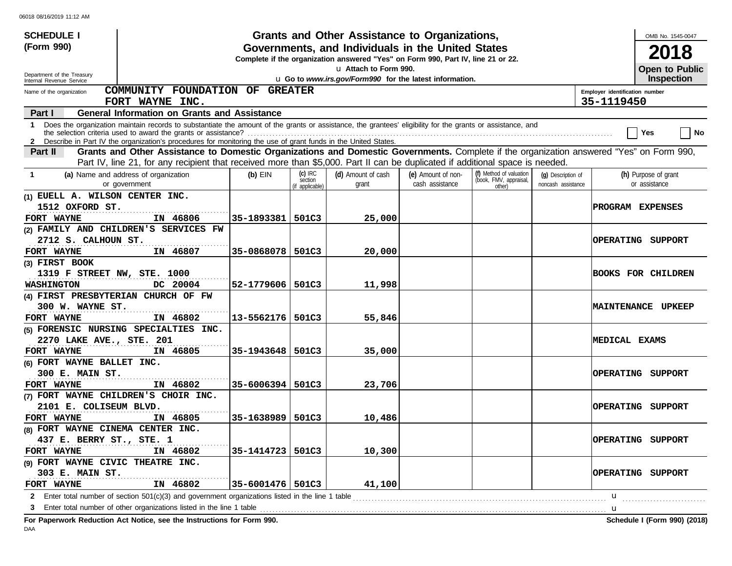| <b>SCHEDULE I</b>                                      |                                                                                                                                                                                                                                                                               |                    |                                         | Grants and Other Assistance to Organizations,                                                                                         |                                       |                                                             |                                          |                                | OMB No. 1545-0047                     |
|--------------------------------------------------------|-------------------------------------------------------------------------------------------------------------------------------------------------------------------------------------------------------------------------------------------------------------------------------|--------------------|-----------------------------------------|---------------------------------------------------------------------------------------------------------------------------------------|---------------------------------------|-------------------------------------------------------------|------------------------------------------|--------------------------------|---------------------------------------|
| (Form 990)                                             |                                                                                                                                                                                                                                                                               |                    |                                         | Governments, and Individuals in the United States<br>Complete if the organization answered "Yes" on Form 990, Part IV, line 21 or 22. |                                       |                                                             |                                          |                                | 2018                                  |
|                                                        |                                                                                                                                                                                                                                                                               |                    |                                         | La Attach to Form 990.                                                                                                                |                                       |                                                             |                                          |                                | Open to Public                        |
| Department of the Treasury<br>Internal Revenue Service |                                                                                                                                                                                                                                                                               |                    |                                         | u Go to www.irs.gov/Form990 for the latest information.                                                                               |                                       |                                                             |                                          |                                | <b>Inspection</b>                     |
| Name of the organization                               | COMMUNITY FOUNDATION OF GREATER                                                                                                                                                                                                                                               |                    |                                         |                                                                                                                                       |                                       |                                                             |                                          | Employer identification number |                                       |
|                                                        | FORT WAYNE INC.                                                                                                                                                                                                                                                               |                    |                                         |                                                                                                                                       |                                       |                                                             |                                          | 35-1119450                     |                                       |
| Part I                                                 | <b>General Information on Grants and Assistance</b>                                                                                                                                                                                                                           |                    |                                         |                                                                                                                                       |                                       |                                                             |                                          |                                |                                       |
| $\mathbf 1$                                            | Does the organization maintain records to substantiate the amount of the grants or assistance, the grantees' eligibility for the grants or assistance, and<br>2 Describe in Part IV the organization's procedures for monitoring the use of grant funds in the United States. |                    |                                         |                                                                                                                                       |                                       |                                                             |                                          |                                | No<br>Yes                             |
| Part II                                                | Grants and Other Assistance to Domestic Organizations and Domestic Governments. Complete if the organization answered "Yes" on Form 990,                                                                                                                                      |                    |                                         |                                                                                                                                       |                                       |                                                             |                                          |                                |                                       |
|                                                        | Part IV, line 21, for any recipient that received more than \$5,000. Part II can be duplicated if additional space is needed.                                                                                                                                                 |                    |                                         |                                                                                                                                       |                                       |                                                             |                                          |                                |                                       |
| -1                                                     | (a) Name and address of organization<br>or government                                                                                                                                                                                                                         | $(b)$ EIN          | $(c)$ IRC<br>section<br>(if applicable) | (d) Amount of cash<br>grant                                                                                                           | (e) Amount of non-<br>cash assistance | (f) Method of valuation<br>(book, FMV, appraisal,<br>other) | (g) Description of<br>noncash assistance |                                | (h) Purpose of grant<br>or assistance |
| (1) EUELL A. WILSON CENTER INC.                        |                                                                                                                                                                                                                                                                               |                    |                                         |                                                                                                                                       |                                       |                                                             |                                          |                                |                                       |
| 1512 OXFORD ST.                                        |                                                                                                                                                                                                                                                                               |                    |                                         |                                                                                                                                       |                                       |                                                             |                                          |                                | PROGRAM EXPENSES                      |
| FORT WAYNE                                             | IN 46806                                                                                                                                                                                                                                                                      | 35-1893381   501C3 |                                         | 25,000                                                                                                                                |                                       |                                                             |                                          |                                |                                       |
|                                                        | (2) FAMILY AND CHILDREN'S SERVICES FW                                                                                                                                                                                                                                         |                    |                                         |                                                                                                                                       |                                       |                                                             |                                          |                                |                                       |
| 2712 S. CALHOUN ST.                                    |                                                                                                                                                                                                                                                                               |                    |                                         |                                                                                                                                       |                                       |                                                             |                                          |                                | OPERATING SUPPORT                     |
| FORT WAYNE                                             | IN 46807                                                                                                                                                                                                                                                                      | 35-0868078   501C3 |                                         | 20,000                                                                                                                                |                                       |                                                             |                                          |                                |                                       |
| (3) FIRST BOOK                                         |                                                                                                                                                                                                                                                                               |                    |                                         |                                                                                                                                       |                                       |                                                             |                                          |                                |                                       |
| 1319 F STREET NW, STE. 1000                            |                                                                                                                                                                                                                                                                               |                    |                                         |                                                                                                                                       |                                       |                                                             |                                          |                                | <b>BOOKS FOR CHILDREN</b>             |
| <b>WASHINGTON</b>                                      | DC 20004                                                                                                                                                                                                                                                                      | 52-1779606   501C3 |                                         | 11,998                                                                                                                                |                                       |                                                             |                                          |                                |                                       |
| (4) FIRST PRESBYTERIAN CHURCH OF FW                    |                                                                                                                                                                                                                                                                               |                    |                                         |                                                                                                                                       |                                       |                                                             |                                          |                                |                                       |
| 300 W. WAYNE ST.                                       |                                                                                                                                                                                                                                                                               |                    |                                         |                                                                                                                                       |                                       |                                                             |                                          |                                | <b> MAINTENANCE UPKEEP</b>            |
| FORT WAYNE                                             | IN 46802                                                                                                                                                                                                                                                                      | 13-5562176   501C3 |                                         | 55,846                                                                                                                                |                                       |                                                             |                                          |                                |                                       |
|                                                        | (5) FORENSIC NURSING SPECIALTIES INC.                                                                                                                                                                                                                                         |                    |                                         |                                                                                                                                       |                                       |                                                             |                                          |                                |                                       |
| 2270 LAKE AVE., STE. 201                               |                                                                                                                                                                                                                                                                               |                    |                                         |                                                                                                                                       |                                       |                                                             |                                          | <b>MEDICAL EXAMS</b>           |                                       |
| FORT WAYNE                                             | IN 46805                                                                                                                                                                                                                                                                      | 35-1943648   501C3 |                                         | 35,000                                                                                                                                |                                       |                                                             |                                          |                                |                                       |
| (6) FORT WAYNE BALLET INC.                             |                                                                                                                                                                                                                                                                               |                    |                                         |                                                                                                                                       |                                       |                                                             |                                          |                                |                                       |
| 300 E. MAIN ST.                                        |                                                                                                                                                                                                                                                                               |                    |                                         |                                                                                                                                       |                                       |                                                             |                                          |                                | OPERATING SUPPORT                     |
| FORT WAYNE                                             | IN 46802                                                                                                                                                                                                                                                                      | 35-6006394 501C3   |                                         | 23,706                                                                                                                                |                                       |                                                             |                                          |                                |                                       |
|                                                        | (7) FORT WAYNE CHILDREN'S CHOIR INC.                                                                                                                                                                                                                                          |                    |                                         |                                                                                                                                       |                                       |                                                             |                                          |                                |                                       |
| 2101 E. COLISEUM BLVD.                                 |                                                                                                                                                                                                                                                                               |                    |                                         |                                                                                                                                       |                                       |                                                             |                                          |                                | OPERATING SUPPORT                     |
| FORT WAYNE                                             | IN 46805                                                                                                                                                                                                                                                                      | 35-1638989   501C3 |                                         | 10,486                                                                                                                                |                                       |                                                             |                                          |                                |                                       |
| (8) FORT WAYNE CINEMA CENTER INC.                      |                                                                                                                                                                                                                                                                               |                    |                                         |                                                                                                                                       |                                       |                                                             |                                          |                                |                                       |
| 437 E. BERRY ST., STE. 1                               |                                                                                                                                                                                                                                                                               |                    |                                         |                                                                                                                                       |                                       |                                                             |                                          |                                | OPERATING SUPPORT                     |
| <b>FORT WAYNE</b>                                      | IN 46802                                                                                                                                                                                                                                                                      | 35-1414723   501C3 |                                         | 10,300                                                                                                                                |                                       |                                                             |                                          |                                |                                       |
| (9) FORT WAYNE CIVIC THEATRE INC.                      |                                                                                                                                                                                                                                                                               |                    |                                         |                                                                                                                                       |                                       |                                                             |                                          |                                |                                       |
| 303 E. MAIN ST.                                        |                                                                                                                                                                                                                                                                               |                    |                                         |                                                                                                                                       |                                       |                                                             |                                          |                                | OPERATING SUPPORT                     |
| FORT WAYNE                                             | IN 46802                                                                                                                                                                                                                                                                      | 35-6001476   501C3 |                                         | 41,100                                                                                                                                |                                       |                                                             |                                          |                                |                                       |
|                                                        |                                                                                                                                                                                                                                                                               |                    |                                         |                                                                                                                                       |                                       |                                                             |                                          | $\mathbf{u}$                   |                                       |
| 3                                                      |                                                                                                                                                                                                                                                                               |                    |                                         |                                                                                                                                       |                                       |                                                             |                                          |                                |                                       |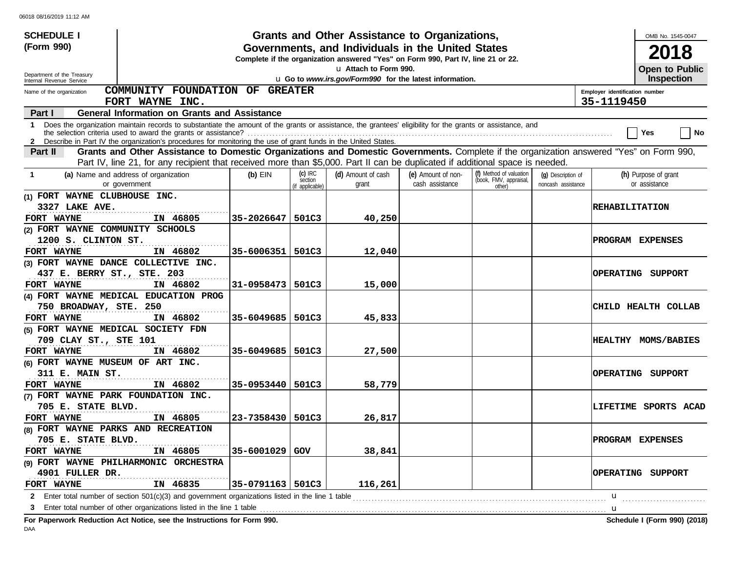| <b>SCHEDULE I</b>                                      |                                                                                                                                                                                                                                                                               |                      |                                       | Grants and Other Assistance to Organizations,                                                                                         |                                       |                                                             |                                          |                                              | OMB No. 1545-0047                     |
|--------------------------------------------------------|-------------------------------------------------------------------------------------------------------------------------------------------------------------------------------------------------------------------------------------------------------------------------------|----------------------|---------------------------------------|---------------------------------------------------------------------------------------------------------------------------------------|---------------------------------------|-------------------------------------------------------------|------------------------------------------|----------------------------------------------|---------------------------------------|
| (Form 990)                                             |                                                                                                                                                                                                                                                                               |                      |                                       | Governments, and Individuals in the United States<br>Complete if the organization answered "Yes" on Form 990, Part IV, line 21 or 22. |                                       |                                                             |                                          |                                              | <b>2018</b>                           |
|                                                        |                                                                                                                                                                                                                                                                               |                      |                                       | u Attach to Form 990.                                                                                                                 |                                       |                                                             |                                          |                                              | <b>Open to Public</b>                 |
| Department of the Treasury<br>Internal Revenue Service |                                                                                                                                                                                                                                                                               |                      |                                       | u Go to www.irs.gov/Form990 for the latest information.                                                                               |                                       |                                                             |                                          |                                              | Inspection                            |
| Name of the organization                               | COMMUNITY FOUNDATION OF<br>FORT WAYNE INC.                                                                                                                                                                                                                                    | <b>GREATER</b>       |                                       |                                                                                                                                       |                                       |                                                             |                                          | Employer identification number<br>35-1119450 |                                       |
| Part I                                                 | <b>General Information on Grants and Assistance</b>                                                                                                                                                                                                                           |                      |                                       |                                                                                                                                       |                                       |                                                             |                                          |                                              |                                       |
| $\mathbf 1$                                            | Does the organization maintain records to substantiate the amount of the grants or assistance, the grantees' eligibility for the grants or assistance, and<br>2 Describe in Part IV the organization's procedures for monitoring the use of grant funds in the United States. |                      |                                       |                                                                                                                                       |                                       |                                                             |                                          |                                              | No<br>Yes                             |
| Part II                                                | Grants and Other Assistance to Domestic Organizations and Domestic Governments. Complete if the organization answered "Yes" on Form 990,                                                                                                                                      |                      |                                       |                                                                                                                                       |                                       |                                                             |                                          |                                              |                                       |
|                                                        | Part IV, line 21, for any recipient that received more than \$5,000. Part II can be duplicated if additional space is needed.                                                                                                                                                 |                      |                                       |                                                                                                                                       |                                       |                                                             |                                          |                                              |                                       |
| $\mathbf{1}$                                           | (a) Name and address of organization<br>or government                                                                                                                                                                                                                         | $(b)$ EIN            | (c) IRC<br>section<br>(if applicable) | (d) Amount of cash<br>grant                                                                                                           | (e) Amount of non-<br>cash assistance | (f) Method of valuation<br>(book, FMV, appraisal,<br>other) | (q) Description of<br>noncash assistance |                                              | (h) Purpose of grant<br>or assistance |
| (1) FORT WAYNE CLUBHOUSE INC.                          |                                                                                                                                                                                                                                                                               |                      |                                       |                                                                                                                                       |                                       |                                                             |                                          |                                              |                                       |
| 3327 LAKE AVE.                                         |                                                                                                                                                                                                                                                                               |                      |                                       |                                                                                                                                       |                                       |                                                             |                                          | <b>REHABILITATION</b>                        |                                       |
| FORT WAYNE                                             | IN 46805                                                                                                                                                                                                                                                                      | 35-2026647 501C3     |                                       | 40,250                                                                                                                                |                                       |                                                             |                                          |                                              |                                       |
| (2) FORT WAYNE COMMUNITY SCHOOLS                       |                                                                                                                                                                                                                                                                               |                      |                                       |                                                                                                                                       |                                       |                                                             |                                          |                                              |                                       |
| 1200 S. CLINTON ST.                                    |                                                                                                                                                                                                                                                                               |                      |                                       |                                                                                                                                       |                                       |                                                             |                                          |                                              | <b>PROGRAM EXPENSES</b>               |
| FORT WAYNE                                             | IN 46802                                                                                                                                                                                                                                                                      | 35-6006351   501C3   |                                       | 12,040                                                                                                                                |                                       |                                                             |                                          |                                              |                                       |
|                                                        | (3) FORT WAYNE DANCE COLLECTIVE INC.                                                                                                                                                                                                                                          |                      |                                       |                                                                                                                                       |                                       |                                                             |                                          |                                              |                                       |
| 437 E. BERRY ST., STE. 203                             |                                                                                                                                                                                                                                                                               |                      |                                       |                                                                                                                                       |                                       |                                                             |                                          |                                              | OPERATING SUPPORT                     |
| FORT WAYNE                                             | IN 46802                                                                                                                                                                                                                                                                      | 31-0958473 501C3     |                                       | 15,000                                                                                                                                |                                       |                                                             |                                          |                                              |                                       |
|                                                        | (4) FORT WAYNE MEDICAL EDUCATION PROG                                                                                                                                                                                                                                         |                      |                                       |                                                                                                                                       |                                       |                                                             |                                          |                                              |                                       |
| 750 BROADWAY, STE. 250                                 | .                                                                                                                                                                                                                                                                             |                      |                                       |                                                                                                                                       |                                       |                                                             |                                          |                                              | CHILD HEALTH COLLAB                   |
| FORT WAYNE                                             | IN 46802                                                                                                                                                                                                                                                                      | 35-6049685   501C3   |                                       | 45,833                                                                                                                                |                                       |                                                             |                                          |                                              |                                       |
| (5) FORT WAYNE MEDICAL SOCIETY FDN                     |                                                                                                                                                                                                                                                                               |                      |                                       |                                                                                                                                       |                                       |                                                             |                                          |                                              |                                       |
| 709 CLAY ST., STE 101                                  | .                                                                                                                                                                                                                                                                             |                      |                                       |                                                                                                                                       |                                       |                                                             |                                          |                                              | <b>HEALTHY MOMS/BABIES</b>            |
| FORT WAYNE                                             | IN 46802                                                                                                                                                                                                                                                                      | 35-6049685   501C3   |                                       | 27,500                                                                                                                                |                                       |                                                             |                                          |                                              |                                       |
| (6) FORT WAYNE MUSEUM OF ART INC.                      |                                                                                                                                                                                                                                                                               |                      |                                       |                                                                                                                                       |                                       |                                                             |                                          |                                              |                                       |
| 311 E. MAIN ST.                                        |                                                                                                                                                                                                                                                                               |                      |                                       |                                                                                                                                       |                                       |                                                             |                                          |                                              | OPERATING SUPPORT                     |
| FORT WAYNE                                             | IN 46802                                                                                                                                                                                                                                                                      | 35-0953440 501C3     |                                       | 58,779                                                                                                                                |                                       |                                                             |                                          |                                              |                                       |
|                                                        | (7) FORT WAYNE PARK FOUNDATION INC.                                                                                                                                                                                                                                           |                      |                                       |                                                                                                                                       |                                       |                                                             |                                          |                                              |                                       |
| 705 E. STATE BLVD.                                     |                                                                                                                                                                                                                                                                               |                      |                                       |                                                                                                                                       |                                       |                                                             |                                          |                                              | LIFETIME SPORTS ACAD                  |
| FORT WAYNE                                             | IN 46805                                                                                                                                                                                                                                                                      | 23-7358430   501C3   |                                       | 26,817                                                                                                                                |                                       |                                                             |                                          |                                              |                                       |
|                                                        | (8) FORT WAYNE PARKS AND RECREATION                                                                                                                                                                                                                                           |                      |                                       |                                                                                                                                       |                                       |                                                             |                                          |                                              |                                       |
| 705 E. STATE BLVD.                                     |                                                                                                                                                                                                                                                                               |                      |                                       |                                                                                                                                       |                                       |                                                             |                                          |                                              | <b>PROGRAM EXPENSES</b>               |
| FORT WAYNE                                             | IN 46805                                                                                                                                                                                                                                                                      | 35-6001029 GOV       |                                       | 38,841                                                                                                                                |                                       |                                                             |                                          |                                              |                                       |
|                                                        | (9) FORT WAYNE PHILHARMONIC ORCHESTRA                                                                                                                                                                                                                                         |                      |                                       |                                                                                                                                       |                                       |                                                             |                                          |                                              |                                       |
| 4901 FULLER DR.                                        |                                                                                                                                                                                                                                                                               |                      |                                       |                                                                                                                                       |                                       |                                                             |                                          |                                              | <b>OPERATING SUPPORT</b>              |
| FORT WAYNE                                             | IN 46835                                                                                                                                                                                                                                                                      | $35 - 0791163$ 501C3 |                                       | 116,261                                                                                                                               |                                       |                                                             |                                          |                                              |                                       |
|                                                        |                                                                                                                                                                                                                                                                               |                      |                                       |                                                                                                                                       |                                       |                                                             |                                          | $\mathbf{u}$                                 |                                       |
| 3                                                      |                                                                                                                                                                                                                                                                               |                      |                                       |                                                                                                                                       |                                       |                                                             |                                          | u                                            |                                       |
|                                                        | For Paperwork Reduction Act Notice, see the Instructions for Form 990.                                                                                                                                                                                                        |                      |                                       |                                                                                                                                       |                                       |                                                             |                                          |                                              | Schedule I (Form 990) (2018)          |

DAA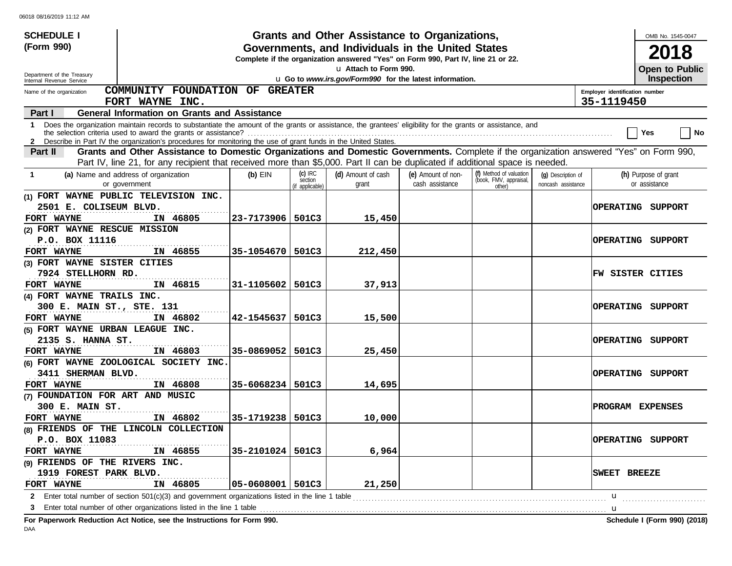| <b>SCHEDULE I</b>                                        |                                                                                                                                                                                                                                                                               |                      |                                         | Grants and Other Assistance to Organizations,                                                                                         |                                       |                                                             |                                          |                                | OMB No. 1545-0047                     |    |
|----------------------------------------------------------|-------------------------------------------------------------------------------------------------------------------------------------------------------------------------------------------------------------------------------------------------------------------------------|----------------------|-----------------------------------------|---------------------------------------------------------------------------------------------------------------------------------------|---------------------------------------|-------------------------------------------------------------|------------------------------------------|--------------------------------|---------------------------------------|----|
| (Form 990)                                               |                                                                                                                                                                                                                                                                               |                      |                                         | Governments, and Individuals in the United States<br>Complete if the organization answered "Yes" on Form 990, Part IV, line 21 or 22. |                                       |                                                             |                                          |                                | 2018                                  |    |
|                                                          |                                                                                                                                                                                                                                                                               |                      |                                         | La Attach to Form 990.                                                                                                                |                                       |                                                             |                                          |                                | Open to Public                        |    |
| Department of the Treasury<br>Internal Revenue Service   |                                                                                                                                                                                                                                                                               |                      |                                         | u Go to www.irs.gov/Form990 for the latest information.                                                                               |                                       |                                                             |                                          |                                | <b>Inspection</b>                     |    |
| Name of the organization                                 | COMMUNITY FOUNDATION OF                                                                                                                                                                                                                                                       | <b>GREATER</b>       |                                         |                                                                                                                                       |                                       |                                                             |                                          | Employer identification number |                                       |    |
|                                                          | FORT WAYNE INC.                                                                                                                                                                                                                                                               |                      |                                         |                                                                                                                                       |                                       |                                                             |                                          | 35-1119450                     |                                       |    |
| Part I                                                   | <b>General Information on Grants and Assistance</b>                                                                                                                                                                                                                           |                      |                                         |                                                                                                                                       |                                       |                                                             |                                          |                                |                                       |    |
| $\mathbf 1$                                              | Does the organization maintain records to substantiate the amount of the grants or assistance, the grantees' eligibility for the grants or assistance, and<br>2 Describe in Part IV the organization's procedures for monitoring the use of grant funds in the United States. |                      |                                         |                                                                                                                                       |                                       |                                                             |                                          |                                | Yes                                   | No |
| Part II                                                  | Grants and Other Assistance to Domestic Organizations and Domestic Governments. Complete if the organization answered "Yes" on Form 990,                                                                                                                                      |                      |                                         |                                                                                                                                       |                                       |                                                             |                                          |                                |                                       |    |
|                                                          | Part IV, line 21, for any recipient that received more than \$5,000. Part II can be duplicated if additional space is needed.                                                                                                                                                 |                      |                                         |                                                                                                                                       |                                       |                                                             |                                          |                                |                                       |    |
| -1                                                       | (a) Name and address of organization<br>or government                                                                                                                                                                                                                         | $(b)$ EIN            | $(c)$ IRC<br>section<br>(if applicable) | (d) Amount of cash<br>grant                                                                                                           | (e) Amount of non-<br>cash assistance | (f) Method of valuation<br>(book, FMV, appraisal,<br>other) | (q) Description of<br>noncash assistance |                                | (h) Purpose of grant<br>or assistance |    |
|                                                          | (1) FORT WAYNE PUBLIC TELEVISION INC.                                                                                                                                                                                                                                         |                      |                                         |                                                                                                                                       |                                       |                                                             |                                          |                                |                                       |    |
| 2501 E. COLISEUM BLVD.                                   |                                                                                                                                                                                                                                                                               |                      |                                         |                                                                                                                                       |                                       |                                                             |                                          |                                | OPERATING SUPPORT                     |    |
| FORT WAYNE                                               | IN 46805                                                                                                                                                                                                                                                                      | 23-7173906   501C3   |                                         | 15,450                                                                                                                                |                                       |                                                             |                                          |                                |                                       |    |
| (2) FORT WAYNE RESCUE MISSION                            |                                                                                                                                                                                                                                                                               |                      |                                         |                                                                                                                                       |                                       |                                                             |                                          |                                |                                       |    |
| P.O. BOX 11116                                           |                                                                                                                                                                                                                                                                               |                      |                                         |                                                                                                                                       |                                       |                                                             |                                          |                                | OPERATING SUPPORT                     |    |
| FORT WAYNE                                               | IN 46855                                                                                                                                                                                                                                                                      | 35-1054670   501C3   |                                         | 212,450                                                                                                                               |                                       |                                                             |                                          |                                |                                       |    |
| (3) FORT WAYNE SISTER CITIES                             |                                                                                                                                                                                                                                                                               |                      |                                         |                                                                                                                                       |                                       |                                                             |                                          |                                |                                       |    |
| 7924 STELLHORN RD.                                       |                                                                                                                                                                                                                                                                               |                      |                                         |                                                                                                                                       |                                       |                                                             |                                          |                                | FW SISTER CITIES                      |    |
| FORT WAYNE                                               | IN 46815                                                                                                                                                                                                                                                                      | 31-1105602   501C3   |                                         | 37,913                                                                                                                                |                                       |                                                             |                                          |                                |                                       |    |
| (4) FORT WAYNE TRAILS INC.                               |                                                                                                                                                                                                                                                                               |                      |                                         |                                                                                                                                       |                                       |                                                             |                                          |                                |                                       |    |
| 300 E. MAIN ST., STE. 131                                |                                                                                                                                                                                                                                                                               |                      |                                         |                                                                                                                                       |                                       |                                                             |                                          |                                | OPERATING SUPPORT                     |    |
| FORT WAYNE                                               | IN 46802                                                                                                                                                                                                                                                                      | 42-1545637   501C3   |                                         | 15,500                                                                                                                                |                                       |                                                             |                                          |                                |                                       |    |
| (5) FORT WAYNE URBAN LEAGUE INC.                         |                                                                                                                                                                                                                                                                               |                      |                                         |                                                                                                                                       |                                       |                                                             |                                          |                                |                                       |    |
| 2135 S. HANNA ST.                                        |                                                                                                                                                                                                                                                                               |                      |                                         |                                                                                                                                       |                                       |                                                             |                                          |                                | OPERATING SUPPORT                     |    |
| FORT WAYNE                                               | IN 46803                                                                                                                                                                                                                                                                      | 35-0869052   501C3   |                                         | 25,450                                                                                                                                |                                       |                                                             |                                          |                                |                                       |    |
|                                                          | (6) FORT WAYNE ZOOLOGICAL SOCIETY INC.                                                                                                                                                                                                                                        |                      |                                         |                                                                                                                                       |                                       |                                                             |                                          |                                |                                       |    |
| 3411 SHERMAN BLVD.                                       |                                                                                                                                                                                                                                                                               |                      |                                         |                                                                                                                                       |                                       |                                                             |                                          |                                | OPERATING SUPPORT                     |    |
| FORT WAYNE                                               | IN 46808                                                                                                                                                                                                                                                                      | 35-6068234 501C3     |                                         | 14,695                                                                                                                                |                                       |                                                             |                                          |                                |                                       |    |
| (7) FOUNDATION FOR ART AND MUSIC                         |                                                                                                                                                                                                                                                                               |                      |                                         |                                                                                                                                       |                                       |                                                             |                                          |                                |                                       |    |
| 300 E. MAIN ST.                                          |                                                                                                                                                                                                                                                                               |                      |                                         |                                                                                                                                       |                                       |                                                             |                                          |                                | PROGRAM EXPENSES                      |    |
| FORT WAYNE                                               | IN 46802                                                                                                                                                                                                                                                                      | 35-1719238   501C3   |                                         | 10,000                                                                                                                                |                                       |                                                             |                                          |                                |                                       |    |
|                                                          | (8) FRIENDS OF THE LINCOLN COLLECTION                                                                                                                                                                                                                                         |                      |                                         |                                                                                                                                       |                                       |                                                             |                                          |                                |                                       |    |
| P.O. BOX 11083                                           |                                                                                                                                                                                                                                                                               |                      |                                         |                                                                                                                                       |                                       |                                                             |                                          |                                | OPERATING SUPPORT                     |    |
| FORT WAYNE                                               | IN 46855                                                                                                                                                                                                                                                                      | 35-2101024   501C3   |                                         | 6,964                                                                                                                                 |                                       |                                                             |                                          |                                |                                       |    |
| (9) FRIENDS OF THE RIVERS INC.<br>1919 FOREST PARK BLVD. |                                                                                                                                                                                                                                                                               |                      |                                         |                                                                                                                                       |                                       |                                                             |                                          | SWEET BREEZE                   |                                       |    |
| FORT WAYNE                                               | IN 46805                                                                                                                                                                                                                                                                      | $05 - 0608001$ 501C3 |                                         | 21,250                                                                                                                                |                                       |                                                             |                                          |                                |                                       |    |
|                                                          |                                                                                                                                                                                                                                                                               |                      |                                         |                                                                                                                                       |                                       |                                                             |                                          | u                              |                                       |    |
| 3                                                        |                                                                                                                                                                                                                                                                               |                      |                                         |                                                                                                                                       |                                       |                                                             |                                          |                                |                                       |    |
|                                                          |                                                                                                                                                                                                                                                                               |                      |                                         |                                                                                                                                       |                                       |                                                             | u                                        |                                |                                       |    |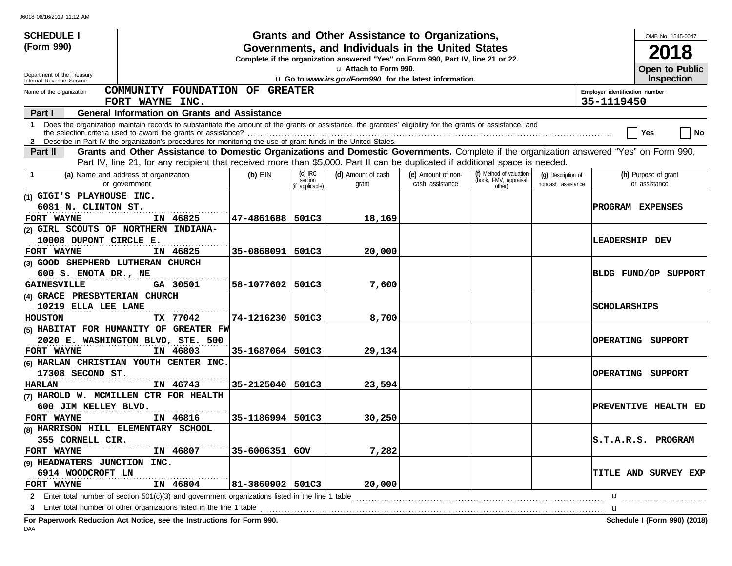| <b>SCHEDULE I</b>                                      |                                                                                                                                                                                                                                                                               |                    |                                         | Grants and Other Assistance to Organizations,                                                                                         |                                       |                                                             |                                          |                                              | OMB No. 1545-0047                     |
|--------------------------------------------------------|-------------------------------------------------------------------------------------------------------------------------------------------------------------------------------------------------------------------------------------------------------------------------------|--------------------|-----------------------------------------|---------------------------------------------------------------------------------------------------------------------------------------|---------------------------------------|-------------------------------------------------------------|------------------------------------------|----------------------------------------------|---------------------------------------|
| (Form 990)                                             |                                                                                                                                                                                                                                                                               |                    |                                         | Governments, and Individuals in the United States<br>Complete if the organization answered "Yes" on Form 990, Part IV, line 21 or 22. |                                       |                                                             |                                          |                                              | 2018                                  |
|                                                        |                                                                                                                                                                                                                                                                               |                    |                                         | La Attach to Form 990.                                                                                                                |                                       |                                                             |                                          |                                              | Open to Public                        |
| Department of the Treasury<br>Internal Revenue Service |                                                                                                                                                                                                                                                                               |                    |                                         | u Go to www.irs.gov/Form990 for the latest information.                                                                               |                                       |                                                             |                                          |                                              | <b>Inspection</b>                     |
| Name of the organization                               | COMMUNITY FOUNDATION OF<br>FORT WAYNE INC.                                                                                                                                                                                                                                    |                    | <b>GREATER</b>                          |                                                                                                                                       |                                       |                                                             |                                          | Employer identification number<br>35-1119450 |                                       |
| Part I                                                 | <b>General Information on Grants and Assistance</b>                                                                                                                                                                                                                           |                    |                                         |                                                                                                                                       |                                       |                                                             |                                          |                                              |                                       |
| $\mathbf 1$                                            | Does the organization maintain records to substantiate the amount of the grants or assistance, the grantees' eligibility for the grants or assistance, and<br>2 Describe in Part IV the organization's procedures for monitoring the use of grant funds in the United States. |                    |                                         |                                                                                                                                       |                                       |                                                             |                                          |                                              | No<br>Yes                             |
| <b>Part II</b>                                         | Grants and Other Assistance to Domestic Organizations and Domestic Governments. Complete if the organization answered "Yes" on Form 990,                                                                                                                                      |                    |                                         |                                                                                                                                       |                                       |                                                             |                                          |                                              |                                       |
|                                                        | Part IV, line 21, for any recipient that received more than \$5,000. Part II can be duplicated if additional space is needed.                                                                                                                                                 |                    |                                         |                                                                                                                                       |                                       |                                                             |                                          |                                              |                                       |
| $\mathbf{1}$                                           | (a) Name and address of organization<br>or government                                                                                                                                                                                                                         | $(b)$ EIN          | $(c)$ IRC<br>section<br>(if applicable) | (d) Amount of cash<br>grant                                                                                                           | (e) Amount of non-<br>cash assistance | (f) Method of valuation<br>(book, FMV, appraisal,<br>other) | (g) Description of<br>noncash assistance |                                              | (h) Purpose of grant<br>or assistance |
| (1) GIGI'S PLAYHOUSE INC.                              |                                                                                                                                                                                                                                                                               |                    |                                         |                                                                                                                                       |                                       |                                                             |                                          |                                              |                                       |
| 6081 N. CLINTON ST.                                    | .                                                                                                                                                                                                                                                                             |                    |                                         |                                                                                                                                       |                                       |                                                             |                                          |                                              | PROGRAM EXPENSES                      |
| FORT WAYNE                                             | IN 46825                                                                                                                                                                                                                                                                      | 47-4861688   501C3 |                                         | 18,169                                                                                                                                |                                       |                                                             |                                          |                                              |                                       |
| (2) GIRL SCOUTS OF NORTHERN INDIANA-                   |                                                                                                                                                                                                                                                                               |                    |                                         |                                                                                                                                       |                                       |                                                             |                                          |                                              |                                       |
| 10008 DUPONT CIRCLE E.                                 | .                                                                                                                                                                                                                                                                             |                    |                                         |                                                                                                                                       |                                       |                                                             |                                          | <b>LEADERSHIP DEV</b>                        |                                       |
| FORT WAYNE                                             | IN 46825                                                                                                                                                                                                                                                                      | 35-0868091   501C3 |                                         | 20,000                                                                                                                                |                                       |                                                             |                                          |                                              |                                       |
| (3) GOOD SHEPHERD LUTHERAN CHURCH                      |                                                                                                                                                                                                                                                                               |                    |                                         |                                                                                                                                       |                                       |                                                             |                                          |                                              |                                       |
| 600 S. ENOTA DR., NE                                   | .                                                                                                                                                                                                                                                                             |                    |                                         |                                                                                                                                       |                                       |                                                             |                                          |                                              | BLDG FUND/OP SUPPORT                  |
| <b>GAINESVILLE</b>                                     | GA 30501                                                                                                                                                                                                                                                                      | 58-1077602   501C3 |                                         | 7,600                                                                                                                                 |                                       |                                                             |                                          |                                              |                                       |
| (4) GRACE PRESBYTERIAN CHURCH                          |                                                                                                                                                                                                                                                                               |                    |                                         |                                                                                                                                       |                                       |                                                             |                                          |                                              |                                       |
| <b>10219 ELLA LEE LANE</b>                             |                                                                                                                                                                                                                                                                               |                    |                                         |                                                                                                                                       |                                       |                                                             |                                          | <b>SCHOLARSHIPS</b>                          |                                       |
| <b>HOUSTON</b>                                         | TX 77042                                                                                                                                                                                                                                                                      | 74-1216230   501C3 |                                         | 8,700                                                                                                                                 |                                       |                                                             |                                          |                                              |                                       |
|                                                        | (5) HABITAT FOR HUMANITY OF GREATER FW                                                                                                                                                                                                                                        |                    |                                         |                                                                                                                                       |                                       |                                                             |                                          |                                              |                                       |
|                                                        | 2020 E. WASHINGTON BLVD, STE. 500                                                                                                                                                                                                                                             |                    |                                         |                                                                                                                                       |                                       |                                                             |                                          |                                              | OPERATING SUPPORT                     |
| FORT WAYNE                                             | IN 46803                                                                                                                                                                                                                                                                      | 35-1687064   501C3 |                                         | 29,134                                                                                                                                |                                       |                                                             |                                          |                                              |                                       |
|                                                        | (6) HARLAN CHRISTIAN YOUTH CENTER INC.                                                                                                                                                                                                                                        |                    |                                         |                                                                                                                                       |                                       |                                                             |                                          |                                              |                                       |
| 17308 SECOND ST.                                       |                                                                                                                                                                                                                                                                               |                    |                                         |                                                                                                                                       |                                       |                                                             |                                          |                                              | OPERATING SUPPORT                     |
| <b>HARLAN</b>                                          | IN 46743                                                                                                                                                                                                                                                                      | 35-2125040 501C3   |                                         | 23,594                                                                                                                                |                                       |                                                             |                                          |                                              |                                       |
|                                                        | (7) HAROLD W. MCMILLEN CTR FOR HEALTH                                                                                                                                                                                                                                         |                    |                                         |                                                                                                                                       |                                       |                                                             |                                          |                                              |                                       |
| 600 JIM KELLEY BLVD.                                   |                                                                                                                                                                                                                                                                               |                    |                                         |                                                                                                                                       |                                       |                                                             |                                          |                                              | PREVENTIVE HEALTH ED                  |
| FORT WAYNE                                             | IN 46816                                                                                                                                                                                                                                                                      | 35-1186994   501C3 |                                         | 30,250                                                                                                                                |                                       |                                                             |                                          |                                              |                                       |
| (8) HARRISON HILL ELEMENTARY SCHOOL                    |                                                                                                                                                                                                                                                                               |                    |                                         |                                                                                                                                       |                                       |                                                             |                                          |                                              |                                       |
| 355 CORNELL CIR.                                       |                                                                                                                                                                                                                                                                               |                    |                                         |                                                                                                                                       |                                       |                                                             |                                          |                                              | $S.T.A.R.S.$ PROGRAM                  |
| FORT WAYNE                                             | IN 46807                                                                                                                                                                                                                                                                      | $35 - 6006351$ GOV |                                         | 7,282                                                                                                                                 |                                       |                                                             |                                          |                                              |                                       |
| (9) HEADWATERS JUNCTION INC.                           |                                                                                                                                                                                                                                                                               |                    |                                         |                                                                                                                                       |                                       |                                                             |                                          |                                              |                                       |
| 6914 WOODCROFT LN                                      |                                                                                                                                                                                                                                                                               |                    |                                         |                                                                                                                                       |                                       |                                                             |                                          |                                              | TITLE AND SURVEY EXP                  |
| FORT WAYNE                                             | IN 46804                                                                                                                                                                                                                                                                      | 81-3860902   501C3 |                                         | 20,000                                                                                                                                |                                       |                                                             |                                          |                                              |                                       |
|                                                        |                                                                                                                                                                                                                                                                               |                    |                                         |                                                                                                                                       |                                       |                                                             |                                          | $\mathbf{u}$                                 |                                       |
| 3                                                      | Enter total number of other organizations listed in the line 1 table <i>manufacture in the content of the line</i> 1 table manufacture in the line 1 table manufacture in the line 1 table                                                                                    |                    |                                         |                                                                                                                                       |                                       |                                                             |                                          |                                              |                                       |
|                                                        | For Paperwork Reduction Act Notice, see the Instructions for Form 990.                                                                                                                                                                                                        |                    |                                         |                                                                                                                                       |                                       |                                                             |                                          |                                              | Schedule I (Form 990) (2018)          |

DAA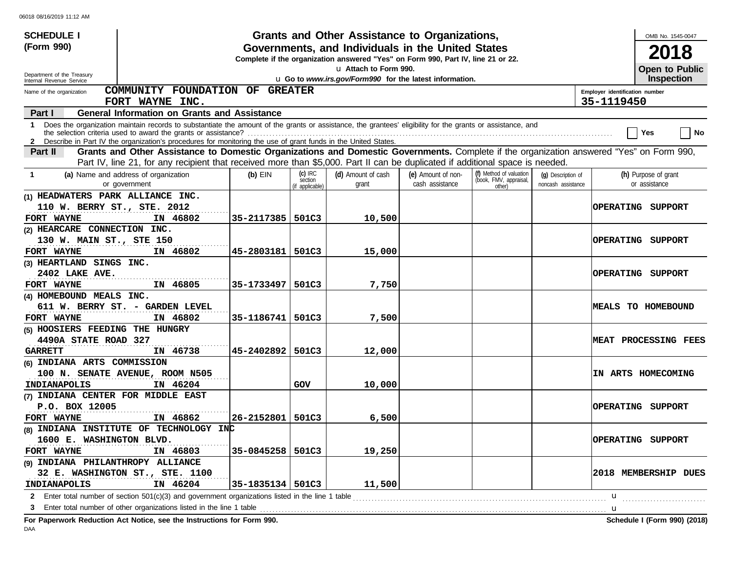| <b>SCHEDULE I</b>                                      |                                                                                                                                                                                                                                                                               |                    |                                         | Grants and Other Assistance to Organizations,                                                                                         |                                       |                                                             |                                          |                                              | OMB No. 1545-0047                     |
|--------------------------------------------------------|-------------------------------------------------------------------------------------------------------------------------------------------------------------------------------------------------------------------------------------------------------------------------------|--------------------|-----------------------------------------|---------------------------------------------------------------------------------------------------------------------------------------|---------------------------------------|-------------------------------------------------------------|------------------------------------------|----------------------------------------------|---------------------------------------|
| (Form 990)                                             |                                                                                                                                                                                                                                                                               |                    |                                         | Governments, and Individuals in the United States<br>Complete if the organization answered "Yes" on Form 990, Part IV, line 21 or 22. |                                       |                                                             |                                          |                                              | 2018                                  |
|                                                        |                                                                                                                                                                                                                                                                               |                    |                                         | La Attach to Form 990.                                                                                                                |                                       |                                                             |                                          |                                              | Open to Public                        |
| Department of the Treasury<br>Internal Revenue Service |                                                                                                                                                                                                                                                                               |                    |                                         | u Go to www.irs.gov/Form990 for the latest information.                                                                               |                                       |                                                             |                                          |                                              | <b>Inspection</b>                     |
| Name of the organization                               | COMMUNITY FOUNDATION OF<br>FORT WAYNE INC.                                                                                                                                                                                                                                    |                    | <b>GREATER</b>                          |                                                                                                                                       |                                       |                                                             |                                          | Employer identification number<br>35-1119450 |                                       |
| Part I                                                 | <b>General Information on Grants and Assistance</b>                                                                                                                                                                                                                           |                    |                                         |                                                                                                                                       |                                       |                                                             |                                          |                                              |                                       |
| $\mathbf 1$                                            | Does the organization maintain records to substantiate the amount of the grants or assistance, the grantees' eligibility for the grants or assistance, and<br>2 Describe in Part IV the organization's procedures for monitoring the use of grant funds in the United States. |                    |                                         |                                                                                                                                       |                                       |                                                             |                                          |                                              | Yes<br>No                             |
| <b>Part II</b>                                         | Grants and Other Assistance to Domestic Organizations and Domestic Governments. Complete if the organization answered "Yes" on Form 990,                                                                                                                                      |                    |                                         |                                                                                                                                       |                                       |                                                             |                                          |                                              |                                       |
|                                                        | Part IV, line 21, for any recipient that received more than \$5,000. Part II can be duplicated if additional space is needed.                                                                                                                                                 |                    |                                         |                                                                                                                                       |                                       |                                                             |                                          |                                              |                                       |
| $\mathbf{1}$                                           | (a) Name and address of organization<br>or government                                                                                                                                                                                                                         | $(b)$ EIN          | $(c)$ IRC<br>section<br>(if applicable) | (d) Amount of cash<br>grant                                                                                                           | (e) Amount of non-<br>cash assistance | (f) Method of valuation<br>(book, FMV, appraisal,<br>other) | (g) Description of<br>noncash assistance |                                              | (h) Purpose of grant<br>or assistance |
| (1) HEADWATERS PARK ALLIANCE INC.                      |                                                                                                                                                                                                                                                                               |                    |                                         |                                                                                                                                       |                                       |                                                             |                                          |                                              |                                       |
| 110 W. BERRY ST., STE. 2012                            |                                                                                                                                                                                                                                                                               |                    |                                         |                                                                                                                                       |                                       |                                                             |                                          |                                              | OPERATING SUPPORT                     |
| FORT WAYNE                                             | IN 46802                                                                                                                                                                                                                                                                      | 35-2117385   501C3 |                                         | 10,500                                                                                                                                |                                       |                                                             |                                          |                                              |                                       |
| (2) HEARCARE CONNECTION INC.                           |                                                                                                                                                                                                                                                                               |                    |                                         |                                                                                                                                       |                                       |                                                             |                                          |                                              |                                       |
| 130 W. MAIN ST., STE 150                               |                                                                                                                                                                                                                                                                               |                    |                                         |                                                                                                                                       |                                       |                                                             |                                          |                                              | OPERATING SUPPORT                     |
| FORT WAYNE                                             | IN 46802                                                                                                                                                                                                                                                                      | 45-2803181   501C3 |                                         | 15,000                                                                                                                                |                                       |                                                             |                                          |                                              |                                       |
| (3) HEARTLAND SINGS INC.                               |                                                                                                                                                                                                                                                                               |                    |                                         |                                                                                                                                       |                                       |                                                             |                                          |                                              |                                       |
| 2402 LAKE AVE.                                         |                                                                                                                                                                                                                                                                               |                    |                                         |                                                                                                                                       |                                       |                                                             |                                          |                                              | OPERATING SUPPORT                     |
| FORT WAYNE                                             | IN 46805                                                                                                                                                                                                                                                                      | 35-1733497   501C3 |                                         | 7,750                                                                                                                                 |                                       |                                                             |                                          |                                              |                                       |
| (4) HOMEBOUND MEALS INC.                               |                                                                                                                                                                                                                                                                               |                    |                                         |                                                                                                                                       |                                       |                                                             |                                          |                                              |                                       |
|                                                        | 611 W. BERRY ST. - GARDEN LEVEL                                                                                                                                                                                                                                               |                    |                                         |                                                                                                                                       |                                       |                                                             |                                          |                                              | <b>MEALS TO HOMEBOUND</b>             |
| FORT WAYNE                                             | IN 46802                                                                                                                                                                                                                                                                      | 35-1186741   501C3 |                                         | 7,500                                                                                                                                 |                                       |                                                             |                                          |                                              |                                       |
| (5) HOOSIERS FEEDING THE HUNGRY                        |                                                                                                                                                                                                                                                                               |                    |                                         |                                                                                                                                       |                                       |                                                             |                                          |                                              |                                       |
| 4490A STATE ROAD 327                                   |                                                                                                                                                                                                                                                                               |                    |                                         |                                                                                                                                       |                                       |                                                             |                                          |                                              | <b>MEAT PROCESSING FEES</b>           |
| <b>GARRETT</b>                                         | IN 46738                                                                                                                                                                                                                                                                      | 45-2402892   501C3 |                                         | 12,000                                                                                                                                |                                       |                                                             |                                          |                                              |                                       |
| (6) INDIANA ARTS COMMISSION                            |                                                                                                                                                                                                                                                                               |                    |                                         |                                                                                                                                       |                                       |                                                             |                                          |                                              |                                       |
|                                                        | 100 N. SENATE AVENUE, ROOM N505                                                                                                                                                                                                                                               |                    |                                         |                                                                                                                                       |                                       |                                                             |                                          |                                              | IN ARTS HOMECOMING                    |
| INDIANAPOLIS                                           | IN 46204                                                                                                                                                                                                                                                                      |                    | GOV                                     | 10,000                                                                                                                                |                                       |                                                             |                                          |                                              |                                       |
| (7) INDIANA CENTER FOR MIDDLE EAST                     |                                                                                                                                                                                                                                                                               |                    |                                         |                                                                                                                                       |                                       |                                                             |                                          |                                              |                                       |
| P.O. BOX 12005                                         |                                                                                                                                                                                                                                                                               | 26-2152801 501C3   |                                         |                                                                                                                                       |                                       |                                                             |                                          |                                              | OPERATING SUPPORT                     |
| FORT WAYNE                                             | IN 46862<br>(8) INDIANA INSTITUTE OF TECHNOLOGY INC                                                                                                                                                                                                                           |                    |                                         | 6,500                                                                                                                                 |                                       |                                                             |                                          |                                              |                                       |
|                                                        |                                                                                                                                                                                                                                                                               |                    |                                         |                                                                                                                                       |                                       |                                                             |                                          |                                              |                                       |
| 1600 E. WASHINGTON BLVD.<br>FORT WAYNE                 | IN 46803                                                                                                                                                                                                                                                                      | 35-0845258   501C3 |                                         | 19,250                                                                                                                                |                                       |                                                             |                                          |                                              | OPERATING SUPPORT                     |
| (9) INDIANA PHILANTHROPY ALLIANCE                      |                                                                                                                                                                                                                                                                               |                    |                                         |                                                                                                                                       |                                       |                                                             |                                          |                                              |                                       |
|                                                        | 32 E. WASHINGTON ST., STE. 1100                                                                                                                                                                                                                                               |                    |                                         |                                                                                                                                       |                                       |                                                             |                                          |                                              | 2018 MEMBERSHIP DUES                  |
| INDIANAPOLIS                                           | IN 46204                                                                                                                                                                                                                                                                      | 35-1835134   501C3 |                                         | 11,500                                                                                                                                |                                       |                                                             |                                          |                                              |                                       |
|                                                        |                                                                                                                                                                                                                                                                               |                    |                                         |                                                                                                                                       |                                       |                                                             |                                          | $\mathbf{u}$                                 |                                       |
| 3                                                      | Enter total number of other organizations listed in the line 1 table <i>manufacture in the content of the line</i> 1 table manufacture in the line 1 table manufacture in the line 1 table                                                                                    |                    |                                         |                                                                                                                                       |                                       |                                                             |                                          |                                              |                                       |
|                                                        | For Paperwork Reduction Act Notice, see the Instructions for Form 990.                                                                                                                                                                                                        |                    |                                         |                                                                                                                                       |                                       |                                                             |                                          |                                              | Schedule I (Form 990) (2018)          |

DAA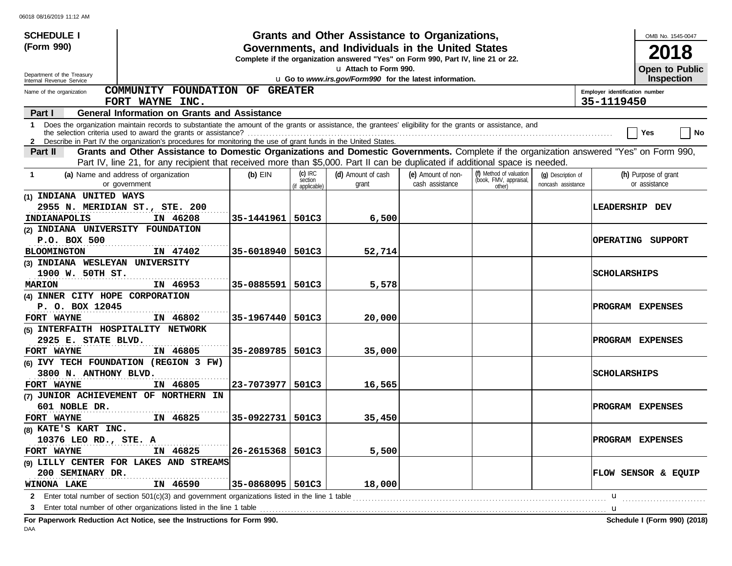| <b>SCHEDULE I</b>                                                                                                                                                                                                                                                                            |                        |                                         | Grants and Other Assistance to Organizations,                                                                                         |                                       |                                                             |                                          |                                | OMB No. 1545-0047                     |
|----------------------------------------------------------------------------------------------------------------------------------------------------------------------------------------------------------------------------------------------------------------------------------------------|------------------------|-----------------------------------------|---------------------------------------------------------------------------------------------------------------------------------------|---------------------------------------|-------------------------------------------------------------|------------------------------------------|--------------------------------|---------------------------------------|
| (Form 990)                                                                                                                                                                                                                                                                                   |                        |                                         | Governments, and Individuals in the United States<br>Complete if the organization answered "Yes" on Form 990, Part IV, line 21 or 22. |                                       |                                                             |                                          |                                | 2018                                  |
|                                                                                                                                                                                                                                                                                              |                        |                                         | La Attach to Form 990.                                                                                                                |                                       |                                                             |                                          |                                | <b>Open to Public</b>                 |
| Department of the Treasury<br>Internal Revenue Service                                                                                                                                                                                                                                       |                        |                                         | u Go to www.irs.gov/Form990 for the latest information.                                                                               |                                       |                                                             |                                          |                                | Inspection                            |
| COMMUNITY FOUNDATION OF GREATER<br>Name of the organization                                                                                                                                                                                                                                  |                        |                                         |                                                                                                                                       |                                       |                                                             |                                          | Employer identification number |                                       |
| FORT WAYNE INC.                                                                                                                                                                                                                                                                              |                        |                                         |                                                                                                                                       |                                       |                                                             |                                          | 35-1119450                     |                                       |
| <b>General Information on Grants and Assistance</b><br>Part I                                                                                                                                                                                                                                |                        |                                         |                                                                                                                                       |                                       |                                                             |                                          |                                |                                       |
| Does the organization maintain records to substantiate the amount of the grants or assistance, the grantees' eligibility for the grants or assistance, and<br>$\mathbf 1$<br>2 Describe in Part IV the organization's procedures for monitoring the use of grant funds in the United States. |                        |                                         |                                                                                                                                       |                                       |                                                             |                                          |                                | No<br>Yes                             |
| Grants and Other Assistance to Domestic Organizations and Domestic Governments. Complete if the organization answered "Yes" on Form 990,<br>Part II                                                                                                                                          |                        |                                         |                                                                                                                                       |                                       |                                                             |                                          |                                |                                       |
| Part IV, line 21, for any recipient that received more than \$5,000. Part II can be duplicated if additional space is needed.                                                                                                                                                                |                        |                                         |                                                                                                                                       |                                       |                                                             |                                          |                                |                                       |
| (a) Name and address of organization<br>$\mathbf{1}$<br>or government                                                                                                                                                                                                                        | $(b)$ EIN              | $(c)$ IRC<br>section<br>(if applicable) | (d) Amount of cash<br>grant                                                                                                           | (e) Amount of non-<br>cash assistance | (f) Method of valuation<br>(book, FMV, appraisal,<br>other) | (q) Description of<br>noncash assistance |                                | (h) Purpose of grant<br>or assistance |
| (1) INDIANA UNITED WAYS                                                                                                                                                                                                                                                                      |                        |                                         |                                                                                                                                       |                                       |                                                             |                                          |                                |                                       |
| 2955 N. MERIDIAN ST., STE. 200                                                                                                                                                                                                                                                               |                        |                                         |                                                                                                                                       |                                       |                                                             |                                          | <b>LEADERSHIP DEV</b>          |                                       |
| INDIANAPOLIS<br>IN 46208                                                                                                                                                                                                                                                                     | 35-1441961   501C3     |                                         | 6,500                                                                                                                                 |                                       |                                                             |                                          |                                |                                       |
| (2) INDIANA UNIVERSITY FOUNDATION                                                                                                                                                                                                                                                            |                        |                                         |                                                                                                                                       |                                       |                                                             |                                          |                                |                                       |
| P.O. BOX 500                                                                                                                                                                                                                                                                                 |                        |                                         |                                                                                                                                       |                                       |                                                             |                                          |                                | <b>OPERATING SUPPORT</b>              |
| <b>BLOOMINGTON</b><br>IN 47402                                                                                                                                                                                                                                                               | 35-6018940   501C3     |                                         | 52,714                                                                                                                                |                                       |                                                             |                                          |                                |                                       |
| (3) INDIANA WESLEYAN UNIVERSITY                                                                                                                                                                                                                                                              |                        |                                         |                                                                                                                                       |                                       |                                                             |                                          |                                |                                       |
| 1900 W. 50TH ST.                                                                                                                                                                                                                                                                             |                        |                                         |                                                                                                                                       |                                       |                                                             |                                          | <b>SCHOLARSHIPS</b>            |                                       |
| <b>MARION</b><br>IN 46953                                                                                                                                                                                                                                                                    | 35-0885591   501C3     |                                         | 5,578                                                                                                                                 |                                       |                                                             |                                          |                                |                                       |
| (4) INNER CITY HOPE CORPORATION                                                                                                                                                                                                                                                              |                        |                                         |                                                                                                                                       |                                       |                                                             |                                          |                                |                                       |
| P. O. BOX 12045<br>FORT WAYNE<br>IN 46802                                                                                                                                                                                                                                                    | 35-1967440   501C3     |                                         | 20,000                                                                                                                                |                                       |                                                             |                                          |                                | <b>PROGRAM EXPENSES</b>               |
| (5) INTERFAITH HOSPITALITY NETWORK                                                                                                                                                                                                                                                           |                        |                                         |                                                                                                                                       |                                       |                                                             |                                          |                                |                                       |
| 2925 E. STATE BLVD.                                                                                                                                                                                                                                                                          |                        |                                         |                                                                                                                                       |                                       |                                                             |                                          |                                | <b>PROGRAM EXPENSES</b>               |
| FORT WAYNE<br>IN 46805                                                                                                                                                                                                                                                                       | 35-2089785   501C3     |                                         | 35,000                                                                                                                                |                                       |                                                             |                                          |                                |                                       |
| (6) IVY TECH FOUNDATION (REGION 3 FW)                                                                                                                                                                                                                                                        |                        |                                         |                                                                                                                                       |                                       |                                                             |                                          |                                |                                       |
| 3800 N. ANTHONY BLVD.                                                                                                                                                                                                                                                                        |                        |                                         |                                                                                                                                       |                                       |                                                             |                                          | <b>SCHOLARSHIPS</b>            |                                       |
| FORT WAYNE<br>IN 46805                                                                                                                                                                                                                                                                       | 23-7073977   501C3     |                                         | 16,565                                                                                                                                |                                       |                                                             |                                          |                                |                                       |
| (7) JUNIOR ACHIEVEMENT OF NORTHERN IN                                                                                                                                                                                                                                                        |                        |                                         |                                                                                                                                       |                                       |                                                             |                                          |                                |                                       |
| 601 NOBLE DR.                                                                                                                                                                                                                                                                                |                        |                                         |                                                                                                                                       |                                       |                                                             |                                          |                                | <b>PROGRAM EXPENSES</b>               |
| IN 46825<br>FORT WAYNE                                                                                                                                                                                                                                                                       | 35-0922731 501C3       |                                         | 35,450                                                                                                                                |                                       |                                                             |                                          |                                |                                       |
| (8) KATE'S KART INC.                                                                                                                                                                                                                                                                         |                        |                                         |                                                                                                                                       |                                       |                                                             |                                          |                                |                                       |
| 10376 LEO RD., STE. A                                                                                                                                                                                                                                                                        |                        |                                         |                                                                                                                                       |                                       |                                                             |                                          |                                | <b>PROGRAM EXPENSES</b>               |
| FORT WAYNE<br>IN 46825                                                                                                                                                                                                                                                                       | $26 - 2615368$   501C3 |                                         | 5,500                                                                                                                                 |                                       |                                                             |                                          |                                |                                       |
| (9) LILLY CENTER FOR LAKES AND STREAMS                                                                                                                                                                                                                                                       |                        |                                         |                                                                                                                                       |                                       |                                                             |                                          |                                |                                       |
| 200 SEMINARY DR.                                                                                                                                                                                                                                                                             |                        |                                         |                                                                                                                                       |                                       |                                                             |                                          |                                | <b>FLOW SENSOR &amp; EQUIP</b>        |
| WINONA LAKE<br>IN 46590                                                                                                                                                                                                                                                                      | 35-0868095   501C3     |                                         | 18,000                                                                                                                                |                                       |                                                             |                                          |                                |                                       |
|                                                                                                                                                                                                                                                                                              |                        |                                         |                                                                                                                                       |                                       |                                                             |                                          | <b>u</b>                       |                                       |
| 3 Enter total number of other organizations listed in the line 1 table <b>contained and the contained and the contained</b>                                                                                                                                                                  |                        |                                         |                                                                                                                                       |                                       |                                                             | <u></u> u                                |                                |                                       |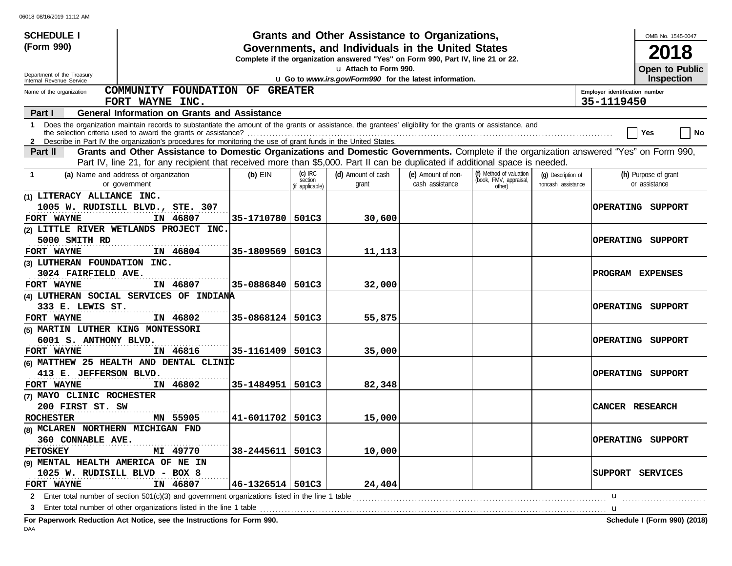| <b>SCHEDULE I</b>                                      |                                                                                                                                                                                                                                                                               |                        |                                         | Grants and Other Assistance to Organizations,                                                                                         |                                       |                                                             |                                          |                                | OMB No. 1545-0047                     |
|--------------------------------------------------------|-------------------------------------------------------------------------------------------------------------------------------------------------------------------------------------------------------------------------------------------------------------------------------|------------------------|-----------------------------------------|---------------------------------------------------------------------------------------------------------------------------------------|---------------------------------------|-------------------------------------------------------------|------------------------------------------|--------------------------------|---------------------------------------|
| (Form 990)                                             |                                                                                                                                                                                                                                                                               |                        |                                         | Governments, and Individuals in the United States<br>Complete if the organization answered "Yes" on Form 990, Part IV, line 21 or 22. |                                       |                                                             |                                          |                                | 2018                                  |
|                                                        |                                                                                                                                                                                                                                                                               |                        |                                         | La Attach to Form 990.                                                                                                                |                                       |                                                             |                                          |                                | Open to Public                        |
| Department of the Treasury<br>Internal Revenue Service |                                                                                                                                                                                                                                                                               |                        |                                         | u Go to www.irs.gov/Form990 for the latest information.                                                                               |                                       |                                                             |                                          |                                | <b>Inspection</b>                     |
| Name of the organization                               | COMMUNITY FOUNDATION OF                                                                                                                                                                                                                                                       | <b>GREATER</b>         |                                         |                                                                                                                                       |                                       |                                                             |                                          | Employer identification number |                                       |
|                                                        | FORT WAYNE INC.                                                                                                                                                                                                                                                               |                        |                                         |                                                                                                                                       |                                       |                                                             |                                          | 35-1119450                     |                                       |
| Part I                                                 | <b>General Information on Grants and Assistance</b>                                                                                                                                                                                                                           |                        |                                         |                                                                                                                                       |                                       |                                                             |                                          |                                |                                       |
| $\mathbf 1$                                            | Does the organization maintain records to substantiate the amount of the grants or assistance, the grantees' eligibility for the grants or assistance, and<br>2 Describe in Part IV the organization's procedures for monitoring the use of grant funds in the United States. |                        |                                         |                                                                                                                                       |                                       |                                                             |                                          |                                | No<br>Yes                             |
| Part II                                                | Grants and Other Assistance to Domestic Organizations and Domestic Governments. Complete if the organization answered "Yes" on Form 990,                                                                                                                                      |                        |                                         |                                                                                                                                       |                                       |                                                             |                                          |                                |                                       |
|                                                        | Part IV, line 21, for any recipient that received more than \$5,000. Part II can be duplicated if additional space is needed.                                                                                                                                                 |                        |                                         |                                                                                                                                       |                                       |                                                             |                                          |                                |                                       |
| -1                                                     | (a) Name and address of organization<br>or government                                                                                                                                                                                                                         | $(b)$ EIN              | $(c)$ IRC<br>section<br>(if applicable) | (d) Amount of cash<br>grant                                                                                                           | (e) Amount of non-<br>cash assistance | (f) Method of valuation<br>(book, FMV, appraisal,<br>other) | (q) Description of<br>noncash assistance |                                | (h) Purpose of grant<br>or assistance |
| (1) LITERACY ALLIANCE INC.                             |                                                                                                                                                                                                                                                                               |                        |                                         |                                                                                                                                       |                                       |                                                             |                                          |                                |                                       |
|                                                        | 1005 W. RUDISILL BLVD., STE. 307                                                                                                                                                                                                                                              |                        |                                         |                                                                                                                                       |                                       |                                                             |                                          |                                | OPERATING SUPPORT                     |
| FORT WAYNE                                             | IN 46807                                                                                                                                                                                                                                                                      | 35-1710780   501C3     |                                         | 30,600                                                                                                                                |                                       |                                                             |                                          |                                |                                       |
|                                                        | (2) LITTLE RIVER WETLANDS PROJECT INC.                                                                                                                                                                                                                                        |                        |                                         |                                                                                                                                       |                                       |                                                             |                                          |                                |                                       |
| 5000 SMITH RD                                          |                                                                                                                                                                                                                                                                               |                        |                                         |                                                                                                                                       |                                       |                                                             |                                          |                                | OPERATING SUPPORT                     |
| FORT WAYNE                                             | IN 46804                                                                                                                                                                                                                                                                      | 35-1809569   501C3     |                                         | 11,113                                                                                                                                |                                       |                                                             |                                          |                                |                                       |
| (3) LUTHERAN FOUNDATION INC.                           |                                                                                                                                                                                                                                                                               |                        |                                         |                                                                                                                                       |                                       |                                                             |                                          |                                |                                       |
| 3024 FAIRFIELD AVE.                                    |                                                                                                                                                                                                                                                                               |                        |                                         |                                                                                                                                       |                                       |                                                             |                                          |                                | <b>PROGRAM EXPENSES</b>               |
| FORT WAYNE                                             | IN 46807                                                                                                                                                                                                                                                                      | 35-0886840   501C3     |                                         | 32,000                                                                                                                                |                                       |                                                             |                                          |                                |                                       |
|                                                        | (4) LUTHERAN SOCIAL SERVICES OF INDIANA                                                                                                                                                                                                                                       |                        |                                         |                                                                                                                                       |                                       |                                                             |                                          |                                |                                       |
| 333 E. LEWIS ST.                                       |                                                                                                                                                                                                                                                                               |                        |                                         |                                                                                                                                       |                                       |                                                             |                                          |                                | OPERATING SUPPORT                     |
| FORT WAYNE                                             | IN 46802                                                                                                                                                                                                                                                                      | 35-0868124   501C3     |                                         | 55,875                                                                                                                                |                                       |                                                             |                                          |                                |                                       |
| (5) MARTIN LUTHER KING MONTESSORI                      |                                                                                                                                                                                                                                                                               |                        |                                         |                                                                                                                                       |                                       |                                                             |                                          |                                |                                       |
| 6001 S. ANTHONY BLVD.                                  |                                                                                                                                                                                                                                                                               |                        |                                         |                                                                                                                                       |                                       |                                                             |                                          |                                | OPERATING SUPPORT                     |
| FORT WAYNE                                             | IN 46816                                                                                                                                                                                                                                                                      | 35-1161409   501C3     |                                         | 35,000                                                                                                                                |                                       |                                                             |                                          |                                |                                       |
|                                                        | (6) MATTHEW 25 HEALTH AND DENTAL CLINIC                                                                                                                                                                                                                                       |                        |                                         |                                                                                                                                       |                                       |                                                             |                                          |                                |                                       |
| 413 E. JEFFERSON BLVD.                                 |                                                                                                                                                                                                                                                                               |                        |                                         |                                                                                                                                       |                                       |                                                             |                                          |                                | OPERATING SUPPORT                     |
| FORT WAYNE                                             | IN 46802                                                                                                                                                                                                                                                                      | 35-1484951   501C3     |                                         | 82,348                                                                                                                                |                                       |                                                             |                                          |                                |                                       |
| (7) MAYO CLINIC ROCHESTER                              |                                                                                                                                                                                                                                                                               |                        |                                         |                                                                                                                                       |                                       |                                                             |                                          |                                |                                       |
| 200 FIRST ST. SW                                       |                                                                                                                                                                                                                                                                               |                        |                                         |                                                                                                                                       |                                       |                                                             |                                          | CANCER RESEARCH                |                                       |
| <b>ROCHESTER</b>                                       | MN 55905                                                                                                                                                                                                                                                                      | 41-6011702   501C3     |                                         | 15,000                                                                                                                                |                                       |                                                             |                                          |                                |                                       |
| (8) MCLAREN NORTHERN MICHIGAN FND                      |                                                                                                                                                                                                                                                                               |                        |                                         |                                                                                                                                       |                                       |                                                             |                                          |                                |                                       |
| 360 CONNABLE AVE.                                      |                                                                                                                                                                                                                                                                               |                        |                                         |                                                                                                                                       |                                       |                                                             |                                          |                                | OPERATING SUPPORT                     |
| <b>PETOSKEY</b>                                        | MI 49770                                                                                                                                                                                                                                                                      | 38-2445611   501C3     |                                         | 10,000                                                                                                                                |                                       |                                                             |                                          |                                |                                       |
| (9) MENTAL HEALTH AMERICA OF NE IN                     |                                                                                                                                                                                                                                                                               |                        |                                         |                                                                                                                                       |                                       |                                                             |                                          |                                |                                       |
|                                                        | 1025 W. RUDISILL BLVD - BOX 8                                                                                                                                                                                                                                                 |                        |                                         |                                                                                                                                       |                                       |                                                             |                                          |                                | SUPPORT SERVICES                      |
| FORT WAYNE                                             | IN 46807                                                                                                                                                                                                                                                                      | $ 46 - 1326514 $ 501C3 |                                         | 24,404                                                                                                                                |                                       |                                                             |                                          |                                |                                       |
|                                                        |                                                                                                                                                                                                                                                                               |                        |                                         |                                                                                                                                       |                                       |                                                             |                                          | $\mathbf{u}$                   |                                       |
| 3.                                                     |                                                                                                                                                                                                                                                                               |                        |                                         |                                                                                                                                       |                                       |                                                             |                                          |                                |                                       |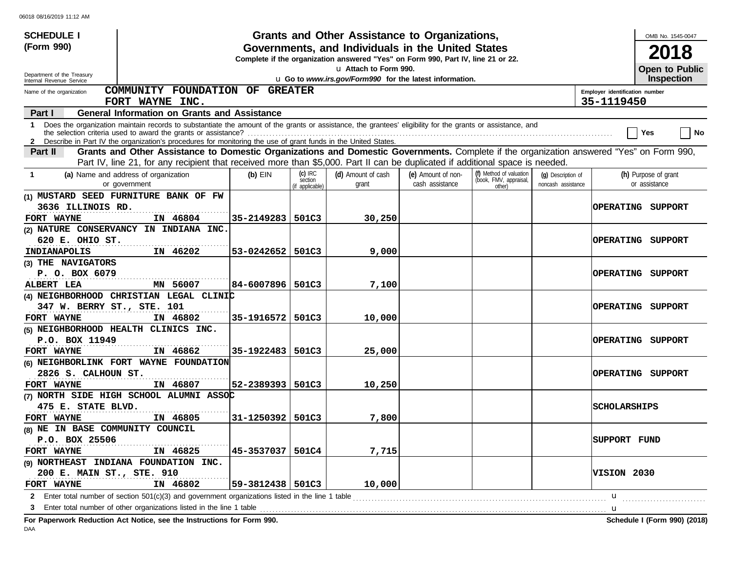| <b>SCHEDULE I</b>                                                                                                                                                                                                                                                                            |                    |                            | Grants and Other Assistance to Organizations,                                    |                    |                                  |                    | OMB No. 1545-0047                            |
|----------------------------------------------------------------------------------------------------------------------------------------------------------------------------------------------------------------------------------------------------------------------------------------------|--------------------|----------------------------|----------------------------------------------------------------------------------|--------------------|----------------------------------|--------------------|----------------------------------------------|
| (Form 990)                                                                                                                                                                                                                                                                                   |                    |                            | Governments, and Individuals in the United States                                |                    |                                  |                    | 2018                                         |
|                                                                                                                                                                                                                                                                                              |                    |                            | Complete if the organization answered "Yes" on Form 990, Part IV, line 21 or 22. |                    |                                  |                    |                                              |
| Department of the Treasury                                                                                                                                                                                                                                                                   |                    |                            | u Attach to Form 990.                                                            |                    |                                  |                    | <b>Open to Public</b>                        |
| Internal Revenue Service                                                                                                                                                                                                                                                                     |                    |                            | u Go to www.irs.gov/Form990 for the latest information.                          |                    |                                  |                    | <b>Inspection</b>                            |
| COMMUNITY FOUNDATION OF GREATER<br>Name of the organization<br>FORT WAYNE INC.                                                                                                                                                                                                               |                    |                            |                                                                                  |                    |                                  |                    | Employer identification number<br>35-1119450 |
| <b>General Information on Grants and Assistance</b><br>Part I                                                                                                                                                                                                                                |                    |                            |                                                                                  |                    |                                  |                    |                                              |
| Does the organization maintain records to substantiate the amount of the grants or assistance, the grantees' eligibility for the grants or assistance, and<br>$\mathbf 1$<br>2 Describe in Part IV the organization's procedures for monitoring the use of grant funds in the United States. |                    |                            |                                                                                  |                    |                                  |                    | No<br><b>Yes</b>                             |
| Grants and Other Assistance to Domestic Organizations and Domestic Governments. Complete if the organization answered "Yes" on Form 990,<br><b>Part II</b>                                                                                                                                   |                    |                            |                                                                                  |                    |                                  |                    |                                              |
| Part IV, line 21, for any recipient that received more than \$5,000. Part II can be duplicated if additional space is needed.                                                                                                                                                                |                    |                            |                                                                                  |                    |                                  |                    |                                              |
| (a) Name and address of organization<br>$\mathbf{1}$                                                                                                                                                                                                                                         | $(b)$ EIN          | $(c)$ IRC                  | (d) Amount of cash                                                               | (e) Amount of non- | (f) Method of valuation          | (q) Description of | (h) Purpose of grant                         |
| or government                                                                                                                                                                                                                                                                                |                    | section<br>(if applicable) | grant                                                                            | cash assistance    | (book, FMV, appraisal,<br>other) | noncash assistance | or assistance                                |
| (1) MUSTARD SEED FURNITURE BANK OF FW                                                                                                                                                                                                                                                        |                    |                            |                                                                                  |                    |                                  |                    |                                              |
| 3636 ILLINOIS RD.                                                                                                                                                                                                                                                                            |                    |                            |                                                                                  |                    |                                  |                    | <b>OPERATING SUPPORT</b>                     |
| FORT WAYNE<br>IN 46804                                                                                                                                                                                                                                                                       | 35-2149283   501C3 |                            | 30,250                                                                           |                    |                                  |                    |                                              |
| (2) NATURE CONSERVANCY IN INDIANA INC.                                                                                                                                                                                                                                                       |                    |                            |                                                                                  |                    |                                  |                    |                                              |
| 620 E. OHIO ST.                                                                                                                                                                                                                                                                              |                    |                            |                                                                                  |                    |                                  |                    | OPERATING SUPPORT                            |
| INDIANAPOLIS<br>IN 46202                                                                                                                                                                                                                                                                     | 53-0242652 501C3   |                            | 9,000                                                                            |                    |                                  |                    |                                              |
| (3) THE NAVIGATORS                                                                                                                                                                                                                                                                           |                    |                            |                                                                                  |                    |                                  |                    |                                              |
| P. O. BOX 6079                                                                                                                                                                                                                                                                               |                    |                            |                                                                                  |                    |                                  |                    | OPERATING SUPPORT                            |
| <b>ALBERT LEA</b><br>MN 56007                                                                                                                                                                                                                                                                | 84-6007896 501C3   |                            | 7,100                                                                            |                    |                                  |                    |                                              |
| (4) NEIGHBORHOOD CHRISTIAN LEGAL CLINIC                                                                                                                                                                                                                                                      |                    |                            |                                                                                  |                    |                                  |                    |                                              |
| 347 W. BERRY ST., STE. 101                                                                                                                                                                                                                                                                   |                    |                            |                                                                                  |                    |                                  |                    | OPERATING SUPPORT                            |
| FORT WAYNE<br>IN 46802                                                                                                                                                                                                                                                                       | 35-1916572   501C3 |                            | 10,000                                                                           |                    |                                  |                    |                                              |
| (5) NEIGHBORHOOD HEALTH CLINICS INC.                                                                                                                                                                                                                                                         |                    |                            |                                                                                  |                    |                                  |                    |                                              |
| P.O. BOX 11949                                                                                                                                                                                                                                                                               |                    |                            |                                                                                  |                    |                                  |                    | OPERATING SUPPORT                            |
| FORT WAYNE<br>IN 46862                                                                                                                                                                                                                                                                       | 35-1922483   501C3 |                            | 25,000                                                                           |                    |                                  |                    |                                              |
| (6) NEIGHBORLINK FORT WAYNE FOUNDATION                                                                                                                                                                                                                                                       |                    |                            |                                                                                  |                    |                                  |                    |                                              |
| 2826 S. CALHOUN ST.                                                                                                                                                                                                                                                                          |                    |                            |                                                                                  |                    |                                  |                    | <b>OPERATING SUPPORT</b>                     |
| FORT WAYNE<br>IN 46807                                                                                                                                                                                                                                                                       | 52-2389393   501C3 |                            | 10,250                                                                           |                    |                                  |                    |                                              |
| (7) NORTH SIDE HIGH SCHOOL ALUMNI ASSOC                                                                                                                                                                                                                                                      |                    |                            |                                                                                  |                    |                                  |                    |                                              |
| 475 E. STATE BLVD.                                                                                                                                                                                                                                                                           |                    |                            |                                                                                  |                    |                                  |                    | <b>SCHOLARSHIPS</b>                          |
| FORT WAYNE<br>IN 46805                                                                                                                                                                                                                                                                       | 31-1250392 501C3   |                            | 7,800                                                                            |                    |                                  |                    |                                              |
| (8) NE IN BASE COMMUNITY COUNCIL                                                                                                                                                                                                                                                             |                    |                            |                                                                                  |                    |                                  |                    |                                              |
| P.O. BOX 25506                                                                                                                                                                                                                                                                               |                    |                            |                                                                                  |                    |                                  |                    | <b>SUPPORT FUND</b>                          |
| FORT WAYNE<br>IN 46825                                                                                                                                                                                                                                                                       | 45-3537037   501C4 |                            | 7,715                                                                            |                    |                                  |                    |                                              |
| (9) NORTHEAST INDIANA FOUNDATION INC.                                                                                                                                                                                                                                                        |                    |                            |                                                                                  |                    |                                  |                    |                                              |
| 200 E. MAIN ST., STE. 910                                                                                                                                                                                                                                                                    |                    |                            |                                                                                  |                    |                                  |                    | VISION 2030                                  |
| FORT WAYNE<br>IN 46802                                                                                                                                                                                                                                                                       | 59-3812438   501C3 |                            | 10,000                                                                           |                    |                                  |                    |                                              |
|                                                                                                                                                                                                                                                                                              |                    |                            |                                                                                  |                    |                                  |                    | $\mathbf{u}$                                 |
|                                                                                                                                                                                                                                                                                              |                    |                            |                                                                                  |                    |                                  | <u></u> <b>u</b>   |                                              |
|                                                                                                                                                                                                                                                                                              |                    |                            |                                                                                  |                    |                                  |                    |                                              |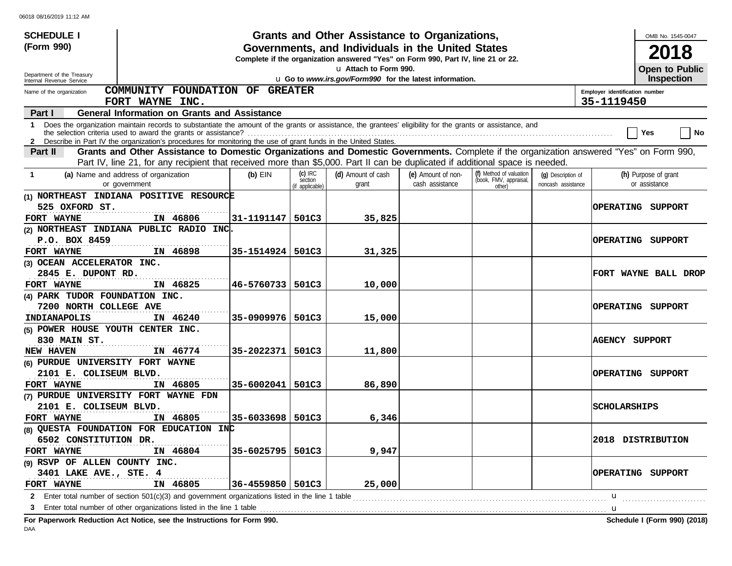| <b>SCHEDULE I</b>                                                                                                                                                                                                                                                                            |                    |                                         | Grants and Other Assistance to Organizations,                                                                                         |                                       |                                                             |                                          |                                              | OMB No. 1545-0047                     |
|----------------------------------------------------------------------------------------------------------------------------------------------------------------------------------------------------------------------------------------------------------------------------------------------|--------------------|-----------------------------------------|---------------------------------------------------------------------------------------------------------------------------------------|---------------------------------------|-------------------------------------------------------------|------------------------------------------|----------------------------------------------|---------------------------------------|
| (Form 990)                                                                                                                                                                                                                                                                                   |                    |                                         | Governments, and Individuals in the United States<br>Complete if the organization answered "Yes" on Form 990, Part IV, line 21 or 22. |                                       |                                                             |                                          |                                              | 2018                                  |
| Department of the Treasury                                                                                                                                                                                                                                                                   |                    |                                         | u Attach to Form 990.                                                                                                                 |                                       |                                                             |                                          |                                              | Open to Public                        |
| Internal Revenue Service                                                                                                                                                                                                                                                                     |                    |                                         | u Go to www.irs.gov/Form990 for the latest information.                                                                               |                                       |                                                             |                                          |                                              | <b>Inspection</b>                     |
| COMMUNITY FOUNDATION OF GREATER<br>Name of the organization<br>FORT WAYNE INC.                                                                                                                                                                                                               |                    |                                         |                                                                                                                                       |                                       |                                                             |                                          | Employer identification number<br>35-1119450 |                                       |
| <b>General Information on Grants and Assistance</b><br>Part I                                                                                                                                                                                                                                |                    |                                         |                                                                                                                                       |                                       |                                                             |                                          |                                              |                                       |
| Does the organization maintain records to substantiate the amount of the grants or assistance, the grantees' eligibility for the grants or assistance, and<br>$\mathbf 1$<br>2 Describe in Part IV the organization's procedures for monitoring the use of grant funds in the United States. |                    |                                         |                                                                                                                                       |                                       |                                                             |                                          |                                              | Yes<br>  No                           |
| Grants and Other Assistance to Domestic Organizations and Domestic Governments. Complete if the organization answered "Yes" on Form 990,<br>Part II                                                                                                                                          |                    |                                         |                                                                                                                                       |                                       |                                                             |                                          |                                              |                                       |
| Part IV, line 21, for any recipient that received more than \$5,000. Part II can be duplicated if additional space is needed.                                                                                                                                                                |                    |                                         |                                                                                                                                       |                                       |                                                             |                                          |                                              |                                       |
| (a) Name and address of organization<br>-1<br>or government                                                                                                                                                                                                                                  | $(b)$ EIN          | $(c)$ IRC<br>section<br>(if applicable) | (d) Amount of cash<br>grant                                                                                                           | (e) Amount of non-<br>cash assistance | (f) Method of valuation<br>(book, FMV, appraisal,<br>other) | (q) Description of<br>noncash assistance |                                              | (h) Purpose of grant<br>or assistance |
| (1) NORTHEAST INDIANA POSITIVE RESOURCE                                                                                                                                                                                                                                                      |                    |                                         |                                                                                                                                       |                                       |                                                             |                                          |                                              |                                       |
| 525 OXFORD ST.<br>FORT WAYNE<br>IN 46806                                                                                                                                                                                                                                                     | 31-1191147   501C3 |                                         | 35,825                                                                                                                                |                                       |                                                             |                                          |                                              | OPERATING SUPPORT                     |
| (2) NORTHEAST INDIANA PUBLIC RADIO INC.                                                                                                                                                                                                                                                      |                    |                                         |                                                                                                                                       |                                       |                                                             |                                          |                                              |                                       |
| P.O. BOX 8459<br>FORT WAYNE<br>IN 46898                                                                                                                                                                                                                                                      | 35-1514924   501C3 |                                         | 31,325                                                                                                                                |                                       |                                                             |                                          |                                              | OPERATING SUPPORT                     |
| (3) OCEAN ACCELERATOR INC.                                                                                                                                                                                                                                                                   |                    |                                         |                                                                                                                                       |                                       |                                                             |                                          |                                              |                                       |
| 2845 E. DUPONT RD.                                                                                                                                                                                                                                                                           |                    |                                         |                                                                                                                                       |                                       |                                                             |                                          |                                              | FORT WAYNE BALL DROP                  |
| IN 46825<br>FORT WAYNE                                                                                                                                                                                                                                                                       | 46-5760733   501C3 |                                         | 10,000                                                                                                                                |                                       |                                                             |                                          |                                              |                                       |
| (4) PARK TUDOR FOUNDATION INC.                                                                                                                                                                                                                                                               |                    |                                         |                                                                                                                                       |                                       |                                                             |                                          |                                              |                                       |
| 7200 NORTH COLLEGE AVE                                                                                                                                                                                                                                                                       |                    |                                         |                                                                                                                                       |                                       |                                                             |                                          |                                              | OPERATING SUPPORT                     |
| IN 46240<br><b>INDIANAPOLIS</b>                                                                                                                                                                                                                                                              | 35-0909976   501C3 |                                         | 15,000                                                                                                                                |                                       |                                                             |                                          |                                              |                                       |
| (5) POWER HOUSE YOUTH CENTER INC.<br>830 MAIN ST.                                                                                                                                                                                                                                            |                    |                                         |                                                                                                                                       |                                       |                                                             |                                          | <b>AGENCY SUPPORT</b>                        |                                       |
| IN 46774<br><b>NEW HAVEN</b>                                                                                                                                                                                                                                                                 | 35-2022371         | 501C3                                   | 11,800                                                                                                                                |                                       |                                                             |                                          |                                              |                                       |
| (6) PURDUE UNIVERSITY FORT WAYNE                                                                                                                                                                                                                                                             |                    |                                         |                                                                                                                                       |                                       |                                                             |                                          |                                              |                                       |
| 2101 E. COLISEUM BLVD.                                                                                                                                                                                                                                                                       |                    |                                         |                                                                                                                                       |                                       |                                                             |                                          |                                              | OPERATING SUPPORT                     |
| IN 46805<br><b>FORT WAYNE</b>                                                                                                                                                                                                                                                                | 35-6002041 501C3   |                                         | 86,890                                                                                                                                |                                       |                                                             |                                          |                                              |                                       |
| (7) PURDUE UNIVERSITY FORT WAYNE FDN                                                                                                                                                                                                                                                         |                    |                                         |                                                                                                                                       |                                       |                                                             |                                          |                                              |                                       |
| 2101 E. COLISEUM BLVD.<br>FORT WAYNE<br>IN 46805                                                                                                                                                                                                                                             | 35-6033698 501C3   |                                         |                                                                                                                                       |                                       |                                                             |                                          | <b>SCHOLARSHIPS</b>                          |                                       |
| (8) QUESTA FOUNDATION FOR EDUCATION INC                                                                                                                                                                                                                                                      |                    |                                         | 6,346                                                                                                                                 |                                       |                                                             |                                          |                                              |                                       |
| 6502 CONSTITUTION DR.                                                                                                                                                                                                                                                                        |                    |                                         |                                                                                                                                       |                                       |                                                             |                                          |                                              | 2018 DISTRIBUTION                     |
| IN 46804<br>FORT WAYNE                                                                                                                                                                                                                                                                       | 35-6025795   501C3 |                                         | 9,947                                                                                                                                 |                                       |                                                             |                                          |                                              |                                       |
| (9) RSVP OF ALLEN COUNTY INC.                                                                                                                                                                                                                                                                |                    |                                         |                                                                                                                                       |                                       |                                                             |                                          |                                              |                                       |
| 3401 LAKE AVE., STE. 4                                                                                                                                                                                                                                                                       |                    |                                         |                                                                                                                                       |                                       |                                                             |                                          |                                              | OPERATING SUPPORT                     |
| IN 46805<br><b>FORT WAYNE</b>                                                                                                                                                                                                                                                                | 36-4559850   501C3 |                                         | 25,000                                                                                                                                |                                       |                                                             |                                          |                                              |                                       |
|                                                                                                                                                                                                                                                                                              |                    |                                         |                                                                                                                                       |                                       |                                                             |                                          | $\mathbf{u}$                                 |                                       |
|                                                                                                                                                                                                                                                                                              |                    |                                         |                                                                                                                                       |                                       |                                                             | <u></u> <b>u</b>                         |                                              |                                       |
| For Paperwork Reduction Act Notice, see the Instructions for Form 990.                                                                                                                                                                                                                       |                    |                                         |                                                                                                                                       |                                       |                                                             |                                          |                                              | Schedule I (Form 990) (2018)          |

DAA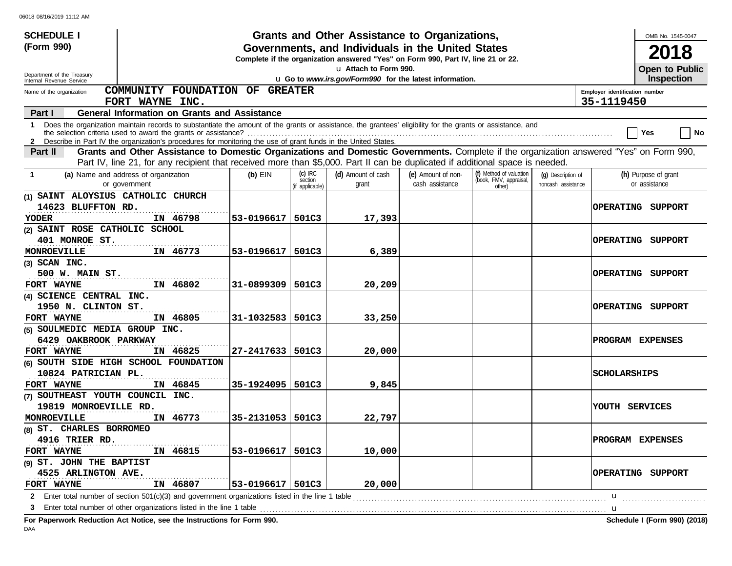| <b>SCHEDULE I</b>                                                                                                                                                                                                                                                                            |                      |                            | Grants and Other Assistance to Organizations,                                    |                    |                                  |                    |                                | OMB No. 1545-0047                   |
|----------------------------------------------------------------------------------------------------------------------------------------------------------------------------------------------------------------------------------------------------------------------------------------------|----------------------|----------------------------|----------------------------------------------------------------------------------|--------------------|----------------------------------|--------------------|--------------------------------|-------------------------------------|
| (Form 990)                                                                                                                                                                                                                                                                                   |                      |                            | Governments, and Individuals in the United States                                |                    |                                  |                    |                                | 2018                                |
|                                                                                                                                                                                                                                                                                              |                      |                            | Complete if the organization answered "Yes" on Form 990, Part IV, line 21 or 22. |                    |                                  |                    |                                |                                     |
| Department of the Treasury                                                                                                                                                                                                                                                                   |                      |                            | u Attach to Form 990.<br>u Go to www.irs.gov/Form990 for the latest information. |                    |                                  |                    |                                | Open to Public<br><b>Inspection</b> |
| Internal Revenue Service<br>COMMUNITY FOUNDATION OF GREATER<br>Name of the organization                                                                                                                                                                                                      |                      |                            |                                                                                  |                    |                                  |                    | Employer identification number |                                     |
| FORT WAYNE INC.                                                                                                                                                                                                                                                                              |                      |                            |                                                                                  |                    |                                  |                    | 35-1119450                     |                                     |
| <b>General Information on Grants and Assistance</b><br>Part I                                                                                                                                                                                                                                |                      |                            |                                                                                  |                    |                                  |                    |                                |                                     |
| Does the organization maintain records to substantiate the amount of the grants or assistance, the grantees' eligibility for the grants or assistance, and<br>$\mathbf 1$<br>2 Describe in Part IV the organization's procedures for monitoring the use of grant funds in the United States. |                      |                            |                                                                                  |                    |                                  |                    |                                | Yes<br>No                           |
| Grants and Other Assistance to Domestic Organizations and Domestic Governments. Complete if the organization answered "Yes" on Form 990,<br>Part II                                                                                                                                          |                      |                            |                                                                                  |                    |                                  |                    |                                |                                     |
| Part IV, line 21, for any recipient that received more than \$5,000. Part II can be duplicated if additional space is needed.                                                                                                                                                                |                      |                            |                                                                                  |                    |                                  |                    |                                |                                     |
| (a) Name and address of organization<br>$\mathbf{1}$                                                                                                                                                                                                                                         | $(b)$ EIN            | $(c)$ IRC                  | (d) Amount of cash                                                               | (e) Amount of non- | (f) Method of valuation          | (g) Description of |                                | (h) Purpose of grant                |
| or government                                                                                                                                                                                                                                                                                |                      | section<br>(if applicable) | grant                                                                            | cash assistance    | (book, FMV, appraisal,<br>other) | noncash assistance |                                | or assistance                       |
| (1) SAINT ALOYSIUS CATHOLIC CHURCH                                                                                                                                                                                                                                                           |                      |                            |                                                                                  |                    |                                  |                    |                                |                                     |
| 14623 BLUFFTON RD.                                                                                                                                                                                                                                                                           |                      |                            |                                                                                  |                    |                                  |                    |                                | OPERATING SUPPORT                   |
| IN 46798<br><b>YODER</b>                                                                                                                                                                                                                                                                     | $53 - 0196617$ 501C3 |                            | 17,393                                                                           |                    |                                  |                    |                                |                                     |
| (2) SAINT ROSE CATHOLIC SCHOOL                                                                                                                                                                                                                                                               |                      |                            |                                                                                  |                    |                                  |                    |                                |                                     |
| <b>401 MONROE ST.</b>                                                                                                                                                                                                                                                                        |                      |                            |                                                                                  |                    |                                  |                    |                                | OPERATING SUPPORT                   |
| IN 46773<br><b>MONROEVILLE</b>                                                                                                                                                                                                                                                               | $53 - 0196617$ 501C3 |                            | 6,389                                                                            |                    |                                  |                    |                                |                                     |
| $(3)$ SCAN INC.                                                                                                                                                                                                                                                                              |                      |                            |                                                                                  |                    |                                  |                    |                                |                                     |
| <b>500 W. MAIN ST.</b>                                                                                                                                                                                                                                                                       |                      |                            |                                                                                  |                    |                                  |                    |                                | OPERATING SUPPORT                   |
| FORT WAYNE<br>IN 46802                                                                                                                                                                                                                                                                       | 31-0899309   501C3   |                            | 20,209                                                                           |                    |                                  |                    |                                |                                     |
| (4) SCIENCE CENTRAL INC.                                                                                                                                                                                                                                                                     |                      |                            |                                                                                  |                    |                                  |                    |                                |                                     |
| 1950 N. CLINTON ST.                                                                                                                                                                                                                                                                          |                      |                            |                                                                                  |                    |                                  |                    |                                | OPERATING SUPPORT                   |
| FORT WAYNE<br>IN 46805                                                                                                                                                                                                                                                                       | 31-1032583   501C3   |                            | 33,250                                                                           |                    |                                  |                    |                                |                                     |
| (5) SOULMEDIC MEDIA GROUP INC.                                                                                                                                                                                                                                                               |                      |                            |                                                                                  |                    |                                  |                    |                                |                                     |
| 6429 OAKBROOK PARKWAY                                                                                                                                                                                                                                                                        |                      |                            |                                                                                  |                    |                                  |                    | PROGRAM EXPENSES               |                                     |
| FORT WAYNE<br>IN 46825                                                                                                                                                                                                                                                                       | 27-2417633   501C3   |                            | 20,000                                                                           |                    |                                  |                    |                                |                                     |
| (6) SOUTH SIDE HIGH SCHOOL FOUNDATION                                                                                                                                                                                                                                                        |                      |                            |                                                                                  |                    |                                  |                    |                                |                                     |
| 10824 PATRICIAN PL.                                                                                                                                                                                                                                                                          |                      |                            |                                                                                  |                    |                                  |                    | <b>SCHOLARSHIPS</b>            |                                     |
| <b>FORT WAYNE</b><br>IN 46845                                                                                                                                                                                                                                                                | 35-1924095   501C3   |                            | 9,845                                                                            |                    |                                  |                    |                                |                                     |
| (7) SOUTHEAST YOUTH COUNCIL INC.                                                                                                                                                                                                                                                             |                      |                            |                                                                                  |                    |                                  |                    |                                |                                     |
| 19819 MONROEVILLE RD.                                                                                                                                                                                                                                                                        |                      |                            |                                                                                  |                    |                                  |                    | YOUTH SERVICES                 |                                     |
| IN 46773<br><b>MONROEVILLE</b>                                                                                                                                                                                                                                                               | 35-2131053 501C3     |                            | 22,797                                                                           |                    |                                  |                    |                                |                                     |
| (8) ST. CHARLES BORROMEO                                                                                                                                                                                                                                                                     |                      |                            |                                                                                  |                    |                                  |                    |                                |                                     |
| 4916 TRIER RD.                                                                                                                                                                                                                                                                               |                      |                            |                                                                                  |                    |                                  |                    | PROGRAM EXPENSES               |                                     |
| FORT WAYNE<br>IN 46815                                                                                                                                                                                                                                                                       | 53-0196617   501C3   |                            | 10,000                                                                           |                    |                                  |                    |                                |                                     |
| (9) ST. JOHN THE BAPTIST                                                                                                                                                                                                                                                                     |                      |                            |                                                                                  |                    |                                  |                    |                                |                                     |
| 4525 ARLINGTON AVE.                                                                                                                                                                                                                                                                          |                      |                            |                                                                                  |                    |                                  |                    |                                | OPERATING SUPPORT                   |
| IN 46807<br>FORT WAYNE                                                                                                                                                                                                                                                                       | $53 - 0196617$ 501C3 |                            | 20,000                                                                           |                    |                                  |                    |                                |                                     |
|                                                                                                                                                                                                                                                                                              |                      |                            |                                                                                  |                    |                                  |                    | $\mathbf{u}$                   |                                     |
| Enter total number of other organizations listed in the line 1 table <i>manufacture in the content of the line</i> 1 table manufacture in the line 1 table manufacture of the line 1 table manufacture in the line of the line of t<br>3                                                     |                      |                            |                                                                                  |                    |                                  |                    |                                |                                     |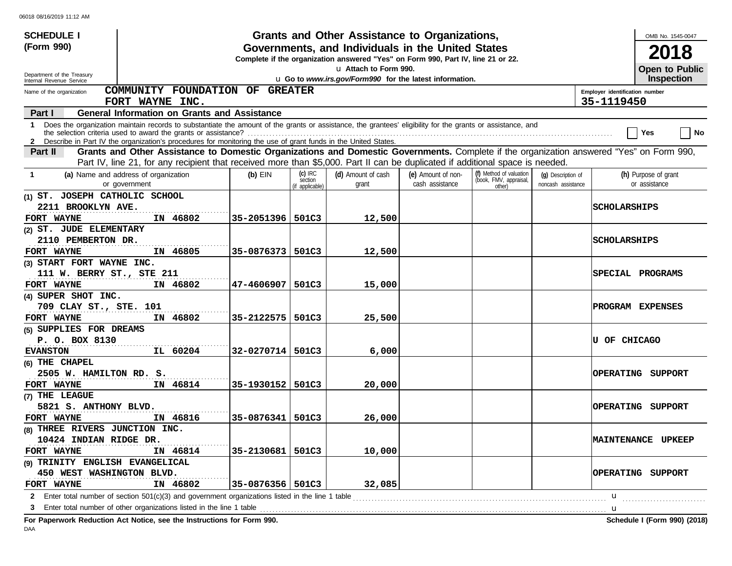| <b>SCHEDULE I</b>                                                                                                                                                                                                                                                               |                    |                                         | Grants and Other Assistance to Organizations,                                                             |                                       |                                                             |                                          |                                | OMB No. 1545-0047                     |
|---------------------------------------------------------------------------------------------------------------------------------------------------------------------------------------------------------------------------------------------------------------------------------|--------------------|-----------------------------------------|-----------------------------------------------------------------------------------------------------------|---------------------------------------|-------------------------------------------------------------|------------------------------------------|--------------------------------|---------------------------------------|
| (Form 990)                                                                                                                                                                                                                                                                      |                    |                                         | Governments, and Individuals in the United States                                                         |                                       |                                                             |                                          |                                | <b>2018</b>                           |
|                                                                                                                                                                                                                                                                                 |                    |                                         | Complete if the organization answered "Yes" on Form 990, Part IV, line 21 or 22.<br>u Attach to Form 990. |                                       |                                                             |                                          |                                | <b>Open to Public</b>                 |
| Department of the Treasury<br>Internal Revenue Service                                                                                                                                                                                                                          |                    |                                         | u Go to www.irs.gov/Form990 for the latest information.                                                   |                                       |                                                             |                                          |                                | <b>Inspection</b>                     |
| COMMUNITY FOUNDATION OF GREATER<br>Name of the organization                                                                                                                                                                                                                     |                    |                                         |                                                                                                           |                                       |                                                             |                                          | Employer identification number |                                       |
| FORT WAYNE INC.                                                                                                                                                                                                                                                                 |                    |                                         |                                                                                                           |                                       |                                                             |                                          | 35-1119450                     |                                       |
| <b>General Information on Grants and Assistance</b><br>Part I                                                                                                                                                                                                                   |                    |                                         |                                                                                                           |                                       |                                                             |                                          |                                |                                       |
| 1 Does the organization maintain records to substantiate the amount of the grants or assistance, the grantees' eligibility for the grants or assistance, and<br>2 Describe in Part IV the organization's procedures for monitoring the use of grant funds in the United States. |                    |                                         |                                                                                                           |                                       |                                                             |                                          |                                | Yes<br>  No                           |
| Grants and Other Assistance to Domestic Organizations and Domestic Governments. Complete if the organization answered "Yes" on Form 990,<br>Part II                                                                                                                             |                    |                                         |                                                                                                           |                                       |                                                             |                                          |                                |                                       |
| Part IV, line 21, for any recipient that received more than \$5,000. Part II can be duplicated if additional space is needed.                                                                                                                                                   |                    |                                         |                                                                                                           |                                       |                                                             |                                          |                                |                                       |
| (a) Name and address of organization<br>-1<br>or government                                                                                                                                                                                                                     | $(b)$ EIN          | $(c)$ IRC<br>section<br>(if applicable) | (d) Amount of cash<br>grant                                                                               | (e) Amount of non-<br>cash assistance | (f) Method of valuation<br>(book, FMV, appraisal,<br>other) | (q) Description of<br>noncash assistance |                                | (h) Purpose of grant<br>or assistance |
| (1) ST. JOSEPH CATHOLIC SCHOOL                                                                                                                                                                                                                                                  |                    |                                         |                                                                                                           |                                       |                                                             |                                          |                                |                                       |
| <b>2211 BROOKLYN AVE.</b>                                                                                                                                                                                                                                                       |                    |                                         |                                                                                                           |                                       |                                                             |                                          | <b>SCHOLARSHIPS</b>            |                                       |
| FORT WAYNE<br>IN 46802                                                                                                                                                                                                                                                          | 35-2051396   501C3 |                                         | 12,500                                                                                                    |                                       |                                                             |                                          |                                |                                       |
| (2) ST. JUDE ELEMENTARY                                                                                                                                                                                                                                                         |                    |                                         |                                                                                                           |                                       |                                                             |                                          |                                |                                       |
| 2110 PEMBERTON DR.                                                                                                                                                                                                                                                              |                    |                                         |                                                                                                           |                                       |                                                             |                                          | <b>SCHOLARSHIPS</b>            |                                       |
| IN 46805<br>FORT WAYNE                                                                                                                                                                                                                                                          | 35-0876373   501C3 |                                         | 12,500                                                                                                    |                                       |                                                             |                                          |                                |                                       |
| (3) START FORT WAYNE INC.                                                                                                                                                                                                                                                       |                    |                                         |                                                                                                           |                                       |                                                             |                                          |                                |                                       |
| 111 W. BERRY ST., STE 211                                                                                                                                                                                                                                                       |                    |                                         |                                                                                                           |                                       |                                                             |                                          |                                | SPECIAL PROGRAMS                      |
| FORT WAYNE<br>IN 46802                                                                                                                                                                                                                                                          | 47-4606907   501C3 |                                         | 15,000                                                                                                    |                                       |                                                             |                                          |                                |                                       |
| (4) SUPER SHOT INC.                                                                                                                                                                                                                                                             |                    |                                         |                                                                                                           |                                       |                                                             |                                          |                                |                                       |
| 709 CLAY ST., STE. 101                                                                                                                                                                                                                                                          |                    |                                         |                                                                                                           |                                       |                                                             |                                          |                                | <b>PROGRAM EXPENSES</b>               |
| IN 46802<br><b>FORT WAYNE</b>                                                                                                                                                                                                                                                   | 35-2122575   501C3 |                                         | 25,500                                                                                                    |                                       |                                                             |                                          |                                |                                       |
| (5) SUPPLIES FOR DREAMS                                                                                                                                                                                                                                                         |                    |                                         |                                                                                                           |                                       |                                                             |                                          |                                |                                       |
| P. O. BOX 8130                                                                                                                                                                                                                                                                  |                    |                                         |                                                                                                           |                                       |                                                             |                                          | U OF CHICAGO                   |                                       |
| IL 60204<br><b>EVANSTON</b>                                                                                                                                                                                                                                                     | 32-0270714   501C3 |                                         | 6,000                                                                                                     |                                       |                                                             |                                          |                                |                                       |
| (6) THE CHAPEL                                                                                                                                                                                                                                                                  |                    |                                         |                                                                                                           |                                       |                                                             |                                          |                                |                                       |
| 2505 W. HAMILTON RD. S.                                                                                                                                                                                                                                                         |                    |                                         |                                                                                                           |                                       |                                                             |                                          |                                | OPERATING SUPPORT                     |
| FORT WAYNE<br>IN 46814                                                                                                                                                                                                                                                          | 35-1930152   501C3 |                                         | 20,000                                                                                                    |                                       |                                                             |                                          |                                |                                       |
| (7) THE LEAGUE                                                                                                                                                                                                                                                                  |                    |                                         |                                                                                                           |                                       |                                                             |                                          |                                |                                       |
| 5821 S. ANTHONY BLVD.                                                                                                                                                                                                                                                           |                    |                                         |                                                                                                           |                                       |                                                             |                                          |                                | OPERATING SUPPORT                     |
| FORT WAYNE<br>IN 46816                                                                                                                                                                                                                                                          | 35-0876341   501C3 |                                         | 26,000                                                                                                    |                                       |                                                             |                                          |                                |                                       |
| (8) THREE RIVERS JUNCTION INC.                                                                                                                                                                                                                                                  |                    |                                         |                                                                                                           |                                       |                                                             |                                          |                                |                                       |
| 10424 INDIAN RIDGE DR.                                                                                                                                                                                                                                                          |                    |                                         |                                                                                                           |                                       |                                                             |                                          |                                | <b>MAINTENANCE UPKEEP</b>             |
| IN 46814<br><b>FORT WAYNE</b>                                                                                                                                                                                                                                                   | 35-2130681   501C3 |                                         | 10,000                                                                                                    |                                       |                                                             |                                          |                                |                                       |
| (9) TRINITY ENGLISH EVANGELICAL                                                                                                                                                                                                                                                 |                    |                                         |                                                                                                           |                                       |                                                             |                                          |                                |                                       |
| 450 WEST WASHINGTON BLVD.                                                                                                                                                                                                                                                       |                    |                                         |                                                                                                           |                                       |                                                             |                                          |                                | <b>OPERATING SUPPORT</b>              |
| IN 46802<br><b>FORT WAYNE</b>                                                                                                                                                                                                                                                   | 35-0876356   501C3 |                                         | 32,085                                                                                                    |                                       |                                                             |                                          |                                |                                       |
|                                                                                                                                                                                                                                                                                 |                    |                                         |                                                                                                           |                                       |                                                             |                                          |                                |                                       |
| Enter total number of other organizations listed in the line 1 table <i>manufacture in the content of the line</i> 1 table manufacture in the line 1 table<br>З.                                                                                                                |                    |                                         |                                                                                                           |                                       |                                                             |                                          |                                |                                       |
|                                                                                                                                                                                                                                                                                 |                    |                                         |                                                                                                           |                                       |                                                             |                                          |                                |                                       |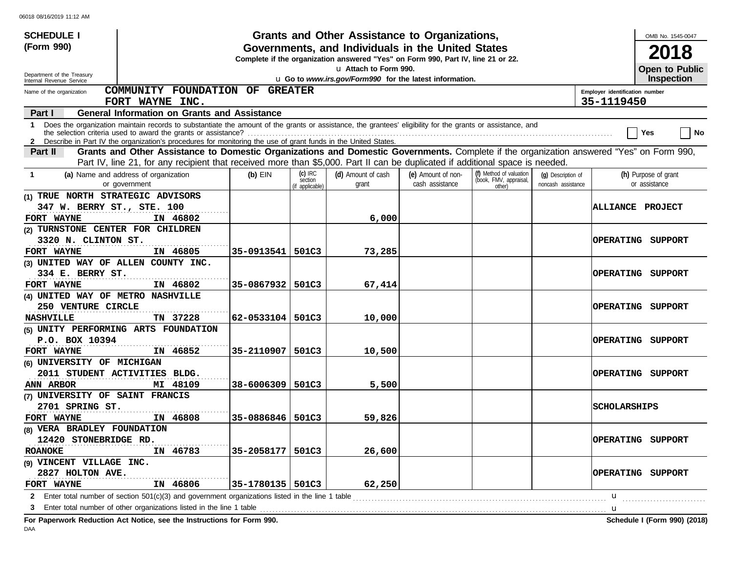| <b>SCHEDULE I</b>                                      |                                                                                                                                                                                                                                                                               |                      |                      | Grants and Other Assistance to Organizations,                                                                                         |                                       |                                                   |                    |                                | OMB No. 1545-0047                     |
|--------------------------------------------------------|-------------------------------------------------------------------------------------------------------------------------------------------------------------------------------------------------------------------------------------------------------------------------------|----------------------|----------------------|---------------------------------------------------------------------------------------------------------------------------------------|---------------------------------------|---------------------------------------------------|--------------------|--------------------------------|---------------------------------------|
| (Form 990)                                             |                                                                                                                                                                                                                                                                               |                      |                      | Governments, and Individuals in the United States<br>Complete if the organization answered "Yes" on Form 990, Part IV, line 21 or 22. |                                       |                                                   |                    |                                | 2018                                  |
|                                                        |                                                                                                                                                                                                                                                                               |                      |                      | La Attach to Form 990.                                                                                                                |                                       |                                                   |                    |                                | Open to Public                        |
| Department of the Treasury<br>Internal Revenue Service |                                                                                                                                                                                                                                                                               |                      |                      | u Go to www.irs.gov/Form990 for the latest information.                                                                               |                                       |                                                   |                    |                                | Inspection                            |
| Name of the organization                               | COMMUNITY FOUNDATION OF                                                                                                                                                                                                                                                       | <b>GREATER</b>       |                      |                                                                                                                                       |                                       |                                                   |                    | Employer identification number |                                       |
|                                                        | FORT WAYNE INC.                                                                                                                                                                                                                                                               |                      |                      |                                                                                                                                       |                                       |                                                   |                    | 35-1119450                     |                                       |
| Part I                                                 | <b>General Information on Grants and Assistance</b>                                                                                                                                                                                                                           |                      |                      |                                                                                                                                       |                                       |                                                   |                    |                                |                                       |
| $\mathbf 1$                                            | Does the organization maintain records to substantiate the amount of the grants or assistance, the grantees' eligibility for the grants or assistance, and<br>2 Describe in Part IV the organization's procedures for monitoring the use of grant funds in the United States. |                      |                      |                                                                                                                                       |                                       |                                                   |                    |                                | Yes<br>  No                           |
| Part II                                                | Grants and Other Assistance to Domestic Organizations and Domestic Governments. Complete if the organization answered "Yes" on Form 990,                                                                                                                                      |                      |                      |                                                                                                                                       |                                       |                                                   |                    |                                |                                       |
|                                                        | Part IV, line 21, for any recipient that received more than \$5,000. Part II can be duplicated if additional space is needed.                                                                                                                                                 |                      |                      |                                                                                                                                       |                                       |                                                   |                    |                                |                                       |
| -1                                                     | (a) Name and address of organization                                                                                                                                                                                                                                          | $(b)$ EIN            | $(c)$ IRC<br>section | (d) Amount of cash                                                                                                                    | (e) Amount of non-<br>cash assistance | (f) Method of valuation<br>(book, FMV, appraisal, | (g) Description of |                                | (h) Purpose of grant<br>or assistance |
|                                                        | or government                                                                                                                                                                                                                                                                 |                      | (if applicable)      | grant                                                                                                                                 |                                       | other)                                            | noncash assistance |                                |                                       |
| (1) TRUE NORTH STRATEGIC ADVISORS                      |                                                                                                                                                                                                                                                                               |                      |                      |                                                                                                                                       |                                       |                                                   |                    |                                |                                       |
| 347 W. BERRY ST., STE. 100                             |                                                                                                                                                                                                                                                                               |                      |                      |                                                                                                                                       |                                       |                                                   |                    |                                | <b>ALLIANCE PROJECT</b>               |
| FORT WAYNE<br>(2) TURNSTONE CENTER FOR CHILDREN        | IN 46802                                                                                                                                                                                                                                                                      |                      |                      | 6,000                                                                                                                                 |                                       |                                                   |                    |                                |                                       |
| 3320 N. CLINTON ST.                                    |                                                                                                                                                                                                                                                                               |                      |                      |                                                                                                                                       |                                       |                                                   |                    |                                | OPERATING SUPPORT                     |
| FORT WAYNE                                             | IN 46805                                                                                                                                                                                                                                                                      | 35-0913541 501C3     |                      | 73,285                                                                                                                                |                                       |                                                   |                    |                                |                                       |
| (3) UNITED WAY OF ALLEN COUNTY INC.                    |                                                                                                                                                                                                                                                                               |                      |                      |                                                                                                                                       |                                       |                                                   |                    |                                |                                       |
| 334 E. BERRY ST.                                       |                                                                                                                                                                                                                                                                               |                      |                      |                                                                                                                                       |                                       |                                                   |                    |                                | OPERATING SUPPORT                     |
| FORT WAYNE                                             | IN 46802                                                                                                                                                                                                                                                                      | 35-0867932   501C3   |                      | 67,414                                                                                                                                |                                       |                                                   |                    |                                |                                       |
| (4) UNITED WAY OF METRO NASHVILLE                      |                                                                                                                                                                                                                                                                               |                      |                      |                                                                                                                                       |                                       |                                                   |                    |                                |                                       |
| 250 VENTURE CIRCLE                                     |                                                                                                                                                                                                                                                                               |                      |                      |                                                                                                                                       |                                       |                                                   |                    |                                | OPERATING SUPPORT                     |
| <b>NASHVILLE</b>                                       | TN 37228                                                                                                                                                                                                                                                                      | $62 - 0533104$ 501C3 |                      | 10,000                                                                                                                                |                                       |                                                   |                    |                                |                                       |
|                                                        | (5) UNITY PERFORMING ARTS FOUNDATION                                                                                                                                                                                                                                          |                      |                      |                                                                                                                                       |                                       |                                                   |                    |                                |                                       |
| P.O. BOX 10394                                         |                                                                                                                                                                                                                                                                               |                      |                      |                                                                                                                                       |                                       |                                                   |                    |                                | OPERATING SUPPORT                     |
| FORT WAYNE                                             | IN 46852                                                                                                                                                                                                                                                                      | 35-2110907   501C3   |                      | 10,500                                                                                                                                |                                       |                                                   |                    |                                |                                       |
| (6) UNIVERSITY OF MICHIGAN                             |                                                                                                                                                                                                                                                                               |                      |                      |                                                                                                                                       |                                       |                                                   |                    |                                |                                       |
| 2011 STUDENT ACTIVITIES BLDG.                          |                                                                                                                                                                                                                                                                               |                      |                      |                                                                                                                                       |                                       |                                                   |                    |                                | OPERATING SUPPORT                     |
| ANN ARBOR                                              | MI 48109                                                                                                                                                                                                                                                                      | 38-6006309 501C3     |                      | 5,500                                                                                                                                 |                                       |                                                   |                    |                                |                                       |
| (7) UNIVERSITY OF SAINT FRANCIS                        |                                                                                                                                                                                                                                                                               |                      |                      |                                                                                                                                       |                                       |                                                   |                    |                                |                                       |
| 2701 SPRING ST.                                        |                                                                                                                                                                                                                                                                               |                      |                      |                                                                                                                                       |                                       |                                                   |                    | <b>SCHOLARSHIPS</b>            |                                       |
| FORT WAYNE                                             | IN 46808                                                                                                                                                                                                                                                                      | 35-0886846   501C3   |                      | 59,826                                                                                                                                |                                       |                                                   |                    |                                |                                       |
| (8) VERA BRADLEY FOUNDATION                            |                                                                                                                                                                                                                                                                               |                      |                      |                                                                                                                                       |                                       |                                                   |                    |                                |                                       |
| 12420 STONEBRIDGE RD.                                  |                                                                                                                                                                                                                                                                               |                      |                      |                                                                                                                                       |                                       |                                                   |                    |                                | OPERATING SUPPORT                     |
| <b>ROANOKE</b>                                         | IN 46783                                                                                                                                                                                                                                                                      | 35-2058177   501C3   |                      | 26,600                                                                                                                                |                                       |                                                   |                    |                                |                                       |
| (9) VINCENT VILLAGE INC.                               |                                                                                                                                                                                                                                                                               |                      |                      |                                                                                                                                       |                                       |                                                   |                    |                                |                                       |
| 2827 HOLTON AVE.                                       |                                                                                                                                                                                                                                                                               |                      |                      |                                                                                                                                       |                                       |                                                   |                    |                                | OPERATING SUPPORT                     |
| FORT WAYNE                                             | IN 46806                                                                                                                                                                                                                                                                      | 35-1780135   501C3   |                      | 62,250                                                                                                                                |                                       |                                                   |                    |                                |                                       |
|                                                        |                                                                                                                                                                                                                                                                               |                      |                      |                                                                                                                                       |                                       |                                                   |                    | $\mathbf{u}$                   |                                       |
| 3.                                                     |                                                                                                                                                                                                                                                                               |                      |                      |                                                                                                                                       |                                       |                                                   |                    |                                |                                       |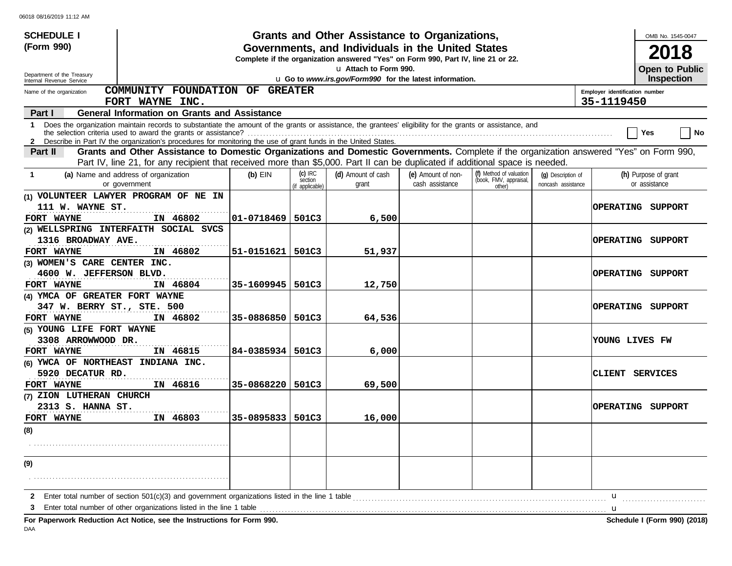| <b>SCHEDULE I</b>                                      |                                                                                                                                                                                                                                                                               |                      |                            | Grants and Other Assistance to Organizations,                                                                                         |                    |                                  |                    |                                | OMB No. 1545-0047            |
|--------------------------------------------------------|-------------------------------------------------------------------------------------------------------------------------------------------------------------------------------------------------------------------------------------------------------------------------------|----------------------|----------------------------|---------------------------------------------------------------------------------------------------------------------------------------|--------------------|----------------------------------|--------------------|--------------------------------|------------------------------|
| (Form 990)                                             |                                                                                                                                                                                                                                                                               |                      |                            | Governments, and Individuals in the United States<br>Complete if the organization answered "Yes" on Form 990, Part IV, line 21 or 22. |                    |                                  |                    |                                | 2018                         |
|                                                        | La Attach to Form 990.                                                                                                                                                                                                                                                        |                      |                            |                                                                                                                                       |                    |                                  |                    |                                |                              |
| Department of the Treasury<br>Internal Revenue Service | u Go to www.irs.gov/Form990 for the latest information.                                                                                                                                                                                                                       |                      |                            |                                                                                                                                       |                    |                                  |                    |                                |                              |
| Name of the organization                               | COMMUNITY FOUNDATION OF<br><b>GREATER</b>                                                                                                                                                                                                                                     |                      |                            |                                                                                                                                       |                    |                                  |                    | Employer identification number |                              |
|                                                        | FORT WAYNE INC.                                                                                                                                                                                                                                                               |                      |                            |                                                                                                                                       |                    |                                  |                    | 35-1119450                     |                              |
| Part I                                                 | <b>General Information on Grants and Assistance</b>                                                                                                                                                                                                                           |                      |                            |                                                                                                                                       |                    |                                  |                    |                                |                              |
| $\mathbf 1$                                            | Does the organization maintain records to substantiate the amount of the grants or assistance, the grantees' eligibility for the grants or assistance, and<br>2 Describe in Part IV the organization's procedures for monitoring the use of grant funds in the United States. |                      |                            |                                                                                                                                       |                    |                                  |                    |                                | No<br>Yes                    |
| Part II                                                | Grants and Other Assistance to Domestic Organizations and Domestic Governments. Complete if the organization answered "Yes" on Form 990,<br>Part IV, line 21, for any recipient that received more than \$5,000. Part II can be duplicated if additional space is needed.     |                      |                            |                                                                                                                                       |                    |                                  |                    |                                |                              |
| -1                                                     | (a) Name and address of organization                                                                                                                                                                                                                                          | $(b)$ EIN            | $(c)$ IRC                  | (d) Amount of cash                                                                                                                    | (e) Amount of non- | (f) Method of valuation          | (q) Description of |                                | (h) Purpose of grant         |
|                                                        | or government                                                                                                                                                                                                                                                                 |                      | section<br>(if applicable) | grant                                                                                                                                 | cash assistance    | (book, FMV, appraisal,<br>other) | noncash assistance |                                | or assistance                |
|                                                        | (1) VOLUNTEER LAWYER PROGRAM OF NE IN                                                                                                                                                                                                                                         |                      |                            |                                                                                                                                       |                    |                                  |                    |                                |                              |
| 111 W. WAYNE ST.                                       |                                                                                                                                                                                                                                                                               |                      |                            |                                                                                                                                       |                    |                                  |                    |                                | OPERATING SUPPORT            |
| FORT WAYNE                                             | IN 46802                                                                                                                                                                                                                                                                      | $01 - 0718469$ 501C3 |                            | 6,500                                                                                                                                 |                    |                                  |                    |                                |                              |
|                                                        | (2) WELLSPRING INTERFAITH SOCIAL SVCS                                                                                                                                                                                                                                         |                      |                            |                                                                                                                                       |                    |                                  |                    |                                |                              |
| 1316 BROADWAY AVE.                                     |                                                                                                                                                                                                                                                                               |                      |                            |                                                                                                                                       |                    |                                  |                    | OPERATING SUPPORT              |                              |
| FORT WAYNE                                             | IN 46802                                                                                                                                                                                                                                                                      | $51 - 0151621$ 501C3 |                            | 51,937                                                                                                                                |                    |                                  |                    |                                |                              |
| (3) WOMEN'S CARE CENTER INC.                           |                                                                                                                                                                                                                                                                               |                      |                            |                                                                                                                                       |                    |                                  |                    |                                |                              |
| 4600 W. JEFFERSON BLVD.                                |                                                                                                                                                                                                                                                                               |                      |                            |                                                                                                                                       |                    |                                  |                    | OPERATING SUPPORT              |                              |
| FORT WAYNE                                             | IN 46804                                                                                                                                                                                                                                                                      | 35-1609945   501C3   |                            | 12,750                                                                                                                                |                    |                                  |                    |                                |                              |
| (4) YMCA OF GREATER FORT WAYNE                         |                                                                                                                                                                                                                                                                               |                      |                            |                                                                                                                                       |                    |                                  |                    |                                |                              |
| 347 W. BERRY ST., STE. 500                             |                                                                                                                                                                                                                                                                               |                      |                            |                                                                                                                                       |                    |                                  |                    |                                | OPERATING SUPPORT            |
| FORT WAYNE                                             | IN 46802                                                                                                                                                                                                                                                                      | 35-0886850   501C3   |                            | 64,536                                                                                                                                |                    |                                  |                    |                                |                              |
| (5) YOUNG LIFE FORT WAYNE                              |                                                                                                                                                                                                                                                                               |                      |                            |                                                                                                                                       |                    |                                  |                    |                                |                              |
| 3308 ARROWWOOD DR.                                     |                                                                                                                                                                                                                                                                               |                      |                            |                                                                                                                                       |                    |                                  |                    | YOUNG LIVES FW                 |                              |
| FORT WAYNE                                             | IN 46815                                                                                                                                                                                                                                                                      | 84-0385934   501C3   |                            | 6,000                                                                                                                                 |                    |                                  |                    |                                |                              |
| (6) YWCA OF NORTHEAST INDIANA INC.                     |                                                                                                                                                                                                                                                                               |                      |                            |                                                                                                                                       |                    |                                  |                    |                                |                              |
| 5920 DECATUR RD.                                       |                                                                                                                                                                                                                                                                               |                      |                            |                                                                                                                                       |                    |                                  |                    | <b>CLIENT</b>                  | <b>SERVICES</b>              |
| FORT WAYNE                                             | IN 46816                                                                                                                                                                                                                                                                      | 35-0868220 501C3     |                            | 69,500                                                                                                                                |                    |                                  |                    |                                |                              |
| (7) ZION LUTHERAN CHURCH<br>2313 S. HANNA ST.          |                                                                                                                                                                                                                                                                               |                      |                            |                                                                                                                                       |                    |                                  |                    |                                |                              |
| FORT WAYNE                                             | IN 46803                                                                                                                                                                                                                                                                      | 35-0895833 501C3     |                            | 16,000                                                                                                                                |                    |                                  |                    |                                | OPERATING SUPPORT            |
| (8)                                                    |                                                                                                                                                                                                                                                                               |                      |                            |                                                                                                                                       |                    |                                  |                    |                                |                              |
|                                                        |                                                                                                                                                                                                                                                                               |                      |                            |                                                                                                                                       |                    |                                  |                    |                                |                              |
|                                                        |                                                                                                                                                                                                                                                                               |                      |                            |                                                                                                                                       |                    |                                  |                    |                                |                              |
| (9)                                                    |                                                                                                                                                                                                                                                                               |                      |                            |                                                                                                                                       |                    |                                  |                    |                                |                              |
|                                                        |                                                                                                                                                                                                                                                                               |                      |                            |                                                                                                                                       |                    |                                  |                    |                                |                              |
| 2                                                      |                                                                                                                                                                                                                                                                               |                      |                            |                                                                                                                                       |                    |                                  |                    | $\mathbf{u}$                   |                              |
|                                                        |                                                                                                                                                                                                                                                                               |                      |                            |                                                                                                                                       |                    |                                  |                    | u                              |                              |
|                                                        | For Paperwork Reduction Act Notice, see the Instructions for Form 990.                                                                                                                                                                                                        |                      |                            |                                                                                                                                       |                    |                                  |                    |                                | Schedule I (Form 990) (2018) |

DAA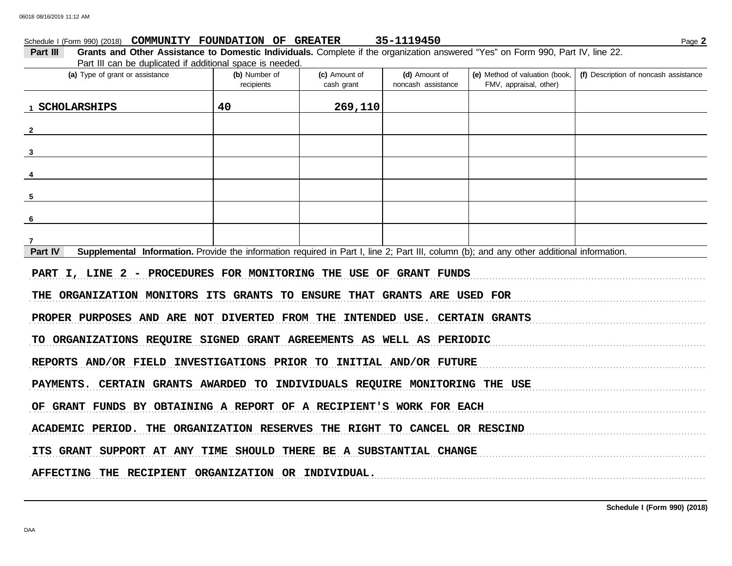### Schedule I (Form 990) (2018) Page **2 COMMUNITY FOUNDATION OF GREATER 35-1119450**

| Part III | Grants and Other Assistance to Domestic Individuals. Complete if the organization answered "Yes" on Form 990, Part IV, line 22. |  |  |               |  |  |  |  |
|----------|---------------------------------------------------------------------------------------------------------------------------------|--|--|---------------|--|--|--|--|
|          | Part III can be duplicated if additional space is needed.                                                                       |  |  |               |  |  |  |  |
|          |                                                                                                                                 |  |  | $\sim$ $\sim$ |  |  |  |  |

| (a) Type of grant or assistance                                                                                                                      | (b) Number of<br>recipients | (c) Amount of<br>cash grant | (d) Amount of<br>noncash assistance | (e) Method of valuation (book,<br>FMV, appraisal, other) | (f) Description of noncash assistance |  |  |  |
|------------------------------------------------------------------------------------------------------------------------------------------------------|-----------------------------|-----------------------------|-------------------------------------|----------------------------------------------------------|---------------------------------------|--|--|--|
| 1 SCHOLARSHIPS                                                                                                                                       | 40                          | 269,110                     |                                     |                                                          |                                       |  |  |  |
| $\mathbf{2}$                                                                                                                                         |                             |                             |                                     |                                                          |                                       |  |  |  |
| $\mathbf{3}$                                                                                                                                         |                             |                             |                                     |                                                          |                                       |  |  |  |
|                                                                                                                                                      |                             |                             |                                     |                                                          |                                       |  |  |  |
| - 5                                                                                                                                                  |                             |                             |                                     |                                                          |                                       |  |  |  |
| 6                                                                                                                                                    |                             |                             |                                     |                                                          |                                       |  |  |  |
| $\overline{7}$                                                                                                                                       |                             |                             |                                     |                                                          |                                       |  |  |  |
| Part IV<br>Supplemental Information. Provide the information required in Part I, line 2; Part III, column (b); and any other additional information. |                             |                             |                                     |                                                          |                                       |  |  |  |
| PART I, LINE 2 - PROCEDURES FOR MONITORING THE USE OF GRANT FUNDS                                                                                    |                             |                             |                                     |                                                          |                                       |  |  |  |
| THE ORGANIZATION MONITORS ITS GRANTS TO ENSURE THAT GRANTS ARE USED FOR                                                                              |                             |                             |                                     |                                                          |                                       |  |  |  |
| PROPER PURPOSES AND ARE NOT DIVERTED FROM THE INTENDED USE. CERTAIN GRANTS                                                                           |                             |                             |                                     |                                                          |                                       |  |  |  |
| TO ORGANIZATIONS REQUIRE SIGNED GRANT AGREEMENTS AS WELL AS PERIODIC                                                                                 |                             |                             |                                     |                                                          |                                       |  |  |  |
| REPORTS AND/OR FIELD INVESTIGATIONS PRIOR TO INITIAL AND/OR FUTURE                                                                                   |                             |                             |                                     |                                                          |                                       |  |  |  |
| CERTAIN GRANTS AWARDED TO INDIVIDUALS REQUIRE MONITORING THE USE<br>PAYMENTS.                                                                        |                             |                             |                                     |                                                          |                                       |  |  |  |
| GRANT FUNDS BY OBTAINING A REPORT OF A RECIPIENT'S WORK FOR EACH<br>OF                                                                               |                             |                             |                                     |                                                          |                                       |  |  |  |
| ACADEMIC PERIOD. THE ORGANIZATION RESERVES THE RIGHT TO CANCEL OR RESCIND                                                                            |                             |                             |                                     |                                                          |                                       |  |  |  |
| ITS GRANT SUPPORT AT ANY TIME SHOULD THERE BE A SUBSTANTIAL CHANGE                                                                                   |                             |                             |                                     |                                                          |                                       |  |  |  |
| AFFECTING THE RECIPIENT ORGANIZATION OR INDIVIDUAL.                                                                                                  |                             |                             |                                     |                                                          |                                       |  |  |  |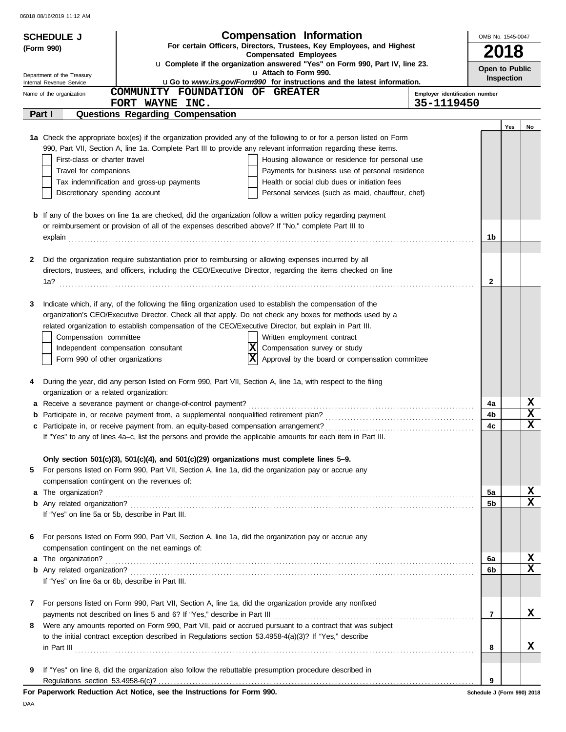|   | <b>SCHEDULE J</b>                                    |                                                                                                                      | <b>Compensation Information</b>                                                                       |                                | OMB No. 1545-0047          |            |        |
|---|------------------------------------------------------|----------------------------------------------------------------------------------------------------------------------|-------------------------------------------------------------------------------------------------------|--------------------------------|----------------------------|------------|--------|
|   | (Form 990)                                           |                                                                                                                      | For certain Officers, Directors, Trustees, Key Employees, and Highest<br><b>Compensated Employees</b> |                                |                            | 2018       |        |
|   | Department of the Treasury                           |                                                                                                                      | u Complete if the organization answered "Yes" on Form 990, Part IV, line 23.<br>u Attach to Form 990. |                                | Open to Public             | Inspection |        |
|   | Internal Revenue Service<br>Name of the organization | COMMUNITY FOUNDATION OF GREATER                                                                                      | uGo to www.irs.gov/Form990 for instructions and the latest information.                               | Employer identification number |                            |            |        |
|   |                                                      | FORT WAYNE INC.                                                                                                      |                                                                                                       | 35-1119450                     |                            |            |        |
|   | Part I                                               | Questions Regarding Compensation                                                                                     |                                                                                                       |                                |                            |            |        |
|   |                                                      |                                                                                                                      |                                                                                                       |                                |                            | Yes        | No     |
|   |                                                      | 1a Check the appropriate box(es) if the organization provided any of the following to or for a person listed on Form |                                                                                                       |                                |                            |            |        |
|   | First-class or charter travel                        | 990, Part VII, Section A, line 1a. Complete Part III to provide any relevant information regarding these items.      | Housing allowance or residence for personal use                                                       |                                |                            |            |        |
|   | Travel for companions                                |                                                                                                                      | Payments for business use of personal residence                                                       |                                |                            |            |        |
|   |                                                      | Tax indemnification and gross-up payments                                                                            | Health or social club dues or initiation fees                                                         |                                |                            |            |        |
|   | Discretionary spending account                       |                                                                                                                      | Personal services (such as maid, chauffeur, chef)                                                     |                                |                            |            |        |
|   |                                                      |                                                                                                                      |                                                                                                       |                                |                            |            |        |
|   |                                                      | <b>b</b> If any of the boxes on line 1a are checked, did the organization follow a written policy regarding payment  |                                                                                                       |                                |                            |            |        |
|   |                                                      | or reimbursement or provision of all of the expenses described above? If "No," complete Part III to                  |                                                                                                       |                                |                            |            |        |
|   | explain                                              |                                                                                                                      |                                                                                                       |                                | 1b                         |            |        |
| 2 |                                                      | Did the organization require substantiation prior to reimbursing or allowing expenses incurred by all                |                                                                                                       |                                |                            |            |        |
|   |                                                      | directors, trustees, and officers, including the CEO/Executive Director, regarding the items checked on line         |                                                                                                       |                                |                            |            |        |
|   | 1a?                                                  |                                                                                                                      |                                                                                                       |                                | $\mathbf{2}$               |            |        |
|   |                                                      |                                                                                                                      |                                                                                                       |                                |                            |            |        |
| 3 |                                                      | Indicate which, if any, of the following the filing organization used to establish the compensation of the           |                                                                                                       |                                |                            |            |        |
|   |                                                      | organization's CEO/Executive Director. Check all that apply. Do not check any boxes for methods used by a            |                                                                                                       |                                |                            |            |        |
|   |                                                      | related organization to establish compensation of the CEO/Executive Director, but explain in Part III.               | Written employment contract                                                                           |                                |                            |            |        |
|   | Compensation committee                               | Independent compensation consultant                                                                                  | $\overline{\mathbf{x}}$<br>Compensation survey or study                                               |                                |                            |            |        |
|   | Form 990 of other organizations                      |                                                                                                                      | Approval by the board or compensation committee                                                       |                                |                            |            |        |
|   |                                                      |                                                                                                                      |                                                                                                       |                                |                            |            |        |
| 4 |                                                      | During the year, did any person listed on Form 990, Part VII, Section A, line 1a, with respect to the filing         |                                                                                                       |                                |                            |            |        |
|   | organization or a related organization:              |                                                                                                                      |                                                                                                       |                                |                            |            |        |
|   |                                                      | a Receive a severance payment or change-of-control payment?                                                          |                                                                                                       |                                | 4a                         |            | х      |
|   |                                                      |                                                                                                                      |                                                                                                       |                                | 4b<br>4c                   |            | X<br>X |
|   |                                                      | If "Yes" to any of lines 4a–c, list the persons and provide the applicable amounts for each item in Part III.        |                                                                                                       |                                |                            |            |        |
|   |                                                      |                                                                                                                      |                                                                                                       |                                |                            |            |        |
|   |                                                      | Only section 501(c)(3), 501(c)(4), and 501(c)(29) organizations must complete lines 5–9.                             |                                                                                                       |                                |                            |            |        |
| 5 |                                                      | For persons listed on Form 990, Part VII, Section A, line 1a, did the organization pay or accrue any                 |                                                                                                       |                                |                            |            |        |
|   |                                                      | compensation contingent on the revenues of:                                                                          |                                                                                                       |                                |                            |            |        |
|   | a The organization?                                  |                                                                                                                      |                                                                                                       |                                | 5a<br>5b                   |            | х<br>X |
|   | If "Yes" on line 5a or 5b, describe in Part III.     |                                                                                                                      |                                                                                                       |                                |                            |            |        |
|   |                                                      |                                                                                                                      |                                                                                                       |                                |                            |            |        |
| 6 |                                                      | For persons listed on Form 990, Part VII, Section A, line 1a, did the organization pay or accrue any                 |                                                                                                       |                                |                            |            |        |
|   |                                                      | compensation contingent on the net earnings of:                                                                      |                                                                                                       |                                |                            |            |        |
|   | a The organization?                                  |                                                                                                                      |                                                                                                       |                                | 6а                         |            | х      |
|   |                                                      |                                                                                                                      |                                                                                                       |                                | 6b                         |            | X      |
|   | If "Yes" on line 6a or 6b, describe in Part III.     |                                                                                                                      |                                                                                                       |                                |                            |            |        |
| 7 |                                                      | For persons listed on Form 990, Part VII, Section A, line 1a, did the organization provide any nonfixed              |                                                                                                       |                                |                            |            |        |
|   |                                                      | payments not described on lines 5 and 6? If "Yes," describe in Part III                                              |                                                                                                       |                                | $\overline{7}$             |            | x      |
| 8 |                                                      | Were any amounts reported on Form 990, Part VII, paid or accrued pursuant to a contract that was subject             |                                                                                                       |                                |                            |            |        |
|   |                                                      | to the initial contract exception described in Regulations section 53.4958-4(a)(3)? If "Yes," describe               |                                                                                                       |                                |                            |            |        |
|   |                                                      | $\ $ n Part III $\ $                                                                                                 |                                                                                                       |                                | 8                          |            | x      |
|   |                                                      | If "Yes" on line 8, did the organization also follow the rebuttable presumption procedure described in               |                                                                                                       |                                |                            |            |        |
| 9 | Regulations section $53.4958-6(c)$ ?.                |                                                                                                                      |                                                                                                       |                                | 9                          |            |        |
|   |                                                      | For Paperwork Reduction Act Notice, see the Instructions for Form 990.                                               |                                                                                                       |                                | Schedule J (Form 990) 2018 |            |        |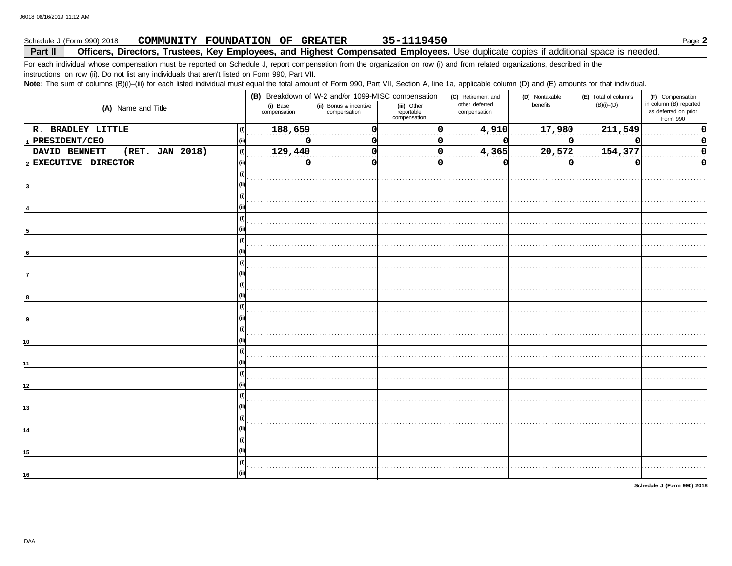#### 35-1119450 Schedule J (Form 990) 2018 COMMUNITY FOUNDATION OF GREATER

#### Part II Officers, Directors, Trustees, Key Employees, and Highest Compensated Employees. Use duplicate copies if additional space is needed.

For each individual whose compensation must be reported on Schedule J, report compensation from the organization on row (i) and from related organizations, described in the instructions, on row (ii). Do not list any individuals that aren't listed on Form 990, Part VII.

Note: The sum of columns (B)(i)-(iii) for each listed individual must equal the total amount of Form 990, Part VII, Section A, line 1a, applicable column (D) and (E) amounts for that individual.

|                                  |                          | (B) Breakdown of W-2 and/or 1099-MISC compensation |                                           | (C) Retirement and             | (D) Nontaxable | (E) Total of columns | (F) Compensation                                           |
|----------------------------------|--------------------------|----------------------------------------------------|-------------------------------------------|--------------------------------|----------------|----------------------|------------------------------------------------------------|
| (A) Name and Title               | (i) Base<br>compensation | (ii) Bonus & incentive<br>compensation             | (iii) Other<br>reportable<br>compensation | other deferred<br>compensation | benefits       | $(B)(i)$ – $(D)$     | in column (B) reported<br>as deferred on prior<br>Form 990 |
| R. BRADLEY LITTLE                | 188,659<br>(i)           | ŋ                                                  |                                           | 4,910                          | 17,980         | 211,549              | 0                                                          |
| 1 PRESIDENT/CEO                  | (ii                      |                                                    |                                           |                                | 0              |                      |                                                            |
| (RET. JAN 2018)<br>DAVID BENNETT | (i)<br>129,440           |                                                    |                                           | 4,365                          | 20,572         | 154,377              |                                                            |
| 2 EXECUTIVE DIRECTOR             | (ii)<br>$\mathbf{O}$     | O                                                  |                                           | 0                              | 0              |                      | 0                                                          |
|                                  |                          |                                                    |                                           |                                |                |                      |                                                            |
|                                  |                          |                                                    |                                           |                                |                |                      |                                                            |
|                                  |                          |                                                    |                                           |                                |                |                      |                                                            |
|                                  |                          |                                                    |                                           |                                |                |                      |                                                            |
|                                  | (i)                      |                                                    |                                           |                                |                |                      |                                                            |
| 5                                |                          |                                                    |                                           |                                |                |                      |                                                            |
|                                  | (i)                      |                                                    |                                           |                                |                |                      |                                                            |
| 6                                |                          |                                                    |                                           |                                |                |                      |                                                            |
|                                  | (i)                      |                                                    |                                           |                                |                |                      |                                                            |
|                                  |                          |                                                    |                                           |                                |                |                      |                                                            |
| $\overline{7}$                   |                          |                                                    |                                           |                                |                |                      |                                                            |
|                                  |                          |                                                    |                                           |                                |                |                      |                                                            |
|                                  |                          |                                                    |                                           |                                |                |                      |                                                            |
|                                  |                          |                                                    |                                           |                                |                |                      |                                                            |
|                                  |                          |                                                    |                                           |                                |                |                      |                                                            |
|                                  |                          |                                                    |                                           |                                |                |                      |                                                            |
| 10                               | (ii)                     |                                                    |                                           |                                |                |                      |                                                            |
|                                  | (i)                      |                                                    |                                           |                                |                |                      |                                                            |
| 11                               |                          |                                                    |                                           |                                |                |                      |                                                            |
|                                  |                          |                                                    |                                           |                                |                |                      |                                                            |
| 12                               |                          |                                                    |                                           |                                |                |                      |                                                            |
|                                  | (i)                      |                                                    |                                           |                                |                |                      |                                                            |
| 13                               |                          |                                                    |                                           |                                |                |                      |                                                            |
|                                  | (i)                      |                                                    |                                           |                                |                |                      |                                                            |
| 14                               |                          |                                                    |                                           |                                |                |                      |                                                            |
|                                  | (i)                      |                                                    |                                           |                                |                |                      |                                                            |
| 15                               |                          |                                                    |                                           |                                |                |                      |                                                            |
|                                  |                          |                                                    |                                           |                                |                |                      |                                                            |
| 16                               | (iii)                    |                                                    |                                           |                                |                |                      |                                                            |
|                                  |                          |                                                    |                                           |                                |                |                      |                                                            |

Schedule J (Form 990) 2018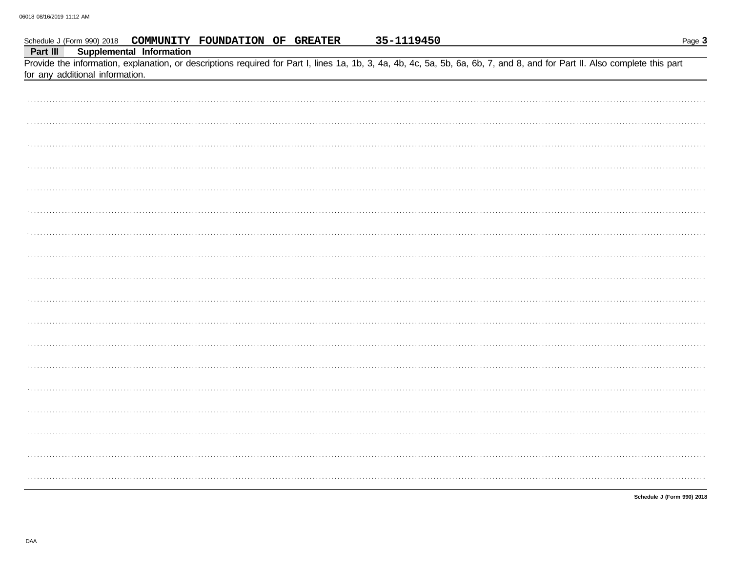|          | Schedule J (Form 990) 2018 COMMUNITY FOUNDATION OF GREATER                                                                                                                                                                                | 35-1119450 | Page 3 |
|----------|-------------------------------------------------------------------------------------------------------------------------------------------------------------------------------------------------------------------------------------------|------------|--------|
| Part III | Supplemental Information<br>Provide the information, explanation, or descriptions required for Part I, lines 1a, 1b, 3, 4a, 4b, 4c, 5a, 5b, 6a, 6b, 7, and 8, and for Part II. Also complete this part<br>for any additional information. |            |        |
|          |                                                                                                                                                                                                                                           |            |        |
|          |                                                                                                                                                                                                                                           |            |        |
|          |                                                                                                                                                                                                                                           |            |        |
|          |                                                                                                                                                                                                                                           |            |        |
|          |                                                                                                                                                                                                                                           |            |        |
|          |                                                                                                                                                                                                                                           |            |        |
|          |                                                                                                                                                                                                                                           |            |        |
|          |                                                                                                                                                                                                                                           |            |        |
|          |                                                                                                                                                                                                                                           |            |        |
|          |                                                                                                                                                                                                                                           |            |        |
|          |                                                                                                                                                                                                                                           |            |        |
|          |                                                                                                                                                                                                                                           |            |        |
|          |                                                                                                                                                                                                                                           |            |        |
|          |                                                                                                                                                                                                                                           |            |        |
|          |                                                                                                                                                                                                                                           |            |        |
|          |                                                                                                                                                                                                                                           |            |        |
|          |                                                                                                                                                                                                                                           |            |        |
|          |                                                                                                                                                                                                                                           |            |        |
|          |                                                                                                                                                                                                                                           |            |        |

Schedule J (Form 990) 2018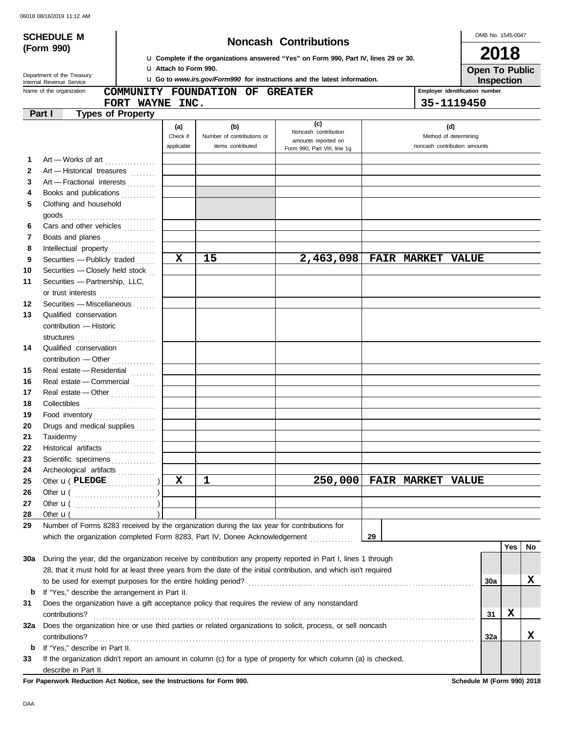|                            | <b>SCHEDULE M</b>                                        |  |                                                                                                                 |                 |                                   |  |                                                                                                                    |    |                                |                                     | OMB No. 1545-0047 |     |    |
|----------------------------|----------------------------------------------------------|--|-----------------------------------------------------------------------------------------------------------------|-----------------|-----------------------------------|--|--------------------------------------------------------------------------------------------------------------------|----|--------------------------------|-------------------------------------|-------------------|-----|----|
|                            | (Form 990)                                               |  |                                                                                                                 |                 |                                   |  | <b>Noncash Contributions</b>                                                                                       |    |                                |                                     | 2018              |     |    |
|                            |                                                          |  |                                                                                                                 |                 |                                   |  | <b>u</b> Complete if the organizations answered "Yes" on Form 990, Part IV, lines 29 or 30.                        |    |                                |                                     |                   |     |    |
| Department of the Treasury |                                                          |  | <b>U</b> Attach to Form 990.<br><b>u</b> Go to www.irs.gov/Form990 for instructions and the latest information. |                 |                                   |  |                                                                                                                    |    |                                | <b>Open To Public</b><br>Inspection |                   |     |    |
|                            | Internal Revenue Service<br>Name of the organization     |  |                                                                                                                 |                 |                                   |  |                                                                                                                    |    | Employer identification number |                                     |                   |     |    |
|                            |                                                          |  |                                                                                                                 |                 | COMMUNITY FOUNDATION OF GREATER   |  |                                                                                                                    |    | 35-1119450                     |                                     |                   |     |    |
|                            | Part I                                                   |  | FORT WAYNE INC.<br><b>Types of Property</b>                                                                     |                 |                                   |  |                                                                                                                    |    |                                |                                     |                   |     |    |
|                            |                                                          |  |                                                                                                                 |                 |                                   |  | (c)                                                                                                                |    |                                |                                     |                   |     |    |
|                            |                                                          |  |                                                                                                                 | (a)<br>Check if | (b)<br>Number of contributions or |  | Noncash contribution                                                                                               |    | (d)<br>Method of determining   |                                     |                   |     |    |
|                            |                                                          |  |                                                                                                                 | applicable      | items contributed                 |  | amounts reported on<br>Form 990, Part VIII, line 1g                                                                |    | noncash contribution amounts   |                                     |                   |     |    |
| 1                          |                                                          |  |                                                                                                                 |                 |                                   |  |                                                                                                                    |    |                                |                                     |                   |     |    |
| $\mathbf{2}$               | Art - Works of art<br>Art - Historical treasures         |  |                                                                                                                 |                 |                                   |  |                                                                                                                    |    |                                |                                     |                   |     |    |
| 3                          | Art - Fractional interests                               |  |                                                                                                                 |                 |                                   |  |                                                                                                                    |    |                                |                                     |                   |     |    |
| 4                          | Books and publications                                   |  |                                                                                                                 |                 |                                   |  |                                                                                                                    |    |                                |                                     |                   |     |    |
| 5                          | Clothing and household                                   |  |                                                                                                                 |                 |                                   |  |                                                                                                                    |    |                                |                                     |                   |     |    |
|                            |                                                          |  |                                                                                                                 |                 |                                   |  |                                                                                                                    |    |                                |                                     |                   |     |    |
| 6                          | Cars and other vehicles                                  |  |                                                                                                                 |                 |                                   |  |                                                                                                                    |    |                                |                                     |                   |     |    |
| 7                          |                                                          |  |                                                                                                                 |                 |                                   |  |                                                                                                                    |    |                                |                                     |                   |     |    |
| 8                          | Boats and planes                                         |  |                                                                                                                 |                 |                                   |  |                                                                                                                    |    |                                |                                     |                   |     |    |
| 9                          | Intellectual property<br>Securities - Publicly traded    |  |                                                                                                                 | $\mathbf x$     | 15                                |  | 2,463,098                                                                                                          |    | <b>FAIR MARKET VALUE</b>       |                                     |                   |     |    |
| 10                         | Securities - Closely held stock                          |  |                                                                                                                 |                 |                                   |  |                                                                                                                    |    |                                |                                     |                   |     |    |
| 11                         | Securities - Partnership, LLC,                           |  |                                                                                                                 |                 |                                   |  |                                                                                                                    |    |                                |                                     |                   |     |    |
|                            |                                                          |  |                                                                                                                 |                 |                                   |  |                                                                                                                    |    |                                |                                     |                   |     |    |
| 12                         | or trust interests<br>Securities - Miscellaneous [11111] |  |                                                                                                                 |                 |                                   |  |                                                                                                                    |    |                                |                                     |                   |     |    |
| 13                         | Qualified conservation                                   |  |                                                                                                                 |                 |                                   |  |                                                                                                                    |    |                                |                                     |                   |     |    |
|                            | contribution - Historic                                  |  |                                                                                                                 |                 |                                   |  |                                                                                                                    |    |                                |                                     |                   |     |    |
|                            | structures                                               |  |                                                                                                                 |                 |                                   |  |                                                                                                                    |    |                                |                                     |                   |     |    |
| 14                         | Qualified conservation                                   |  |                                                                                                                 |                 |                                   |  |                                                                                                                    |    |                                |                                     |                   |     |    |
|                            | contribution - Other                                     |  |                                                                                                                 |                 |                                   |  |                                                                                                                    |    |                                |                                     |                   |     |    |
| 15                         | Real estate - Residential                                |  |                                                                                                                 |                 |                                   |  |                                                                                                                    |    |                                |                                     |                   |     |    |
| 16                         | Real estate - Commercial                                 |  |                                                                                                                 |                 |                                   |  |                                                                                                                    |    |                                |                                     |                   |     |    |
| 17                         | Real estate - Other                                      |  |                                                                                                                 |                 |                                   |  |                                                                                                                    |    |                                |                                     |                   |     |    |
| 18                         | Collectibles                                             |  |                                                                                                                 |                 |                                   |  |                                                                                                                    |    |                                |                                     |                   |     |    |
| 19                         | Food inventory                                           |  |                                                                                                                 |                 |                                   |  |                                                                                                                    |    |                                |                                     |                   |     |    |
| 20                         | Drugs and medical supplies                               |  |                                                                                                                 |                 |                                   |  |                                                                                                                    |    |                                |                                     |                   |     |    |
| 21                         | Taxidermy                                                |  |                                                                                                                 |                 |                                   |  |                                                                                                                    |    |                                |                                     |                   |     |    |
| 22                         | Historical artifacts                                     |  |                                                                                                                 |                 |                                   |  |                                                                                                                    |    |                                |                                     |                   |     |    |
| 23                         | Scientific specimens                                     |  |                                                                                                                 |                 |                                   |  |                                                                                                                    |    |                                |                                     |                   |     |    |
| 24                         | Archeological artifacts                                  |  |                                                                                                                 |                 |                                   |  |                                                                                                                    |    |                                |                                     |                   |     |    |
| 25                         | Other <b>u</b> (PLEDGE (1)                               |  |                                                                                                                 | $\mathbf x$     | $\mathbf{1}$                      |  | 250,000                                                                                                            |    | <b>FAIR MARKET VALUE</b>       |                                     |                   |     |    |
| 26                         |                                                          |  |                                                                                                                 |                 |                                   |  |                                                                                                                    |    |                                |                                     |                   |     |    |
| 27                         |                                                          |  |                                                                                                                 |                 |                                   |  |                                                                                                                    |    |                                |                                     |                   |     |    |
| 28                         | Other $\mathbf{u}$ (                                     |  |                                                                                                                 |                 |                                   |  |                                                                                                                    |    |                                |                                     |                   |     |    |
| 29                         |                                                          |  |                                                                                                                 |                 |                                   |  | Number of Forms 8283 received by the organization during the tax year for contributions for                        |    |                                |                                     |                   |     |    |
|                            |                                                          |  |                                                                                                                 |                 |                                   |  | which the organization completed Form 8283, Part IV, Donee Acknowledgement                                         | 29 |                                |                                     |                   |     |    |
|                            |                                                          |  |                                                                                                                 |                 |                                   |  |                                                                                                                    |    |                                |                                     |                   | Yes | No |
| 30a                        |                                                          |  |                                                                                                                 |                 |                                   |  | During the year, did the organization receive by contribution any property reported in Part I, lines 1 through     |    |                                |                                     |                   |     |    |
|                            |                                                          |  |                                                                                                                 |                 |                                   |  | 28, that it must hold for at least three years from the date of the initial contribution, and which isn't required |    |                                |                                     |                   |     |    |
|                            |                                                          |  |                                                                                                                 |                 |                                   |  |                                                                                                                    |    |                                |                                     | 30a               |     | х  |
| b                          | If "Yes," describe the arrangement in Part II.           |  |                                                                                                                 |                 |                                   |  |                                                                                                                    |    |                                |                                     |                   |     |    |
| 31                         |                                                          |  |                                                                                                                 |                 |                                   |  | Does the organization have a gift acceptance policy that requires the review of any nonstandard                    |    |                                |                                     |                   |     |    |
|                            | contributions?                                           |  |                                                                                                                 |                 |                                   |  |                                                                                                                    |    |                                |                                     | 31                | X   |    |
| 32a                        |                                                          |  |                                                                                                                 |                 |                                   |  | Does the organization hire or use third parties or related organizations to solicit, process, or sell noncash      |    |                                |                                     |                   |     |    |
|                            | contributions?                                           |  |                                                                                                                 |                 |                                   |  |                                                                                                                    |    |                                |                                     | 32a               |     | X  |
| b                          | If "Yes," describe in Part II.                           |  |                                                                                                                 |                 |                                   |  |                                                                                                                    |    |                                |                                     |                   |     |    |
| 33                         |                                                          |  |                                                                                                                 |                 |                                   |  | If the organization didn't report an amount in column (c) for a type of property for which column (a) is checked,  |    |                                |                                     |                   |     |    |
|                            | describe in Part II.                                     |  |                                                                                                                 |                 |                                   |  |                                                                                                                    |    |                                |                                     |                   |     |    |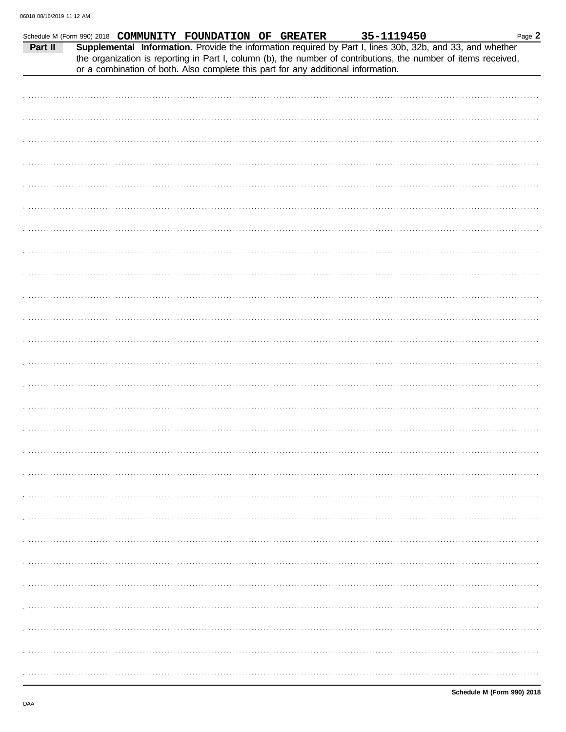| Schedule M (Form 990) 2018 COMMUNITY FOUNDATION OF GREATER<br>Supplemental Information. Provide the information required by Part I, lines 30b, 32b, and 33, and whether<br>Part II<br>the organization is reporting in Part I, column (b), the number of contributions, the number of items received,<br>or a combination of both. Also complete this part for any additional information. | 35-1119450<br>Page 2 |
|--------------------------------------------------------------------------------------------------------------------------------------------------------------------------------------------------------------------------------------------------------------------------------------------------------------------------------------------------------------------------------------------|----------------------|
|                                                                                                                                                                                                                                                                                                                                                                                            |                      |
|                                                                                                                                                                                                                                                                                                                                                                                            |                      |
|                                                                                                                                                                                                                                                                                                                                                                                            |                      |
|                                                                                                                                                                                                                                                                                                                                                                                            |                      |
|                                                                                                                                                                                                                                                                                                                                                                                            |                      |
|                                                                                                                                                                                                                                                                                                                                                                                            |                      |
|                                                                                                                                                                                                                                                                                                                                                                                            |                      |
|                                                                                                                                                                                                                                                                                                                                                                                            |                      |
|                                                                                                                                                                                                                                                                                                                                                                                            |                      |
|                                                                                                                                                                                                                                                                                                                                                                                            |                      |
|                                                                                                                                                                                                                                                                                                                                                                                            |                      |
|                                                                                                                                                                                                                                                                                                                                                                                            |                      |
|                                                                                                                                                                                                                                                                                                                                                                                            |                      |
|                                                                                                                                                                                                                                                                                                                                                                                            |                      |
|                                                                                                                                                                                                                                                                                                                                                                                            |                      |
|                                                                                                                                                                                                                                                                                                                                                                                            |                      |
|                                                                                                                                                                                                                                                                                                                                                                                            |                      |
|                                                                                                                                                                                                                                                                                                                                                                                            |                      |
|                                                                                                                                                                                                                                                                                                                                                                                            |                      |
|                                                                                                                                                                                                                                                                                                                                                                                            |                      |
|                                                                                                                                                                                                                                                                                                                                                                                            |                      |
|                                                                                                                                                                                                                                                                                                                                                                                            |                      |
|                                                                                                                                                                                                                                                                                                                                                                                            |                      |
|                                                                                                                                                                                                                                                                                                                                                                                            |                      |
|                                                                                                                                                                                                                                                                                                                                                                                            |                      |
|                                                                                                                                                                                                                                                                                                                                                                                            |                      |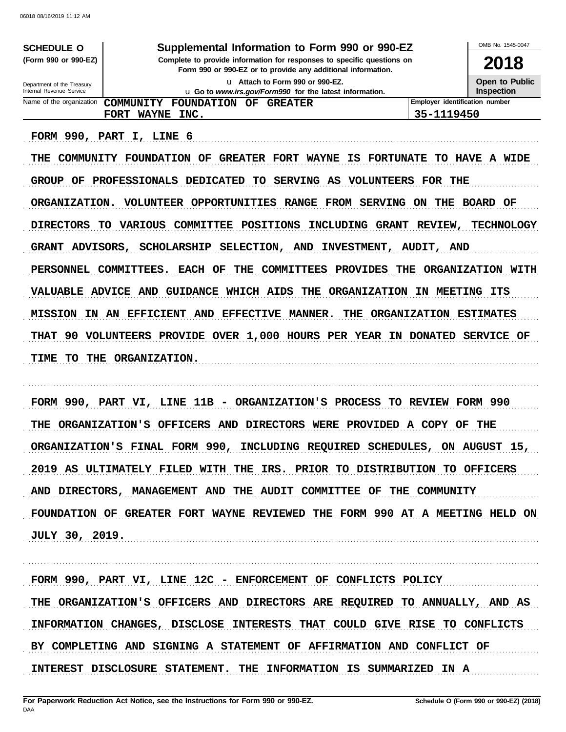| <b>SCHEDULE O</b>                                      | Supplemental Information to Form 990 or 990-EZ                                                                                         | OMB No. 1545-0047                   |
|--------------------------------------------------------|----------------------------------------------------------------------------------------------------------------------------------------|-------------------------------------|
| (Form 990 or 990-EZ)                                   | Complete to provide information for responses to specific questions on<br>Form 990 or 990-EZ or to provide any additional information. | 2018                                |
| Department of the Treasury<br>Internal Revenue Service | u Attach to Form 990 or 990-EZ.<br>u Go to www.irs.gov/Form990 for the latest information.                                             | Open to Public<br><b>Inspection</b> |
| Name of the organization                               | COMMUNITY FOUNDATION<br>OF<br><b>GREATER</b>                                                                                           | Employer identification number      |
|                                                        | FORT WAYNE INC.                                                                                                                        | 35-1119450                          |

FORM 990, PART I, LINE 6

THE COMMUNITY FOUNDATION OF GREATER FORT WAYNE IS FORTUNATE TO HAVE A WIDE GROUP OF PROFESSIONALS DEDICATED TO SERVING AS VOLUNTEERS FOR THE ORGANIZATION. VOLUNTEER OPPORTUNITIES RANGE FROM SERVING ON THE BOARD OF DIRECTORS TO VARIOUS COMMITTEE POSITIONS INCLUDING GRANT REVIEW, TECHNOLOGY GRANT ADVISORS, SCHOLARSHIP SELECTION, AND INVESTMENT, AUDIT, AND PERSONNEL COMMITTEES. EACH OF THE COMMITTEES PROVIDES THE ORGANIZATION WITH VALUABLE ADVICE AND GUIDANCE WHICH AIDS THE ORGANIZATION IN MEETING ITS MISSION IN AN EFFICIENT AND EFFECTIVE MANNER. THE ORGANIZATION ESTIMATES THAT 90 VOLUNTEERS PROVIDE OVER 1,000 HOURS PER YEAR IN DONATED SERVICE OF TIME TO THE ORGANIZATION.

FORM 990, PART VI, LINE 11B - ORGANIZATION'S PROCESS TO REVIEW FORM 990 THE ORGANIZATION'S OFFICERS AND DIRECTORS WERE PROVIDED A COPY OF THE ORGANIZATION'S FINAL FORM 990, INCLUDING REQUIRED SCHEDULES, ON AUGUST 15, 2019 AS ULTIMATELY FILED WITH THE IRS. PRIOR TO DISTRIBUTION TO OFFICERS AND DIRECTORS, MANAGEMENT AND THE AUDIT COMMITTEE OF THE COMMUNITY FOUNDATION OF GREATER FORT WAYNE REVIEWED THE FORM 990 AT A MEETING HELD ON JULY 30, 2019.

FORM 990, PART VI, LINE 12C - ENFORCEMENT OF CONFLICTS POLICY THE ORGANIZATION'S OFFICERS AND DIRECTORS ARE REQUIRED TO ANNUALLY, AND AS INFORMATION CHANGES, DISCLOSE INTERESTS THAT COULD GIVE RISE TO CONFLICTS BY COMPLETING AND SIGNING A STATEMENT OF AFFIRMATION AND CONFLICT OF INTEREST DISCLOSURE STATEMENT. THE INFORMATION IS SUMMARIZED IN A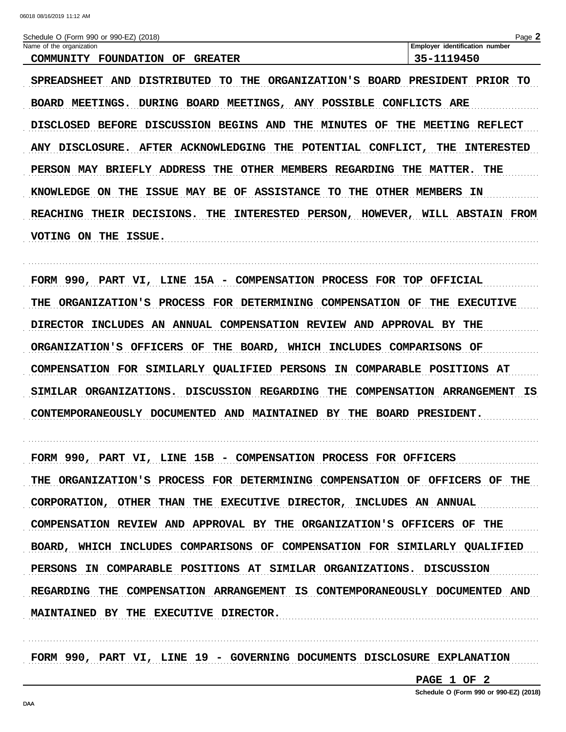| Schedule O (Form 990 or 990-EZ) (2018)          | Page $\blacktriangle$          |
|-------------------------------------------------|--------------------------------|
| Name of the organization                        | Employer identification number |
| OF<br>COMMUNITY<br>FOUNDATION<br><b>GREATER</b> | 35-1119450                     |

SPREADSHEET AND DISTRIBUTED TO THE ORGANIZATION'S BOARD PRESIDENT PRIOR TO BOARD MEETINGS. DURING BOARD MEETINGS, ANY POSSIBLE CONFLICTS ARE DISCLOSED BEFORE DISCUSSION BEGINS AND THE MINUTES OF THE MEETING REFLECT ANY DISCLOSURE. AFTER ACKNOWLEDGING THE POTENTIAL CONFLICT, THE INTERESTED PERSON MAY BRIEFLY ADDRESS THE OTHER MEMBERS REGARDING THE MATTER. THE KNOWLEDGE ON THE ISSUE MAY BE OF ASSISTANCE TO THE OTHER MEMBERS IN REACHING THEIR DECISIONS. THE INTERESTED PERSON, HOWEVER, WILL ABSTAIN FROM VOTING ON THE ISSUE.

FORM 990, PART VI, LINE 15A - COMPENSATION PROCESS FOR TOP OFFICIAL THE ORGANIZATION'S PROCESS FOR DETERMINING COMPENSATION OF THE EXECUTIVE DIRECTOR INCLUDES AN ANNUAL COMPENSATION REVIEW AND APPROVAL BY THE ORGANIZATION'S OFFICERS OF THE BOARD, WHICH INCLUDES COMPARISONS OF COMPENSATION FOR SIMILARLY QUALIFIED PERSONS IN COMPARABLE POSITIONS AT SIMILAR ORGANIZATIONS. DISCUSSION REGARDING THE COMPENSATION ARRANGEMENT IS CONTEMPORANEOUSLY DOCUMENTED AND MAINTAINED BY THE BOARD PRESIDENT.

FORM 990, PART VI, LINE 15B - COMPENSATION PROCESS FOR OFFICERS THE ORGANIZATION'S PROCESS FOR DETERMINING COMPENSATION OF OFFICERS OF THE CORPORATION, OTHER THAN THE EXECUTIVE DIRECTOR, INCLUDES AN ANNUAL COMPENSATION REVIEW AND APPROVAL BY THE ORGANIZATION'S OFFICERS OF THE BOARD, WHICH INCLUDES COMPARISONS OF COMPENSATION FOR SIMILARLY QUALIFIED PERSONS IN COMPARABLE POSITIONS AT SIMILAR ORGANIZATIONS. DISCUSSION REGARDING THE COMPENSATION ARRANGEMENT IS CONTEMPORANEOUSLY DOCUMENTED AND MAINTAINED BY THE EXECUTIVE DIRECTOR.

FORM 990, PART VI, LINE 19 - GOVERNING DOCUMENTS DISCLOSURE EXPLANATION

PAGE 1 OF 2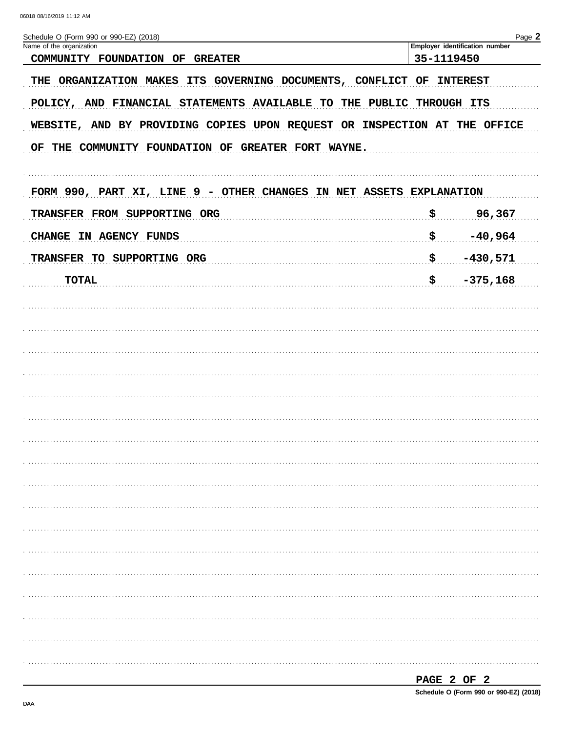06018 08/16/2019 11:12 AM

| Schedule O (Form 990 or 990-EZ) (2018)                                                                                                                                                                              |            | Page 2                         |
|---------------------------------------------------------------------------------------------------------------------------------------------------------------------------------------------------------------------|------------|--------------------------------|
| Name of the organization<br>COMMUNITY FOUNDATION OF GREATER                                                                                                                                                         | 35-1119450 | Employer identification number |
| THE ORGANIZATION MAKES<br>ITS GOVERNING DOCUMENTS, CONFLICT OF<br>POLICY, AND FINANCIAL STATEMENTS AVAILABLE TO THE PUBLIC THROUGH ITS<br>WEBSITE, AND BY PROVIDING COPIES UPON REQUEST OR INSPECTION AT THE OFFICE |            | <b>INTEREST</b>                |
| THE COMMUNITY FOUNDATION OF GREATER FORT WAYNE.<br>OF                                                                                                                                                               |            |                                |
| FORM 990, PART XI, LINE 9 - OTHER CHANGES IN NET ASSETS EXPLANATION                                                                                                                                                 |            |                                |
| TRANSFER FROM SUPPORTING ORG                                                                                                                                                                                        | \$         | 96,367                         |
| CHANGE IN AGENCY FUNDS                                                                                                                                                                                              | \$         | $-40,964$                      |
| TRANSFER TO SUPPORTING ORG                                                                                                                                                                                          | \$         | $-430,571$                     |
| <b>TOTAL</b>                                                                                                                                                                                                        | \$         | $-375,168$                     |
|                                                                                                                                                                                                                     |            |                                |
|                                                                                                                                                                                                                     |            |                                |
|                                                                                                                                                                                                                     |            |                                |
|                                                                                                                                                                                                                     |            |                                |
|                                                                                                                                                                                                                     |            |                                |
|                                                                                                                                                                                                                     |            |                                |
|                                                                                                                                                                                                                     |            |                                |
|                                                                                                                                                                                                                     |            |                                |
|                                                                                                                                                                                                                     |            |                                |
|                                                                                                                                                                                                                     |            |                                |
|                                                                                                                                                                                                                     |            |                                |
|                                                                                                                                                                                                                     |            |                                |
|                                                                                                                                                                                                                     |            |                                |
|                                                                                                                                                                                                                     |            |                                |
|                                                                                                                                                                                                                     |            |                                |
|                                                                                                                                                                                                                     |            |                                |
|                                                                                                                                                                                                                     |            |                                |



Schedule O (Form 990 or 990-EZ) (2018)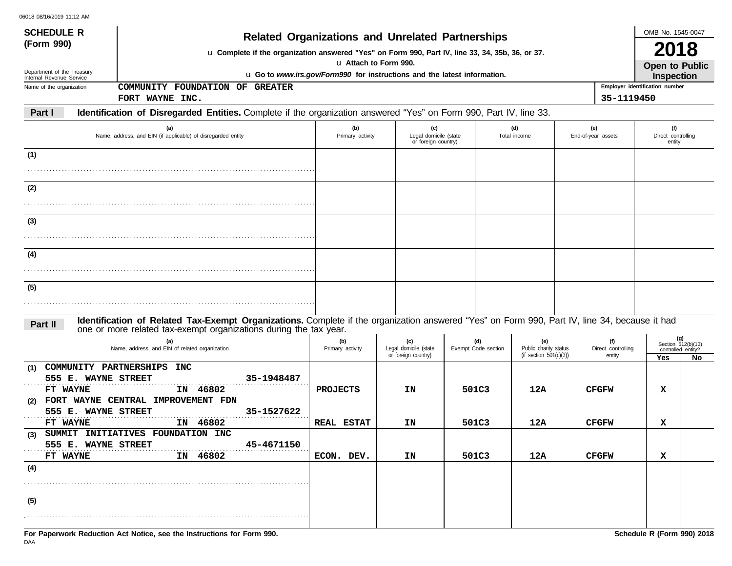| <b>SCHEDULE R</b>               | <b>Related Organizations and Unrelated Partnerships</b>                                                                                       |                         |                                              |       |                            |                              |  |                           | OMB No. 1545-0047                                 |    |
|---------------------------------|-----------------------------------------------------------------------------------------------------------------------------------------------|-------------------------|----------------------------------------------|-------|----------------------------|------------------------------|--|---------------------------|---------------------------------------------------|----|
| (Form 990)                      | u Complete if the organization answered "Yes" on Form 990, Part IV, line 33, 34, 35b, 36, or 37.                                              |                         |                                              |       |                            |                              |  |                           | <b>2018</b>                                       |    |
| Department of the Treasury      |                                                                                                                                               | u Attach to Form 990.   |                                              |       |                            |                              |  |                           | <b>Open to Public</b><br><b>Inspection</b>        |    |
| Internal Revenue Service        | u Go to www.irs.gov/Form990 for instructions and the latest information.                                                                      |                         |                                              |       |                            |                              |  |                           |                                                   |    |
| Name of the organization        | COMMUNITY FOUNDATION OF GREATER<br>FORT WAYNE INC.                                                                                            |                         |                                              |       |                            |                              |  | 35-1119450                | Employer identification number                    |    |
| Part I                          | Identification of Disregarded Entities. Complete if the organization answered "Yes" on Form 990, Part IV, line 33.                            |                         |                                              |       |                            |                              |  |                           |                                                   |    |
|                                 | (a)                                                                                                                                           | (b)                     | (c)                                          |       |                            | (d)                          |  | (e)                       | (f)                                               |    |
|                                 | Name, address, and EIN (if applicable) of disregarded entity                                                                                  | Primary activity        | Legal domicile (state<br>or foreign country) |       |                            | Total income                 |  | End-of-year assets        | Direct controlling<br>entity                      |    |
| (1)                             |                                                                                                                                               |                         |                                              |       |                            |                              |  |                           |                                                   |    |
|                                 |                                                                                                                                               |                         |                                              |       |                            |                              |  |                           |                                                   |    |
| (2)                             |                                                                                                                                               |                         |                                              |       |                            |                              |  |                           |                                                   |    |
|                                 |                                                                                                                                               |                         |                                              |       |                            |                              |  |                           |                                                   |    |
|                                 |                                                                                                                                               |                         |                                              |       |                            |                              |  |                           |                                                   |    |
| (3)                             |                                                                                                                                               |                         |                                              |       |                            |                              |  |                           |                                                   |    |
|                                 |                                                                                                                                               |                         |                                              |       |                            |                              |  |                           |                                                   |    |
| (4)                             |                                                                                                                                               |                         |                                              |       |                            |                              |  |                           |                                                   |    |
|                                 |                                                                                                                                               |                         |                                              |       |                            |                              |  |                           |                                                   |    |
| (5)                             |                                                                                                                                               |                         |                                              |       |                            |                              |  |                           |                                                   |    |
|                                 |                                                                                                                                               |                         |                                              |       |                            |                              |  |                           |                                                   |    |
|                                 | Identification of Related Tax-Exempt Organizations. Complete if the organization answered "Yes" on Form 990, Part IV, line 34, because it had |                         |                                              |       |                            |                              |  |                           |                                                   |    |
| Part II                         | one or more related tax-exempt organizations during the tax year.                                                                             |                         |                                              |       |                            |                              |  |                           |                                                   |    |
|                                 | (a)<br>Name, address, and EIN of related organization                                                                                         | (b)<br>Primary activity | (c)<br>Legal domicile (state                 |       | (d)<br>Exempt Code section | (e)<br>Public charity status |  | (f)<br>Direct controlling | $(g)$<br>Section 512(b)(13)<br>controlled entity? |    |
|                                 |                                                                                                                                               |                         | or foreign country)                          |       |                            | (if section $501(c)(3)$ )    |  | entity                    | Yes                                               | No |
| (1)                             | COMMUNITY PARTNERSHIPS INC<br>35-1948487                                                                                                      |                         |                                              |       |                            |                              |  |                           |                                                   |    |
| 555 E. WAYNE STREET<br>FT WAYNE | IN 46802                                                                                                                                      | <b>PROJECTS</b>         | ΙN                                           | 501C3 |                            | 12A                          |  | <b>CFGFW</b>              | x                                                 |    |
| (2)                             | FORT WAYNE CENTRAL IMPROVEMENT FDN                                                                                                            |                         |                                              |       |                            |                              |  |                           |                                                   |    |
| 555 E. WAYNE STREET             | 35-1527622                                                                                                                                    |                         |                                              |       |                            |                              |  |                           |                                                   |    |
| FT WAYNE                        | IN 46802<br>(3) SUMMIT INITIATIVES FOUNDATION INC                                                                                             | <b>REAL ESTAT</b>       | IN                                           | 501C3 |                            | 12A                          |  | <b>CFGFW</b>              | x                                                 |    |
| 555 E. WAYNE STREET             | 45-4671150                                                                                                                                    |                         |                                              |       |                            |                              |  |                           |                                                   |    |
| FT WAYNE                        | IN 46802                                                                                                                                      | ECON. DEV.              | ΙN                                           | 501C3 |                            | 12A                          |  | <b>CFGFW</b>              | x                                                 |    |
| (4)                             |                                                                                                                                               |                         |                                              |       |                            |                              |  |                           |                                                   |    |
|                                 |                                                                                                                                               |                         |                                              |       |                            |                              |  |                           |                                                   |    |
| (5)                             |                                                                                                                                               |                         |                                              |       |                            |                              |  |                           |                                                   |    |
|                                 |                                                                                                                                               |                         |                                              |       |                            |                              |  |                           |                                                   |    |
|                                 |                                                                                                                                               |                         |                                              |       |                            |                              |  |                           |                                                   |    |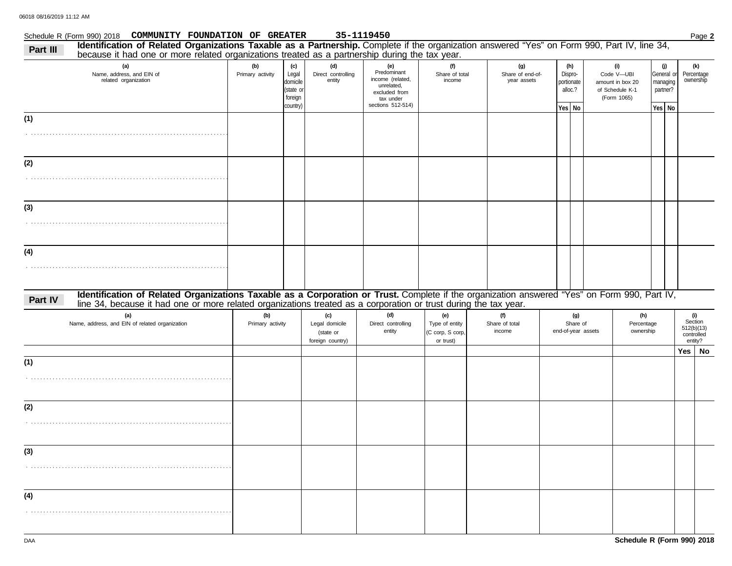### Schedule R (Form 990) 2018 Page **2 COMMUNITY FOUNDATION OF GREATER 35-1119450 (a) (b) (c) (d) (e) (f)** . . . . . . . . . . . . . . . . . . . . . . . . . . . . . . . . . . . . . . . . . . . . . . . . . . . . . . . . . . . . . . . . . Name, address, and EIN of **Primary activity** Legal domicile (state or foreign country) Direct controlling entity Predominant income (related, unrelated, Share of total portionate alloc.? General or managing partner? **Yes No Yes No (g) (h)** . Share of end-ofyear assets Dispro-**Part III Identification of Related Organizations Taxable as a Partnership.** Complete if the organization answered "Yes" on Form 990, Part IV, line 34, **(i)** of Schedule K-1 Code V—UBI **(j)** . . . . . . . . . . . . . . . . . . . . . . . . . . . . . . . . . . . . . . . . . . . . . . . . . . . . . . . . . . . . . . . . . . . . . . . . . . . . . . . . . . . . . . . . . . . . . . . . . . . . . . . . . . . . . . . . . . . . . . . . . . . . . . . . . . . . . . . . . . . . . . . . . . . . . . . . . . . . . . . . . . . . . . . . . . . . . . . . . . . . . . . . . . . . . . . . . . . . . . . . . . . . . . . . . . . . . . . . . . . . . . . . . . . . . . . . . . . . . . . . . . . . . . . . . . . . . . . . . . . . . . . . . . . . . . . . . . . . . . . . . . . . . . . . . . . . . . . . . . . . . . . . . . . . . . . . . . . . . . . . . . . . . . . . . . . . . . . . . . . . . . . . . . . . . . . . . . . . . . . . . . . . . . . . . . . . . . . . . . . . . . . . . . . . . . . . . Part IV Identification of Related Organizations Taxable as a Corporation or Trust. Complete if the organization answered "Yes" on Form 990, Part IV, Part IV, Part IV, Part IV, Part IV, Part IV, Part IV, Part IV, Part IV, P **(a) (b) (c) (d) (e) (f) (g) (h)** Name, address, and EIN of related organization **Primary activity** Legal domicile (state or foreign country) Direct controlling entity Type of entity (C corp, S corp, or trust) Share of total Share of end-of-year assets Percentage ownership amount in box 20 (Form 1065) because it had one or more related organizations treated as a partnership during the tax year. excluded from tax under sections 512-514) **(4) (3) (2) (1) (1) (2) (3)** income income related organization

ownership Percentage **(k)**

512(b)(13) Section **(i)**

entity? **Yes No** controlled

**(4)**

. . . . . . . . . . . . . . . . . . . . . . . . . . . . . . . . . . . . . . . . . . . . . . . . . . . . . . . . . . . . . . . . . .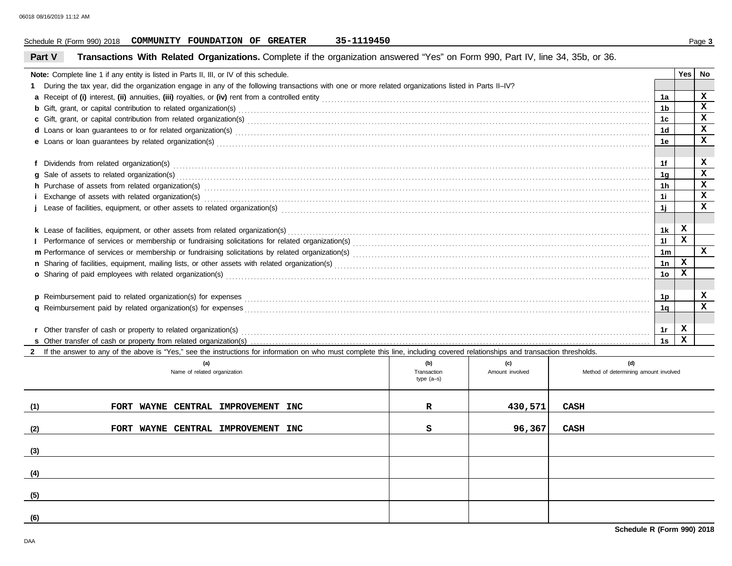### Schedule R (Form 990) 2018 Page **3 COMMUNITY FOUNDATION OF GREATER 35-1119450**

### **Part V Transactions With Related Organizations.** Complete if the organization answered "Yes" on Form 990, Part IV, line 34, 35b, or 36.

| Note: Complete line 1 if any entity is listed in Parts II, III, or IV of this schedule.                                                                                                                                        |                             |                 |                                       |                | Yes | No           |
|--------------------------------------------------------------------------------------------------------------------------------------------------------------------------------------------------------------------------------|-----------------------------|-----------------|---------------------------------------|----------------|-----|--------------|
| During the tax year, did the organization engage in any of the following transactions with one or more related organizations listed in Parts II-IV?                                                                            |                             |                 |                                       |                |     |              |
|                                                                                                                                                                                                                                |                             |                 |                                       | 1a             |     | x            |
|                                                                                                                                                                                                                                |                             |                 |                                       | 1b             |     | $\mathbf{x}$ |
|                                                                                                                                                                                                                                |                             |                 |                                       | 1c             |     | x            |
| d Loans or loan guarantees to or for related organization(s) encourance contains an account of the container and container and container and container and container and container and container and container and container a |                             |                 |                                       | 1d             |     | $\mathbf x$  |
|                                                                                                                                                                                                                                |                             |                 |                                       | 1e             |     | x            |
|                                                                                                                                                                                                                                |                             |                 |                                       |                |     |              |
|                                                                                                                                                                                                                                |                             |                 |                                       | 1f             |     | x            |
|                                                                                                                                                                                                                                |                             |                 |                                       | 1q             |     | x            |
|                                                                                                                                                                                                                                |                             |                 |                                       | 1h             |     | x            |
|                                                                                                                                                                                                                                |                             |                 |                                       | 1i.            |     | $\mathbf x$  |
|                                                                                                                                                                                                                                |                             |                 |                                       | 1i.            |     | x            |
|                                                                                                                                                                                                                                |                             |                 |                                       |                |     |              |
|                                                                                                                                                                                                                                |                             |                 |                                       | 1k             | x   |              |
|                                                                                                                                                                                                                                |                             |                 |                                       | 11             | X   |              |
|                                                                                                                                                                                                                                |                             |                 |                                       | 1 <sub>m</sub> |     | X            |
|                                                                                                                                                                                                                                |                             |                 |                                       | 1n             | x   |              |
| o Sharing of paid employees with related organization(s) encourance contains an account of the state of sharing of paid employees with related organization(s) encourance contains an account of the Sharing of paid employees |                             |                 |                                       | 10             | x   |              |
|                                                                                                                                                                                                                                |                             |                 |                                       |                |     |              |
|                                                                                                                                                                                                                                |                             |                 |                                       | 1p             |     | x            |
|                                                                                                                                                                                                                                |                             |                 |                                       | 1q             |     | x            |
|                                                                                                                                                                                                                                |                             |                 |                                       |                |     |              |
|                                                                                                                                                                                                                                |                             |                 |                                       | 1r             | x   |              |
|                                                                                                                                                                                                                                |                             |                 |                                       | 1s             | x   |              |
| 2 If the answer to any of the above is "Yes," see the instructions for information on who must complete this line, including covered relationships and transaction thresholds.                                                 |                             |                 |                                       |                |     |              |
| (a)                                                                                                                                                                                                                            | (b)                         | (c)             | (d)                                   |                |     |              |
| Name of related organization                                                                                                                                                                                                   | Transaction<br>type $(a-s)$ | Amount involved | Method of determining amount involved |                |     |              |
|                                                                                                                                                                                                                                |                             |                 |                                       |                |     |              |
|                                                                                                                                                                                                                                |                             |                 |                                       |                |     |              |
| (1)<br>FORT WAYNE CENTRAL IMPROVEMENT INC                                                                                                                                                                                      | R                           | 430,571         | CASH                                  |                |     |              |
|                                                                                                                                                                                                                                |                             |                 |                                       |                |     |              |
| (2)<br>FORT WAYNE CENTRAL IMPROVEMENT INC                                                                                                                                                                                      | s                           | 96,367          | CASH                                  |                |     |              |
|                                                                                                                                                                                                                                |                             |                 |                                       |                |     |              |
| (3)                                                                                                                                                                                                                            |                             |                 |                                       |                |     |              |
|                                                                                                                                                                                                                                |                             |                 |                                       |                |     |              |
| (4)                                                                                                                                                                                                                            |                             |                 |                                       |                |     |              |
|                                                                                                                                                                                                                                |                             |                 |                                       |                |     |              |
| (5)                                                                                                                                                                                                                            |                             |                 |                                       |                |     |              |
|                                                                                                                                                                                                                                |                             |                 |                                       |                |     |              |
| (6)                                                                                                                                                                                                                            |                             |                 |                                       |                |     |              |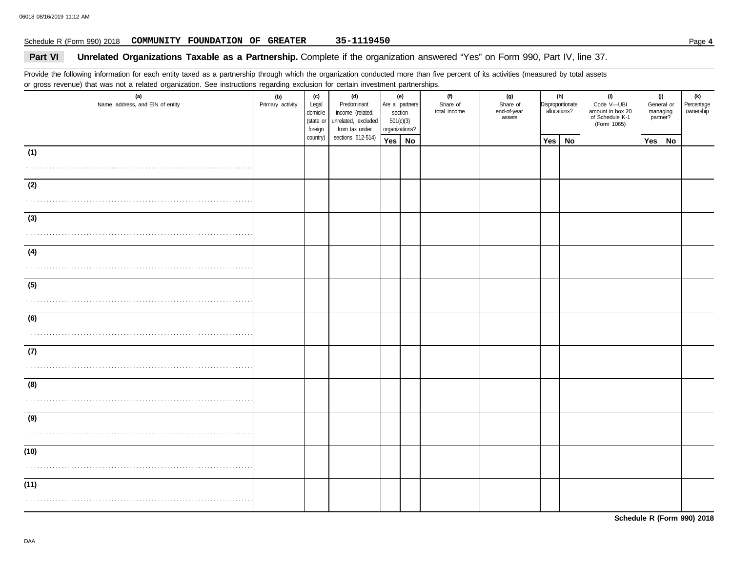### Schedule R (Form 990) 2018 Page **4 COMMUNITY FOUNDATION OF GREATER 35-1119450**

### Part VI **Unrelated Organizations Taxable as a Partnership.** Complete if the organization answered "Yes" on Form 990, Part IV, line 37.

Provide the following information for each entity taxed as a partnership through which the organization conducted more than five percent of its activities (measured by total assets or gross revenue) that was not a related organization. See instructions regarding exclusion for certain investment partnerships.

| $\overline{\phantom{a}}$<br>(a)<br>Name, address, and EIN of entity | (b)<br>Primary activity | (c)<br>Legal<br>domicile<br>(state or<br>foreign | (d)<br>Predominant<br>income (related,<br>unrelated, excluded<br>from tax under | (e)<br>Are all partners<br>section<br>501(c)(3)<br>organizations? | (f)<br>Share of<br>total income | (g)<br>Share of<br>end-of-year<br>assets | Disproportionate | (h)<br>allocations? | (i)<br>Code V-UBI<br>amount in box 20<br>of Schedule K-1<br>(Form 1065) | (j)<br>managing<br>partner? | General or | (k)<br>Percentage<br>ownership |
|---------------------------------------------------------------------|-------------------------|--------------------------------------------------|---------------------------------------------------------------------------------|-------------------------------------------------------------------|---------------------------------|------------------------------------------|------------------|---------------------|-------------------------------------------------------------------------|-----------------------------|------------|--------------------------------|
|                                                                     |                         | country)                                         | sections 512-514)                                                               | Yes   No                                                          |                                 |                                          | Yes              | No                  |                                                                         | Yes                         | No         |                                |
| (1)                                                                 |                         |                                                  |                                                                                 |                                                                   |                                 |                                          |                  |                     |                                                                         |                             |            |                                |
| .                                                                   |                         |                                                  |                                                                                 |                                                                   |                                 |                                          |                  |                     |                                                                         |                             |            |                                |
| (2)                                                                 |                         |                                                  |                                                                                 |                                                                   |                                 |                                          |                  |                     |                                                                         |                             |            |                                |
|                                                                     |                         |                                                  |                                                                                 |                                                                   |                                 |                                          |                  |                     |                                                                         |                             |            |                                |
|                                                                     |                         |                                                  |                                                                                 |                                                                   |                                 |                                          |                  |                     |                                                                         |                             |            |                                |
| (3)                                                                 |                         |                                                  |                                                                                 |                                                                   |                                 |                                          |                  |                     |                                                                         |                             |            |                                |
|                                                                     |                         |                                                  |                                                                                 |                                                                   |                                 |                                          |                  |                     |                                                                         |                             |            |                                |
| (4)                                                                 |                         |                                                  |                                                                                 |                                                                   |                                 |                                          |                  |                     |                                                                         |                             |            |                                |
|                                                                     |                         |                                                  |                                                                                 |                                                                   |                                 |                                          |                  |                     |                                                                         |                             |            |                                |
|                                                                     |                         |                                                  |                                                                                 |                                                                   |                                 |                                          |                  |                     |                                                                         |                             |            |                                |
| (5)                                                                 |                         |                                                  |                                                                                 |                                                                   |                                 |                                          |                  |                     |                                                                         |                             |            |                                |
|                                                                     |                         |                                                  |                                                                                 |                                                                   |                                 |                                          |                  |                     |                                                                         |                             |            |                                |
| (6)                                                                 |                         |                                                  |                                                                                 |                                                                   |                                 |                                          |                  |                     |                                                                         |                             |            |                                |
|                                                                     |                         |                                                  |                                                                                 |                                                                   |                                 |                                          |                  |                     |                                                                         |                             |            |                                |
| (7)                                                                 |                         |                                                  |                                                                                 |                                                                   |                                 |                                          |                  |                     |                                                                         |                             |            |                                |
|                                                                     |                         |                                                  |                                                                                 |                                                                   |                                 |                                          |                  |                     |                                                                         |                             |            |                                |
|                                                                     |                         |                                                  |                                                                                 |                                                                   |                                 |                                          |                  |                     |                                                                         |                             |            |                                |
| (8)                                                                 |                         |                                                  |                                                                                 |                                                                   |                                 |                                          |                  |                     |                                                                         |                             |            |                                |
|                                                                     |                         |                                                  |                                                                                 |                                                                   |                                 |                                          |                  |                     |                                                                         |                             |            |                                |
| (9)                                                                 |                         |                                                  |                                                                                 |                                                                   |                                 |                                          |                  |                     |                                                                         |                             |            |                                |
|                                                                     |                         |                                                  |                                                                                 |                                                                   |                                 |                                          |                  |                     |                                                                         |                             |            |                                |
|                                                                     |                         |                                                  |                                                                                 |                                                                   |                                 |                                          |                  |                     |                                                                         |                             |            |                                |
| (10)                                                                |                         |                                                  |                                                                                 |                                                                   |                                 |                                          |                  |                     |                                                                         |                             |            |                                |
|                                                                     |                         |                                                  |                                                                                 |                                                                   |                                 |                                          |                  |                     |                                                                         |                             |            |                                |
| (11)                                                                |                         |                                                  |                                                                                 |                                                                   |                                 |                                          |                  |                     |                                                                         |                             |            |                                |
|                                                                     |                         |                                                  |                                                                                 |                                                                   |                                 |                                          |                  |                     |                                                                         |                             |            |                                |
|                                                                     |                         |                                                  |                                                                                 |                                                                   |                                 |                                          |                  |                     |                                                                         |                             |            |                                |

**Schedule R (Form 990) 2018**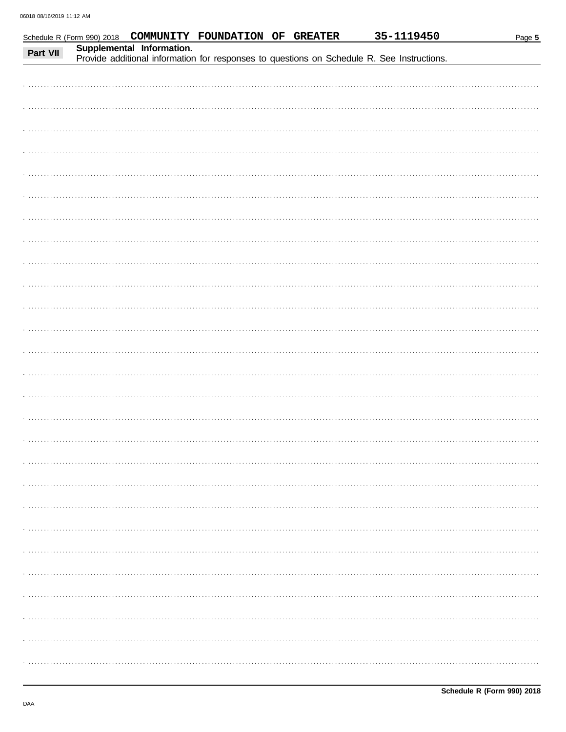|          |                           | Schedule R (Form 990) 2018 COMMUNITY FOUNDATION OF GREATER |  | 35-1119450                                                                                 | Page 5 |
|----------|---------------------------|------------------------------------------------------------|--|--------------------------------------------------------------------------------------------|--------|
| Part VII | Supplemental Information. |                                                            |  |                                                                                            |        |
|          |                           |                                                            |  | Provide additional information for responses to questions on Schedule R. See Instructions. |        |
|          |                           |                                                            |  |                                                                                            |        |
|          |                           |                                                            |  |                                                                                            |        |
|          |                           |                                                            |  |                                                                                            |        |
|          |                           |                                                            |  |                                                                                            |        |
|          |                           |                                                            |  |                                                                                            |        |
|          |                           |                                                            |  |                                                                                            |        |
|          |                           |                                                            |  |                                                                                            |        |
|          |                           |                                                            |  |                                                                                            |        |
|          |                           |                                                            |  |                                                                                            |        |
|          |                           |                                                            |  |                                                                                            |        |
|          |                           |                                                            |  |                                                                                            |        |
|          |                           |                                                            |  |                                                                                            |        |
|          |                           |                                                            |  |                                                                                            |        |
|          |                           |                                                            |  |                                                                                            |        |
|          |                           |                                                            |  |                                                                                            |        |
|          |                           |                                                            |  |                                                                                            |        |
|          |                           |                                                            |  |                                                                                            |        |
|          |                           |                                                            |  |                                                                                            |        |
|          |                           |                                                            |  |                                                                                            |        |
|          |                           |                                                            |  |                                                                                            |        |
|          |                           |                                                            |  |                                                                                            |        |
|          |                           |                                                            |  |                                                                                            |        |
|          |                           |                                                            |  |                                                                                            |        |
|          |                           |                                                            |  |                                                                                            |        |
|          |                           |                                                            |  |                                                                                            |        |
|          |                           |                                                            |  |                                                                                            |        |
|          |                           |                                                            |  |                                                                                            |        |
|          |                           |                                                            |  |                                                                                            |        |
|          |                           |                                                            |  |                                                                                            |        |
|          |                           |                                                            |  |                                                                                            |        |
|          |                           |                                                            |  |                                                                                            |        |
|          |                           |                                                            |  |                                                                                            |        |
|          |                           |                                                            |  |                                                                                            |        |
|          |                           |                                                            |  |                                                                                            |        |
|          |                           |                                                            |  |                                                                                            |        |
|          |                           |                                                            |  |                                                                                            |        |
|          |                           |                                                            |  |                                                                                            |        |
|          |                           |                                                            |  |                                                                                            |        |
|          |                           |                                                            |  |                                                                                            |        |
|          |                           |                                                            |  |                                                                                            |        |
|          |                           |                                                            |  |                                                                                            |        |
|          |                           |                                                            |  |                                                                                            |        |
|          |                           |                                                            |  |                                                                                            |        |
|          |                           |                                                            |  |                                                                                            |        |
|          |                           |                                                            |  |                                                                                            |        |
|          |                           |                                                            |  |                                                                                            |        |
|          |                           |                                                            |  |                                                                                            |        |
|          |                           |                                                            |  |                                                                                            |        |
|          |                           |                                                            |  |                                                                                            |        |
|          |                           |                                                            |  |                                                                                            |        |
|          |                           |                                                            |  |                                                                                            |        |